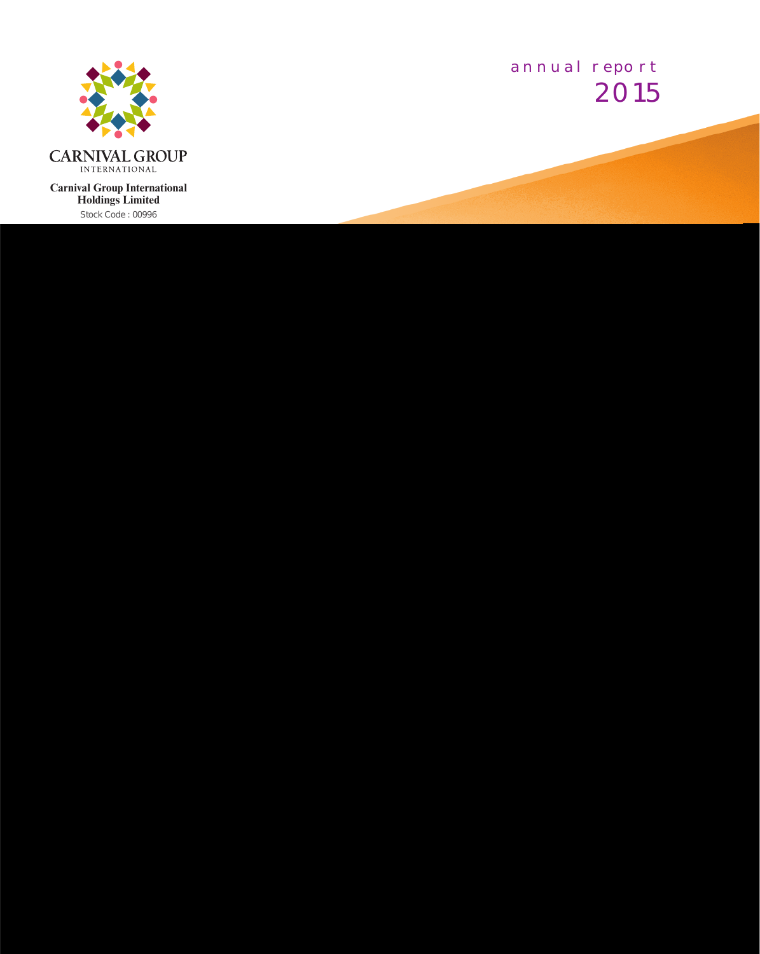

annual report 2015

**Carnival Group International Holdings Limited**

Stock Code : 00996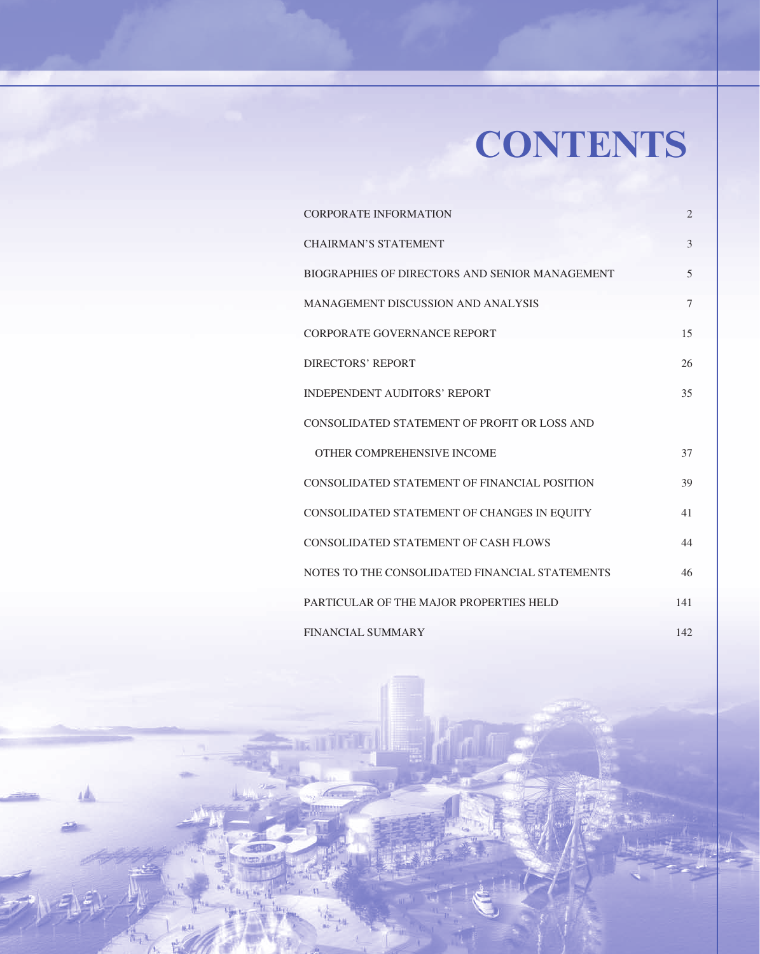# **CONTENTS**

| <b>CORPORATE INFORMATION</b>                   | 2      |
|------------------------------------------------|--------|
| <b>CHAIRMAN'S STATEMENT</b>                    | 3      |
| BIOGRAPHIES OF DIRECTORS AND SENIOR MANAGEMENT | 5      |
| <b>MANAGEMENT DISCUSSION AND ANALYSIS</b>      | $\tau$ |
| CORPORATE GOVERNANCE REPORT                    | 15     |
| <b>DIRECTORS' REPORT</b>                       | 26     |
| <b>INDEPENDENT AUDITORS' REPORT</b>            | 35     |
| CONSOLIDATED STATEMENT OF PROFIT OR LOSS AND   |        |
| OTHER COMPREHENSIVE INCOME                     | 37     |
| CONSOLIDATED STATEMENT OF FINANCIAL POSITION   | 39     |
| CONSOLIDATED STATEMENT OF CHANGES IN EQUITY    | 41     |
| CONSOLIDATED STATEMENT OF CASH FLOWS           | 44     |
| NOTES TO THE CONSOLIDATED FINANCIAL STATEMENTS | 46     |
| PARTICULAR OF THE MAJOR PROPERTIES HELD        | 141    |
| <b>FINANCIAL SUMMARY</b>                       | 142    |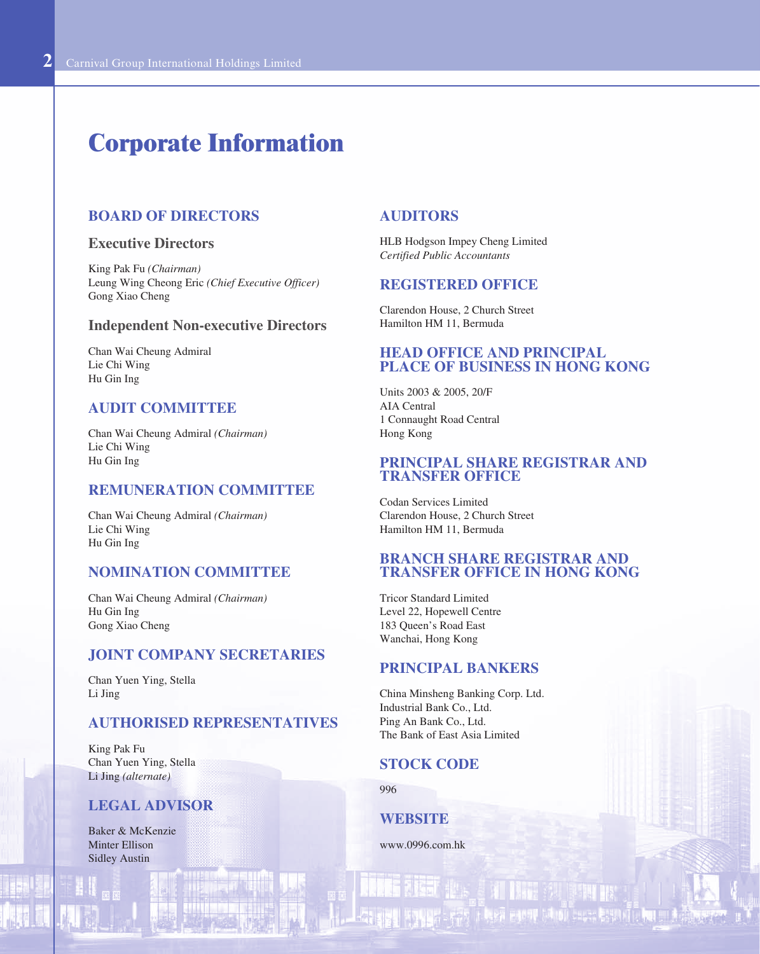# **Corporate Information**

#### **BOARD OF DIRECTORS**

#### **Executive Directors**

King Pak Fu *(Chairman)* Leung Wing Cheong Eric *(Chief Executive Officer)* Gong Xiao Cheng

#### **Independent Non-executive Directors**

Chan Wai Cheung Admiral Lie Chi Wing Hu Gin Ing

#### **AUDIT COMMITTEE**

Chan Wai Cheung Admiral *(Chairman)* Lie Chi Wing Hu Gin Ing

#### **REMUNERATION COMMITTEE**

Chan Wai Cheung Admiral *(Chairman)* Lie Chi Wing Hu Gin Ing

#### **NOMINATION COMMITTEE**

Chan Wai Cheung Admiral *(Chairman)* Hu Gin Ing Gong Xiao Cheng

#### **JOINT COMPANY SECRETARIES**

Chan Yuen Ying, Stella Li Jing

#### **AUTHORISED REPRESENTATIVES**

King Pak Fu Chan Yuen Ying, Stella Li Jing *(alternate)*

#### **LEGAL ADVISOR**

Baker & McKenzie Minter Ellison Sidley Austin

#### **AUDITORS**

HLB Hodgson Impey Cheng Limited *Certified Public Accountants*

### **REGISTERED OFFICE**

Clarendon House, 2 Church Street Hamilton HM 11, Bermuda

#### **HEAD OFFICE AND PRINCIPAL PLACE OF BUSINESS IN HONG KONG**

Units 2003 & 2005, 20/F AIA Central 1 Connaught Road Central Hong Kong

#### **PRINCIPAL SHARE REGISTRAR AND TRANSFER OFFICE**

Codan Services Limited Clarendon House, 2 Church Street Hamilton HM 11, Bermuda

#### **BRANCH SHARE REGISTRAR AND TRANSFER OFFICE IN HONG KONG**

Tricor Standard Limited Level 22, Hopewell Centre 183 Queen's Road East Wanchai, Hong Kong

#### **PRINCIPAL BANKERS**

China Minsheng Banking Corp. Ltd. Industrial Bank Co., Ltd. Ping An Bank Co., Ltd. The Bank of East Asia Limited

#### **STOCK CODE**

996

**WEBSITE**

www.0996.com.hk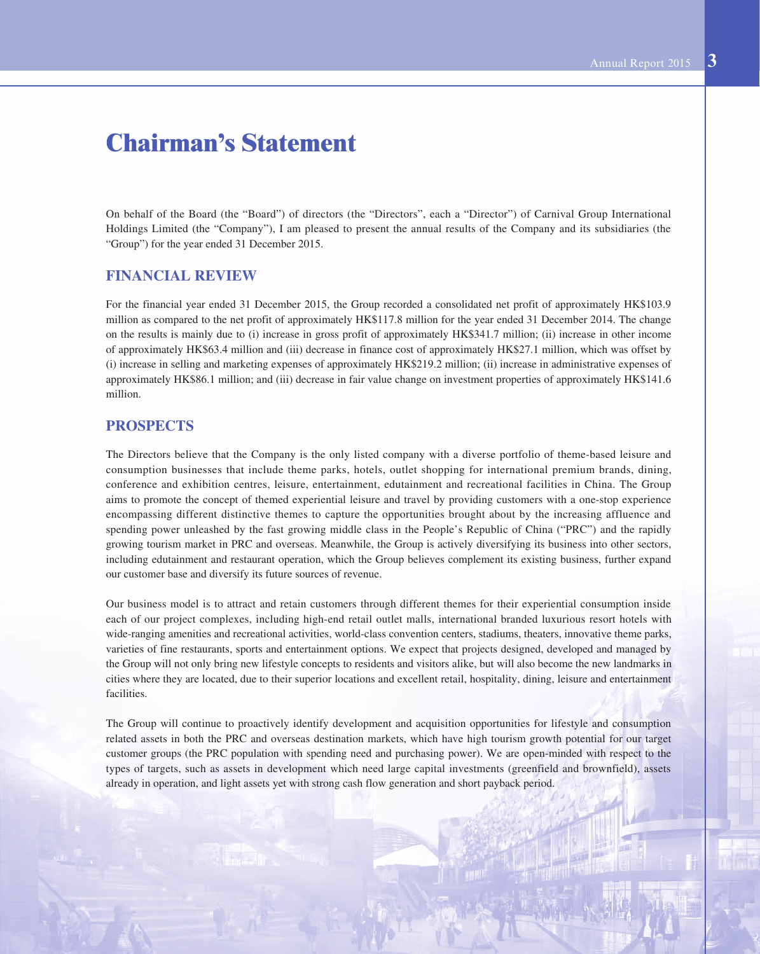# **Chairman's Statement**

On behalf of the Board (the "Board") of directors (the "Directors", each a "Director") of Carnival Group International Holdings Limited (the "Company"), I am pleased to present the annual results of the Company and its subsidiaries (the "Group") for the year ended 31 December 2015.

#### **Financial review**

For the financial year ended 31 December 2015, the Group recorded a consolidated net profit of approximately HK\$103.9 million as compared to the net profit of approximately HK\$117.8 million for the year ended 31 December 2014. The change on the results is mainly due to (i) increase in gross profit of approximately HK\$341.7 million; (ii) increase in other income of approximately HK\$63.4 million and (iii) decrease in finance cost of approximately HK\$27.1 million, which was offset by (i) increase in selling and marketing expenses of approximately HK\$219.2 million; (ii) increase in administrative expenses of approximately HK\$86.1 million; and (iii) decrease in fair value change on investment properties of approximately HK\$141.6 million.

#### **Prospects**

The Directors believe that the Company is the only listed company with a diverse portfolio of theme-based leisure and consumption businesses that include theme parks, hotels, outlet shopping for international premium brands, dining, conference and exhibition centres, leisure, entertainment, edutainment and recreational facilities in China. The Group aims to promote the concept of themed experiential leisure and travel by providing customers with a one-stop experience encompassing different distinctive themes to capture the opportunities brought about by the increasing affluence and spending power unleashed by the fast growing middle class in the People's Republic of China ("PRC") and the rapidly growing tourism market in PRC and overseas. Meanwhile, the Group is actively diversifying its business into other sectors, including edutainment and restaurant operation, which the Group believes complement its existing business, further expand our customer base and diversify its future sources of revenue.

Our business model is to attract and retain customers through different themes for their experiential consumption inside each of our project complexes, including high-end retail outlet malls, international branded luxurious resort hotels with wide-ranging amenities and recreational activities, world-class convention centers, stadiums, theaters, innovative theme parks, varieties of fine restaurants, sports and entertainment options. We expect that projects designed, developed and managed by the Group will not only bring new lifestyle concepts to residents and visitors alike, but will also become the new landmarks in cities where they are located, due to their superior locations and excellent retail, hospitality, dining, leisure and entertainment facilities.

The Group will continue to proactively identify development and acquisition opportunities for lifestyle and consumption related assets in both the PRC and overseas destination markets, which have high tourism growth potential for our target customer groups (the PRC population with spending need and purchasing power). We are open-minded with respect to the types of targets, such as assets in development which need large capital investments (greenfield and brownfield), assets already in operation, and light assets yet with strong cash flow generation and short payback period.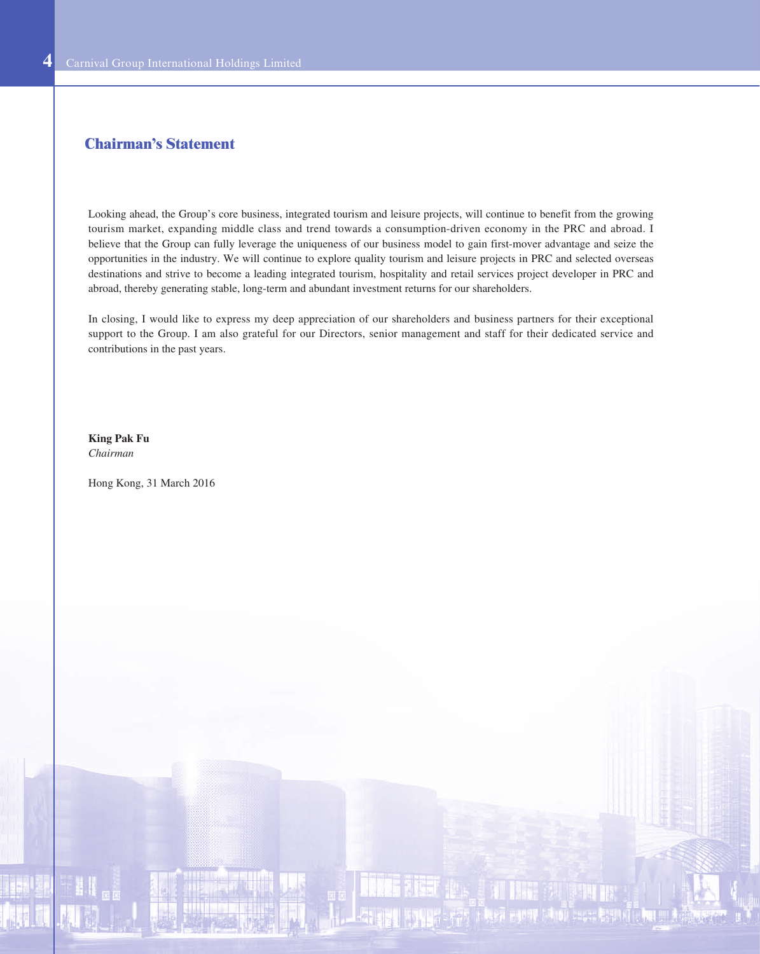# **Chairman's Statement**

Looking ahead, the Group's core business, integrated tourism and leisure projects, will continue to benefit from the growing tourism market, expanding middle class and trend towards a consumption-driven economy in the PRC and abroad. I believe that the Group can fully leverage the uniqueness of our business model to gain first-mover advantage and seize the opportunities in the industry. We will continue to explore quality tourism and leisure projects in PRC and selected overseas destinations and strive to become a leading integrated tourism, hospitality and retail services project developer in PRC and abroad, thereby generating stable, long-term and abundant investment returns for our shareholders.

In closing, I would like to express my deep appreciation of our shareholders and business partners for their exceptional support to the Group. I am also grateful for our Directors, senior management and staff for their dedicated service and contributions in the past years.

**King Pak Fu** *Chairman*

Hong Kong, 31 March 2016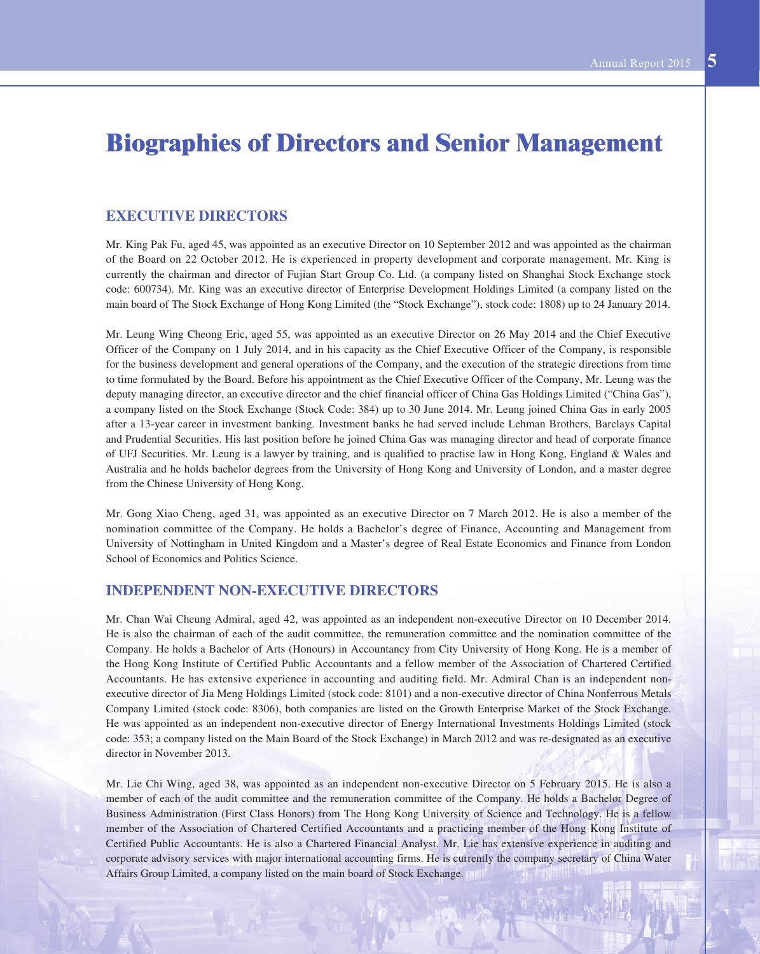# **Biographies of Directors and Senior Management**

#### **EXECUTIVE DIRECTORS**

Mr. King Pak Fu, aged 45, was appointed as an executive Director on 10 September 2012 and was appointed as the chairman of the Board on 22 October 2012. He is experienced in property development and corporate management. Mr. King is currently the chairman and director of Fujian Start Group Co. Ltd. (a company listed on Shanghai Stock Exchange stock code: 600734). Mr. King was an executive director of Enterprise Development Holdings Limited (a company listed on the main board of The Stock Exchange of Hong Kong Limited (the "Stock Exchange"), stock code: 1808) up to 24 January 2014.

Mr. Leung Wing Cheong Eric, aged 55, was appointed as an executive Director on 26 May 2014 and the Chief Executive Officer of the Company on 1 July 2014, and in his capacity as the Chief Executive Officer of the Company, is responsible for the business development and general operations of the Company, and the execution of the strategic directions from time to time formulated by the Board. Before his appointment as the Chief Executive Officer of the Company, Mr. Leung was the deputy managing director, an executive director and the chief financial officer of China Gas Holdings Limited ("China Gas"), a company listed on the Stock Exchange (Stock Code: 384) up to 30 June 2014. Mr. Leung joined China Gas in early 2005 after a 13-year career in investment banking. Investment banks he had served include Lehman Brothers, Barclays Capital and Prudential Securities. His last position before he joined China Gas was managing director and head of corporate finance of UFJ Securities. Mr. Leung is a lawyer by training, and is qualified to practise law in Hong Kong, England & Wales and Australia and he holds bachelor degrees from the University of Hong Kong and University of London, and a master degree from the Chinese University of Hong Kong.

Mr. Gong Xiao Cheng, aged 31, was appointed as an executive Director on 7 March 2012. He is also a member of the nomination committee of the Company. He holds a Bachelor's degree of Finance, Accounting and Management from University of Nottingham in United Kingdom and a Master's degree of Real Estate Economics and Finance from London School of Economics and Politics Science.

#### **INDEPENDENT NON-EXECUTIVE DIRECTORS**

Mr. Chan Wai Cheung Admiral, aged 42, was appointed as an independent non-executive Director on 10 December 2014. He is also the chairman of each of the audit committee, the remuneration committee and the nomination committee of the Company. He holds a Bachelor of Arts (Honours) in Accountancy from City University of Hong Kong. He is a member of the Hong Kong Institute of Certified Public Accountants and a fellow member of the Association of Chartered Certified Accountants. He has extensive experience in accounting and auditing field. Mr. Admiral Chan is an independent nonexecutive director of Jia Meng Holdings Limited (stock code: 8101) and a non-executive director of China Nonferrous Metals Company Limited (stock code: 8306), both companies are listed on the Growth Enterprise Market of the Stock Exchange. He was appointed as an independent non-executive director of Energy International Investments Holdings Limited (stock code: 353; a company listed on the Main Board of the Stock Exchange) in March 2012 and was re-designated as an executive director in November 2013.

Mr. Lie Chi Wing, aged 38, was appointed as an independent non-executive Director on 5 February 2015. He is also a member of each of the audit committee and the remuneration committee of the Company. He holds a Bachelor Degree of Business Administration (First Class Honors) from The Hong Kong University of Science and Technology. He is a fellow member of the Association of Chartered Certified Accountants and a practicing member of the Hong Kong Institute of Certified Public Accountants. He is also a Chartered Financial Analyst. Mr. Lie has extensive experience in auditing and corporate advisory services with major international accounting firms. He is currently the company secretary of China Water Affairs Group Limited, a company listed on the main board of Stock Exchange.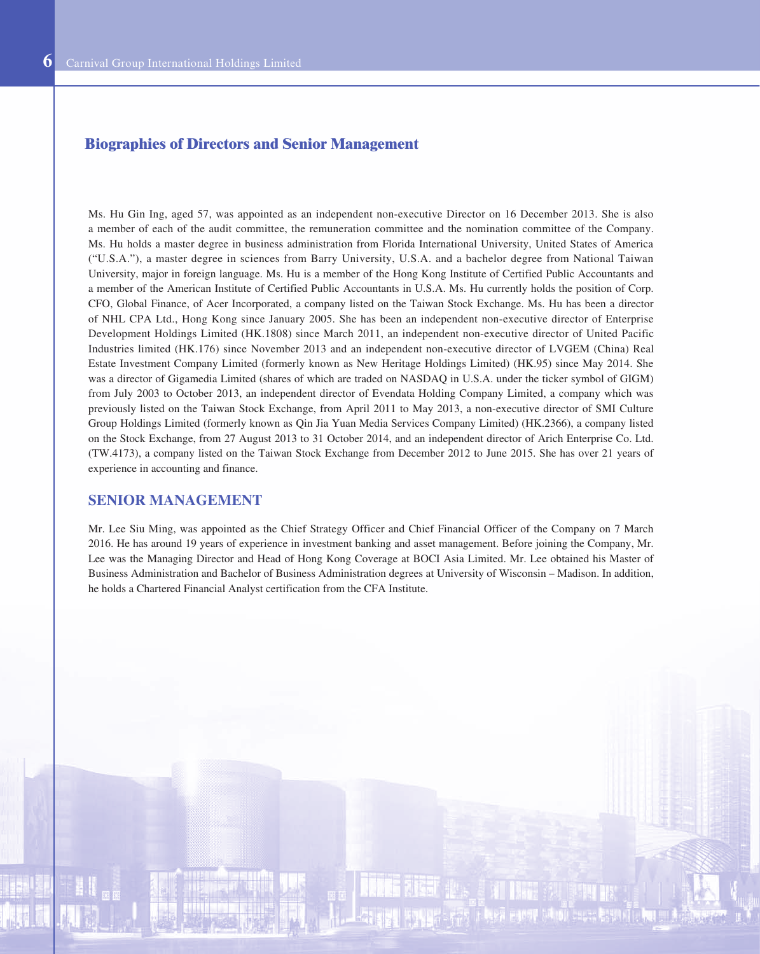#### **Biographies of Directors and Senior Management**

Ms. Hu Gin Ing, aged 57, was appointed as an independent non-executive Director on 16 December 2013. She is also a member of each of the audit committee, the remuneration committee and the nomination committee of the Company. Ms. Hu holds a master degree in business administration from Florida International University, United States of America ("U.S.A."), a master degree in sciences from Barry University, U.S.A. and a bachelor degree from National Taiwan University, major in foreign language. Ms. Hu is a member of the Hong Kong Institute of Certified Public Accountants and a member of the American Institute of Certified Public Accountants in U.S.A. Ms. Hu currently holds the position of Corp. CFO, Global Finance, of Acer Incorporated, a company listed on the Taiwan Stock Exchange. Ms. Hu has been a director of NHL CPA Ltd., Hong Kong since January 2005. She has been an independent non-executive director of Enterprise Development Holdings Limited (HK.1808) since March 2011, an independent non-executive director of United Pacific Industries limited (HK.176) since November 2013 and an independent non-executive director of LVGEM (China) Real Estate Investment Company Limited (formerly known as New Heritage Holdings Limited) (HK.95) since May 2014. She was a director of Gigamedia Limited (shares of which are traded on NASDAQ in U.S.A. under the ticker symbol of GIGM) from July 2003 to October 2013, an independent director of Evendata Holding Company Limited, a company which was previously listed on the Taiwan Stock Exchange, from April 2011 to May 2013, a non-executive director of SMI Culture Group Holdings Limited (formerly known as Qin Jia Yuan Media Services Company Limited) (HK.2366), a company listed on the Stock Exchange, from 27 August 2013 to 31 October 2014, and an independent director of Arich Enterprise Co. Ltd. (TW.4173), a company listed on the Taiwan Stock Exchange from December 2012 to June 2015. She has over 21 years of experience in accounting and finance.

#### **SENIOR MANAGEMENT**

Mr. Lee Siu Ming, was appointed as the Chief Strategy Officer and Chief Financial Officer of the Company on 7 March 2016. He has around 19 years of experience in investment banking and asset management. Before joining the Company, Mr. Lee was the Managing Director and Head of Hong Kong Coverage at BOCI Asia Limited. Mr. Lee obtained his Master of Business Administration and Bachelor of Business Administration degrees at University of Wisconsin – Madison. In addition, he holds a Chartered Financial Analyst certification from the CFA Institute.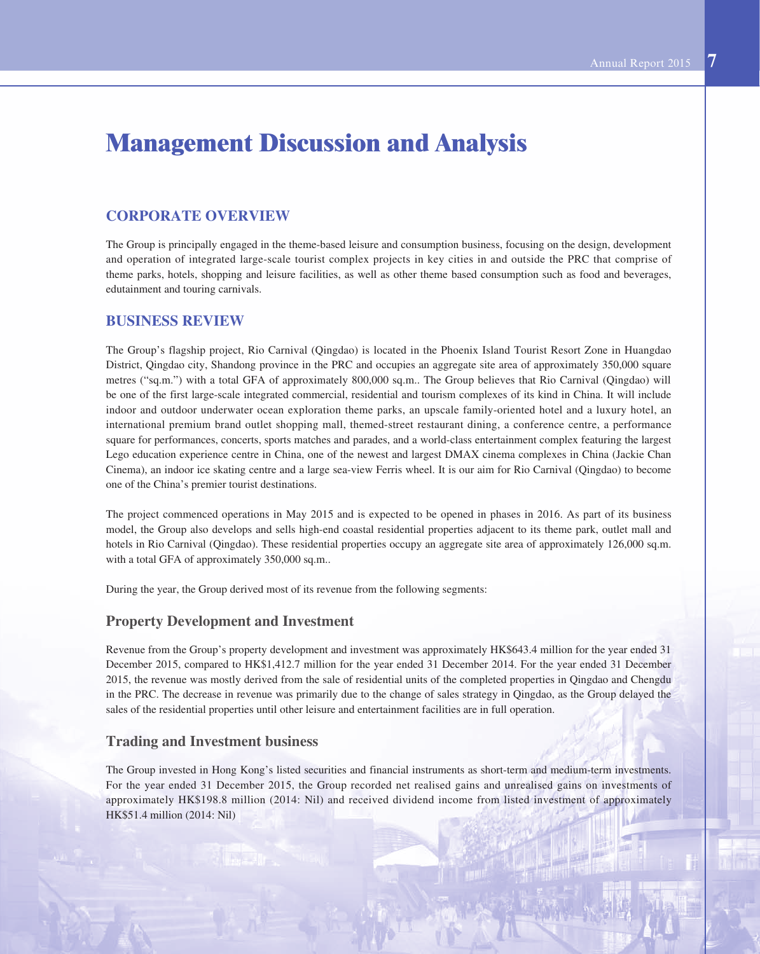#### **CORPORATE OVERVIEW**

The Group is principally engaged in the theme-based leisure and consumption business, focusing on the design, development and operation of integrated large-scale tourist complex projects in key cities in and outside the PRC that comprise of theme parks, hotels, shopping and leisure facilities, as well as other theme based consumption such as food and beverages, edutainment and touring carnivals.

#### **BUSINESS REVIEW**

The Group's flagship project, Rio Carnival (Qingdao) is located in the Phoenix Island Tourist Resort Zone in Huangdao District, Oingdao city, Shandong province in the PRC and occupies an aggregate site area of approximately 350,000 square metres ("sq.m.") with a total GFA of approximately 800,000 sq.m.. The Group believes that Rio Carnival (Qingdao) will be one of the first large-scale integrated commercial, residential and tourism complexes of its kind in China. It will include indoor and outdoor underwater ocean exploration theme parks, an upscale family-oriented hotel and a luxury hotel, an international premium brand outlet shopping mall, themed-street restaurant dining, a conference centre, a performance square for performances, concerts, sports matches and parades, and a world-class entertainment complex featuring the largest Lego education experience centre in China, one of the newest and largest DMAX cinema complexes in China (Jackie Chan Cinema), an indoor ice skating centre and a large sea-view Ferris wheel. It is our aim for Rio Carnival (Qingdao) to become one of the China's premier tourist destinations.

The project commenced operations in May 2015 and is expected to be opened in phases in 2016. As part of its business model, the Group also develops and sells high-end coastal residential properties adjacent to its theme park, outlet mall and hotels in Rio Carnival (Qingdao). These residential properties occupy an aggregate site area of approximately 126,000 sq.m. with a total GFA of approximately 350,000 sq.m..

During the year, the Group derived most of its revenue from the following segments:

#### **Property Development and Investment**

Revenue from the Group's property development and investment was approximately HK\$643.4 million for the year ended 31 December 2015, compared to HK\$1,412.7 million for the year ended 31 December 2014. For the year ended 31 December 2015, the revenue was mostly derived from the sale of residential units of the completed properties in Qingdao and Chengdu in the PRC. The decrease in revenue was primarily due to the change of sales strategy in Qingdao, as the Group delayed the sales of the residential properties until other leisure and entertainment facilities are in full operation.

#### **Trading and Investment business**

The Group invested in Hong Kong's listed securities and financial instruments as short-term and medium-term investments. For the year ended 31 December 2015, the Group recorded net realised gains and unrealised gains on investments of approximately HK\$198.8 million (2014: Nil) and received dividend income from listed investment of approximately HK\$51.4 million (2014: Nil)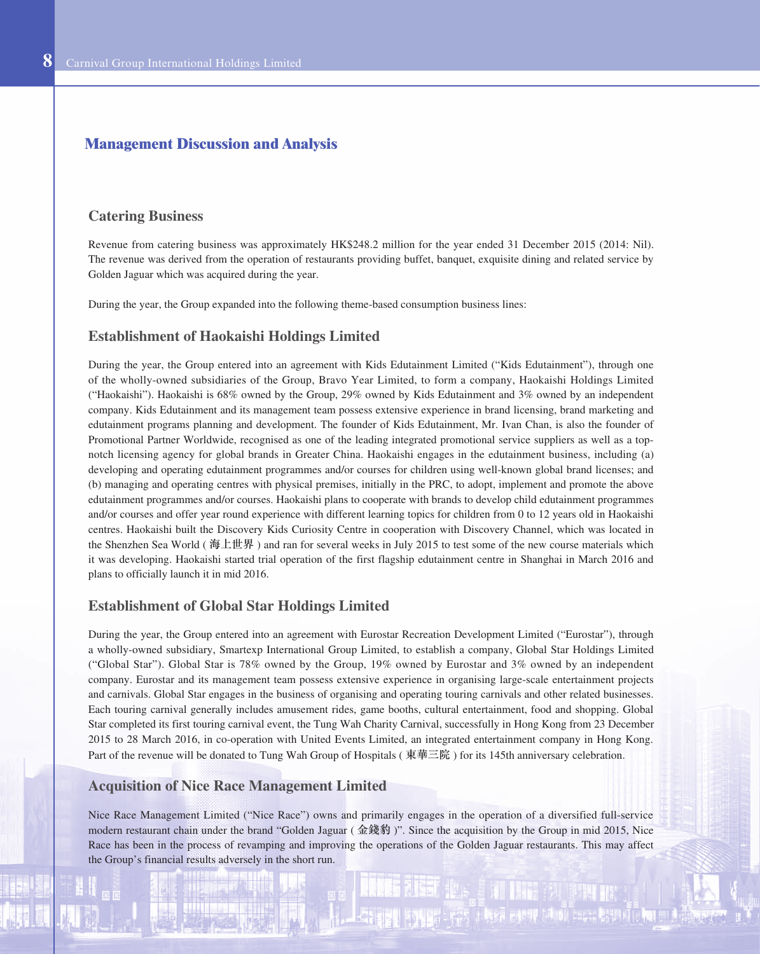#### **Catering Business**

Revenue from catering business was approximately HK\$248.2 million for the year ended 31 December 2015 (2014: Nil). The revenue was derived from the operation of restaurants providing buffet, banquet, exquisite dining and related service by Golden Jaguar which was acquired during the year.

During the year, the Group expanded into the following theme-based consumption business lines:

#### **Establishment of Haokaishi Holdings Limited**

During the year, the Group entered into an agreement with Kids Edutainment Limited ("Kids Edutainment"), through one of the wholly-owned subsidiaries of the Group, Bravo Year Limited, to form a company, Haokaishi Holdings Limited ("Haokaishi"). Haokaishi is 68% owned by the Group, 29% owned by Kids Edutainment and 3% owned by an independent company. Kids Edutainment and its management team possess extensive experience in brand licensing, brand marketing and edutainment programs planning and development. The founder of Kids Edutainment, Mr. Ivan Chan, is also the founder of Promotional Partner Worldwide, recognised as one of the leading integrated promotional service suppliers as well as a topnotch licensing agency for global brands in Greater China. Haokaishi engages in the edutainment business, including (a) developing and operating edutainment programmes and/or courses for children using well-known global brand licenses; and (b) managing and operating centres with physical premises, initially in the PRC, to adopt, implement and promote the above edutainment programmes and/or courses. Haokaishi plans to cooperate with brands to develop child edutainment programmes and/or courses and offer year round experience with different learning topics for children from 0 to 12 years old in Haokaishi centres. Haokaishi built the Discovery Kids Curiosity Centre in cooperation with Discovery Channel, which was located in the Shenzhen Sea World ( 海上世界 ) and ran for several weeks in July 2015 to test some of the new course materials which it was developing. Haokaishi started trial operation of the first flagship edutainment centre in Shanghai in March 2016 and plans to officially launch it in mid 2016.

#### **Establishment of Global Star Holdings Limited**

During the year, the Group entered into an agreement with Eurostar Recreation Development Limited ("Eurostar"), through a wholly-owned subsidiary, Smartexp International Group Limited, to establish a company, Global Star Holdings Limited ("Global Star"). Global Star is 78% owned by the Group, 19% owned by Eurostar and 3% owned by an independent company. Eurostar and its management team possess extensive experience in organising large-scale entertainment projects and carnivals. Global Star engages in the business of organising and operating touring carnivals and other related businesses. Each touring carnival generally includes amusement rides, game booths, cultural entertainment, food and shopping. Global Star completed its first touring carnival event, the Tung Wah Charity Carnival, successfully in Hong Kong from 23 December 2015 to 28 March 2016, in co-operation with United Events Limited, an integrated entertainment company in Hong Kong. Part of the revenue will be donated to Tung Wah Group of Hospitals ( 東華三院 ) for its 145th anniversary celebration.

#### **Acquisition of Nice Race Management Limited**

Nice Race Management Limited ("Nice Race") owns and primarily engages in the operation of a diversified full-service modern restaurant chain under the brand "Golden Jaguar ( 金錢豹 )". Since the acquisition by the Group in mid 2015, Nice Race has been in the process of revamping and improving the operations of the Golden Jaguar restaurants. This may affect the Group's financial results adversely in the short run.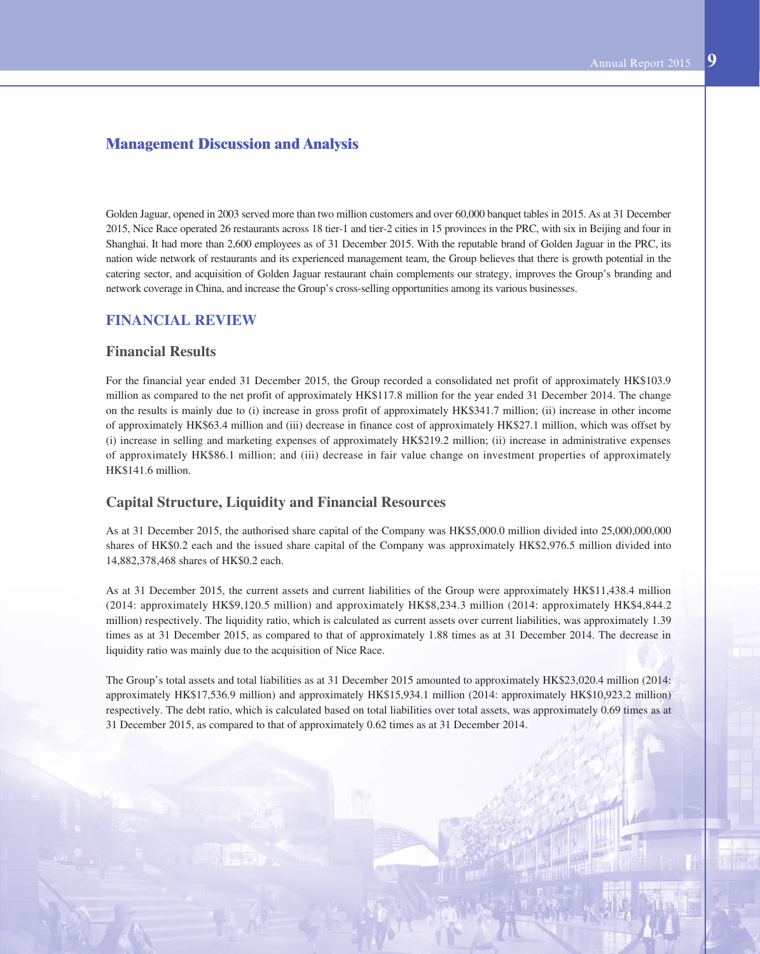Golden Jaguar, opened in 2003 served more than two million customers and over 60,000 banquet tables in 2015. As at 31 December 2015, Nice Race operated 26 restaurants across 18 tier-1 and tier-2 cities in 15 provinces in the PRC, with six in Beijing and four in Shanghai. It had more than 2,600 employees as of 31 December 2015. With the reputable brand of Golden Jaguar in the PRC, its nation wide network of restaurants and its experienced management team, the Group believes that there is growth potential in the catering sector, and acquisition of Golden Jaguar restaurant chain complements our strategy, improves the Group's branding and network coverage in China, and increase the Group's cross-selling opportunities among its various businesses.

#### **FINANCIAL REVIEW**

#### **Financial Results**

For the financial year ended 31 December 2015, the Group recorded a consolidated net profit of approximately HK\$103.9 million as compared to the net profit of approximately HK\$117.8 million for the year ended 31 December 2014. The change on the results is mainly due to (i) increase in gross profit of approximately HK\$341.7 million; (ii) increase in other income of approximately HK\$63.4 million and (iii) decrease in finance cost of approximately HK\$27.1 million, which was offset by (i) increase in selling and marketing expenses of approximately HK\$219.2 million; (ii) increase in administrative expenses of approximately HK\$86.1 million; and (iii) decrease in fair value change on investment properties of approximately HK\$141.6 million.

#### **Capital Structure, Liquidity and Financial Resources**

As at 31 December 2015, the authorised share capital of the Company was HK\$5,000.0 million divided into 25,000,000,000 shares of HK\$0.2 each and the issued share capital of the Company was approximately HK\$2,976.5 million divided into 14,882,378,468 shares of HK\$0.2 each.

As at 31 December 2015, the current assets and current liabilities of the Group were approximately HK\$11,438.4 million (2014: approximately HK\$9,120.5 million) and approximately HK\$8,234.3 million (2014: approximately HK\$4,844.2 million) respectively. The liquidity ratio, which is calculated as current assets over current liabilities, was approximately 1.39 times as at 31 December 2015, as compared to that of approximately 1.88 times as at 31 December 2014. The decrease in liquidity ratio was mainly due to the acquisition of Nice Race.

The Group's total assets and total liabilities as at 31 December 2015 amounted to approximately HK\$23,020.4 million (2014: approximately HK\$17,536.9 million) and approximately HK\$15,934.1 million (2014: approximately HK\$10,923.2 million) respectively. The debt ratio, which is calculated based on total liabilities over total assets, was approximately 0.69 times as at 31 December 2015, as compared to that of approximately 0.62 times as at 31 December 2014.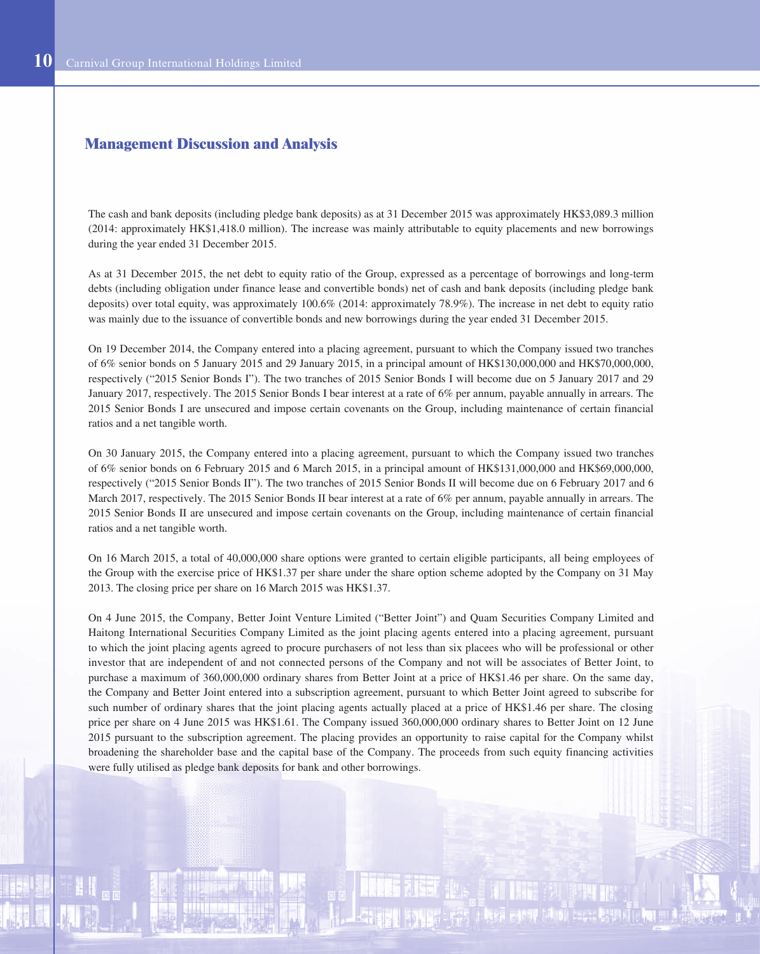The cash and bank deposits (including pledge bank deposits) as at 31 December 2015 was approximately HK\$3,089.3 million (2014: approximately HK\$1,418.0 million). The increase was mainly attributable to equity placements and new borrowings during the year ended 31 December 2015.

As at 31 December 2015, the net debt to equity ratio of the Group, expressed as a percentage of borrowings and long-term debts (including obligation under finance lease and convertible bonds) net of cash and bank deposits (including pledge bank deposits) over total equity, was approximately 100.6% (2014: approximately 78.9%). The increase in net debt to equity ratio was mainly due to the issuance of convertible bonds and new borrowings during the year ended 31 December 2015.

On 19 December 2014, the Company entered into a placing agreement, pursuant to which the Company issued two tranches of 6% senior bonds on 5 January 2015 and 29 January 2015, in a principal amount of HK\$130,000,000 and HK\$70,000,000, respectively ("2015 Senior Bonds I"). The two tranches of 2015 Senior Bonds I will become due on 5 January 2017 and 29 January 2017, respectively. The 2015 Senior Bonds I bear interest at a rate of 6% per annum, payable annually in arrears. The 2015 Senior Bonds I are unsecured and impose certain covenants on the Group, including maintenance of certain financial ratios and a net tangible worth.

On 30 January 2015, the Company entered into a placing agreement, pursuant to which the Company issued two tranches of 6% senior bonds on 6 February 2015 and 6 March 2015, in a principal amount of HK\$131,000,000 and HK\$69,000,000, respectively ("2015 Senior Bonds II"). The two tranches of 2015 Senior Bonds II will become due on 6 February 2017 and 6 March 2017, respectively. The 2015 Senior Bonds II bear interest at a rate of 6% per annum, payable annually in arrears. The 2015 Senior Bonds II are unsecured and impose certain covenants on the Group, including maintenance of certain financial ratios and a net tangible worth.

On 16 March 2015, a total of 40,000,000 share options were granted to certain eligible participants, all being employees of the Group with the exercise price of HK\$1.37 per share under the share option scheme adopted by the Company on 31 May 2013. The closing price per share on 16 March 2015 was HK\$1.37.

On 4 June 2015, the Company, Better Joint Venture Limited ("Better Joint") and Quam Securities Company Limited and Haitong International Securities Company Limited as the joint placing agents entered into a placing agreement, pursuant to which the joint placing agents agreed to procure purchasers of not less than six placees who will be professional or other investor that are independent of and not connected persons of the Company and not will be associates of Better Joint, to purchase a maximum of 360,000,000 ordinary shares from Better Joint at a price of HK\$1.46 per share. On the same day, the Company and Better Joint entered into a subscription agreement, pursuant to which Better Joint agreed to subscribe for such number of ordinary shares that the joint placing agents actually placed at a price of HK\$1.46 per share. The closing price per share on 4 June 2015 was HK\$1.61. The Company issued 360,000,000 ordinary shares to Better Joint on 12 June 2015 pursuant to the subscription agreement. The placing provides an opportunity to raise capital for the Company whilst broadening the shareholder base and the capital base of the Company. The proceeds from such equity financing activities were fully utilised as pledge bank deposits for bank and other borrowings.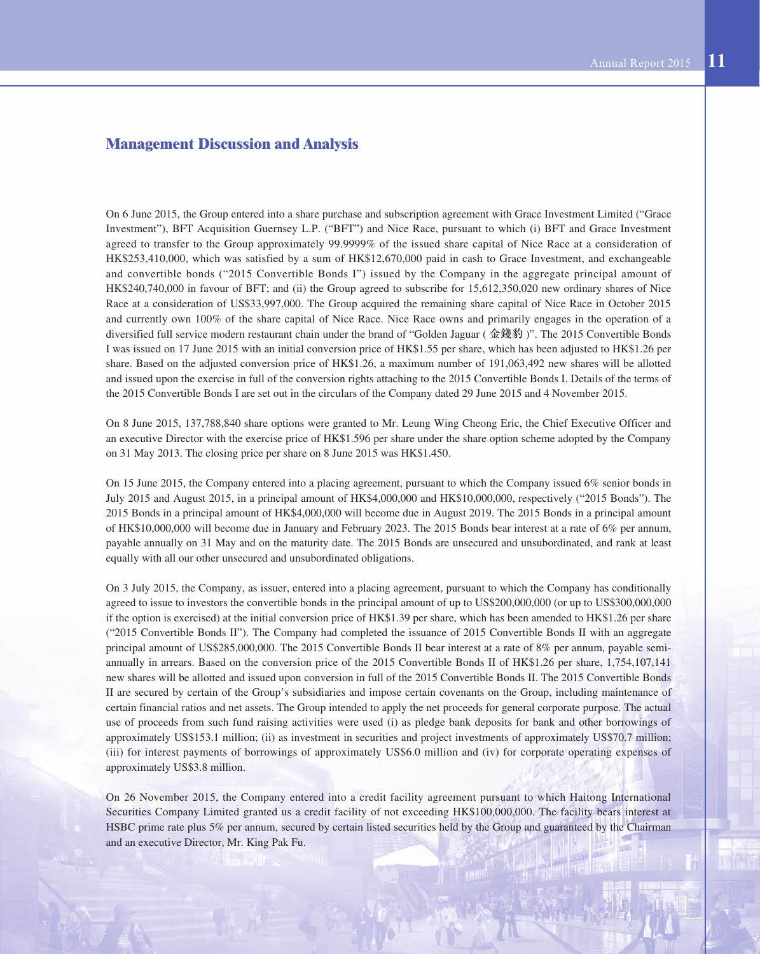On 6 June 2015, the Group entered into a share purchase and subscription agreement with Grace Investment Limited ("Grace Investment"), BFT Acquisition Guernsey L.P. ("BFT") and Nice Race, pursuant to which (i) BFT and Grace Investment agreed to transfer to the Group approximately 99.9999% of the issued share capital of Nice Race at a consideration of HK\$253,410,000, which was satisfied by a sum of HK\$12,670,000 paid in cash to Grace Investment, and exchangeable and convertible bonds ("2015 Convertible Bonds I") issued by the Company in the aggregate principal amount of HK\$240,740,000 in favour of BFT; and (ii) the Group agreed to subscribe for 15,612,350,020 new ordinary shares of Nice Race at a consideration of US\$33,997,000. The Group acquired the remaining share capital of Nice Race in October 2015 and currently own 100% of the share capital of Nice Race. Nice Race owns and primarily engages in the operation of a diversified full service modern restaurant chain under the brand of "Golden Jaguar ( 金錢豹 )". The 2015 Convertible Bonds I was issued on 17 June 2015 with an initial conversion price of HK\$1.55 per share, which has been adjusted to HK\$1.26 per share. Based on the adjusted conversion price of HK\$1.26, a maximum number of 191,063,492 new shares will be allotted and issued upon the exercise in full of the conversion rights attaching to the 2015 Convertible Bonds I. Details of the terms of the 2015 Convertible Bonds I are set out in the circulars of the Company dated 29 June 2015 and 4 November 2015.

On 8 June 2015, 137,788,840 share options were granted to Mr. Leung Wing Cheong Eric, the Chief Executive Officer and an executive Director with the exercise price of HK\$1.596 per share under the share option scheme adopted by the Company on 31 May 2013. The closing price per share on 8 June 2015 was HK\$1.450.

On 15 June 2015, the Company entered into a placing agreement, pursuant to which the Company issued 6% senior bonds in July 2015 and August 2015, in a principal amount of HK\$4,000,000 and HK\$10,000,000, respectively ("2015 Bonds"). The 2015 Bonds in a principal amount of HK\$4,000,000 will become due in August 2019. The 2015 Bonds in a principal amount of HK\$10,000,000 will become due in January and February 2023. The 2015 Bonds bear interest at a rate of 6% per annum, payable annually on 31 May and on the maturity date. The 2015 Bonds are unsecured and unsubordinated, and rank at least equally with all our other unsecured and unsubordinated obligations.

On 3 July 2015, the Company, as issuer, entered into a placing agreement, pursuant to which the Company has conditionally agreed to issue to investors the convertible bonds in the principal amount of up to US\$200,000,000 (or up to US\$300,000,000 if the option is exercised) at the initial conversion price of HK\$1.39 per share, which has been amended to HK\$1.26 per share ("2015 Convertible Bonds II"). The Company had completed the issuance of 2015 Convertible Bonds II with an aggregate principal amount of US\$285,000,000. The 2015 Convertible Bonds II bear interest at a rate of 8% per annum, payable semiannually in arrears. Based on the conversion price of the 2015 Convertible Bonds II of HK\$1.26 per share, 1,754,107,141 new shares will be allotted and issued upon conversion in full of the 2015 Convertible Bonds II. The 2015 Convertible Bonds II are secured by certain of the Group's subsidiaries and impose certain covenants on the Group, including maintenance of certain financial ratios and net assets. The Group intended to apply the net proceeds for general corporate purpose. The actual use of proceeds from such fund raising activities were used (i) as pledge bank deposits for bank and other borrowings of approximately US\$153.1 million; (ii) as investment in securities and project investments of approximately US\$70.7 million; (iii) for interest payments of borrowings of approximately US\$6.0 million and (iv) for corporate operating expenses of approximately US\$3.8 million.

On 26 November 2015, the Company entered into a credit facility agreement pursuant to which Haitong International Securities Company Limited granted us a credit facility of not exceeding HK\$100,000,000. The facility bears interest at HSBC prime rate plus 5% per annum, secured by certain listed securities held by the Group and guaranteed by the Chairman and an executive Director, Mr. King Pak Fu.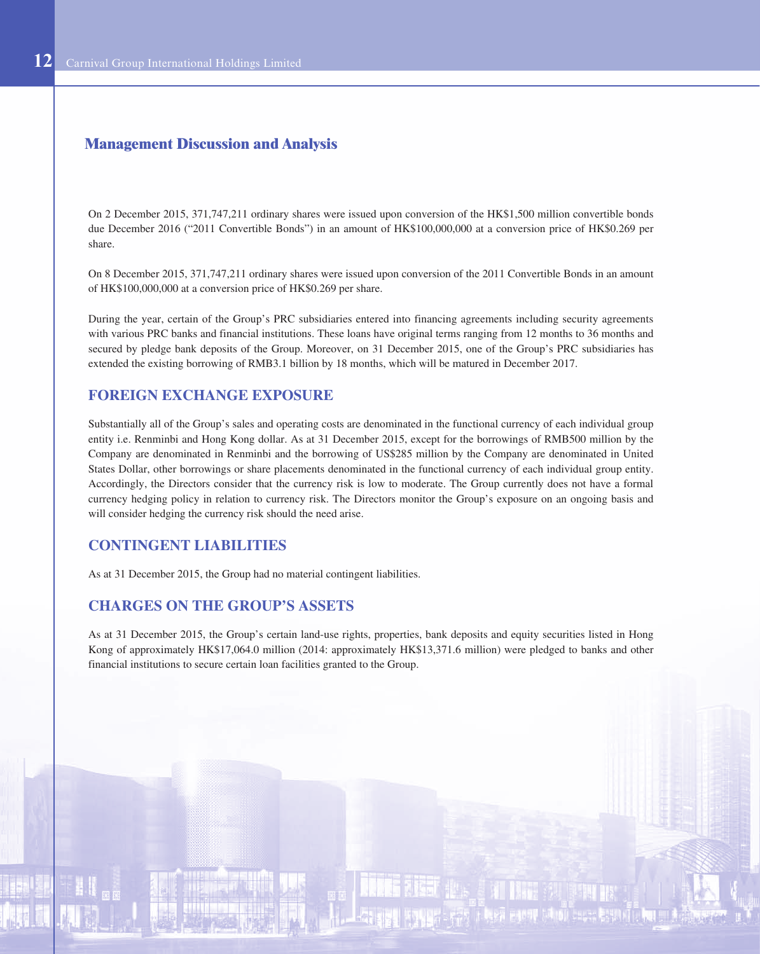On 2 December 2015, 371,747,211 ordinary shares were issued upon conversion of the HK\$1,500 million convertible bonds due December 2016 ("2011 Convertible Bonds") in an amount of HK\$100,000,000 at a conversion price of HK\$0.269 per share.

On 8 December 2015, 371,747,211 ordinary shares were issued upon conversion of the 2011 Convertible Bonds in an amount of HK\$100,000,000 at a conversion price of HK\$0.269 per share.

During the year, certain of the Group's PRC subsidiaries entered into financing agreements including security agreements with various PRC banks and financial institutions. These loans have original terms ranging from 12 months to 36 months and secured by pledge bank deposits of the Group. Moreover, on 31 December 2015, one of the Group's PRC subsidiaries has extended the existing borrowing of RMB3.1 billion by 18 months, which will be matured in December 2017.

#### **FOREIGN EXCHANGE EXPOSURE**

Substantially all of the Group's sales and operating costs are denominated in the functional currency of each individual group entity i.e. Renminbi and Hong Kong dollar. As at 31 December 2015, except for the borrowings of RMB500 million by the Company are denominated in Renminbi and the borrowing of US\$285 million by the Company are denominated in United States Dollar, other borrowings or share placements denominated in the functional currency of each individual group entity. Accordingly, the Directors consider that the currency risk is low to moderate. The Group currently does not have a formal currency hedging policy in relation to currency risk. The Directors monitor the Group's exposure on an ongoing basis and will consider hedging the currency risk should the need arise.

#### **CONTINGENT LIABILITIES**

As at 31 December 2015, the Group had no material contingent liabilities.

#### **CHARGES ON THE GROUP'S ASSETS**

As at 31 December 2015, the Group's certain land-use rights, properties, bank deposits and equity securities listed in Hong Kong of approximately HK\$17,064.0 million (2014: approximately HK\$13,371.6 million) were pledged to banks and other financial institutions to secure certain loan facilities granted to the Group.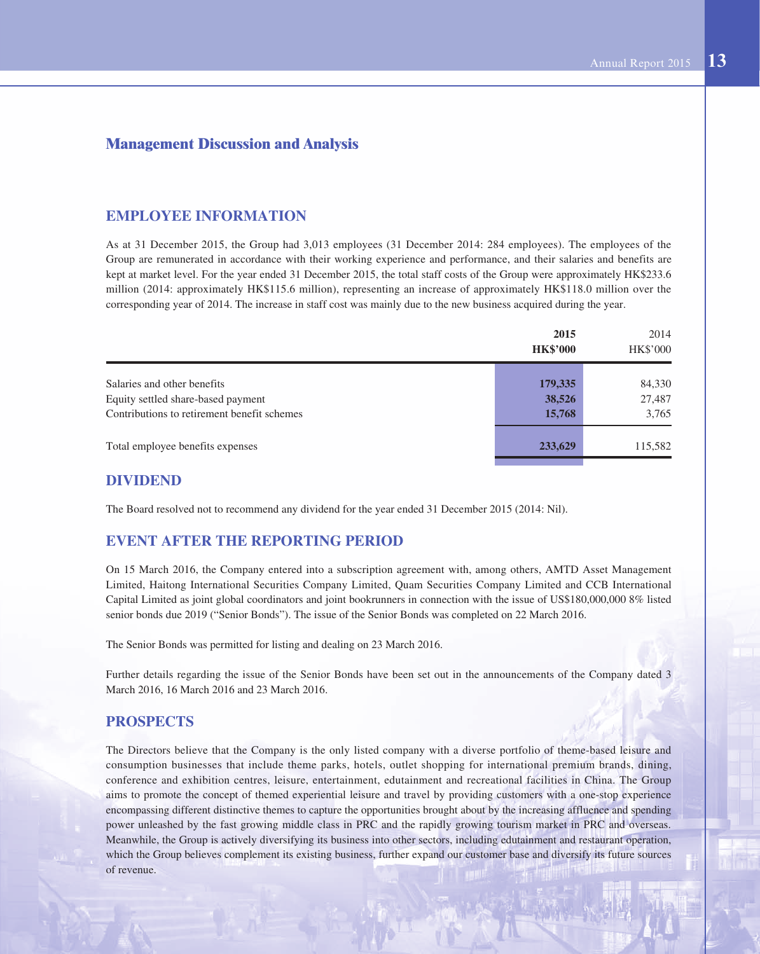#### **EMPLOYEE INFORMATION**

As at 31 December 2015, the Group had 3,013 employees (31 December 2014: 284 employees). The employees of the Group are remunerated in accordance with their working experience and performance, and their salaries and benefits are kept at market level. For the year ended 31 December 2015, the total staff costs of the Group were approximately HK\$233.6 million (2014: approximately HK\$115.6 million), representing an increase of approximately HK\$118.0 million over the corresponding year of 2014. The increase in staff cost was mainly due to the new business acquired during the year.

|                                                                                                                  | 2015<br><b>HK\$'000</b>     | 2014<br><b>HK\$'000</b>   |
|------------------------------------------------------------------------------------------------------------------|-----------------------------|---------------------------|
| Salaries and other benefits<br>Equity settled share-based payment<br>Contributions to retirement benefit schemes | 179,335<br>38,526<br>15,768 | 84,330<br>27,487<br>3,765 |
| Total employee benefits expenses                                                                                 | 233,629                     | 115,582                   |

#### **DIVIDEND**

The Board resolved not to recommend any dividend for the year ended 31 December 2015 (2014: Nil).

#### **EVENT AFTER THE REPORTING PERIOD**

On 15 March 2016, the Company entered into a subscription agreement with, among others, AMTD Asset Management Limited, Haitong International Securities Company Limited, Quam Securities Company Limited and CCB International Capital Limited as joint global coordinators and joint bookrunners in connection with the issue of US\$180,000,000 8% listed senior bonds due 2019 ("Senior Bonds"). The issue of the Senior Bonds was completed on 22 March 2016.

The Senior Bonds was permitted for listing and dealing on 23 March 2016.

Further details regarding the issue of the Senior Bonds have been set out in the announcements of the Company dated 3 March 2016, 16 March 2016 and 23 March 2016.

#### **PROSPECTS**

The Directors believe that the Company is the only listed company with a diverse portfolio of theme-based leisure and consumption businesses that include theme parks, hotels, outlet shopping for international premium brands, dining, conference and exhibition centres, leisure, entertainment, edutainment and recreational facilities in China. The Group aims to promote the concept of themed experiential leisure and travel by providing customers with a one-stop experience encompassing different distinctive themes to capture the opportunities brought about by the increasing affluence and spending power unleashed by the fast growing middle class in PRC and the rapidly growing tourism market in PRC and overseas. Meanwhile, the Group is actively diversifying its business into other sectors, including edutainment and restaurant operation, which the Group believes complement its existing business, further expand our customer base and diversify its future sources of revenue.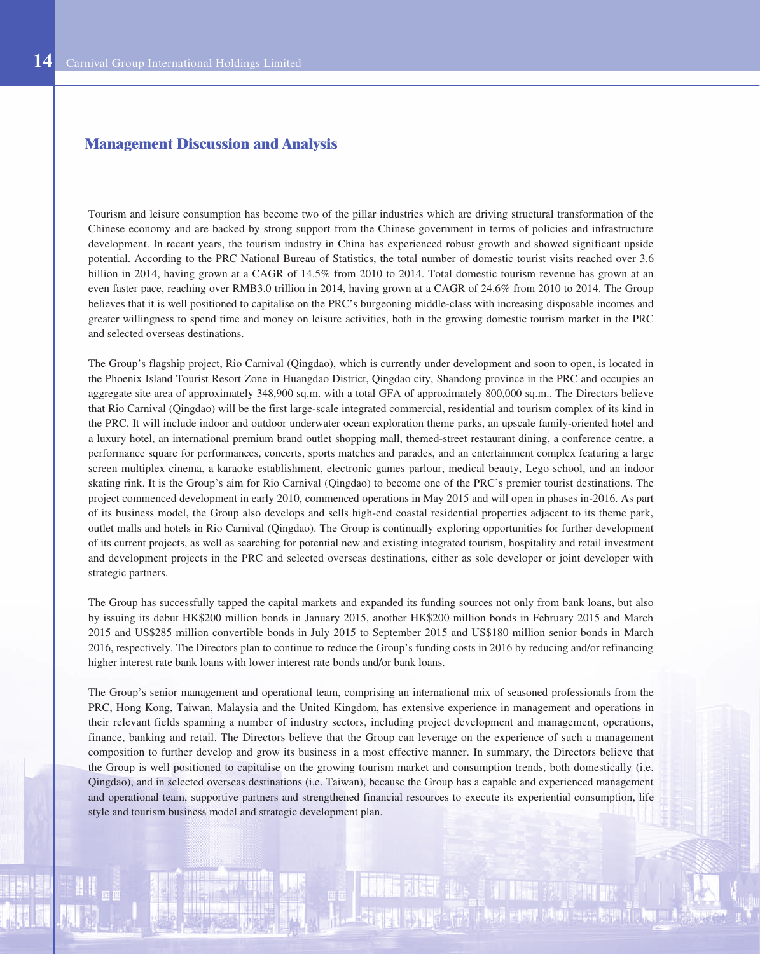Tourism and leisure consumption has become two of the pillar industries which are driving structural transformation of the Chinese economy and are backed by strong support from the Chinese government in terms of policies and infrastructure development. In recent years, the tourism industry in China has experienced robust growth and showed significant upside potential. According to the PRC National Bureau of Statistics, the total number of domestic tourist visits reached over 3.6 billion in 2014, having grown at a CAGR of 14.5% from 2010 to 2014. Total domestic tourism revenue has grown at an even faster pace, reaching over RMB3.0 trillion in 2014, having grown at a CAGR of 24.6% from 2010 to 2014. The Group believes that it is well positioned to capitalise on the PRC's burgeoning middle-class with increasing disposable incomes and greater willingness to spend time and money on leisure activities, both in the growing domestic tourism market in the PRC and selected overseas destinations.

The Group's flagship project, Rio Carnival (Qingdao), which is currently under development and soon to open, is located in the Phoenix Island Tourist Resort Zone in Huangdao District, Qingdao city, Shandong province in the PRC and occupies an aggregate site area of approximately 348,900 sq.m. with a total GFA of approximately 800,000 sq.m.. The Directors believe that Rio Carnival (Qingdao) will be the first large-scale integrated commercial, residential and tourism complex of its kind in the PRC. It will include indoor and outdoor underwater ocean exploration theme parks, an upscale family-oriented hotel and a luxury hotel, an international premium brand outlet shopping mall, themed-street restaurant dining, a conference centre, a performance square for performances, concerts, sports matches and parades, and an entertainment complex featuring a large screen multiplex cinema, a karaoke establishment, electronic games parlour, medical beauty, Lego school, and an indoor skating rink. It is the Group's aim for Rio Carnival (Qingdao) to become one of the PRC's premier tourist destinations. The project commenced development in early 2010, commenced operations in May 2015 and will open in phases in-2016. As part of its business model, the Group also develops and sells high-end coastal residential properties adjacent to its theme park, outlet malls and hotels in Rio Carnival (Qingdao). The Group is continually exploring opportunities for further development of its current projects, as well as searching for potential new and existing integrated tourism, hospitality and retail investment and development projects in the PRC and selected overseas destinations, either as sole developer or joint developer with strategic partners.

The Group has successfully tapped the capital markets and expanded its funding sources not only from bank loans, but also by issuing its debut HK\$200 million bonds in January 2015, another HK\$200 million bonds in February 2015 and March 2015 and US\$285 million convertible bonds in July 2015 to September 2015 and US\$180 million senior bonds in March 2016, respectively. The Directors plan to continue to reduce the Group's funding costs in 2016 by reducing and/or refinancing higher interest rate bank loans with lower interest rate bonds and/or bank loans.

The Group's senior management and operational team, comprising an international mix of seasoned professionals from the PRC, Hong Kong, Taiwan, Malaysia and the United Kingdom, has extensive experience in management and operations in their relevant fields spanning a number of industry sectors, including project development and management, operations, finance, banking and retail. The Directors believe that the Group can leverage on the experience of such a management composition to further develop and grow its business in a most effective manner. In summary, the Directors believe that the Group is well positioned to capitalise on the growing tourism market and consumption trends, both domestically (i.e. Qingdao), and in selected overseas destinations (i.e. Taiwan), because the Group has a capable and experienced management and operational team, supportive partners and strengthened financial resources to execute its experiential consumption, life style and tourism business model and strategic development plan.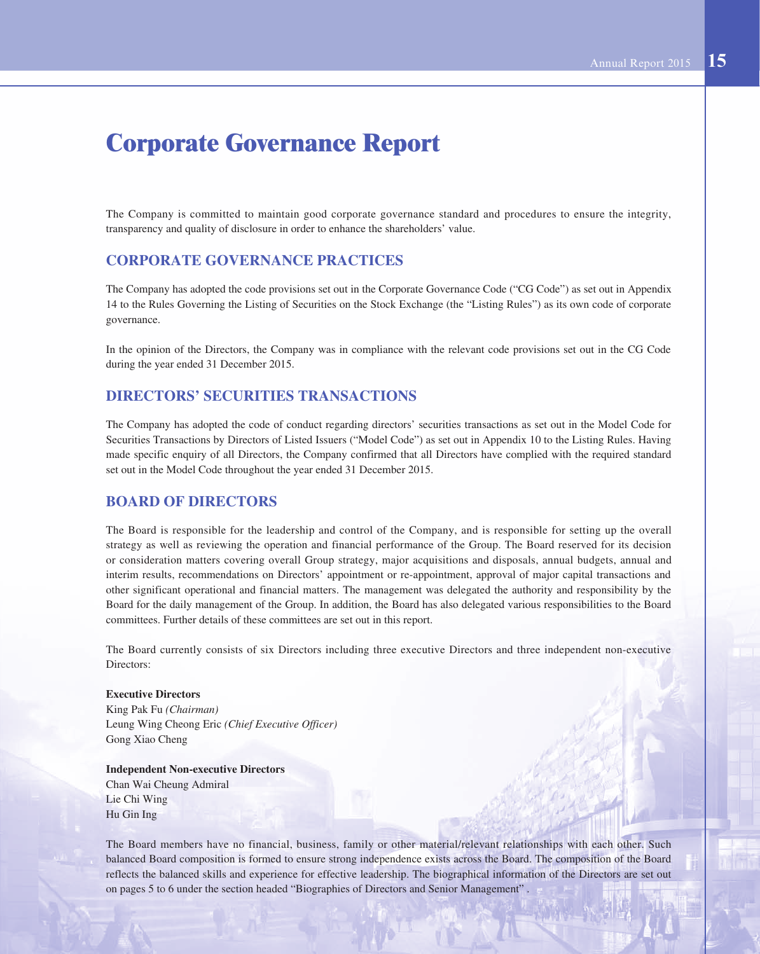The Company is committed to maintain good corporate governance standard and procedures to ensure the integrity, transparency and quality of disclosure in order to enhance the shareholders' value.

#### **CORPORATE GOVERNANCE PRACTICES**

The Company has adopted the code provisions set out in the Corporate Governance Code ("CG Code") as set out in Appendix 14 to the Rules Governing the Listing of Securities on the Stock Exchange (the "Listing Rules") as its own code of corporate governance.

In the opinion of the Directors, the Company was in compliance with the relevant code provisions set out in the CG Code during the year ended 31 December 2015.

#### **DIRECTORS' SECURITIES TRANSACTIONS**

The Company has adopted the code of conduct regarding directors' securities transactions as set out in the Model Code for Securities Transactions by Directors of Listed Issuers ("Model Code") as set out in Appendix 10 to the Listing Rules. Having made specific enquiry of all Directors, the Company confirmed that all Directors have complied with the required standard set out in the Model Code throughout the year ended 31 December 2015.

#### **BOARD OF DIRECTORS**

The Board is responsible for the leadership and control of the Company, and is responsible for setting up the overall strategy as well as reviewing the operation and financial performance of the Group. The Board reserved for its decision or consideration matters covering overall Group strategy, major acquisitions and disposals, annual budgets, annual and interim results, recommendations on Directors' appointment or re-appointment, approval of major capital transactions and other significant operational and financial matters. The management was delegated the authority and responsibility by the Board for the daily management of the Group. In addition, the Board has also delegated various responsibilities to the Board committees. Further details of these committees are set out in this report.

The Board currently consists of six Directors including three executive Directors and three independent non-executive Directors:

#### **Executive Directors**

King Pak Fu *(Chairman)* Leung Wing Cheong Eric *(Chief Executive Officer)* Gong Xiao Cheng

**Independent Non-executive Directors** Chan Wai Cheung Admiral Lie Chi Wing Hu Gin Ing

The Board members have no financial, business, family or other material/relevant relationships with each other. Such balanced Board composition is formed to ensure strong independence exists across the Board. The composition of the Board reflects the balanced skills and experience for effective leadership. The biographical information of the Directors are set out on pages 5 to 6 under the section headed "Biographies of Directors and Senior Management" .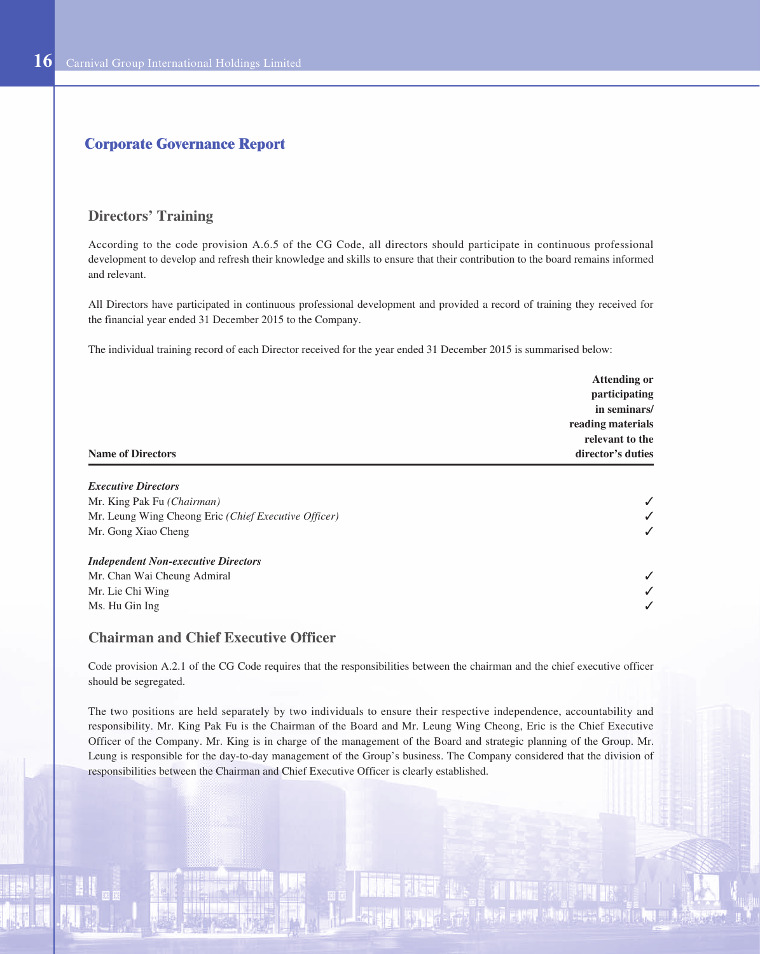### **Directors' Training**

According to the code provision A.6.5 of the CG Code, all directors should participate in continuous professional development to develop and refresh their knowledge and skills to ensure that their contribution to the board remains informed and relevant.

All Directors have participated in continuous professional development and provided a record of training they received for the financial year ended 31 December 2015 to the Company.

The individual training record of each Director received for the year ended 31 December 2015 is summarised below:

| <b>Attending or</b>  |
|----------------------|
| <i>participating</i> |
| in seminars/         |
| reading materials    |
| relevant to the      |
| director's duties    |
|                      |
| $\checkmark$         |
| $\checkmark$         |
| $\checkmark$         |
|                      |

#### *Independent Non-executive Directors*

Mr. Chan Wai Cheung Admiral Mr. Lie Chi Wing  $\checkmark$ Ms. Hu Gin Ing

#### **Chairman and Chief Executive Officer**

Code provision A.2.1 of the CG Code requires that the responsibilities between the chairman and the chief executive officer should be segregated.

The two positions are held separately by two individuals to ensure their respective independence, accountability and responsibility. Mr. King Pak Fu is the Chairman of the Board and Mr. Leung Wing Cheong, Eric is the Chief Executive Officer of the Company. Mr. King is in charge of the management of the Board and strategic planning of the Group. Mr. Leung is responsible for the day-to-day management of the Group's business. The Company considered that the division of responsibilities between the Chairman and Chief Executive Officer is clearly established.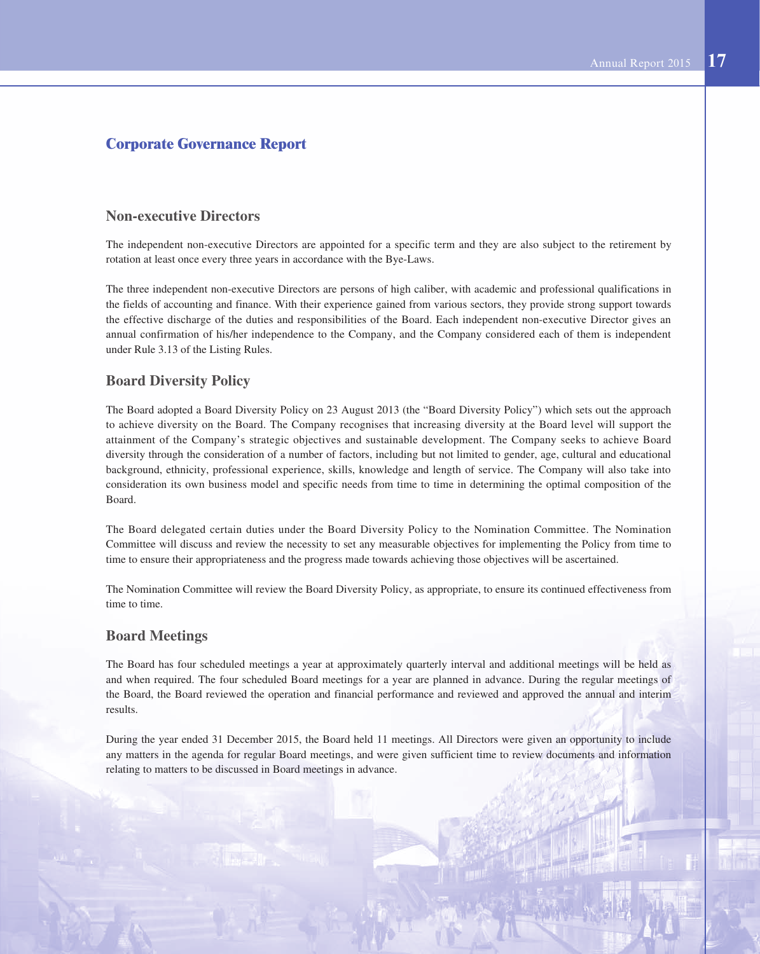#### **Non-executive Directors**

The independent non-executive Directors are appointed for a specific term and they are also subject to the retirement by rotation at least once every three years in accordance with the Bye-Laws.

The three independent non-executive Directors are persons of high caliber, with academic and professional qualifications in the fields of accounting and finance. With their experience gained from various sectors, they provide strong support towards the effective discharge of the duties and responsibilities of the Board. Each independent non-executive Director gives an annual confirmation of his/her independence to the Company, and the Company considered each of them is independent under Rule 3.13 of the Listing Rules.

#### **Board Diversity Policy**

The Board adopted a Board Diversity Policy on 23 August 2013 (the "Board Diversity Policy") which sets out the approach to achieve diversity on the Board. The Company recognises that increasing diversity at the Board level will support the attainment of the Company's strategic objectives and sustainable development. The Company seeks to achieve Board diversity through the consideration of a number of factors, including but not limited to gender, age, cultural and educational background, ethnicity, professional experience, skills, knowledge and length of service. The Company will also take into consideration its own business model and specific needs from time to time in determining the optimal composition of the Board.

The Board delegated certain duties under the Board Diversity Policy to the Nomination Committee. The Nomination Committee will discuss and review the necessity to set any measurable objectives for implementing the Policy from time to time to ensure their appropriateness and the progress made towards achieving those objectives will be ascertained.

The Nomination Committee will review the Board Diversity Policy, as appropriate, to ensure its continued effectiveness from time to time.

#### **Board Meetings**

The Board has four scheduled meetings a year at approximately quarterly interval and additional meetings will be held as and when required. The four scheduled Board meetings for a year are planned in advance. During the regular meetings of the Board, the Board reviewed the operation and financial performance and reviewed and approved the annual and interim results.

During the year ended 31 December 2015, the Board held 11 meetings. All Directors were given an opportunity to include any matters in the agenda for regular Board meetings, and were given sufficient time to review documents and information relating to matters to be discussed in Board meetings in advance.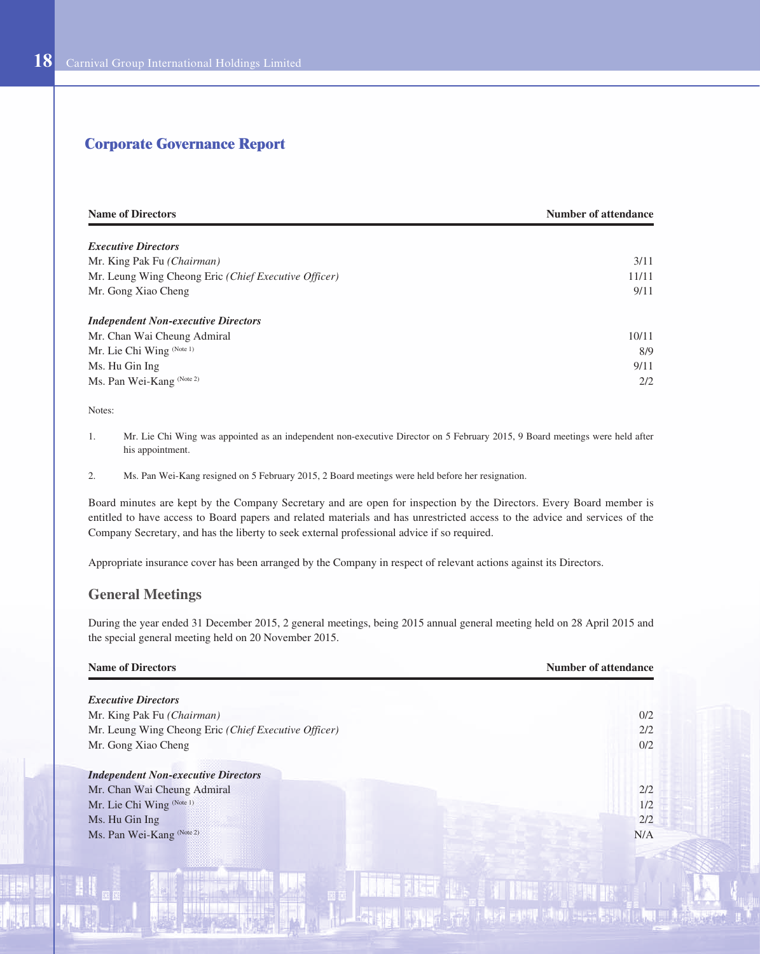| <b>Name of Directors</b>                             | Number of attendance |  |  |
|------------------------------------------------------|----------------------|--|--|
| <b>Executive Directors</b>                           |                      |  |  |
| Mr. King Pak Fu (Chairman)                           | 3/11                 |  |  |
| Mr. Leung Wing Cheong Eric (Chief Executive Officer) | 11/11                |  |  |
| Mr. Gong Xiao Cheng                                  | 9/11                 |  |  |
| <b>Independent Non-executive Directors</b>           |                      |  |  |
| Mr. Chan Wai Cheung Admiral                          | 10/11                |  |  |
| Mr. Lie Chi Wing (Note 1)                            | 8/9                  |  |  |
| Ms. Hu Gin Ing                                       | 9/11                 |  |  |
| Ms. Pan Wei-Kang (Note 2)                            | 2/2                  |  |  |

Notes:

1. Mr. Lie Chi Wing was appointed as an independent non-executive Director on 5 February 2015, 9 Board meetings were held after his appointment.

2. Ms. Pan Wei-Kang resigned on 5 February 2015, 2 Board meetings were held before her resignation.

Board minutes are kept by the Company Secretary and are open for inspection by the Directors. Every Board member is entitled to have access to Board papers and related materials and has unrestricted access to the advice and services of the Company Secretary, and has the liberty to seek external professional advice if so required.

Appropriate insurance cover has been arranged by the Company in respect of relevant actions against its Directors.

### **General Meetings**

During the year ended 31 December 2015, 2 general meetings, being 2015 annual general meeting held on 28 April 2015 and the special general meeting held on 20 November 2015.

| <b>Name of Directors</b>                             | <b>Number of attendance</b> |
|------------------------------------------------------|-----------------------------|
| <b>Executive Directors</b>                           |                             |
| Mr. King Pak Fu (Chairman)                           | 0/2                         |
| Mr. Leung Wing Cheong Eric (Chief Executive Officer) | 2/2                         |
| Mr. Gong Xiao Cheng                                  | 0/2                         |
|                                                      |                             |
| <b>Independent Non-executive Directors</b>           |                             |
| Mr. Chan Wai Cheung Admiral                          | 2/2                         |
| Mr. Lie Chi Wing (Note 1)                            | 1/2                         |
| Ms. Hu Gin Ing                                       | 2/2                         |
| Ms. Pan Wei-Kang (Note 2)                            | N/A                         |
|                                                      |                             |
|                                                      |                             |
| a book and have a company of the second              |                             |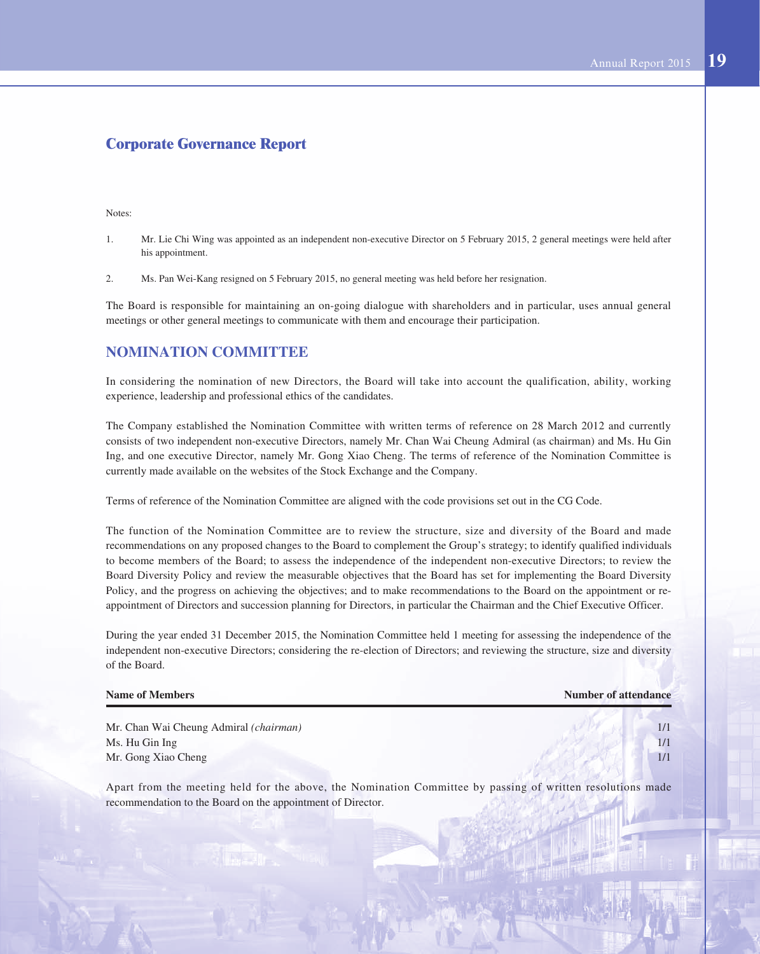Notes:

- 1. Mr. Lie Chi Wing was appointed as an independent non-executive Director on 5 February 2015, 2 general meetings were held after his appointment.
- 2. Ms. Pan Wei-Kang resigned on 5 February 2015, no general meeting was held before her resignation.

The Board is responsible for maintaining an on-going dialogue with shareholders and in particular, uses annual general meetings or other general meetings to communicate with them and encourage their participation.

#### **NOMINATION COMMITTEE**

In considering the nomination of new Directors, the Board will take into account the qualification, ability, working experience, leadership and professional ethics of the candidates.

The Company established the Nomination Committee with written terms of reference on 28 March 2012 and currently consists of two independent non-executive Directors, namely Mr. Chan Wai Cheung Admiral (as chairman) and Ms. Hu Gin Ing, and one executive Director, namely Mr. Gong Xiao Cheng. The terms of reference of the Nomination Committee is currently made available on the websites of the Stock Exchange and the Company.

Terms of reference of the Nomination Committee are aligned with the code provisions set out in the CG Code.

The function of the Nomination Committee are to review the structure, size and diversity of the Board and made recommendations on any proposed changes to the Board to complement the Group's strategy; to identify qualified individuals to become members of the Board; to assess the independence of the independent non-executive Directors; to review the Board Diversity Policy and review the measurable objectives that the Board has set for implementing the Board Diversity Policy, and the progress on achieving the objectives; and to make recommendations to the Board on the appointment or reappointment of Directors and succession planning for Directors, in particular the Chairman and the Chief Executive Officer.

During the year ended 31 December 2015, the Nomination Committee held 1 meeting for assessing the independence of the independent non-executive Directors; considering the re-election of Directors; and reviewing the structure, size and diversity of the Board.

| <b>Name of Members</b>                        | <b>Number of attendance</b> |  |  |
|-----------------------------------------------|-----------------------------|--|--|
| Mr. Chan Wai Cheung Admiral <i>(chairman)</i> |                             |  |  |
| Ms. Hu Gin Ing                                |                             |  |  |
| Mr. Gong Xiao Cheng                           |                             |  |  |

Apart from the meeting held for the above, the Nomination Committee by passing of written resolutions made recommendation to the Board on the appointment of Director.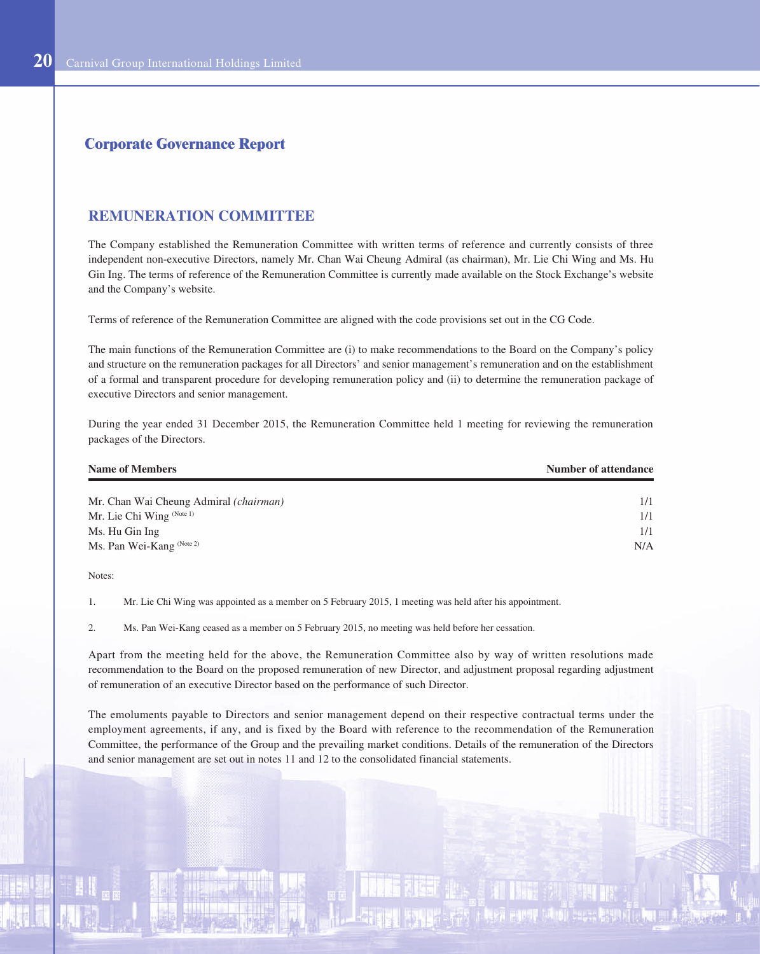#### **REMUNERATION COMMITTEE**

The Company established the Remuneration Committee with written terms of reference and currently consists of three independent non-executive Directors, namely Mr. Chan Wai Cheung Admiral (as chairman), Mr. Lie Chi Wing and Ms. Hu Gin Ing. The terms of reference of the Remuneration Committee is currently made available on the Stock Exchange's website and the Company's website.

Terms of reference of the Remuneration Committee are aligned with the code provisions set out in the CG Code.

The main functions of the Remuneration Committee are (i) to make recommendations to the Board on the Company's policy and structure on the remuneration packages for all Directors' and senior management's remuneration and on the establishment of a formal and transparent procedure for developing remuneration policy and (ii) to determine the remuneration package of executive Directors and senior management.

During the year ended 31 December 2015, the Remuneration Committee held 1 meeting for reviewing the remuneration packages of the Directors.

| <b>Name of Members</b>                 | <b>Number of attendance</b> |
|----------------------------------------|-----------------------------|
|                                        |                             |
| Mr. Chan Wai Cheung Admiral (chairman) | 1/1                         |
| Mr. Lie Chi Wing (Note 1)              | 1/1                         |
| Ms. Hu Gin Ing                         | 1/1                         |
| Ms. Pan Wei-Kang (Note 2)              | N/A                         |

Notes:

1. Mr. Lie Chi Wing was appointed as a member on 5 February 2015, 1 meeting was held after his appointment.

2. Ms. Pan Wei-Kang ceased as a member on 5 February 2015, no meeting was held before her cessation.

Apart from the meeting held for the above, the Remuneration Committee also by way of written resolutions made recommendation to the Board on the proposed remuneration of new Director, and adjustment proposal regarding adjustment of remuneration of an executive Director based on the performance of such Director.

The emoluments payable to Directors and senior management depend on their respective contractual terms under the employment agreements, if any, and is fixed by the Board with reference to the recommendation of the Remuneration Committee, the performance of the Group and the prevailing market conditions. Details of the remuneration of the Directors and senior management are set out in notes 11 and 12 to the consolidated financial statements.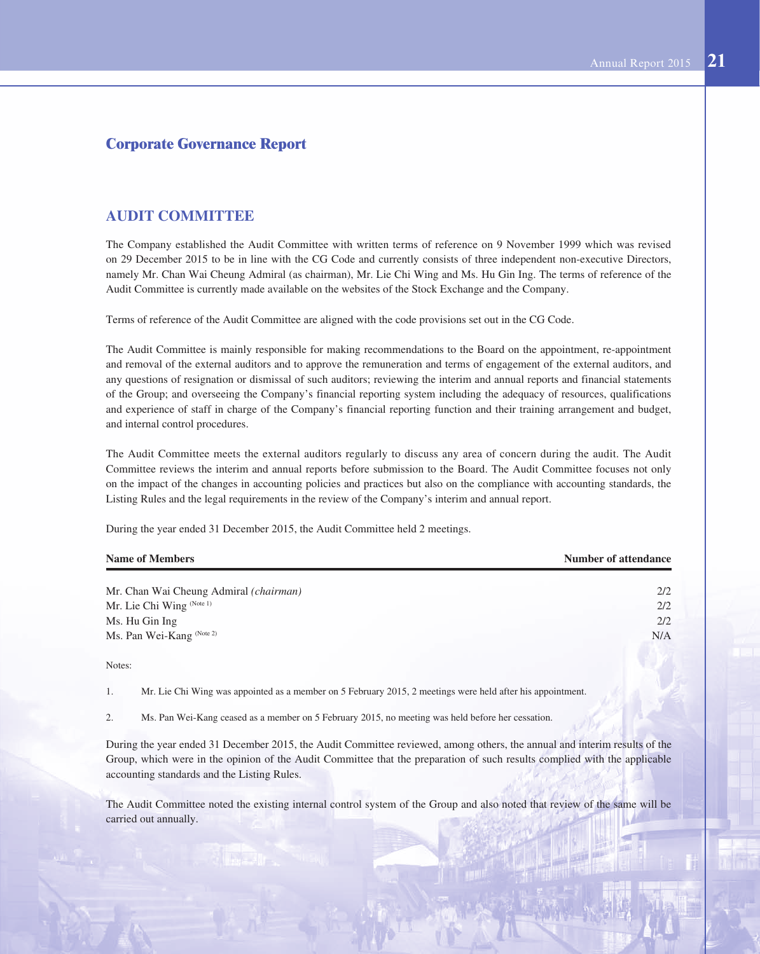#### **AUDIT COMMITTEE**

The Company established the Audit Committee with written terms of reference on 9 November 1999 which was revised on 29 December 2015 to be in line with the CG Code and currently consists of three independent non-executive Directors, namely Mr. Chan Wai Cheung Admiral (as chairman), Mr. Lie Chi Wing and Ms. Hu Gin Ing. The terms of reference of the Audit Committee is currently made available on the websites of the Stock Exchange and the Company.

Terms of reference of the Audit Committee are aligned with the code provisions set out in the CG Code.

The Audit Committee is mainly responsible for making recommendations to the Board on the appointment, re-appointment and removal of the external auditors and to approve the remuneration and terms of engagement of the external auditors, and any questions of resignation or dismissal of such auditors; reviewing the interim and annual reports and financial statements of the Group; and overseeing the Company's financial reporting system including the adequacy of resources, qualifications and experience of staff in charge of the Company's financial reporting function and their training arrangement and budget, and internal control procedures.

The Audit Committee meets the external auditors regularly to discuss any area of concern during the audit. The Audit Committee reviews the interim and annual reports before submission to the Board. The Audit Committee focuses not only on the impact of the changes in accounting policies and practices but also on the compliance with accounting standards, the Listing Rules and the legal requirements in the review of the Company's interim and annual report.

During the year ended 31 December 2015, the Audit Committee held 2 meetings.

| <b>Name of Members</b>                 | Number of attendance |
|----------------------------------------|----------------------|
|                                        |                      |
| Mr. Chan Wai Cheung Admiral (chairman) | 2/2                  |
| Mr. Lie Chi Wing (Note 1)              | 2/2                  |
| Ms. Hu Gin Ing                         | 2/2                  |
| Ms. Pan Wei-Kang (Note 2)              | N/A                  |
|                                        |                      |

Notes:

1. Mr. Lie Chi Wing was appointed as a member on 5 February 2015, 2 meetings were held after his appointment.

2. Ms. Pan Wei-Kang ceased as a member on 5 February 2015, no meeting was held before her cessation.

During the year ended 31 December 2015, the Audit Committee reviewed, among others, the annual and interim results of the Group, which were in the opinion of the Audit Committee that the preparation of such results complied with the applicable accounting standards and the Listing Rules.

The Audit Committee noted the existing internal control system of the Group and also noted that review of the same will be carried out annually.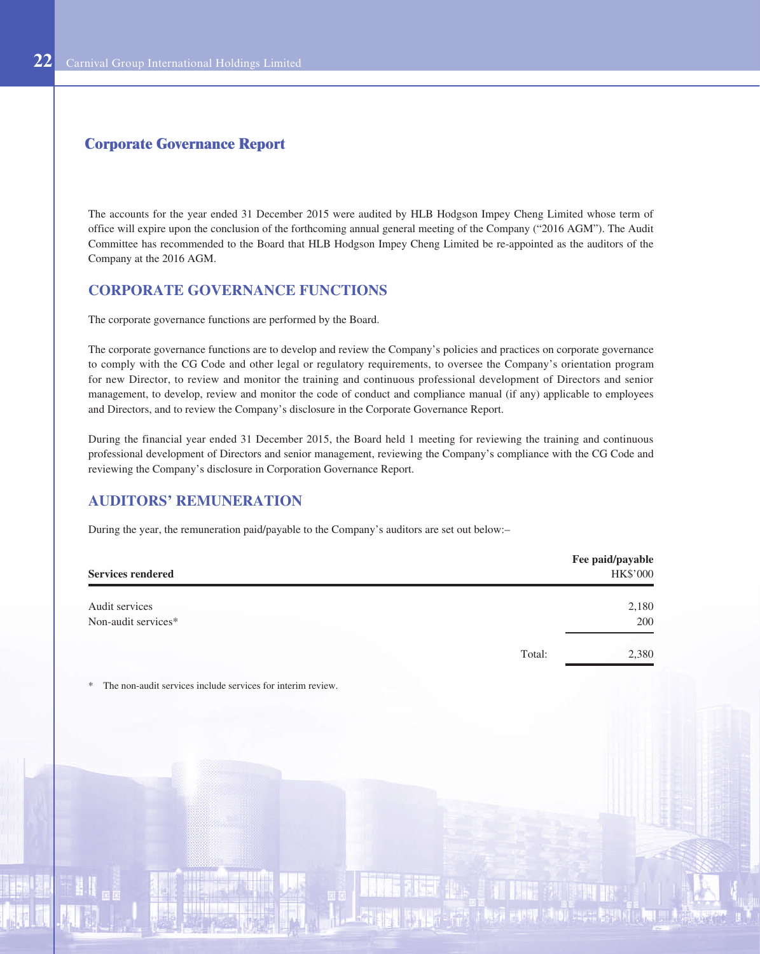The accounts for the year ended 31 December 2015 were audited by HLB Hodgson Impey Cheng Limited whose term of office will expire upon the conclusion of the forthcoming annual general meeting of the Company ("2016 AGM"). The Audit Committee has recommended to the Board that HLB Hodgson Impey Cheng Limited be re-appointed as the auditors of the Company at the 2016 AGM.

### **CORPORATE GOVERNANCE FUNCTIONS**

The corporate governance functions are performed by the Board.

The corporate governance functions are to develop and review the Company's policies and practices on corporate governance to comply with the CG Code and other legal or regulatory requirements, to oversee the Company's orientation program for new Director, to review and monitor the training and continuous professional development of Directors and senior management, to develop, review and monitor the code of conduct and compliance manual (if any) applicable to employees and Directors, and to review the Company's disclosure in the Corporate Governance Report.

During the financial year ended 31 December 2015, the Board held 1 meeting for reviewing the training and continuous professional development of Directors and senior management, reviewing the Company's compliance with the CG Code and reviewing the Company's disclosure in Corporation Governance Report.

#### **AUDITORS' REMUNERATION**

During the year, the remuneration paid/payable to the Company's auditors are set out below:–

| <b>Services rendered</b>              |        | Fee paid/payable<br>HK\$'000 |
|---------------------------------------|--------|------------------------------|
| Audit services<br>Non-audit services* |        | 2,180<br>200                 |
|                                       | Total: | 2,380                        |

The non-audit services include services for interim review.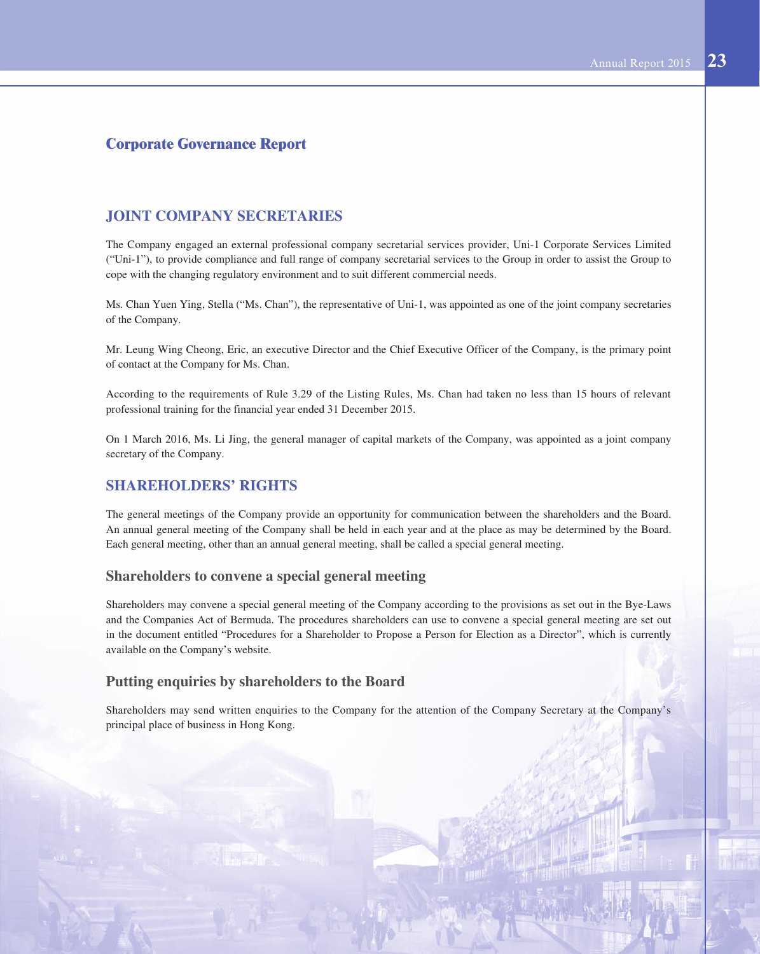#### **JOINT COMPANY SECRETARIES**

The Company engaged an external professional company secretarial services provider, Uni-1 Corporate Services Limited ("Uni-1"), to provide compliance and full range of company secretarial services to the Group in order to assist the Group to cope with the changing regulatory environment and to suit different commercial needs.

Ms. Chan Yuen Ying, Stella ("Ms. Chan"), the representative of Uni-1, was appointed as one of the joint company secretaries of the Company.

Mr. Leung Wing Cheong, Eric, an executive Director and the Chief Executive Officer of the Company, is the primary point of contact at the Company for Ms. Chan.

According to the requirements of Rule 3.29 of the Listing Rules, Ms. Chan had taken no less than 15 hours of relevant professional training for the financial year ended 31 December 2015.

On 1 March 2016, Ms. Li Jing, the general manager of capital markets of the Company, was appointed as a joint company secretary of the Company.

#### **SHAREHOLDERS' RIGHTS**

The general meetings of the Company provide an opportunity for communication between the shareholders and the Board. An annual general meeting of the Company shall be held in each year and at the place as may be determined by the Board. Each general meeting, other than an annual general meeting, shall be called a special general meeting.

#### **Shareholders to convene a special general meeting**

Shareholders may convene a special general meeting of the Company according to the provisions as set out in the Bye-Laws and the Companies Act of Bermuda. The procedures shareholders can use to convene a special general meeting are set out in the document entitled "Procedures for a Shareholder to Propose a Person for Election as a Director", which is currently available on the Company's website.

#### **Putting enquiries by shareholders to the Board**

Shareholders may send written enquiries to the Company for the attention of the Company Secretary at the Company's principal place of business in Hong Kong.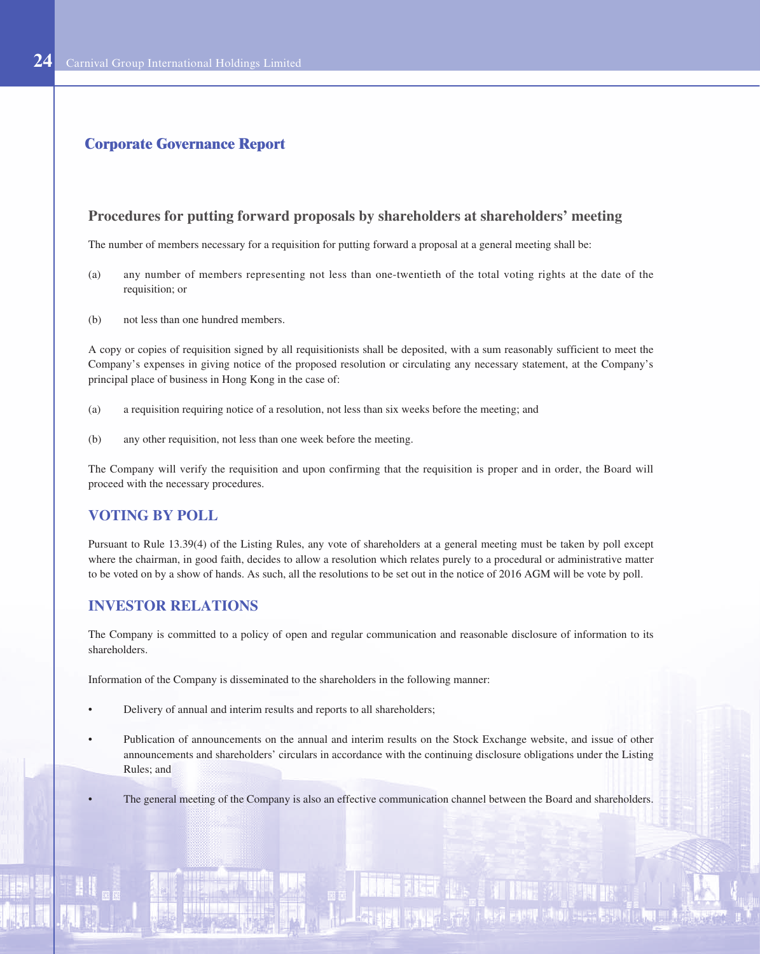#### **Procedures for putting forward proposals by shareholders at shareholders' meeting**

The number of members necessary for a requisition for putting forward a proposal at a general meeting shall be:

- (a) any number of members representing not less than one-twentieth of the total voting rights at the date of the requisition; or
- (b) not less than one hundred members.

A copy or copies of requisition signed by all requisitionists shall be deposited, with a sum reasonably sufficient to meet the Company's expenses in giving notice of the proposed resolution or circulating any necessary statement, at the Company's principal place of business in Hong Kong in the case of:

- (a) a requisition requiring notice of a resolution, not less than six weeks before the meeting; and
- (b) any other requisition, not less than one week before the meeting.

The Company will verify the requisition and upon confirming that the requisition is proper and in order, the Board will proceed with the necessary procedures.

### **VOTING BY POLL**

Pursuant to Rule 13.39(4) of the Listing Rules, any vote of shareholders at a general meeting must be taken by poll except where the chairman, in good faith, decides to allow a resolution which relates purely to a procedural or administrative matter to be voted on by a show of hands. As such, all the resolutions to be set out in the notice of 2016 AGM will be vote by poll.

### **INVESTOR RELATIONS**

The Company is committed to a policy of open and regular communication and reasonable disclosure of information to its shareholders.

Information of the Company is disseminated to the shareholders in the following manner:

- Delivery of annual and interim results and reports to all shareholders;
- Publication of announcements on the annual and interim results on the Stock Exchange website, and issue of other announcements and shareholders' circulars in accordance with the continuing disclosure obligations under the Listing Rules; and
	- The general meeting of the Company is also an effective communication channel between the Board and shareholders.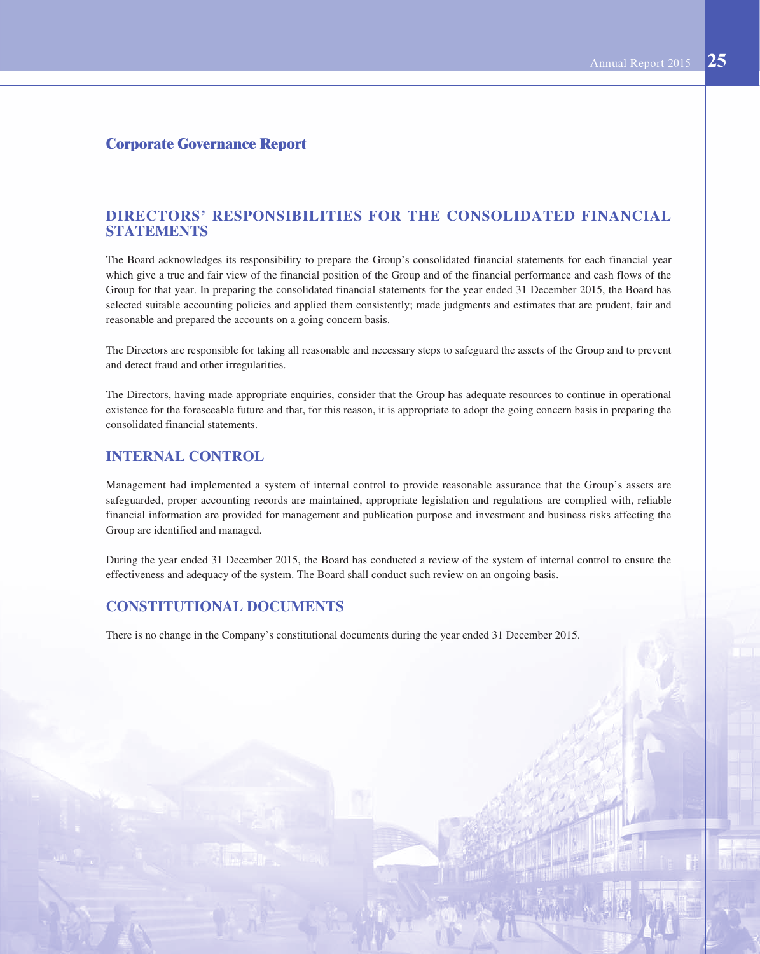# **DIRECTORS' RESPONSIBILITIES FOR THE CONSOLIDATED FINANCIAL STATEMENTS**

The Board acknowledges its responsibility to prepare the Group's consolidated financial statements for each financial year which give a true and fair view of the financial position of the Group and of the financial performance and cash flows of the Group for that year. In preparing the consolidated financial statements for the year ended 31 December 2015, the Board has selected suitable accounting policies and applied them consistently; made judgments and estimates that are prudent, fair and reasonable and prepared the accounts on a going concern basis.

The Directors are responsible for taking all reasonable and necessary steps to safeguard the assets of the Group and to prevent and detect fraud and other irregularities.

The Directors, having made appropriate enquiries, consider that the Group has adequate resources to continue in operational existence for the foreseeable future and that, for this reason, it is appropriate to adopt the going concern basis in preparing the consolidated financial statements.

#### **INTERNAL CONTROL**

Management had implemented a system of internal control to provide reasonable assurance that the Group's assets are safeguarded, proper accounting records are maintained, appropriate legislation and regulations are complied with, reliable financial information are provided for management and publication purpose and investment and business risks affecting the Group are identified and managed.

During the year ended 31 December 2015, the Board has conducted a review of the system of internal control to ensure the effectiveness and adequacy of the system. The Board shall conduct such review on an ongoing basis.

#### **CONSTITUTIONAL DOCUMENTS**

There is no change in the Company's constitutional documents during the year ended 31 December 2015.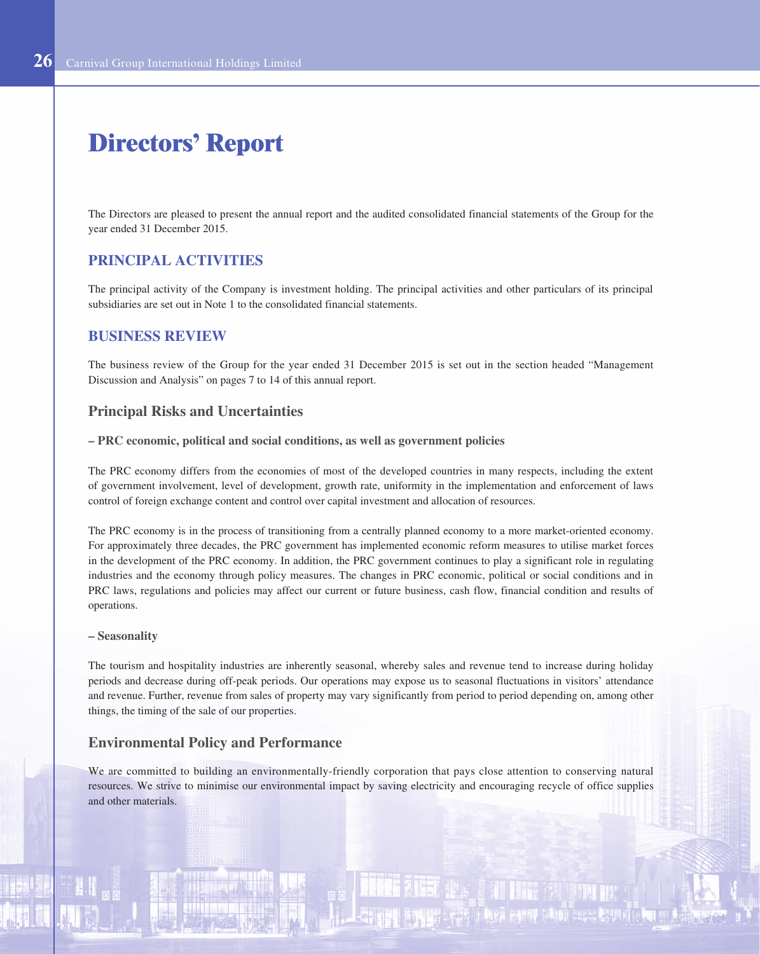The Directors are pleased to present the annual report and the audited consolidated financial statements of the Group for the year ended 31 December 2015.

# **PRINCIPAL ACTIVITIES**

The principal activity of the Company is investment holding. The principal activities and other particulars of its principal subsidiaries are set out in Note 1 to the consolidated financial statements.

#### **BUSINESS REVIEW**

The business review of the Group for the year ended 31 December 2015 is set out in the section headed "Management Discussion and Analysis" on pages 7 to 14 of this annual report.

#### **Principal Risks and Uncertainties**

#### **– PRC economic, political and social conditions, as well as government policies**

The PRC economy differs from the economies of most of the developed countries in many respects, including the extent of government involvement, level of development, growth rate, uniformity in the implementation and enforcement of laws control of foreign exchange content and control over capital investment and allocation of resources.

The PRC economy is in the process of transitioning from a centrally planned economy to a more market-oriented economy. For approximately three decades, the PRC government has implemented economic reform measures to utilise market forces in the development of the PRC economy. In addition, the PRC government continues to play a significant role in regulating industries and the economy through policy measures. The changes in PRC economic, political or social conditions and in PRC laws, regulations and policies may affect our current or future business, cash flow, financial condition and results of operations.

#### **– Seasonality**

The tourism and hospitality industries are inherently seasonal, whereby sales and revenue tend to increase during holiday periods and decrease during off-peak periods. Our operations may expose us to seasonal fluctuations in visitors' attendance and revenue. Further, revenue from sales of property may vary significantly from period to period depending on, among other things, the timing of the sale of our properties.

#### **Environmental Policy and Performance**

We are committed to building an environmentally-friendly corporation that pays close attention to conserving natural resources. We strive to minimise our environmental impact by saving electricity and encouraging recycle of office supplies and other materials.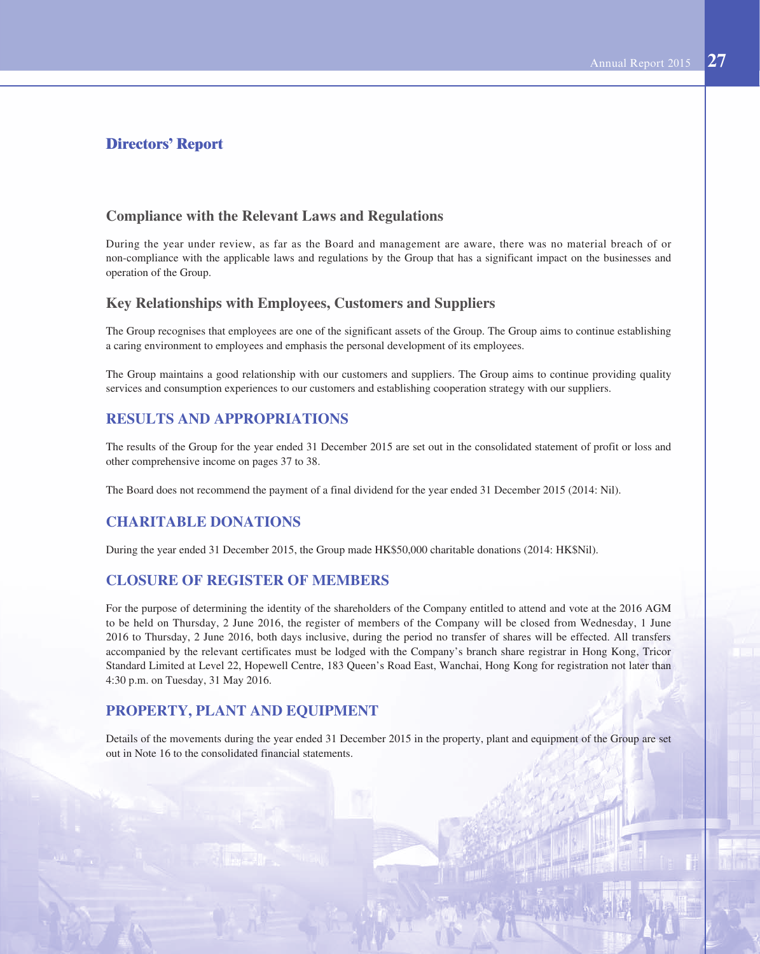#### **Compliance with the Relevant Laws and Regulations**

During the year under review, as far as the Board and management are aware, there was no material breach of or non-compliance with the applicable laws and regulations by the Group that has a significant impact on the businesses and operation of the Group.

#### **Key Relationships with Employees, Customers and Suppliers**

The Group recognises that employees are one of the significant assets of the Group. The Group aims to continue establishing a caring environment to employees and emphasis the personal development of its employees.

The Group maintains a good relationship with our customers and suppliers. The Group aims to continue providing quality services and consumption experiences to our customers and establishing cooperation strategy with our suppliers.

#### **Results and appropriations**

The results of the Group for the year ended 31 December 2015 are set out in the consolidated statement of profit or loss and other comprehensive income on pages 37 to 38.

The Board does not recommend the payment of a final dividend for the year ended 31 December 2015 (2014: Nil).

#### **CHARITABLE DONATIONS**

During the year ended 31 December 2015, the Group made HK\$50,000 charitable donations (2014: HK\$Nil).

#### **CLOSURE OF REGISTER OF MEMBERS**

For the purpose of determining the identity of the shareholders of the Company entitled to attend and vote at the 2016 AGM to be held on Thursday, 2 June 2016, the register of members of the Company will be closed from Wednesday, 1 June 2016 to Thursday, 2 June 2016, both days inclusive, during the period no transfer of shares will be effected. All transfers accompanied by the relevant certificates must be lodged with the Company's branch share registrar in Hong Kong, Tricor Standard Limited at Level 22, Hopewell Centre, 183 Queen's Road East, Wanchai, Hong Kong for registration not later than 4:30 p.m. on Tuesday, 31 May 2016.

#### **PROPERTY, PLANT AND EQUIPMENT**

Details of the movements during the year ended 31 December 2015 in the property, plant and equipment of the Group are set out in Note 16 to the consolidated financial statements.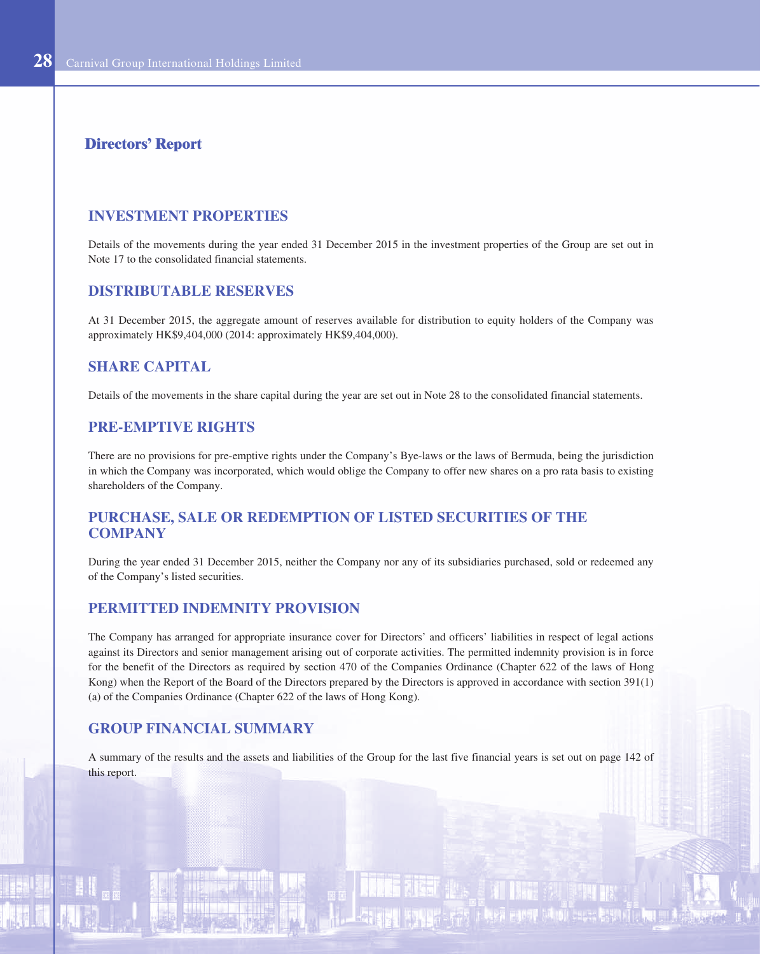#### **INVESTMENT PROPERTIES**

Details of the movements during the year ended 31 December 2015 in the investment properties of the Group are set out in Note 17 to the consolidated financial statements.

#### **DISTRIBUTABLE RESERVES**

At 31 December 2015, the aggregate amount of reserves available for distribution to equity holders of the Company was approximately HK\$9,404,000 (2014: approximately HK\$9,404,000).

#### **SHARE CAPITAL**

Details of the movements in the share capital during the year are set out in Note 28 to the consolidated financial statements.

#### **PRE-EMPTIVE RIGHTS**

There are no provisions for pre-emptive rights under the Company's Bye-laws or the laws of Bermuda, being the jurisdiction in which the Company was incorporated, which would oblige the Company to offer new shares on a pro rata basis to existing shareholders of the Company.

#### **PURCHASE, SALE OR REDEMPTION OF LISTED SECURITIES OF THE COMPANY**

During the year ended 31 December 2015, neither the Company nor any of its subsidiaries purchased, sold or redeemed any of the Company's listed securities.

#### **PERMITTED INDEMNITY PROVISION**

The Company has arranged for appropriate insurance cover for Directors' and officers' liabilities in respect of legal actions against its Directors and senior management arising out of corporate activities. The permitted indemnity provision is in force for the benefit of the Directors as required by section 470 of the Companies Ordinance (Chapter 622 of the laws of Hong Kong) when the Report of the Board of the Directors prepared by the Directors is approved in accordance with section 391(1) (a) of the Companies Ordinance (Chapter 622 of the laws of Hong Kong).

#### **GROUP FINANCIAL SUMMARY**

A summary of the results and the assets and liabilities of the Group for the last five financial years is set out on page 142 of this report.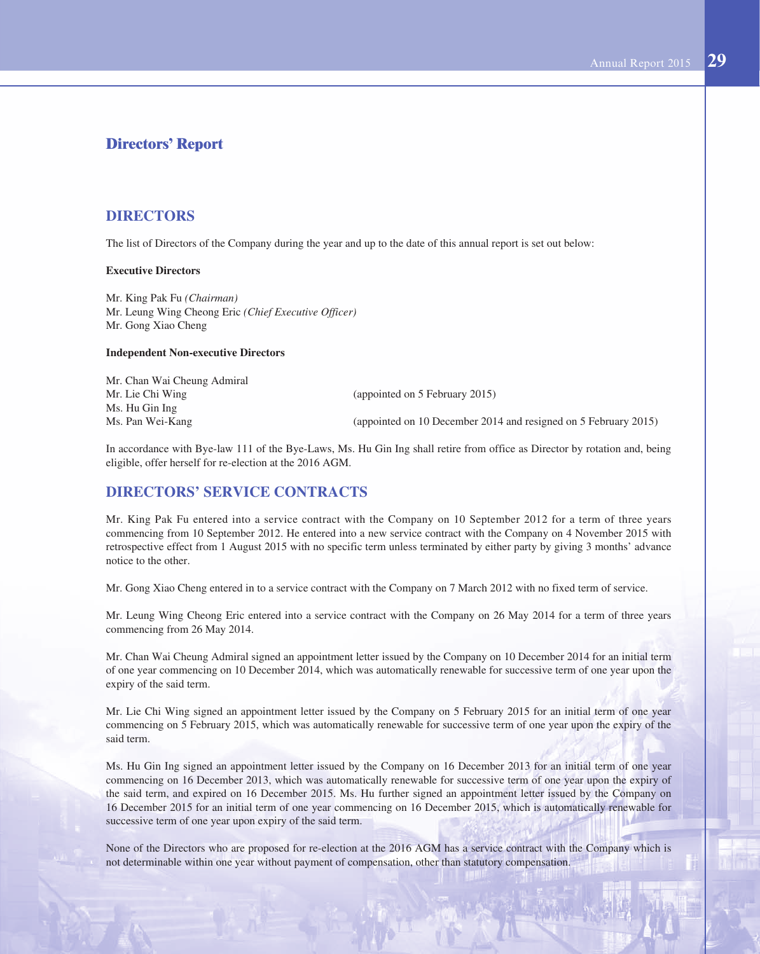#### **DIRECTORS**

The list of Directors of the Company during the year and up to the date of this annual report is set out below:

#### **Executive Directors**

Mr. King Pak Fu *(Chairman)* Mr. Leung Wing Cheong Eric *(Chief Executive Officer)* Mr. Gong Xiao Cheng

#### **Independent Non-executive Directors**

| Mr. Chan Wai Cheung Admiral |                                                                 |
|-----------------------------|-----------------------------------------------------------------|
| Mr. Lie Chi Wing            | (appointed on 5 February 2015)                                  |
| Ms. Hu Gin Ing              |                                                                 |
| Ms. Pan Wei-Kang            | (appointed on 10 December 2014 and resigned on 5 February 2015) |

In accordance with Bye-law 111 of the Bye-Laws, Ms. Hu Gin Ing shall retire from office as Director by rotation and, being eligible, offer herself for re-election at the 2016 AGM.

#### **DIRECTORS' SERVICE CONTRACTS**

Mr. King Pak Fu entered into a service contract with the Company on 10 September 2012 for a term of three years commencing from 10 September 2012. He entered into a new service contract with the Company on 4 November 2015 with retrospective effect from 1 August 2015 with no specific term unless terminated by either party by giving 3 months' advance notice to the other.

Mr. Gong Xiao Cheng entered in to a service contract with the Company on 7 March 2012 with no fixed term of service.

Mr. Leung Wing Cheong Eric entered into a service contract with the Company on 26 May 2014 for a term of three years commencing from 26 May 2014.

Mr. Chan Wai Cheung Admiral signed an appointment letter issued by the Company on 10 December 2014 for an initial term of one year commencing on 10 December 2014, which was automatically renewable for successive term of one year upon the expiry of the said term.

Mr. Lie Chi Wing signed an appointment letter issued by the Company on 5 February 2015 for an initial term of one year commencing on 5 February 2015, which was automatically renewable for successive term of one year upon the expiry of the said term.

Ms. Hu Gin Ing signed an appointment letter issued by the Company on 16 December 2013 for an initial term of one year commencing on 16 December 2013, which was automatically renewable for successive term of one year upon the expiry of the said term, and expired on 16 December 2015. Ms. Hu further signed an appointment letter issued by the Company on 16 December 2015 for an initial term of one year commencing on 16 December 2015, which is automatically renewable for successive term of one year upon expiry of the said term.

None of the Directors who are proposed for re-election at the 2016 AGM has a service contract with the Company which is not determinable within one year without payment of compensation, other than statutory compensation.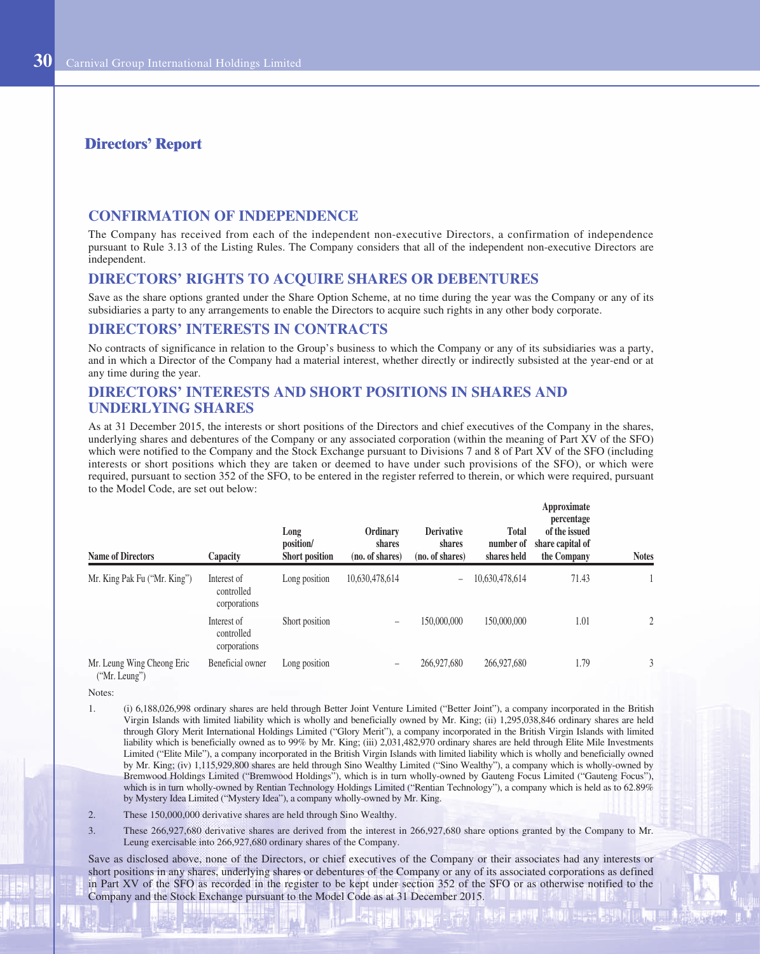#### **CONFIRMATION OF INDEPENDENCE**

The Company has received from each of the independent non-executive Directors, a confirmation of independence pursuant to Rule 3.13 of the Listing Rules. The Company considers that all of the independent non-executive Directors are independent.

#### **DIRECTORS' RIGHTS TO ACQUIRE SHARES OR DEBENTURES**

Save as the share options granted under the Share Option Scheme, at no time during the year was the Company or any of its subsidiaries a party to any arrangements to enable the Directors to acquire such rights in any other body corporate.

#### **DIRECTORS' INTERESTS IN CONTRACTS**

No contracts of significance in relation to the Group's business to which the Company or any of its subsidiaries was a party, and in which a Director of the Company had a material interest, whether directly or indirectly subsisted at the year-end or at any time during the year.

### **DIRECTORS' INTERESTS AND SHORT POSITIONS IN SHARES AND UNDERLYING SHARES**

As at 31 December 2015, the interests or short positions of the Directors and chief executives of the Company in the shares, underlying shares and debentures of the Company or any associated corporation (within the meaning of Part XV of the SFO) which were notified to the Company and the Stock Exchange pursuant to Divisions 7 and 8 of Part XV of the SFO (including interests or short positions which they are taken or deemed to have under such provisions of the SFO), or which were required, pursuant to section 352 of the SFO, to be entered in the register referred to therein, or which were required, pursuant to the Model Code, are set out below:

| <b>Name of Directors</b>                    | Capacity                                  | Long<br>position/<br><b>Short position</b> | Ordinary<br>shares<br>(no. of shares) | <b>Derivative</b><br>shares<br>(no. of shares) | Total<br>number of<br>shares held | Approximate<br>percentage<br>of the issued<br>share capital of<br>the Company | <b>Notes</b> |
|---------------------------------------------|-------------------------------------------|--------------------------------------------|---------------------------------------|------------------------------------------------|-----------------------------------|-------------------------------------------------------------------------------|--------------|
| Mr. King Pak Fu ("Mr. King")                | Interest of<br>controlled<br>corporations | Long position                              | 10,630,478,614                        | $\overline{\phantom{a}}$                       | 10,630,478,614                    | 71.43                                                                         |              |
|                                             | Interest of<br>controlled<br>corporations | Short position                             | $\overline{\phantom{m}}$              | 150,000,000                                    | 150,000,000                       | 1.01                                                                          | $2^{\circ}$  |
| Mr. Leung Wing Cheong Eric<br>("Mr. Leung") | Beneficial owner                          | Long position                              | $\overline{\phantom{m}}$              | 266,927,680                                    | 266,927,680                       | 1.79                                                                          | 3            |

Notes:

1. (i) 6,188,026,998 ordinary shares are held through Better Joint Venture Limited ("Better Joint"), a company incorporated in the British Virgin Islands with limited liability which is wholly and beneficially owned by Mr. King; (ii) 1,295,038,846 ordinary shares are held through Glory Merit International Holdings Limited ("Glory Merit"), a company incorporated in the British Virgin Islands with limited liability which is beneficially owned as to 99% by Mr. King; (iii) 2,031,482,970 ordinary shares are held through Elite Mile Investments Limited ("Elite Mile"), a company incorporated in the British Virgin Islands with limited liability which is wholly and beneficially owned by Mr. King; (iv) 1,115,929,800 shares are held through Sino Wealthy Limited ("Sino Wealthy"), a company which is wholly-owned by Bremwood Holdings Limited ("Bremwood Holdings"), which is in turn wholly-owned by Gauteng Focus Limited ("Gauteng Focus"), which is in turn wholly-owned by Rentian Technology Holdings Limited ("Rentian Technology"), a company which is held as to 62.89% by Mystery Idea Limited ("Mystery Idea"), a company wholly-owned by Mr. King.

2. These 150,000,000 derivative shares are held through Sino Wealthy.

3. These 266,927,680 derivative shares are derived from the interest in 266,927,680 share options granted by the Company to Mr. Leung exercisable into 266,927,680 ordinary shares of the Company.

Save as disclosed above, none of the Directors, or chief executives of the Company or their associates had any interests or short positions in any shares, underlying shares or debentures of the Company or any of its associated corporations as defined in Part XV of the SFO as recorded in the register to be kept under section 352 of the SFO or as otherwise notified to the Company and the Stock Exchange pursuant to the Model Code as at 31 December 2015.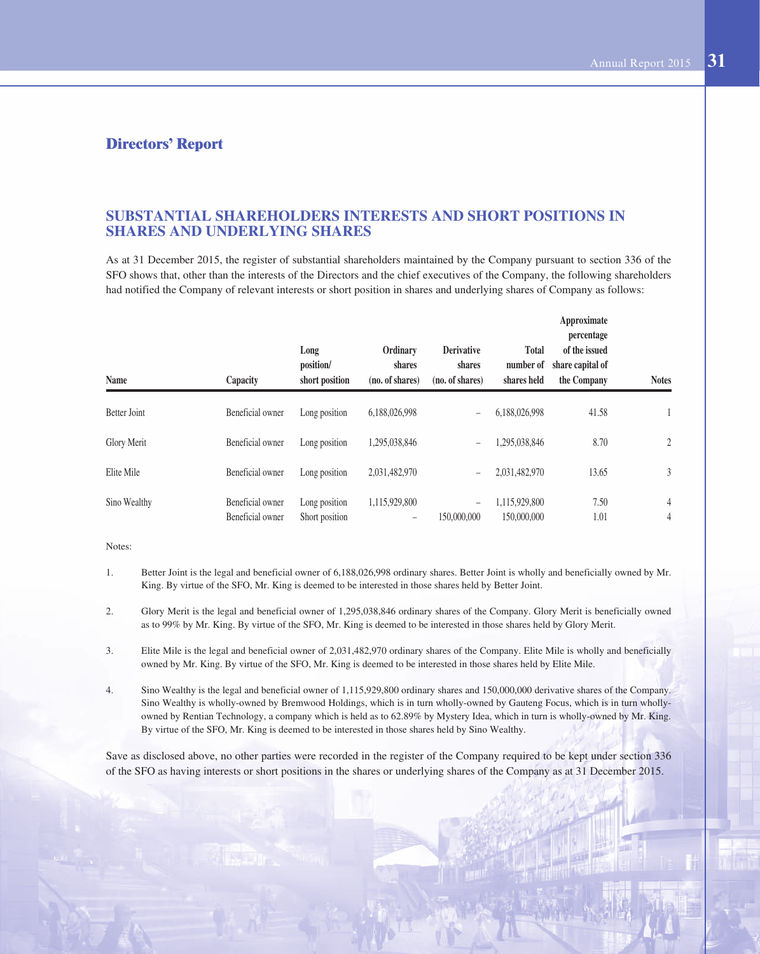# **SUBSTANTIAL SHAREHOLDERS INTERESTS AND SHORT POSITIONS IN SHARES AND UNDERLYING SHARES**

As at 31 December 2015, the register of substantial shareholders maintained by the Company pursuant to section 336 of the SFO shows that, other than the interests of the Directors and the chief executives of the Company, the following shareholders had notified the Company of relevant interests or short position in shares and underlying shares of Company as follows:

| <b>Name</b>  | Capacity                             | Long<br>position/<br>short position | Ordinary<br>shares<br>(no. of shares)     | <b>Derivative</b><br>shares<br>(no. of shares) | <b>Total</b><br>number of<br>shares held | Approximate<br>percentage<br>of the issued<br>share capital of<br>the Company | <b>Notes</b> |
|--------------|--------------------------------------|-------------------------------------|-------------------------------------------|------------------------------------------------|------------------------------------------|-------------------------------------------------------------------------------|--------------|
| Better Joint | Beneficial owner                     | Long position                       | 6,188,026,998                             | $\overline{\phantom{a}}$                       | 6,188,026,998                            | 41.58                                                                         |              |
| Glory Merit  | Beneficial owner                     | Long position                       | 1,295,038,846                             | $\overline{\phantom{m}}$                       | 1,295,038,846                            | 8.70                                                                          | 2            |
| Elite Mile   | Beneficial owner                     | Long position                       | 2,031,482,970                             | $\overline{\phantom{0}}$                       | 2,031,482,970                            | 13.65                                                                         | 3            |
| Sino Wealthy | Beneficial owner<br>Beneficial owner | Long position<br>Short position     | 1,115,929,800<br>$\overline{\phantom{m}}$ | $\overline{\phantom{m}}$<br>150,000,000        | 1,115,929,800<br>150,000,000             | 7.50<br>1.01                                                                  | 4<br>4       |

#### Notes:

- 1. Better Joint is the legal and beneficial owner of 6,188,026,998 ordinary shares. Better Joint is wholly and beneficially owned by Mr. King. By virtue of the SFO, Mr. King is deemed to be interested in those shares held by Better Joint.
- 2. Glory Merit is the legal and beneficial owner of 1,295,038,846 ordinary shares of the Company. Glory Merit is beneficially owned as to 99% by Mr. King. By virtue of the SFO, Mr. King is deemed to be interested in those shares held by Glory Merit.
- 3. Elite Mile is the legal and beneficial owner of 2,031,482,970 ordinary shares of the Company. Elite Mile is wholly and beneficially owned by Mr. King. By virtue of the SFO, Mr. King is deemed to be interested in those shares held by Elite Mile.
- 4. Sino Wealthy is the legal and beneficial owner of 1,115,929,800 ordinary shares and 150,000,000 derivative shares of the Company. Sino Wealthy is wholly-owned by Bremwood Holdings, which is in turn wholly-owned by Gauteng Focus, which is in turn whollyowned by Rentian Technology, a company which is held as to 62.89% by Mystery Idea, which in turn is wholly-owned by Mr. King. By virtue of the SFO, Mr. King is deemed to be interested in those shares held by Sino Wealthy.

Save as disclosed above, no other parties were recorded in the register of the Company required to be kept under section 336 of the SFO as having interests or short positions in the shares or underlying shares of the Company as at 31 December 2015.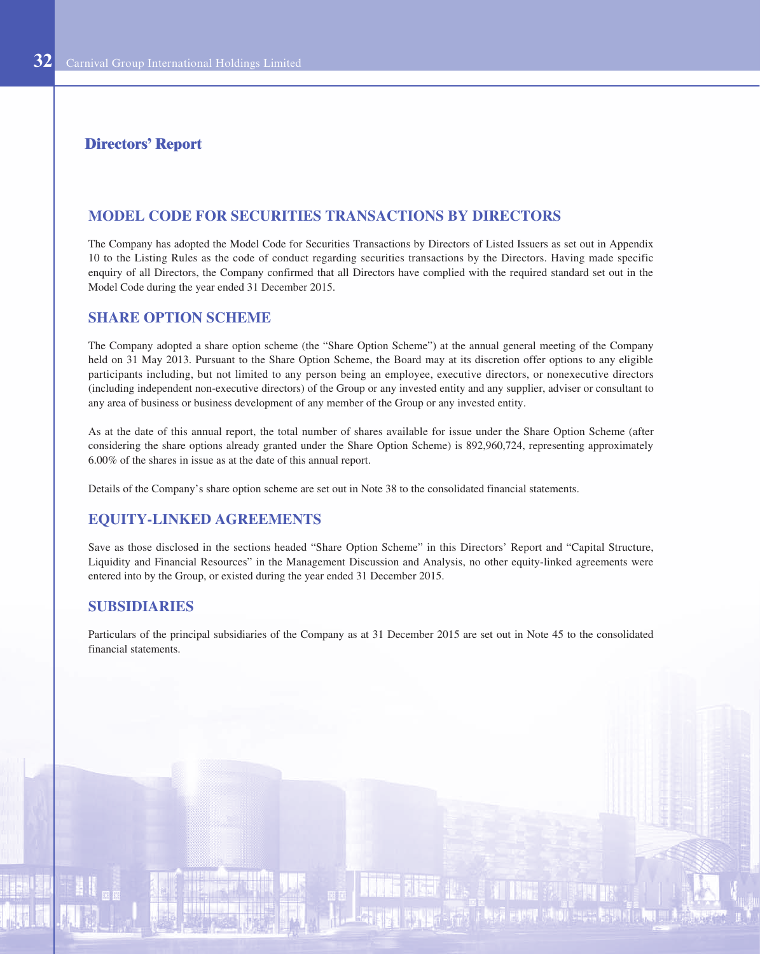# **MODEL CODE FOR SECURITIES TRANSACTIONS BY DIRECTORS**

The Company has adopted the Model Code for Securities Transactions by Directors of Listed Issuers as set out in Appendix 10 to the Listing Rules as the code of conduct regarding securities transactions by the Directors. Having made specific enquiry of all Directors, the Company confirmed that all Directors have complied with the required standard set out in the Model Code during the year ended 31 December 2015.

#### **SHARE OPTION SCHEME**

The Company adopted a share option scheme (the "Share Option Scheme") at the annual general meeting of the Company held on 31 May 2013. Pursuant to the Share Option Scheme, the Board may at its discretion offer options to any eligible participants including, but not limited to any person being an employee, executive directors, or nonexecutive directors (including independent non-executive directors) of the Group or any invested entity and any supplier, adviser or consultant to any area of business or business development of any member of the Group or any invested entity.

As at the date of this annual report, the total number of shares available for issue under the Share Option Scheme (after considering the share options already granted under the Share Option Scheme) is 892,960,724, representing approximately 6.00% of the shares in issue as at the date of this annual report.

Details of the Company's share option scheme are set out in Note 38 to the consolidated financial statements.

#### **EQUITY-LINKED AGREEMENTS**

Save as those disclosed in the sections headed "Share Option Scheme" in this Directors' Report and "Capital Structure, Liquidity and Financial Resources" in the Management Discussion and Analysis, no other equity-linked agreements were entered into by the Group, or existed during the year ended 31 December 2015.

#### **SUBSIDIARIES**

Particulars of the principal subsidiaries of the Company as at 31 December 2015 are set out in Note 45 to the consolidated financial statements.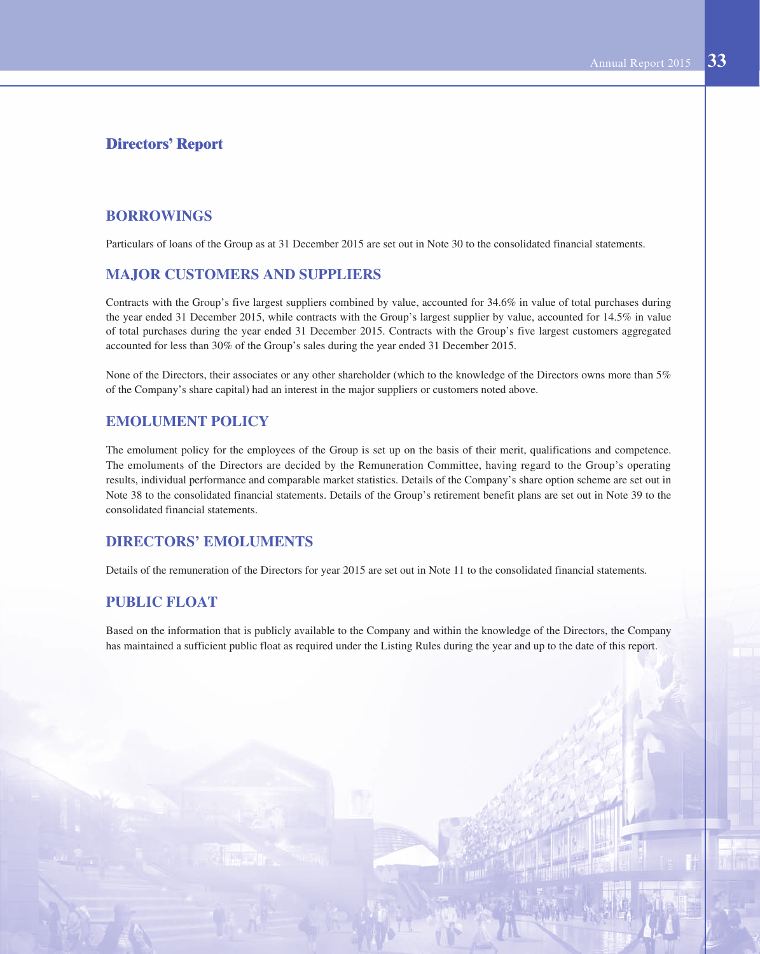#### **BORROWINGS**

Particulars of loans of the Group as at 31 December 2015 are set out in Note 30 to the consolidated financial statements.

#### **MAJOR CUSTOMERS AND SUPPLIERS**

Contracts with the Group's five largest suppliers combined by value, accounted for 34.6% in value of total purchases during the year ended 31 December 2015, while contracts with the Group's largest supplier by value, accounted for 14.5% in value of total purchases during the year ended 31 December 2015. Contracts with the Group's five largest customers aggregated accounted for less than 30% of the Group's sales during the year ended 31 December 2015.

None of the Directors, their associates or any other shareholder (which to the knowledge of the Directors owns more than 5% of the Company's share capital) had an interest in the major suppliers or customers noted above.

# **EMOLUMENT POLICY**

The emolument policy for the employees of the Group is set up on the basis of their merit, qualifications and competence. The emoluments of the Directors are decided by the Remuneration Committee, having regard to the Group's operating results, individual performance and comparable market statistics. Details of the Company's share option scheme are set out in Note 38 to the consolidated financial statements. Details of the Group's retirement benefit plans are set out in Note 39 to the consolidated financial statements.

#### **DIRECTORS' EMOLUMENTS**

Details of the remuneration of the Directors for year 2015 are set out in Note 11 to the consolidated financial statements.

#### **PUBLIC FLOAT**

Based on the information that is publicly available to the Company and within the knowledge of the Directors, the Company has maintained a sufficient public float as required under the Listing Rules during the year and up to the date of this report.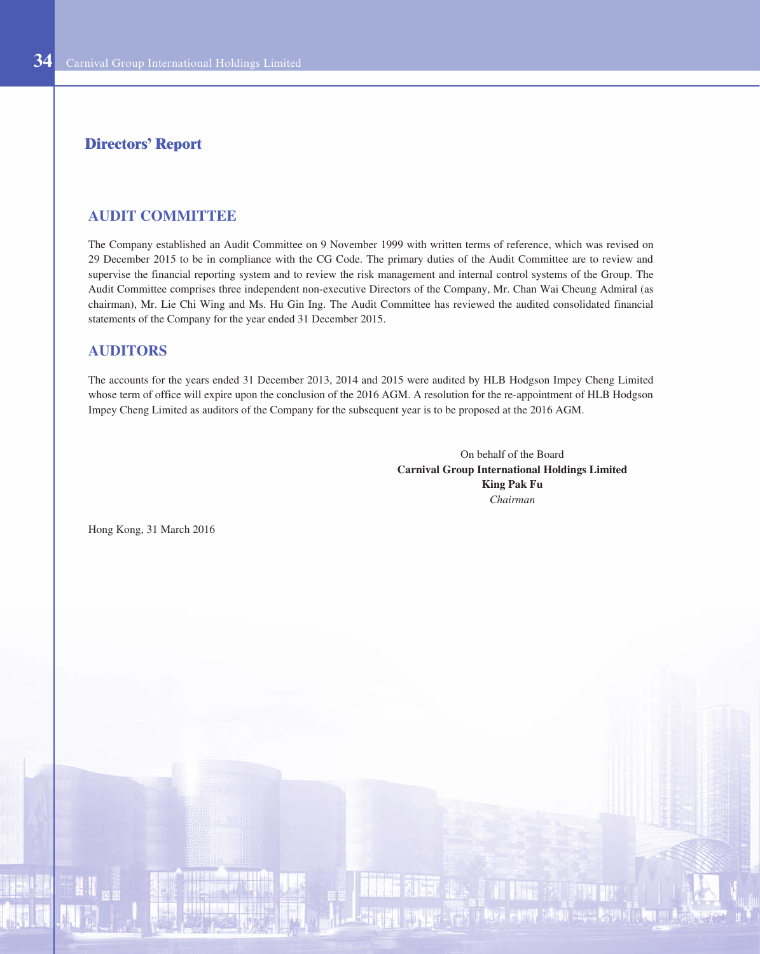#### **AUDIT COMMITTEE**

The Company established an Audit Committee on 9 November 1999 with written terms of reference, which was revised on 29 December 2015 to be in compliance with the CG Code. The primary duties of the Audit Committee are to review and supervise the financial reporting system and to review the risk management and internal control systems of the Group. The Audit Committee comprises three independent non-executive Directors of the Company, Mr. Chan Wai Cheung Admiral (as chairman), Mr. Lie Chi Wing and Ms. Hu Gin Ing. The Audit Committee has reviewed the audited consolidated financial statements of the Company for the year ended 31 December 2015.

#### **AUDITORS**

The accounts for the years ended 31 December 2013, 2014 and 2015 were audited by HLB Hodgson Impey Cheng Limited whose term of office will expire upon the conclusion of the 2016 AGM. A resolution for the re-appointment of HLB Hodgson Impey Cheng Limited as auditors of the Company for the subsequent year is to be proposed at the 2016 AGM.

> On behalf of the Board **Carnival Group International Holdings Limited King Pak Fu** *Chairman*

Hong Kong, 31 March 2016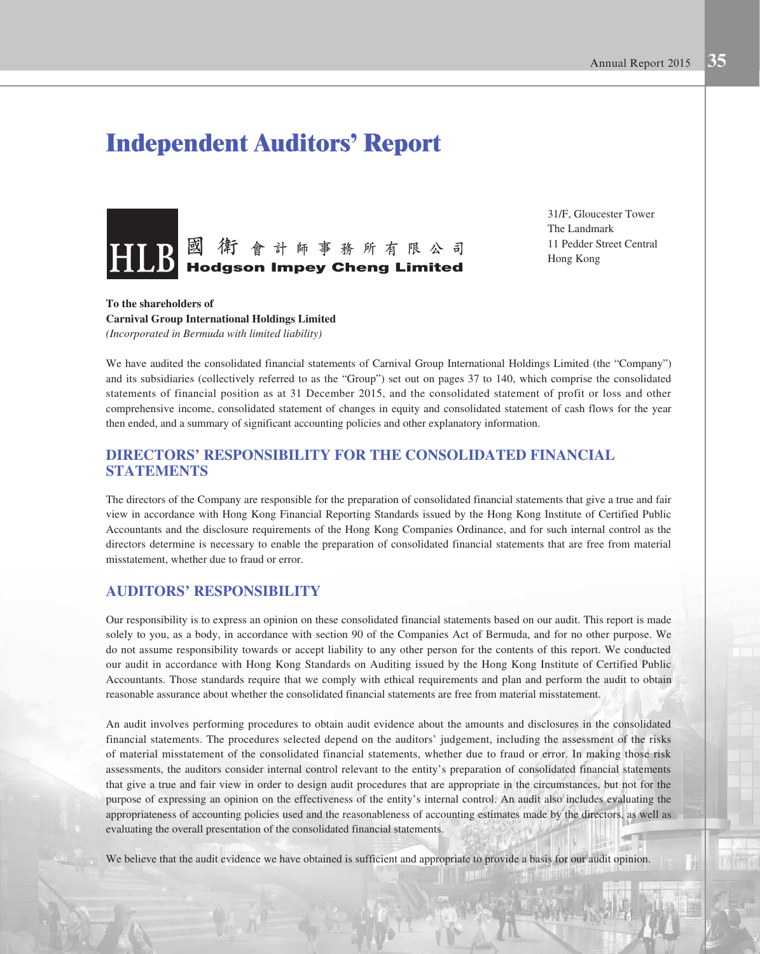# **Independent Auditors' Report**



31/F, Gloucester Tower The Landmark 11 Pedder Street Central Hong Kong

*(Incorporated in Bermuda with limited liability)* We have audited the consolidated financial statements of Carnival Group International Holdings Limited (the "Company") and its subsidiaries (collectively referred to as the "Group") set out on pages 37 to 140, which comprise the consolidated statements of financial position as at 31 December 2015, and the consolidated statement of profit or loss and other comprehensive income, consolidated statement of changes in equity and consolidated statement of cash flows for the year

#### **Directors' Responsibility for the Consolidated Financial STATEMENTS**

then ended, and a summary of significant accounting policies and other explanatory information.

The directors of the Company are responsible for the preparation of consolidated financial statements that give a true and fair view in accordance with Hong Kong Financial Reporting Standards issued by the Hong Kong Institute of Certified Public Accountants and the disclosure requirements of the Hong Kong Companies Ordinance, and for such internal control as the directors determine is necessary to enable the preparation of consolidated financial statements that are free from material misstatement, whether due to fraud or error.

### **Auditors' Responsibility**

To the shareholders of

To the shareholders of  $\alpha$ 

**Carnival Group International Holdings Limited**

Our responsibility is to express an opinion on these consolidated financial statements based on our audit. This report is made solely to you, as a body, in accordance with section 90 of the Companies Act of Bermuda, and for no other purpose. We do not assume responsibility towards or accept liability to any other person for the contents of this report. We conducted our audit in accordance with Hong Kong Standards on Auditing issued by the Hong Kong Institute of Certified Public Accountants. Those standards require that we comply with ethical requirements and plan and perform the audit to obtain reasonable assurance about whether the consolidated financial statements are free from material misstatement.

An audit involves performing procedures to obtain audit evidence about the amounts and disclosures in the consolidated financial statements. The procedures selected depend on the auditors' judgement, including the assessment of the risks of material misstatement of the consolidated financial statements, whether due to fraud or error. In making those risk assessments, the auditors consider internal control relevant to the entity's preparation of consolidated financial statements that give a true and fair view in order to design audit procedures that are appropriate in the circumstances, but not for the purpose of expressing an opinion on the effectiveness of the entity's internal control. An audit also includes evaluating the appropriateness of accounting policies used and the reasonableness of accounting estimates made by the directors, as well as evaluating the overall presentation of the consolidated financial statements.

We believe that the audit evidence we have obtained is sufficient and appropriate to provide a basis for our audit opinion.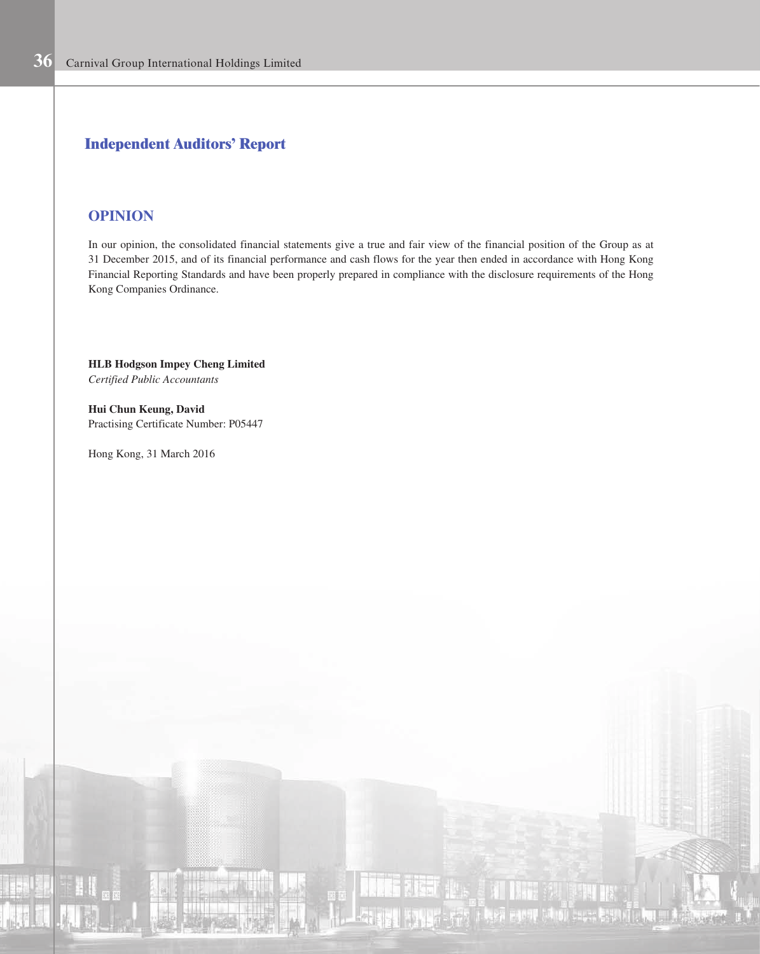## **Independent Auditors' Report**

### **Opinion**

In our opinion, the consolidated financial statements give a true and fair view of the financial position of the Group as at 31 December 2015, and of its financial performance and cash flows for the year then ended in accordance with Hong Kong Financial Reporting Standards and have been properly prepared in compliance with the disclosure requirements of the Hong Kong Companies Ordinance.

**HLB Hodgson Impey Cheng Limited** *Certified Public Accountants*

**Hui Chun Keung, David** Practising Certificate Number: P05447

Hong Kong, 31 March 2016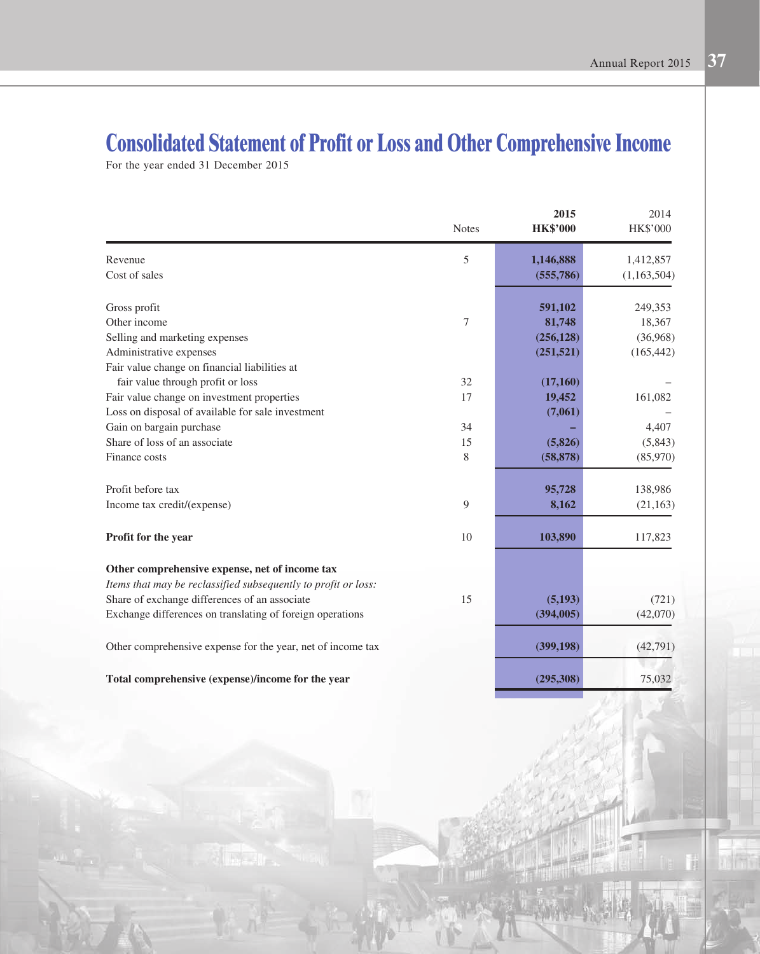# **Consolidated Statement of Profit or Loss and Other Comprehensive Income**

For the year ended 31 December 2015

|                                                                | <b>Notes</b> | 2015<br><b>HK\$'000</b> | 2014<br><b>HK\$'000</b> |
|----------------------------------------------------------------|--------------|-------------------------|-------------------------|
| Revenue                                                        | 5            | 1,146,888               | 1,412,857               |
| Cost of sales                                                  |              | (555,786)               | (1,163,504)             |
| Gross profit                                                   |              | 591,102                 | 249,353                 |
| Other income                                                   | 7            | 81,748                  | 18,367                  |
| Selling and marketing expenses                                 |              | (256, 128)              | (36,968)                |
| Administrative expenses                                        |              | (251, 521)              | (165, 442)              |
| Fair value change on financial liabilities at                  |              |                         |                         |
| fair value through profit or loss                              | 32           | (17,160)                |                         |
| Fair value change on investment properties                     | 17           | 19,452                  | 161,082                 |
| Loss on disposal of available for sale investment              |              | (7,061)                 |                         |
| Gain on bargain purchase                                       | 34           |                         | 4,407                   |
| Share of loss of an associate                                  | 15           | (5, 826)                | (5,843)                 |
| Finance costs                                                  | 8            | (58, 878)               | (85,970)                |
| Profit before tax                                              |              | 95,728                  | 138,986                 |
| Income tax credit/(expense)                                    | 9            | 8,162                   | (21, 163)               |
| Profit for the year                                            | 10           | 103,890                 | 117,823                 |
| Other comprehensive expense, net of income tax                 |              |                         |                         |
| Items that may be reclassified subsequently to profit or loss: |              |                         |                         |
| Share of exchange differences of an associate                  | 15           | (5, 193)                | (721)                   |
| Exchange differences on translating of foreign operations      |              | (394,005)               | (42,070)                |
| Other comprehensive expense for the year, net of income tax    |              | (399, 198)              | (42, 791)               |
| Total comprehensive (expense)/income for the year              |              | (295,308)               | 75,032                  |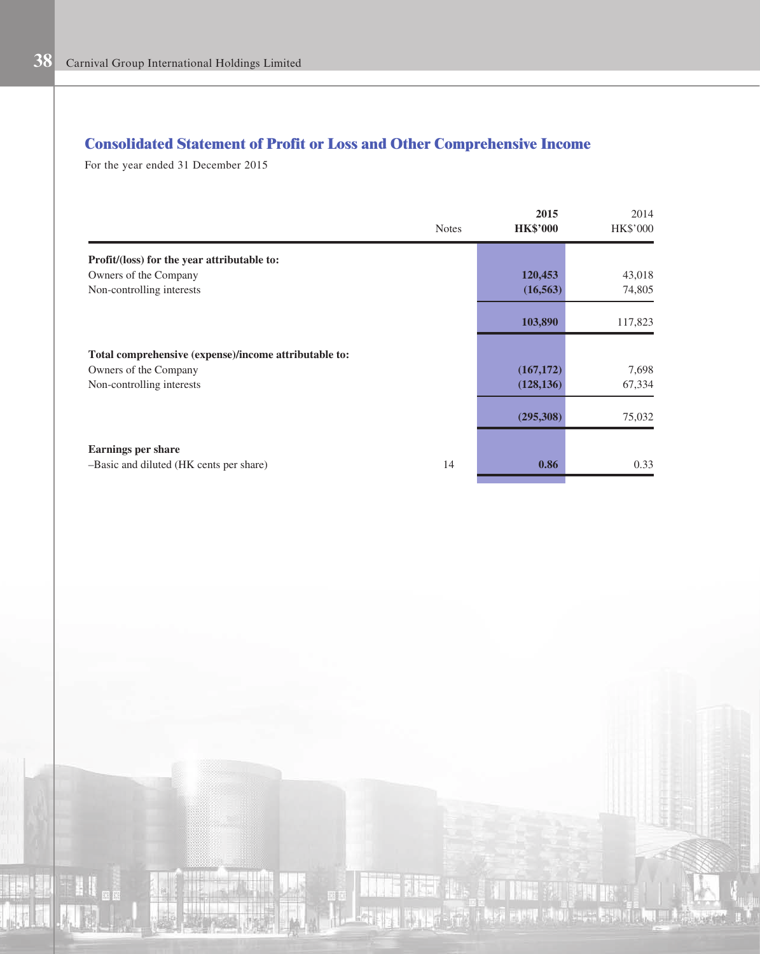## **Consolidated Statement of Profit or Loss and Other Comprehensive Income**

For the year ended 31 December 2015

|                                                       |              | 2015            | 2014            |
|-------------------------------------------------------|--------------|-----------------|-----------------|
|                                                       | <b>Notes</b> | <b>HK\$'000</b> | <b>HK\$'000</b> |
| Profit/(loss) for the year attributable to:           |              |                 |                 |
| Owners of the Company                                 |              | 120,453         | 43,018          |
| Non-controlling interests                             |              | (16, 563)       | 74,805          |
|                                                       |              | 103,890         | 117,823         |
| Total comprehensive (expense)/income attributable to: |              |                 |                 |
| Owners of the Company                                 |              | (167, 172)      | 7,698           |
| Non-controlling interests                             |              | (128, 136)      | 67,334          |
|                                                       |              | (295,308)       | 75,032          |
| <b>Earnings per share</b>                             |              |                 |                 |
| -Basic and diluted (HK cents per share)               | 14           | 0.86            | 0.33            |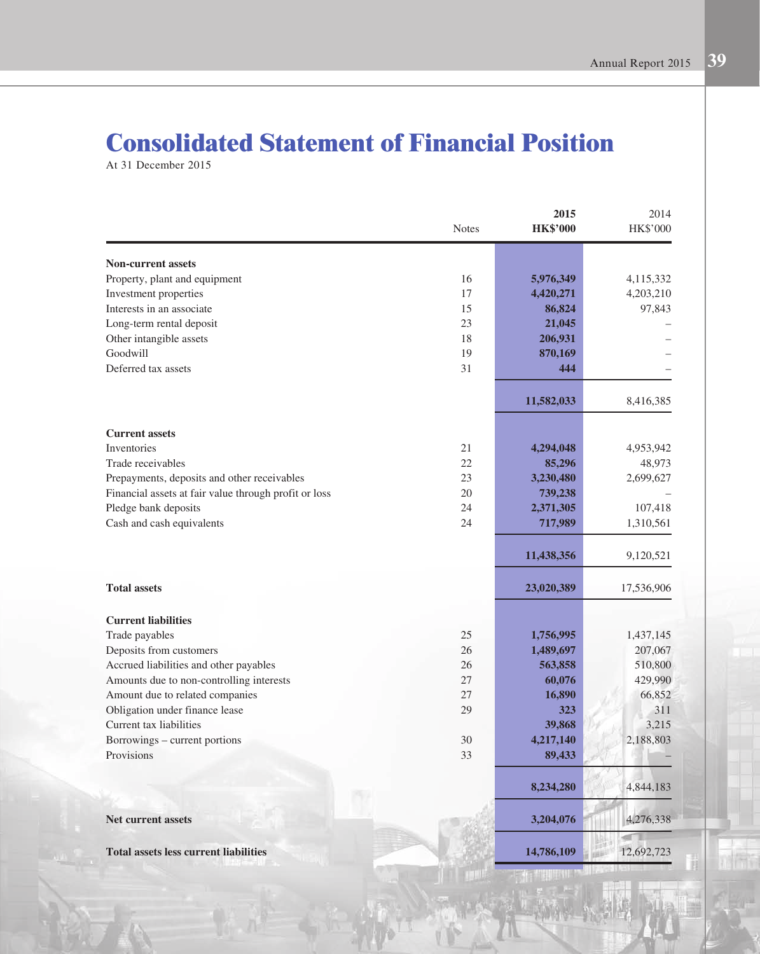# **Consolidated Statement of Financial Position**

At 31 December 2015

|                                                       | <b>Notes</b> | 2015<br><b>HK\$'000</b> | 2014<br><b>HK\$'000</b> |
|-------------------------------------------------------|--------------|-------------------------|-------------------------|
| <b>Non-current assets</b>                             |              |                         |                         |
| Property, plant and equipment                         | 16           | 5,976,349               | 4,115,332               |
| Investment properties                                 | 17           | 4,420,271               | 4,203,210               |
| Interests in an associate                             | 15           | 86,824                  | 97,843                  |
| Long-term rental deposit                              | 23           | 21,045                  |                         |
| Other intangible assets                               | 18           | 206,931                 |                         |
| Goodwill                                              | 19           | 870,169                 |                         |
| Deferred tax assets                                   | 31           | 444                     |                         |
|                                                       |              | 11,582,033              | 8,416,385               |
| <b>Current assets</b>                                 |              |                         |                         |
| Inventories                                           | 21           | 4,294,048               | 4,953,942               |
| Trade receivables                                     | 22           | 85,296                  | 48,973                  |
| Prepayments, deposits and other receivables           | 23           | 3,230,480               | 2,699,627               |
| Financial assets at fair value through profit or loss | 20           | 739,238                 |                         |
| Pledge bank deposits                                  | 24           | 2,371,305               | 107,418                 |
| Cash and cash equivalents                             | 24           | 717,989                 | 1,310,561               |
|                                                       |              | 11,438,356              | 9,120,521               |
| <b>Total assets</b>                                   |              | 23,020,389              | 17,536,906              |
| <b>Current liabilities</b>                            |              |                         |                         |
| Trade payables                                        | 25           | 1,756,995               | 1,437,145               |
| Deposits from customers                               | 26           | 1,489,697               | 207,067                 |
| Accrued liabilities and other payables                | 26           | 563,858                 | 510,800                 |
| Amounts due to non-controlling interests              | 27           | 60,076                  | 429,990                 |
| Amount due to related companies                       | 27           | 16,890                  | 66,852                  |
| Obligation under finance lease                        | 29           | 323                     | 311                     |
| Current tax liabilities                               |              | 39,868                  | 3,215                   |
| Borrowings - current portions                         | 30           | 4,217,140               | 2,188,803               |
| Provisions                                            | 33           | 89,433                  |                         |
|                                                       |              | 8,234,280               | 4,844,183               |
| <b>Net current assets</b>                             |              | 3,204,076               | 4,276,338               |
| <b>Total assets less current liabilities</b>          |              | 14,786,109              | 12,692,723              |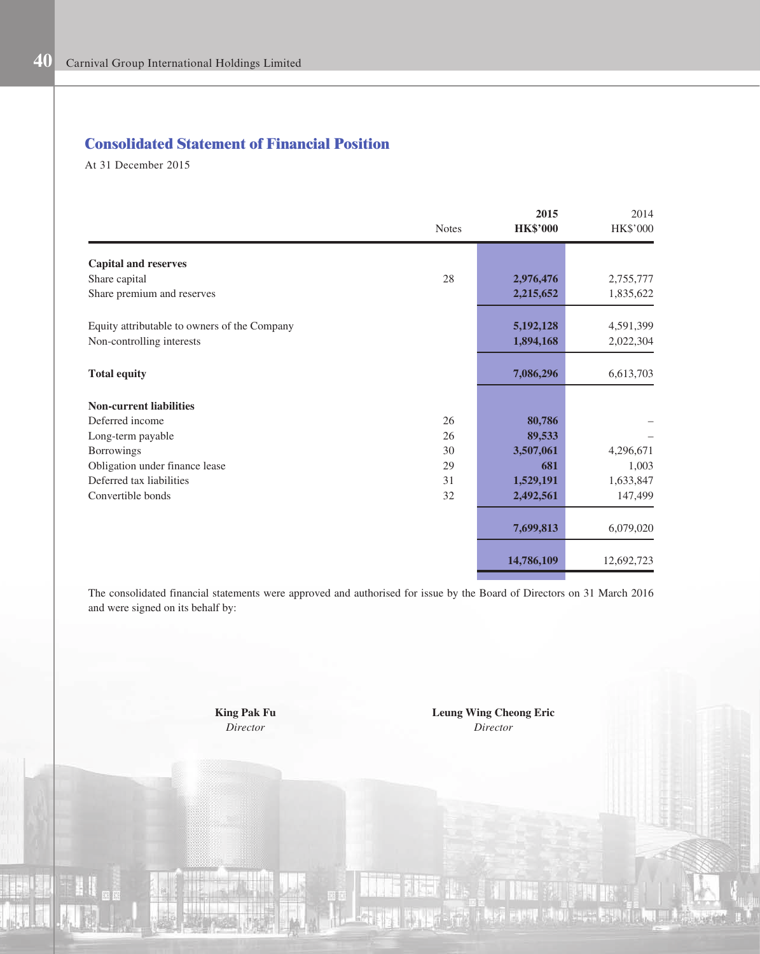## **Consolidated Statement of Financial Position**

At 31 December 2015

|                                              | <b>Notes</b> | 2015<br><b>HK\$'000</b> | 2014<br>HK\$'000 |
|----------------------------------------------|--------------|-------------------------|------------------|
| <b>Capital and reserves</b>                  |              |                         |                  |
| Share capital                                | 28           | 2,976,476               | 2,755,777        |
| Share premium and reserves                   |              | 2,215,652               | 1,835,622        |
| Equity attributable to owners of the Company |              | 5,192,128               | 4,591,399        |
| Non-controlling interests                    |              | 1,894,168               | 2,022,304        |
| <b>Total equity</b>                          |              | 7,086,296               | 6,613,703        |
| <b>Non-current liabilities</b>               |              |                         |                  |
| Deferred income                              | 26           | 80,786                  |                  |
| Long-term payable                            | 26           | 89,533                  |                  |
| <b>Borrowings</b>                            | 30           | 3,507,061               | 4,296,671        |
| Obligation under finance lease               | 29           | 681                     | 1,003            |
| Deferred tax liabilities                     | 31           | 1,529,191               | 1,633,847        |
| Convertible bonds                            | 32           | 2,492,561               | 147,499          |
|                                              |              | 7,699,813               | 6,079,020        |
|                                              |              | 14,786,109              | 12,692,723       |

The consolidated financial statements were approved and authorised for issue by the Board of Directors on 31 March 2016 and were signed on its behalf by:

**King Pak Fu Leung Wing Cheong Eric** *Director Director*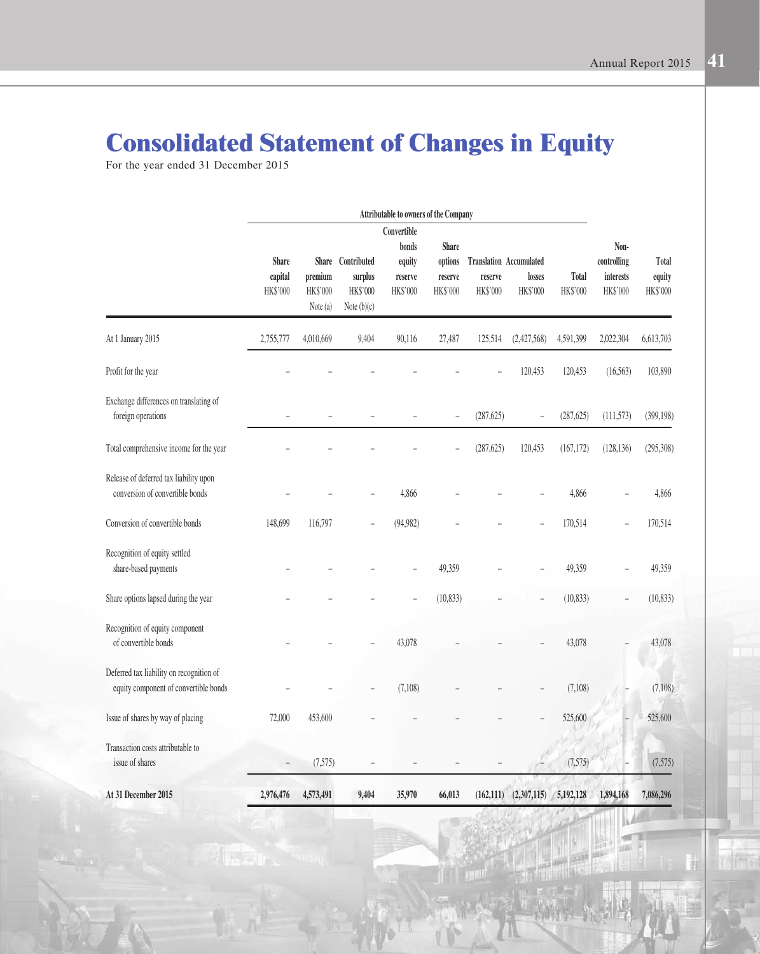# **Consolidated Statement of Changes in Equity**

For the year ended 31 December 2015

|                                                                                   |                                            |                                                        |                                                   | Attributable to owners of the Company                 |                                                |                     |                                                      |                   |                                              |                             |
|-----------------------------------------------------------------------------------|--------------------------------------------|--------------------------------------------------------|---------------------------------------------------|-------------------------------------------------------|------------------------------------------------|---------------------|------------------------------------------------------|-------------------|----------------------------------------------|-----------------------------|
|                                                                                   | <b>Share</b><br>capital<br><b>HK\$'000</b> | <b>Share</b><br>premium<br><b>HK\$'000</b><br>Note (a) | Contributed<br>surplus<br>HK\$'000<br>Note (b)(c) | Convertible<br>bonds<br>equity<br>reserve<br>HK\$'000 | <b>Share</b><br>options<br>reserve<br>HK\$'000 | reserve<br>HK\$'000 | <b>Translation Accumulated</b><br>losses<br>HK\$'000 | Total<br>HK\$'000 | Non-<br>controlling<br>interests<br>HK\$'000 | Total<br>equity<br>HK\$'000 |
| At 1 January 2015                                                                 | 2,755,777                                  | 4,010,669                                              | 9,404                                             | 90,116                                                | 27,487                                         | 125,514             | (2,427,568)                                          | 4,591,399         | 2,022,304                                    | 6,613,703                   |
| Profit for the year                                                               |                                            |                                                        |                                                   |                                                       |                                                |                     | 120,453                                              | 120,453           | (16, 563)                                    | 103,890                     |
| Exchange differences on translating of<br>foreign operations                      |                                            |                                                        |                                                   |                                                       | $\overline{\phantom{0}}$                       | (287, 625)          |                                                      | (287, 625)        | (111, 573)                                   | (399, 198)                  |
| Total comprehensive income for the year                                           |                                            |                                                        |                                                   |                                                       |                                                | (287, 625)          | 120,453                                              | (167, 172)        | (128, 136)                                   | (295, 308)                  |
| Release of deferred tax liability upon<br>conversion of convertible bonds         |                                            |                                                        |                                                   | 4,866                                                 |                                                |                     |                                                      | 4,866             |                                              | 4,866                       |
| Conversion of convertible bonds                                                   | 148,699                                    | 116,797                                                |                                                   | (94, 982)                                             |                                                |                     |                                                      | 170,514           | $\overline{a}$                               | 170,514                     |
| Recognition of equity settled<br>share-based payments                             |                                            |                                                        |                                                   |                                                       | 49,359                                         |                     |                                                      | 49,359            |                                              | 49,359                      |
| Share options lapsed during the year                                              |                                            |                                                        |                                                   |                                                       | (10, 833)                                      |                     |                                                      | (10, 833)         |                                              | (10, 833)                   |
| Recognition of equity component<br>of convertible bonds                           |                                            |                                                        |                                                   | 43,078                                                |                                                |                     |                                                      | 43,078            |                                              | 43,078                      |
| Deferred tax liability on recognition of<br>equity component of convertible bonds |                                            |                                                        |                                                   | (7,108)                                               |                                                |                     |                                                      | (7,108)           |                                              | (7,108)                     |
| Issue of shares by way of placing                                                 | 72,000                                     | 453,600                                                |                                                   |                                                       |                                                |                     |                                                      | 525,600           |                                              | 525,600                     |
| Transaction costs attributable to<br>issue of shares                              | $\overline{\phantom{0}}$                   | (7,575)                                                |                                                   |                                                       |                                                |                     |                                                      | (7,575)           |                                              | (7,575)                     |
| At 31 December 2015                                                               | 2,976,476                                  | 4,573,491                                              | 9,404                                             | 35,970                                                | 66,013                                         | (162, 111)          | (2,307,115)                                          | 5,192,128         | 1,894,168                                    | 7,086,296                   |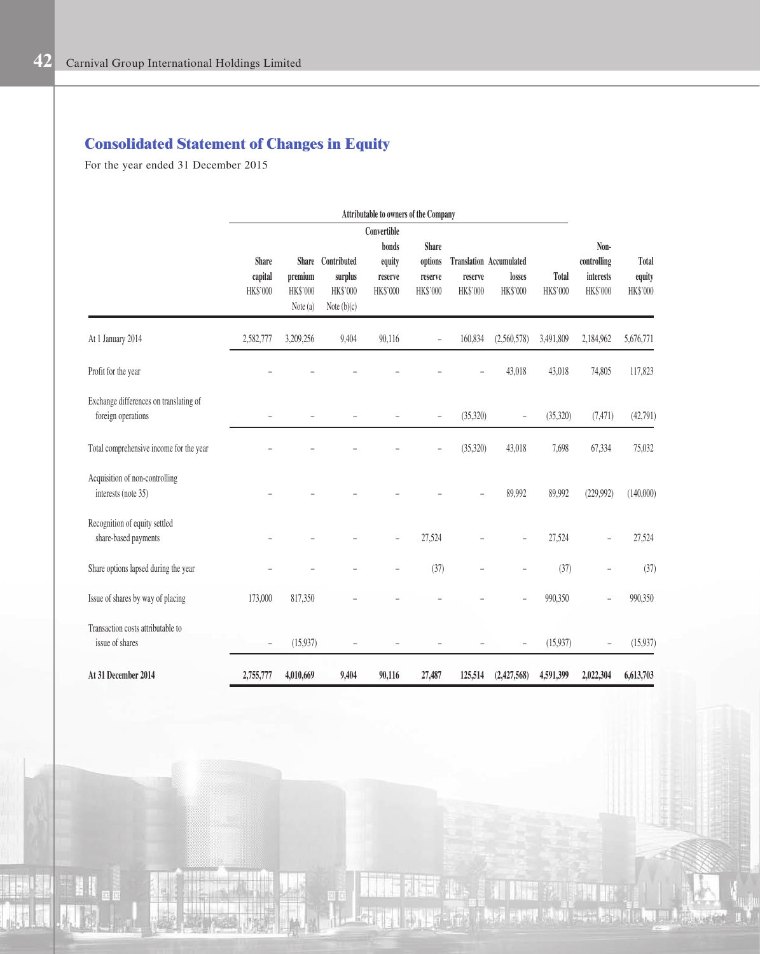## **Consolidated Statement of Changes in Equity**

For the year ended 31 December 2015

|                                                              | Attributable to owners of the Company |                                                 |                                                     |                                                       |                                                |                     |                                                      |                          |                                              |                             |
|--------------------------------------------------------------|---------------------------------------|-------------------------------------------------|-----------------------------------------------------|-------------------------------------------------------|------------------------------------------------|---------------------|------------------------------------------------------|--------------------------|----------------------------------------------|-----------------------------|
|                                                              | <b>Share</b><br>capital<br>HK\$'000   | <b>Share</b><br>premium<br>HK\$'000<br>Note (a) | Contributed<br>surplus<br>HK\$'000<br>Note $(b)(c)$ | Convertible<br>bonds<br>equity<br>reserve<br>HK\$'000 | <b>Share</b><br>options<br>reserve<br>HK\$'000 | reserve<br>HK\$'000 | <b>Translation Accumulated</b><br>losses<br>HK\$'000 | Total<br><b>HK\$'000</b> | Non-<br>controlling<br>interests<br>HK\$'000 | Total<br>equity<br>HK\$'000 |
| At 1 January 2014                                            | 2,582,777                             | 3,209,256                                       | 9,404                                               | 90,116                                                | $\overline{\phantom{0}}$                       | 160,834             | (2,560,578)                                          | 3,491,809                | 2,184,962                                    | 5,676,771                   |
| Profit for the year                                          |                                       |                                                 |                                                     |                                                       |                                                |                     | 43,018                                               | 43,018                   | 74,805                                       | 117,823                     |
| Exchange differences on translating of<br>foreign operations |                                       |                                                 |                                                     |                                                       | $\qquad \qquad -$                              | (35,320)            | $\equiv$                                             | (35,320)                 | (7, 471)                                     | (42,791)                    |
| Total comprehensive income for the year                      |                                       |                                                 |                                                     |                                                       |                                                | (35,320)            | 43,018                                               | 7,698                    | 67,334                                       | 75,032                      |
| Acquisition of non-controlling<br>interests (note 35)        |                                       |                                                 |                                                     |                                                       |                                                |                     | 89,992                                               | 89,992                   | (229, 992)                                   | (140,000)                   |
| Recognition of equity settled<br>share-based payments        |                                       |                                                 |                                                     | L,                                                    | 27,524                                         |                     |                                                      | 27,524                   | ÷,                                           | 27,524                      |
| Share options lapsed during the year                         |                                       |                                                 |                                                     |                                                       | (37)                                           |                     |                                                      | (37)                     |                                              | (37)                        |
| Issue of shares by way of placing                            | 173,000                               | 817,350                                         |                                                     |                                                       |                                                |                     |                                                      | 990,350                  | $\overline{a}$                               | 990,350                     |
| Transaction costs attributable to<br>issue of shares         |                                       | (15, 937)                                       |                                                     |                                                       |                                                |                     |                                                      | (15, 937)                |                                              | (15,937)                    |
| At 31 December 2014                                          | 2,755,777                             | 4,010,669                                       | 9,404                                               | 90,116                                                | 27,487                                         | 125,514             | (2,427,568)                                          | 4,591,399                | 2,022,304                                    | 6,613,703                   |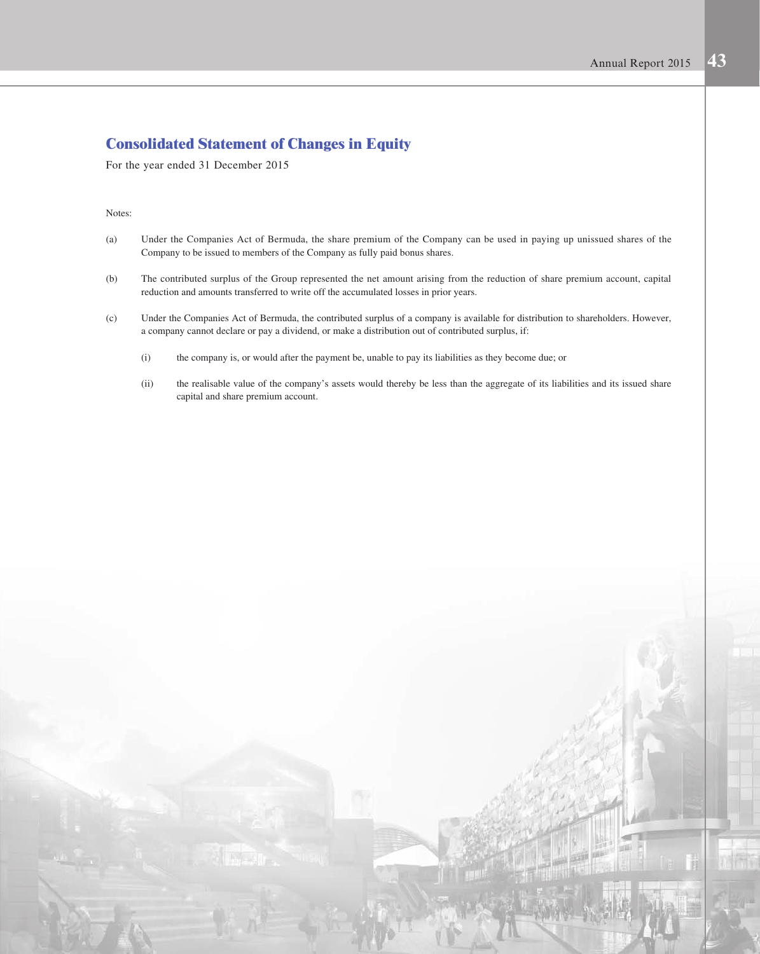## **Consolidated Statement of Changes in Equity**

For the year ended 31 December 2015

#### Notes:

- (a) Under the Companies Act of Bermuda, the share premium of the Company can be used in paying up unissued shares of the Company to be issued to members of the Company as fully paid bonus shares.
- (b) The contributed surplus of the Group represented the net amount arising from the reduction of share premium account, capital reduction and amounts transferred to write off the accumulated losses in prior years.
- (c) Under the Companies Act of Bermuda, the contributed surplus of a company is available for distribution to shareholders. However, a company cannot declare or pay a dividend, or make a distribution out of contributed surplus, if:
	- (i) the company is, or would after the payment be, unable to pay its liabilities as they become due; or
	- (ii) the realisable value of the company's assets would thereby be less than the aggregate of its liabilities and its issued share capital and share premium account.

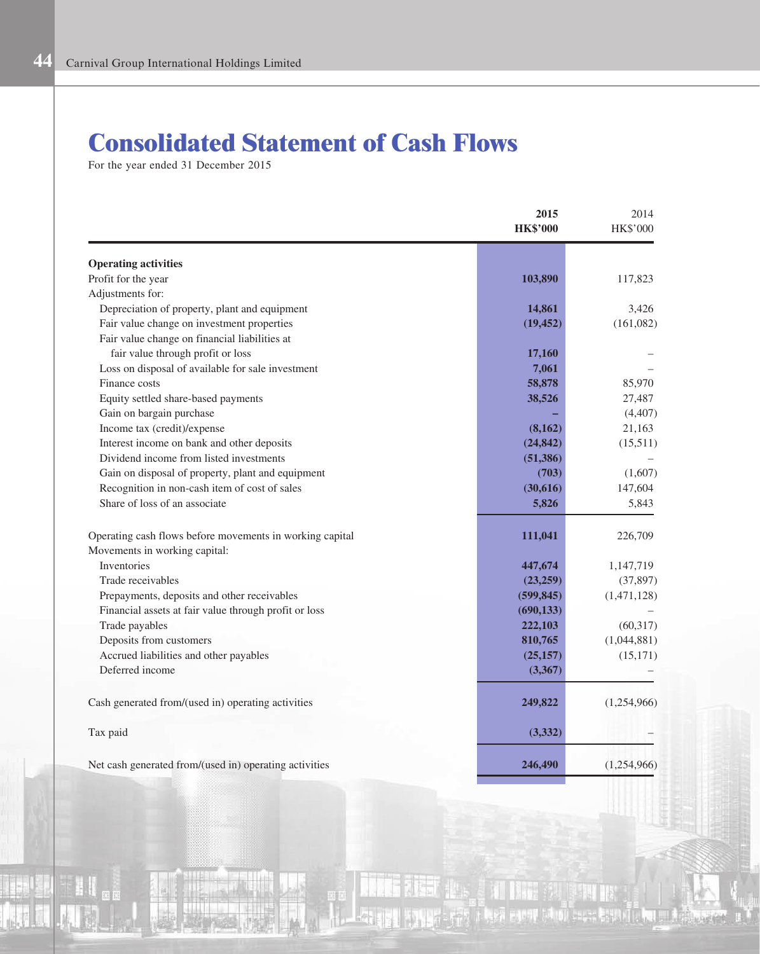# **Consolidated Statement of Cash Flows**

For the year ended 31 December 2015

|                                                          | 2015<br><b>HK\$'000</b> | 2014<br>HK\$'000 |
|----------------------------------------------------------|-------------------------|------------------|
| <b>Operating activities</b>                              |                         |                  |
| Profit for the year                                      | 103,890                 | 117,823          |
| Adjustments for:                                         |                         |                  |
| Depreciation of property, plant and equipment            | 14,861                  | 3,426            |
| Fair value change on investment properties               | (19, 452)               | (161,082)        |
| Fair value change on financial liabilities at            |                         |                  |
| fair value through profit or loss                        | 17,160                  |                  |
| Loss on disposal of available for sale investment        | 7,061                   |                  |
| Finance costs                                            | 58,878                  | 85,970           |
| Equity settled share-based payments                      | 38,526                  | 27,487           |
| Gain on bargain purchase                                 |                         | (4, 407)         |
| Income tax (credit)/expense                              | (8,162)                 | 21,163           |
| Interest income on bank and other deposits               | (24, 842)               | (15,511)         |
| Dividend income from listed investments                  | (51, 386)               |                  |
| Gain on disposal of property, plant and equipment        | (703)                   | (1,607)          |
| Recognition in non-cash item of cost of sales            | (30,616)                | 147,604          |
| Share of loss of an associate                            | 5,826                   | 5,843            |
| Operating cash flows before movements in working capital | 111,041                 | 226,709          |
| Movements in working capital:                            |                         |                  |
| Inventories                                              | 447,674                 | 1,147,719        |
| Trade receivables                                        | (23,259)                | (37, 897)        |
| Prepayments, deposits and other receivables              | (599, 845)              | (1,471,128)      |
| Financial assets at fair value through profit or loss    | (690, 133)              |                  |
| Trade payables                                           | 222,103                 | (60, 317)        |
| Deposits from customers                                  | 810,765                 | (1,044,881)      |
| Accrued liabilities and other payables                   | (25, 157)               | (15, 171)        |
| Deferred income                                          | (3,367)                 |                  |
| Cash generated from/(used in) operating activities       | 249,822                 | (1,254,966)      |
| Tax paid                                                 | (3,332)                 |                  |
| Net cash generated from/(used in) operating activities   | 246,490                 | (1,254,966)      |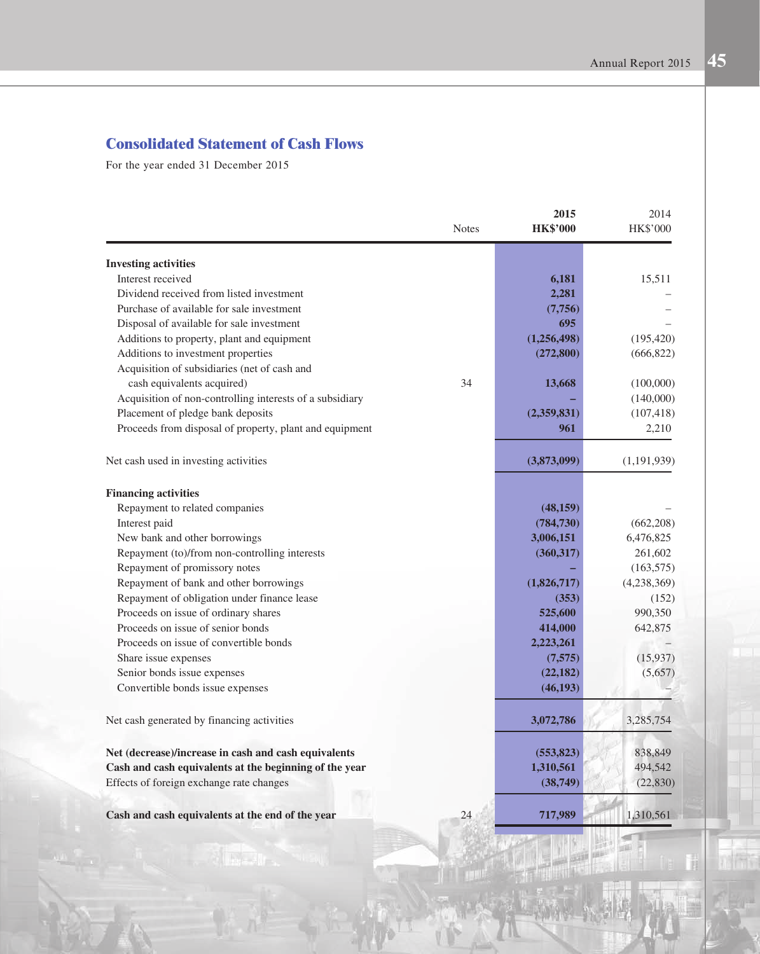## **Consolidated Statement of Cash Flows**

For the year ended 31 December 2015

|                                                          | <b>Notes</b> | 2015<br><b>HK\$'000</b> | 2014<br><b>HK\$'000</b> |
|----------------------------------------------------------|--------------|-------------------------|-------------------------|
| <b>Investing activities</b>                              |              |                         |                         |
| Interest received                                        |              | 6,181                   | 15,511                  |
| Dividend received from listed investment                 |              | 2,281                   |                         |
| Purchase of available for sale investment                |              | (7,756)                 |                         |
| Disposal of available for sale investment                |              | 695                     |                         |
| Additions to property, plant and equipment               |              | (1,256,498)             | (195, 420)              |
| Additions to investment properties                       |              | (272, 800)              | (666, 822)              |
| Acquisition of subsidiaries (net of cash and             |              |                         |                         |
| cash equivalents acquired)                               | 34           | 13,668                  | (100,000)               |
| Acquisition of non-controlling interests of a subsidiary |              |                         | (140,000)               |
| Placement of pledge bank deposits                        |              | (2,359,831)             | (107, 418)              |
| Proceeds from disposal of property, plant and equipment  |              | 961                     | 2,210                   |
| Net cash used in investing activities                    |              | (3,873,099)             | (1,191,939)             |
| <b>Financing activities</b>                              |              |                         |                         |
| Repayment to related companies                           |              | (48, 159)               |                         |
| Interest paid                                            |              | (784, 730)              | (662, 208)              |
| New bank and other borrowings                            |              | 3,006,151               | 6,476,825               |
| Repayment (to)/from non-controlling interests            |              | (360, 317)              | 261,602                 |
| Repayment of promissory notes                            |              |                         | (163, 575)              |
| Repayment of bank and other borrowings                   |              | (1,826,717)             | (4,238,369)             |
| Repayment of obligation under finance lease              |              | (353)                   | (152)                   |
| Proceeds on issue of ordinary shares                     |              | 525,600                 | 990,350                 |
| Proceeds on issue of senior bonds                        |              | 414,000                 | 642,875                 |
| Proceeds on issue of convertible bonds                   |              | 2,223,261               |                         |
| Share issue expenses                                     |              | (7,575)                 | (15, 937)               |
| Senior bonds issue expenses                              |              | (22, 182)               | (5,657)                 |
| Convertible bonds issue expenses                         |              | (46, 193)               |                         |
| Net cash generated by financing activities               |              | 3,072,786               | 3,285,754               |
| Net (decrease)/increase in cash and cash equivalents     |              | (553, 823)              | 838,849                 |
| Cash and cash equivalents at the beginning of the year   |              | 1,310,561               | 494,542                 |
| Effects of foreign exchange rate changes                 |              | (38, 749)               | (22, 830)               |
| Cash and cash equivalents at the end of the year         | 24           | 717,989                 | 1,310,561               |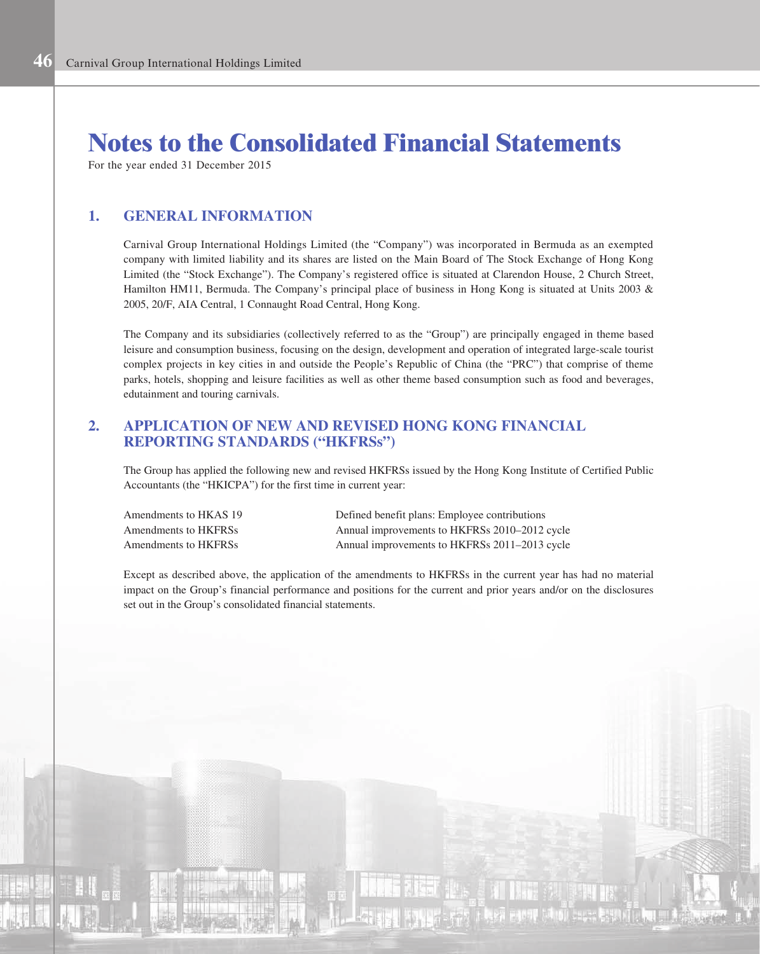For the year ended 31 December 2015

## **1. GENERAL INFORMATION**

Carnival Group International Holdings Limited (the "Company") was incorporated in Bermuda as an exempted company with limited liability and its shares are listed on the Main Board of The Stock Exchange of Hong Kong Limited (the "Stock Exchange"). The Company's registered office is situated at Clarendon House, 2 Church Street, Hamilton HM11, Bermuda. The Company's principal place of business in Hong Kong is situated at Units 2003 & 2005, 20/F, AIA Central, 1 Connaught Road Central, Hong Kong.

The Company and its subsidiaries (collectively referred to as the "Group") are principally engaged in theme based leisure and consumption business, focusing on the design, development and operation of integrated large-scale tourist complex projects in key cities in and outside the People's Republic of China (the "PRC") that comprise of theme parks, hotels, shopping and leisure facilities as well as other theme based consumption such as food and beverages, edutainment and touring carnivals.

## **2. APPLICATION OF NEW AND REVISED HONG KONG FINANCIAL REPORTING STANDARDS ("HKFRSs")**

The Group has applied the following new and revised HKFRSs issued by the Hong Kong Institute of Certified Public Accountants (the "HKICPA") for the first time in current year:

| Amendments to HKAS 19 | Defined benefit plans: Employee contributions |
|-----------------------|-----------------------------------------------|
| Amendments to HKFRSs  | Annual improvements to HKFRSs 2010–2012 cycle |
| Amendments to HKFRSs  | Annual improvements to HKFRSs 2011–2013 cycle |

Except as described above, the application of the amendments to HKFRSs in the current year has had no material impact on the Group's financial performance and positions for the current and prior years and/or on the disclosures set out in the Group's consolidated financial statements.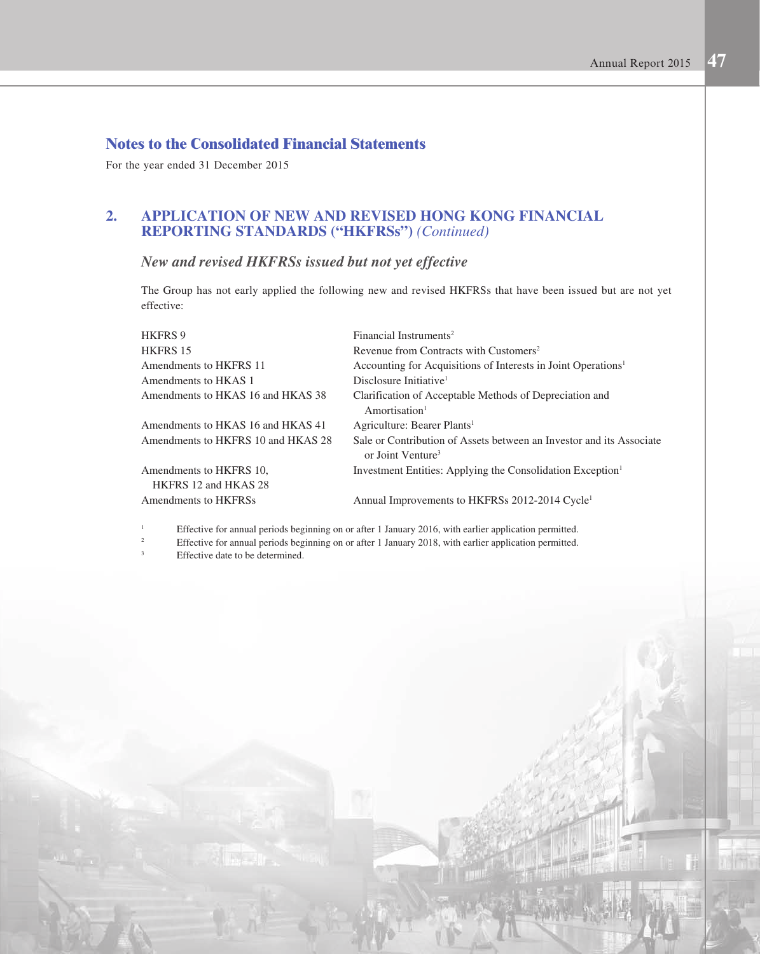For the year ended 31 December 2015

## **2. APPLICATION OF NEW AND REVISED HONG KONG FINANCIAL REPORTING STANDARDS ("HKFRSs")** *(Continued)*

*New and revised HKFRSs issued but not yet effective*

The Group has not early applied the following new and revised HKFRSs that have been issued but are not yet effective:

| <b>HKFRS 9</b>                                  | Financial Instruments <sup>2</sup>                                                                    |
|-------------------------------------------------|-------------------------------------------------------------------------------------------------------|
| <b>HKFRS 15</b>                                 | Revenue from Contracts with Customers <sup>2</sup>                                                    |
| Amendments to HKFRS 11                          | Accounting for Acquisitions of Interests in Joint Operations <sup>1</sup>                             |
| Amendments to HKAS 1                            | Disclosure Initiative <sup>1</sup>                                                                    |
| Amendments to HKAS 16 and HKAS 38               | Clarification of Acceptable Methods of Depreciation and<br>Amortisation <sup>1</sup>                  |
| Amendments to HKAS 16 and HKAS 41               | Agriculture: Bearer Plants <sup>1</sup>                                                               |
| Amendments to HKFRS 10 and HKAS 28              | Sale or Contribution of Assets between an Investor and its Associate<br>or Joint Venture <sup>3</sup> |
| Amendments to HKFRS 10,<br>HKFRS 12 and HKAS 28 | Investment Entities: Applying the Consolidation Exception <sup>1</sup>                                |
| Amendments to HKFRSs                            | Annual Improvements to HKFRSs 2012-2014 Cycle <sup>1</sup>                                            |
|                                                 |                                                                                                       |

<sup>1</sup> Effective for annual periods beginning on or after 1 January 2016, with earlier application permitted.

<sup>2</sup> Effective for annual periods beginning on or after 1 January 2018, with earlier application permitted.

Effective date to be determined.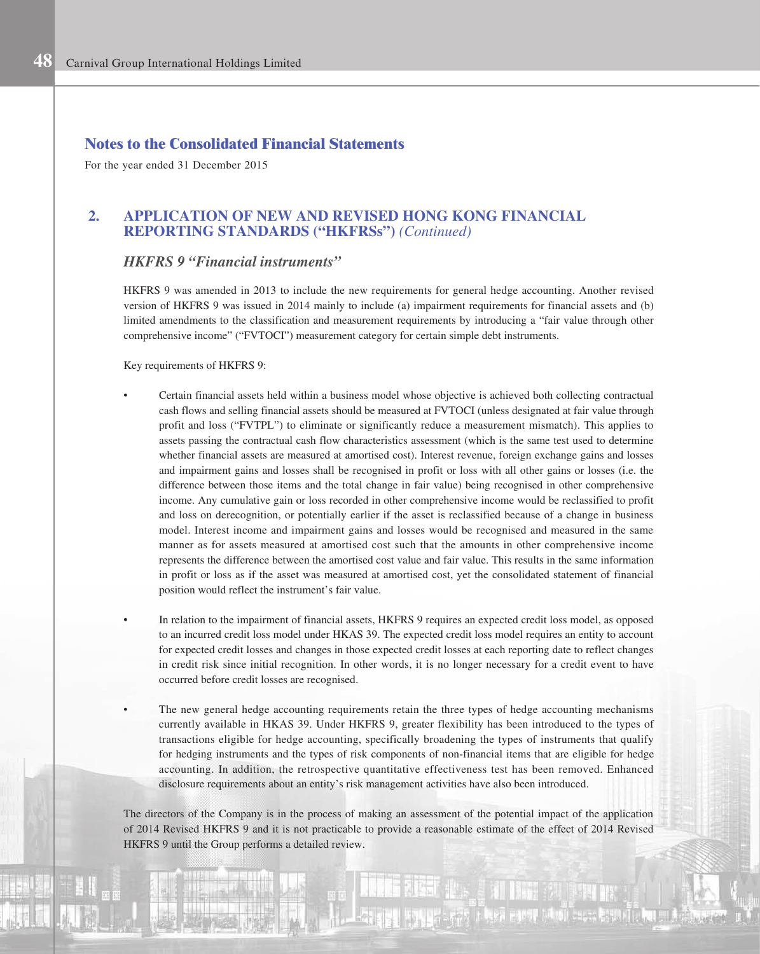For the year ended 31 December 2015

## **2. APPLICATION OF NEW AND REVISED HONG KONG FINANCIAL REPORTING STANDARDS ("HKFRSs")** *(Continued)*

#### *HKFRS 9 "Financial instruments"*

HKFRS 9 was amended in 2013 to include the new requirements for general hedge accounting. Another revised version of HKFRS 9 was issued in 2014 mainly to include (a) impairment requirements for financial assets and (b) limited amendments to the classification and measurement requirements by introducing a "fair value through other comprehensive income" ("FVTOCI") measurement category for certain simple debt instruments.

Key requirements of HKFRS 9:

- Certain financial assets held within a business model whose objective is achieved both collecting contractual cash flows and selling financial assets should be measured at FVTOCI (unless designated at fair value through profit and loss ("FVTPL") to eliminate or significantly reduce a measurement mismatch). This applies to assets passing the contractual cash flow characteristics assessment (which is the same test used to determine whether financial assets are measured at amortised cost). Interest revenue, foreign exchange gains and losses and impairment gains and losses shall be recognised in profit or loss with all other gains or losses (i.e. the difference between those items and the total change in fair value) being recognised in other comprehensive income. Any cumulative gain or loss recorded in other comprehensive income would be reclassified to profit and loss on derecognition, or potentially earlier if the asset is reclassified because of a change in business model. Interest income and impairment gains and losses would be recognised and measured in the same manner as for assets measured at amortised cost such that the amounts in other comprehensive income represents the difference between the amortised cost value and fair value. This results in the same information in profit or loss as if the asset was measured at amortised cost, yet the consolidated statement of financial position would reflect the instrument's fair value.
- In relation to the impairment of financial assets, HKFRS 9 requires an expected credit loss model, as opposed to an incurred credit loss model under HKAS 39. The expected credit loss model requires an entity to account for expected credit losses and changes in those expected credit losses at each reporting date to reflect changes in credit risk since initial recognition. In other words, it is no longer necessary for a credit event to have occurred before credit losses are recognised.
- The new general hedge accounting requirements retain the three types of hedge accounting mechanisms currently available in HKAS 39. Under HKFRS 9, greater flexibility has been introduced to the types of transactions eligible for hedge accounting, specifically broadening the types of instruments that qualify for hedging instruments and the types of risk components of non-financial items that are eligible for hedge accounting. In addition, the retrospective quantitative effectiveness test has been removed. Enhanced disclosure requirements about an entity's risk management activities have also been introduced.

The directors of the Company is in the process of making an assessment of the potential impact of the application of 2014 Revised HKFRS 9 and it is not practicable to provide a reasonable estimate of the effect of 2014 Revised HKFRS 9 until the Group performs a detailed review.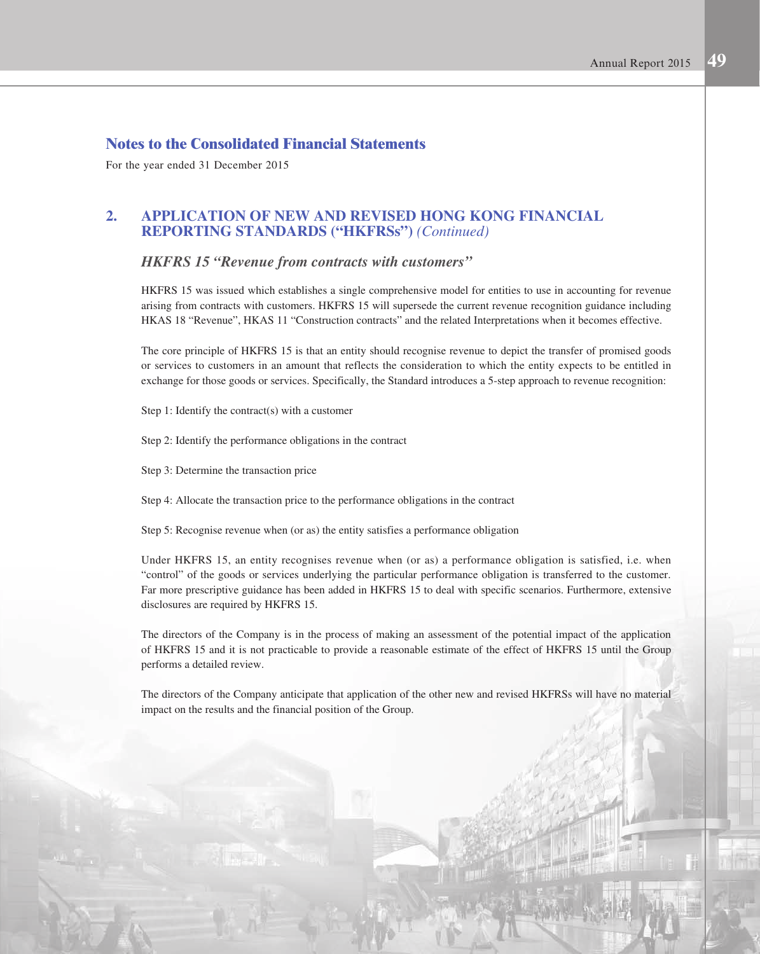For the year ended 31 December 2015

## **2. APPLICATION OF NEW AND REVISED HONG KONG FINANCIAL REPORTING STANDARDS ("HKFRSs")** *(Continued)*

*HKFRS 15 "Revenue from contracts with customers"*

HKFRS 15 was issued which establishes a single comprehensive model for entities to use in accounting for revenue arising from contracts with customers. HKFRS 15 will supersede the current revenue recognition guidance including HKAS 18 "Revenue", HKAS 11 "Construction contracts" and the related Interpretations when it becomes effective.

The core principle of HKFRS 15 is that an entity should recognise revenue to depict the transfer of promised goods or services to customers in an amount that reflects the consideration to which the entity expects to be entitled in exchange for those goods or services. Specifically, the Standard introduces a 5-step approach to revenue recognition:

Step 1: Identify the contract(s) with a customer

Step 2: Identify the performance obligations in the contract

Step 3: Determine the transaction price

Step 4: Allocate the transaction price to the performance obligations in the contract

Step 5: Recognise revenue when (or as) the entity satisfies a performance obligation

Under HKFRS 15, an entity recognises revenue when (or as) a performance obligation is satisfied, i.e. when "control" of the goods or services underlying the particular performance obligation is transferred to the customer. Far more prescriptive guidance has been added in HKFRS 15 to deal with specific scenarios. Furthermore, extensive disclosures are required by HKFRS 15.

The directors of the Company is in the process of making an assessment of the potential impact of the application of HKFRS 15 and it is not practicable to provide a reasonable estimate of the effect of HKFRS 15 until the Group performs a detailed review.

The directors of the Company anticipate that application of the other new and revised HKFRSs will have no material impact on the results and the financial position of the Group.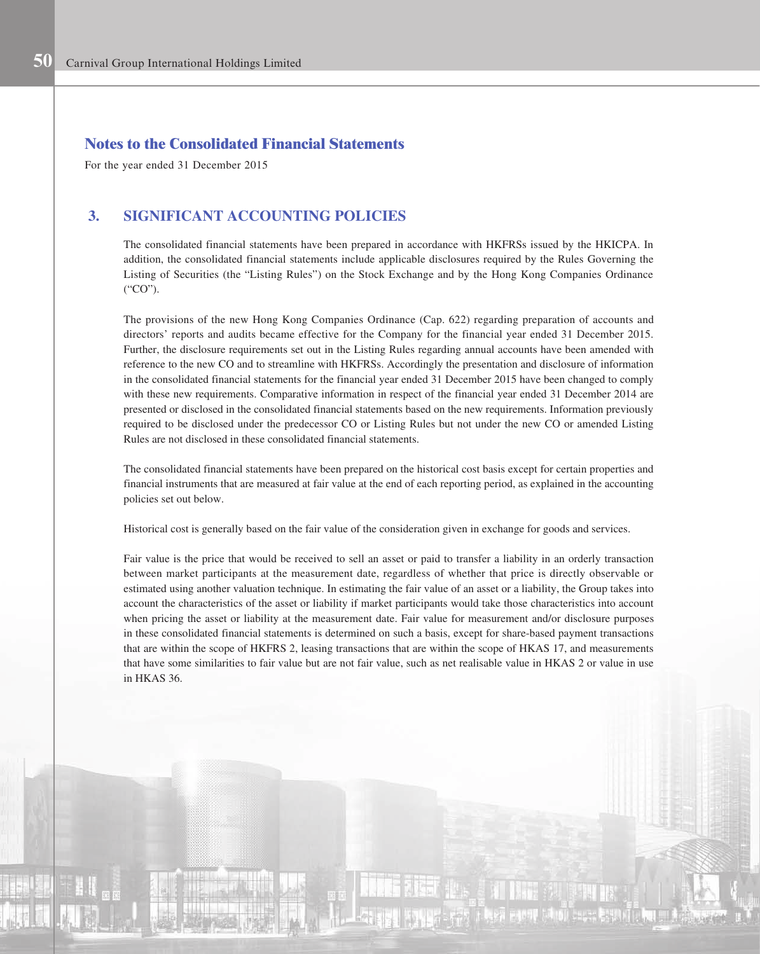For the year ended 31 December 2015

## **3. SIGNIFICANT ACCOUNTING POLICIES**

The consolidated financial statements have been prepared in accordance with HKFRSs issued by the HKICPA. In addition, the consolidated financial statements include applicable disclosures required by the Rules Governing the Listing of Securities (the "Listing Rules") on the Stock Exchange and by the Hong Kong Companies Ordinance ("CO").

The provisions of the new Hong Kong Companies Ordinance (Cap. 622) regarding preparation of accounts and directors' reports and audits became effective for the Company for the financial year ended 31 December 2015. Further, the disclosure requirements set out in the Listing Rules regarding annual accounts have been amended with reference to the new CO and to streamline with HKFRSs. Accordingly the presentation and disclosure of information in the consolidated financial statements for the financial year ended 31 December 2015 have been changed to comply with these new requirements. Comparative information in respect of the financial year ended 31 December 2014 are presented or disclosed in the consolidated financial statements based on the new requirements. Information previously required to be disclosed under the predecessor CO or Listing Rules but not under the new CO or amended Listing Rules are not disclosed in these consolidated financial statements.

The consolidated financial statements have been prepared on the historical cost basis except for certain properties and financial instruments that are measured at fair value at the end of each reporting period, as explained in the accounting policies set out below.

Historical cost is generally based on the fair value of the consideration given in exchange for goods and services.

Fair value is the price that would be received to sell an asset or paid to transfer a liability in an orderly transaction between market participants at the measurement date, regardless of whether that price is directly observable or estimated using another valuation technique. In estimating the fair value of an asset or a liability, the Group takes into account the characteristics of the asset or liability if market participants would take those characteristics into account when pricing the asset or liability at the measurement date. Fair value for measurement and/or disclosure purposes in these consolidated financial statements is determined on such a basis, except for share-based payment transactions that are within the scope of HKFRS 2, leasing transactions that are within the scope of HKAS 17, and measurements that have some similarities to fair value but are not fair value, such as net realisable value in HKAS 2 or value in use in HKAS 36.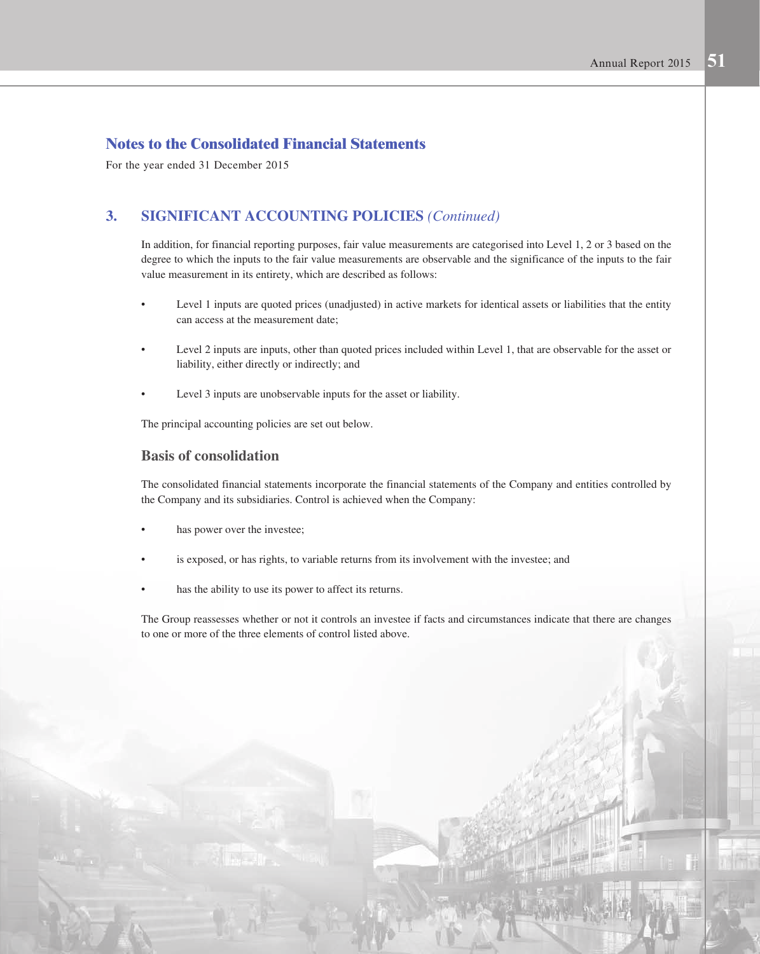For the year ended 31 December 2015

## **3. SIGNIFICANT ACCOUNTING POLICIES** *(Continued)*

In addition, for financial reporting purposes, fair value measurements are categorised into Level 1, 2 or 3 based on the degree to which the inputs to the fair value measurements are observable and the significance of the inputs to the fair value measurement in its entirety, which are described as follows:

- Level 1 inputs are quoted prices (unadjusted) in active markets for identical assets or liabilities that the entity can access at the measurement date;
- Level 2 inputs are inputs, other than quoted prices included within Level 1, that are observable for the asset or liability, either directly or indirectly; and
- Level 3 inputs are unobservable inputs for the asset or liability.

The principal accounting policies are set out below.

#### **Basis of consolidation**

The consolidated financial statements incorporate the financial statements of the Company and entities controlled by the Company and its subsidiaries. Control is achieved when the Company:

- has power over the investee;
- is exposed, or has rights, to variable returns from its involvement with the investee; and
- has the ability to use its power to affect its returns.

The Group reassesses whether or not it controls an investee if facts and circumstances indicate that there are changes to one or more of the three elements of control listed above.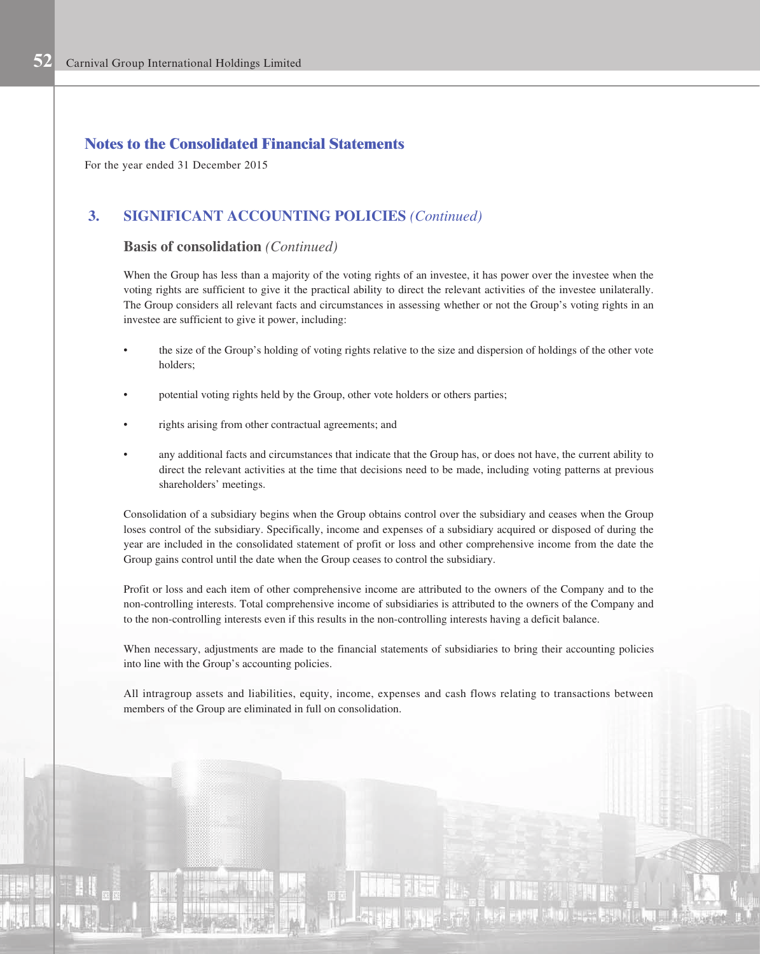For the year ended 31 December 2015

## **3. SIGNIFICANT ACCOUNTING POLICIES** *(Continued)*

#### **Basis of consolidation** *(Continued)*

When the Group has less than a majority of the voting rights of an investee, it has power over the investee when the voting rights are sufficient to give it the practical ability to direct the relevant activities of the investee unilaterally. The Group considers all relevant facts and circumstances in assessing whether or not the Group's voting rights in an investee are sufficient to give it power, including:

- the size of the Group's holding of voting rights relative to the size and dispersion of holdings of the other vote holders;
- potential voting rights held by the Group, other vote holders or others parties;
- rights arising from other contractual agreements; and
- any additional facts and circumstances that indicate that the Group has, or does not have, the current ability to direct the relevant activities at the time that decisions need to be made, including voting patterns at previous shareholders' meetings.

Consolidation of a subsidiary begins when the Group obtains control over the subsidiary and ceases when the Group loses control of the subsidiary. Specifically, income and expenses of a subsidiary acquired or disposed of during the year are included in the consolidated statement of profit or loss and other comprehensive income from the date the Group gains control until the date when the Group ceases to control the subsidiary.

Profit or loss and each item of other comprehensive income are attributed to the owners of the Company and to the non-controlling interests. Total comprehensive income of subsidiaries is attributed to the owners of the Company and to the non-controlling interests even if this results in the non-controlling interests having a deficit balance.

When necessary, adjustments are made to the financial statements of subsidiaries to bring their accounting policies into line with the Group's accounting policies.

All intragroup assets and liabilities, equity, income, expenses and cash flows relating to transactions between members of the Group are eliminated in full on consolidation.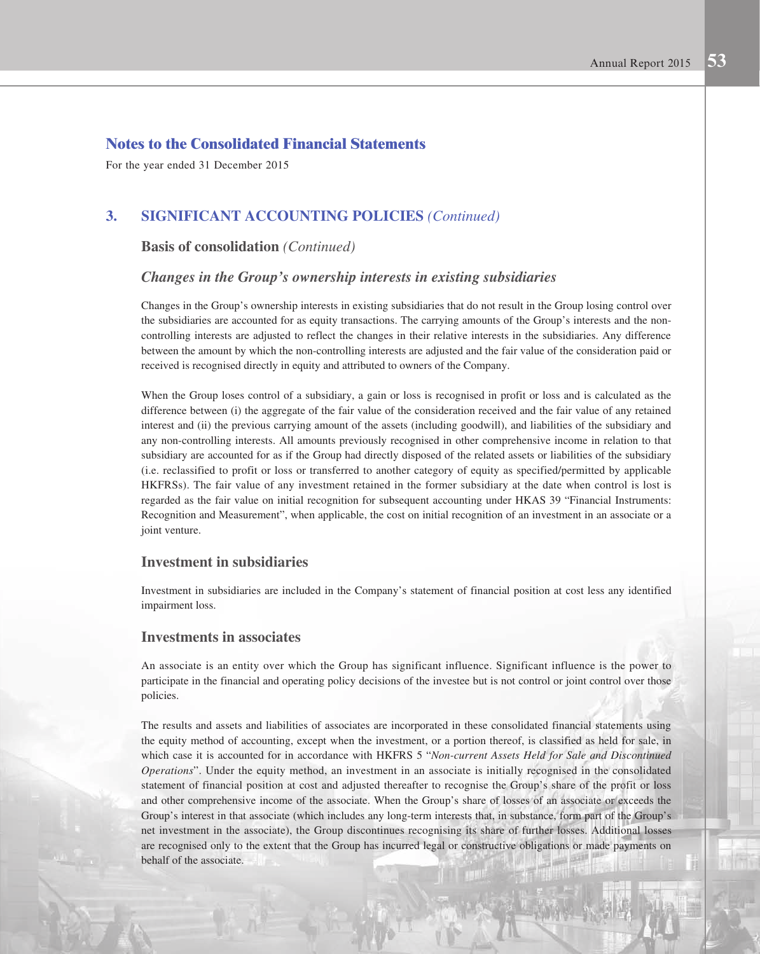For the year ended 31 December 2015

## **3. SIGNIFICANT ACCOUNTING POLICIES** *(Continued)*

#### **Basis of consolidation** *(Continued)*

#### *Changes in the Group's ownership interests in existing subsidiaries*

Changes in the Group's ownership interests in existing subsidiaries that do not result in the Group losing control over the subsidiaries are accounted for as equity transactions. The carrying amounts of the Group's interests and the noncontrolling interests are adjusted to reflect the changes in their relative interests in the subsidiaries. Any difference between the amount by which the non-controlling interests are adjusted and the fair value of the consideration paid or received is recognised directly in equity and attributed to owners of the Company.

When the Group loses control of a subsidiary, a gain or loss is recognised in profit or loss and is calculated as the difference between (i) the aggregate of the fair value of the consideration received and the fair value of any retained interest and (ii) the previous carrying amount of the assets (including goodwill), and liabilities of the subsidiary and any non-controlling interests. All amounts previously recognised in other comprehensive income in relation to that subsidiary are accounted for as if the Group had directly disposed of the related assets or liabilities of the subsidiary (i.e. reclassified to profit or loss or transferred to another category of equity as specified/permitted by applicable HKFRSs). The fair value of any investment retained in the former subsidiary at the date when control is lost is regarded as the fair value on initial recognition for subsequent accounting under HKAS 39 "Financial Instruments: Recognition and Measurement", when applicable, the cost on initial recognition of an investment in an associate or a joint venture.

#### **Investment in subsidiaries**

Investment in subsidiaries are included in the Company's statement of financial position at cost less any identified impairment loss.

#### **Investments in associates**

An associate is an entity over which the Group has significant influence. Significant influence is the power to participate in the financial and operating policy decisions of the investee but is not control or joint control over those policies.

The results and assets and liabilities of associates are incorporated in these consolidated financial statements using the equity method of accounting, except when the investment, or a portion thereof, is classified as held for sale, in which case it is accounted for in accordance with HKFRS 5 "*Non-current Assets Held for Sale and Discontinued Operations*". Under the equity method, an investment in an associate is initially recognised in the consolidated statement of financial position at cost and adjusted thereafter to recognise the Group's share of the profit or loss and other comprehensive income of the associate. When the Group's share of losses of an associate or exceeds the Group's interest in that associate (which includes any long-term interests that, in substance, form part of the Group's net investment in the associate), the Group discontinues recognising its share of further losses. Additional losses are recognised only to the extent that the Group has incurred legal or constructive obligations or made payments on behalf of the associate.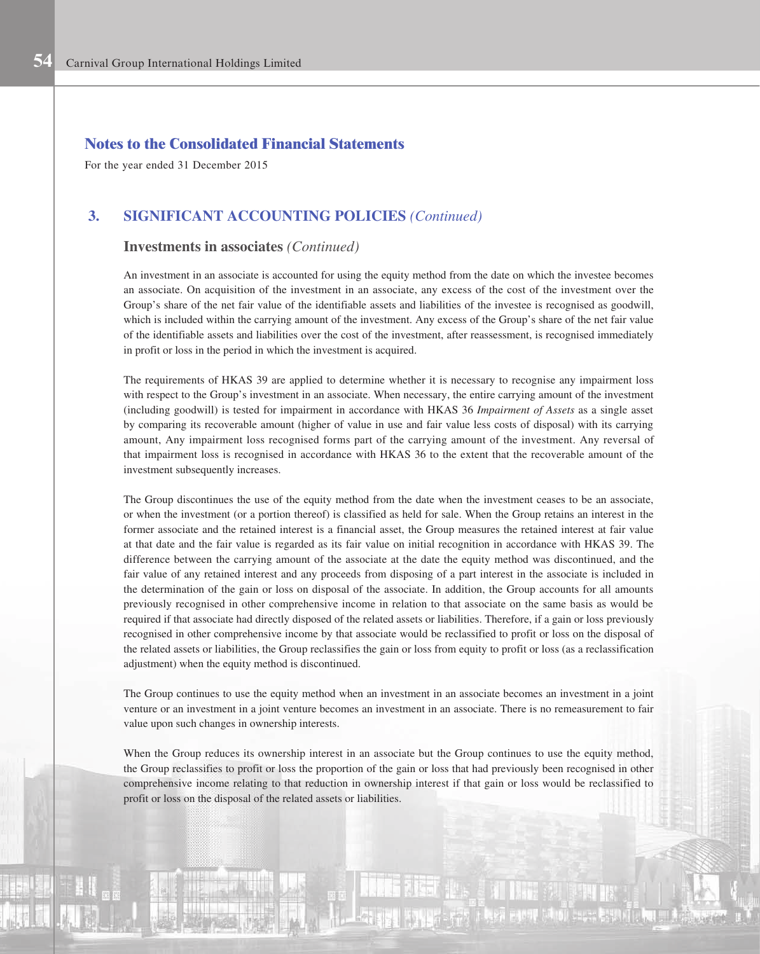For the year ended 31 December 2015

## **3. SIGNIFICANT ACCOUNTING POLICIES** *(Continued)*

#### **Investments in associates** *(Continued)*

An investment in an associate is accounted for using the equity method from the date on which the investee becomes an associate. On acquisition of the investment in an associate, any excess of the cost of the investment over the Group's share of the net fair value of the identifiable assets and liabilities of the investee is recognised as goodwill, which is included within the carrying amount of the investment. Any excess of the Group's share of the net fair value of the identifiable assets and liabilities over the cost of the investment, after reassessment, is recognised immediately in profit or loss in the period in which the investment is acquired.

The requirements of HKAS 39 are applied to determine whether it is necessary to recognise any impairment loss with respect to the Group's investment in an associate. When necessary, the entire carrying amount of the investment (including goodwill) is tested for impairment in accordance with HKAS 36 *Impairment of Assets* as a single asset by comparing its recoverable amount (higher of value in use and fair value less costs of disposal) with its carrying amount, Any impairment loss recognised forms part of the carrying amount of the investment. Any reversal of that impairment loss is recognised in accordance with HKAS 36 to the extent that the recoverable amount of the investment subsequently increases.

The Group discontinues the use of the equity method from the date when the investment ceases to be an associate, or when the investment (or a portion thereof) is classified as held for sale. When the Group retains an interest in the former associate and the retained interest is a financial asset, the Group measures the retained interest at fair value at that date and the fair value is regarded as its fair value on initial recognition in accordance with HKAS 39. The difference between the carrying amount of the associate at the date the equity method was discontinued, and the fair value of any retained interest and any proceeds from disposing of a part interest in the associate is included in the determination of the gain or loss on disposal of the associate. In addition, the Group accounts for all amounts previously recognised in other comprehensive income in relation to that associate on the same basis as would be required if that associate had directly disposed of the related assets or liabilities. Therefore, if a gain or loss previously recognised in other comprehensive income by that associate would be reclassified to profit or loss on the disposal of the related assets or liabilities, the Group reclassifies the gain or loss from equity to profit or loss (as a reclassification adjustment) when the equity method is discontinued.

The Group continues to use the equity method when an investment in an associate becomes an investment in a joint venture or an investment in a joint venture becomes an investment in an associate. There is no remeasurement to fair value upon such changes in ownership interests.

When the Group reduces its ownership interest in an associate but the Group continues to use the equity method, the Group reclassifies to profit or loss the proportion of the gain or loss that had previously been recognised in other comprehensive income relating to that reduction in ownership interest if that gain or loss would be reclassified to profit or loss on the disposal of the related assets or liabilities.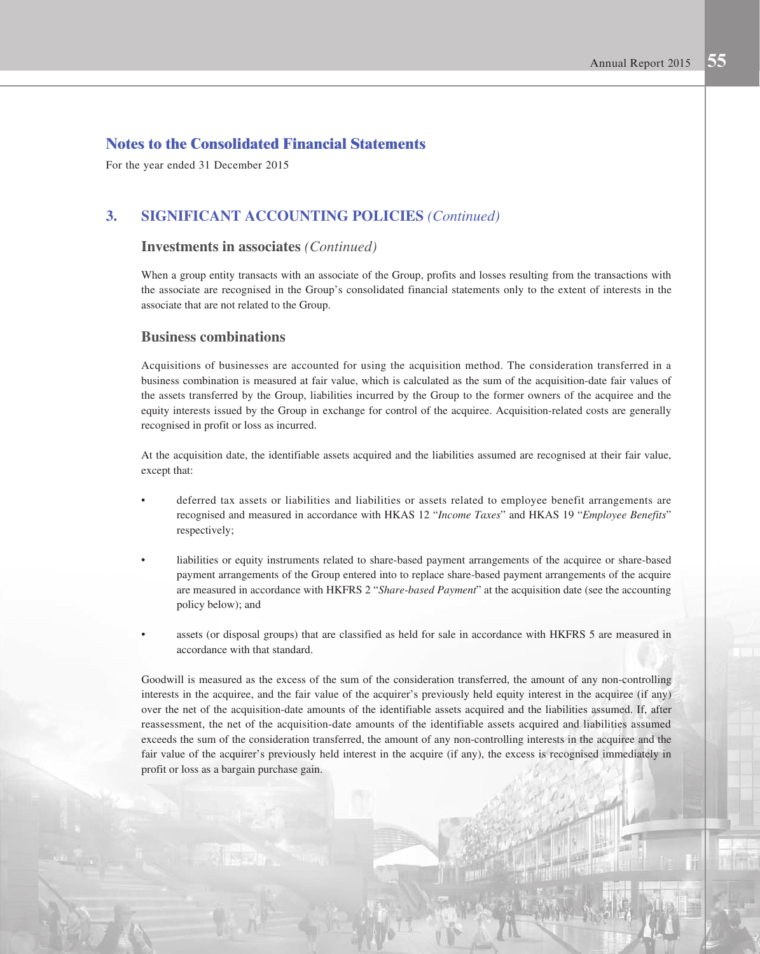For the year ended 31 December 2015

## **3. SIGNIFICANT ACCOUNTING POLICIES** *(Continued)*

#### **Investments in associates** *(Continued)*

When a group entity transacts with an associate of the Group, profits and losses resulting from the transactions with the associate are recognised in the Group's consolidated financial statements only to the extent of interests in the associate that are not related to the Group.

#### **Business combinations**

Acquisitions of businesses are accounted for using the acquisition method. The consideration transferred in a business combination is measured at fair value, which is calculated as the sum of the acquisition-date fair values of the assets transferred by the Group, liabilities incurred by the Group to the former owners of the acquiree and the equity interests issued by the Group in exchange for control of the acquiree. Acquisition-related costs are generally recognised in profit or loss as incurred.

At the acquisition date, the identifiable assets acquired and the liabilities assumed are recognised at their fair value, except that:

- deferred tax assets or liabilities and liabilities or assets related to employee benefit arrangements are recognised and measured in accordance with HKAS 12 "*Income Taxes*" and HKAS 19 "*Employee Benefits*" respectively;
- liabilities or equity instruments related to share-based payment arrangements of the acquiree or share-based payment arrangements of the Group entered into to replace share-based payment arrangements of the acquire are measured in accordance with HKFRS 2 "*Share-based Payment*" at the acquisition date (see the accounting policy below); and
- assets (or disposal groups) that are classified as held for sale in accordance with HKFRS 5 are measured in accordance with that standard.

Goodwill is measured as the excess of the sum of the consideration transferred, the amount of any non-controlling interests in the acquiree, and the fair value of the acquirer's previously held equity interest in the acquiree (if any) over the net of the acquisition-date amounts of the identifiable assets acquired and the liabilities assumed. If, after reassessment, the net of the acquisition-date amounts of the identifiable assets acquired and liabilities assumed exceeds the sum of the consideration transferred, the amount of any non-controlling interests in the acquiree and the fair value of the acquirer's previously held interest in the acquire (if any), the excess is recognised immediately in profit or loss as a bargain purchase gain.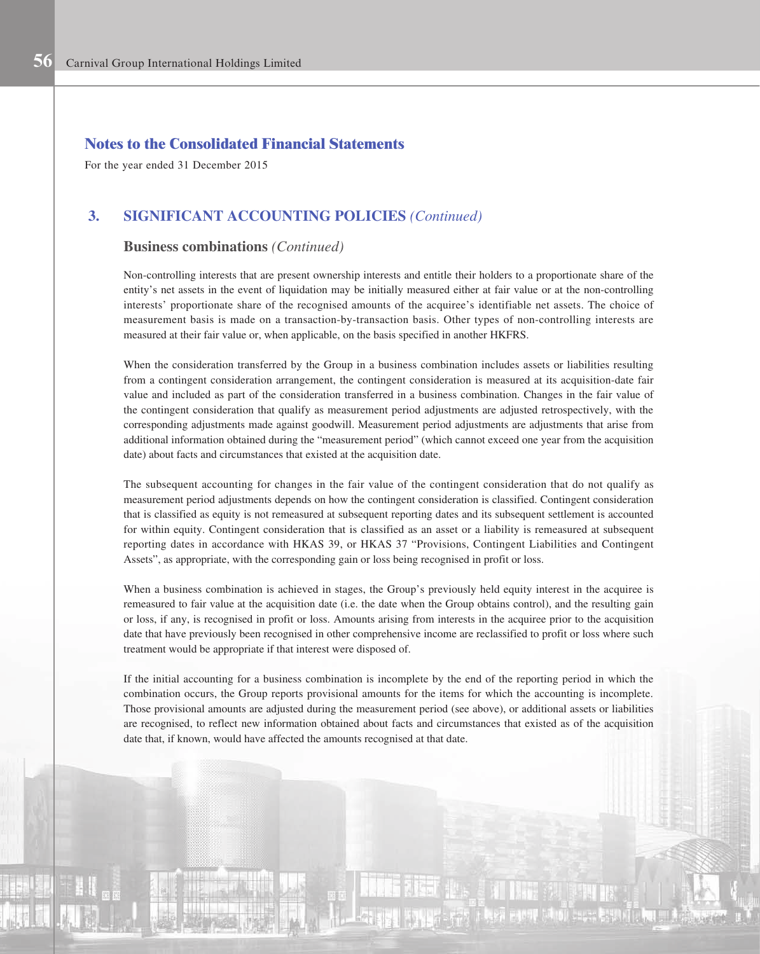For the year ended 31 December 2015

## **3. SIGNIFICANT ACCOUNTING POLICIES** *(Continued)*

#### **Business combinations** *(Continued)*

Non-controlling interests that are present ownership interests and entitle their holders to a proportionate share of the entity's net assets in the event of liquidation may be initially measured either at fair value or at the non-controlling interests' proportionate share of the recognised amounts of the acquiree's identifiable net assets. The choice of measurement basis is made on a transaction-by-transaction basis. Other types of non-controlling interests are measured at their fair value or, when applicable, on the basis specified in another HKFRS.

When the consideration transferred by the Group in a business combination includes assets or liabilities resulting from a contingent consideration arrangement, the contingent consideration is measured at its acquisition-date fair value and included as part of the consideration transferred in a business combination. Changes in the fair value of the contingent consideration that qualify as measurement period adjustments are adjusted retrospectively, with the corresponding adjustments made against goodwill. Measurement period adjustments are adjustments that arise from additional information obtained during the "measurement period" (which cannot exceed one year from the acquisition date) about facts and circumstances that existed at the acquisition date.

The subsequent accounting for changes in the fair value of the contingent consideration that do not qualify as measurement period adjustments depends on how the contingent consideration is classified. Contingent consideration that is classified as equity is not remeasured at subsequent reporting dates and its subsequent settlement is accounted for within equity. Contingent consideration that is classified as an asset or a liability is remeasured at subsequent reporting dates in accordance with HKAS 39, or HKAS 37 "Provisions, Contingent Liabilities and Contingent Assets", as appropriate, with the corresponding gain or loss being recognised in profit or loss.

When a business combination is achieved in stages, the Group's previously held equity interest in the acquiree is remeasured to fair value at the acquisition date (i.e. the date when the Group obtains control), and the resulting gain or loss, if any, is recognised in profit or loss. Amounts arising from interests in the acquiree prior to the acquisition date that have previously been recognised in other comprehensive income are reclassified to profit or loss where such treatment would be appropriate if that interest were disposed of.

If the initial accounting for a business combination is incomplete by the end of the reporting period in which the combination occurs, the Group reports provisional amounts for the items for which the accounting is incomplete. Those provisional amounts are adjusted during the measurement period (see above), or additional assets or liabilities are recognised, to reflect new information obtained about facts and circumstances that existed as of the acquisition date that, if known, would have affected the amounts recognised at that date.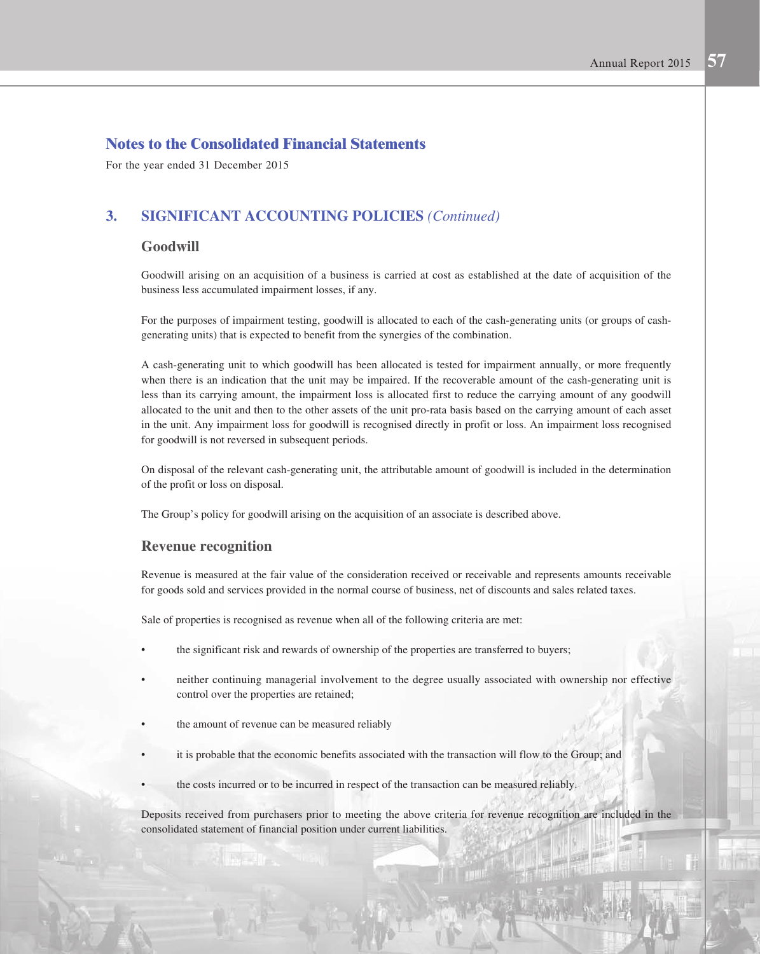For the year ended 31 December 2015

## **3. SIGNIFICANT ACCOUNTING POLICIES** *(Continued)*

#### **Goodwill**

Goodwill arising on an acquisition of a business is carried at cost as established at the date of acquisition of the business less accumulated impairment losses, if any.

For the purposes of impairment testing, goodwill is allocated to each of the cash-generating units (or groups of cashgenerating units) that is expected to benefit from the synergies of the combination.

A cash-generating unit to which goodwill has been allocated is tested for impairment annually, or more frequently when there is an indication that the unit may be impaired. If the recoverable amount of the cash-generating unit is less than its carrying amount, the impairment loss is allocated first to reduce the carrying amount of any goodwill allocated to the unit and then to the other assets of the unit pro-rata basis based on the carrying amount of each asset in the unit. Any impairment loss for goodwill is recognised directly in profit or loss. An impairment loss recognised for goodwill is not reversed in subsequent periods.

On disposal of the relevant cash-generating unit, the attributable amount of goodwill is included in the determination of the profit or loss on disposal.

The Group's policy for goodwill arising on the acquisition of an associate is described above.

#### **Revenue recognition**

Revenue is measured at the fair value of the consideration received or receivable and represents amounts receivable for goods sold and services provided in the normal course of business, net of discounts and sales related taxes.

Sale of properties is recognised as revenue when all of the following criteria are met:

- the significant risk and rewards of ownership of the properties are transferred to buyers;
- neither continuing managerial involvement to the degree usually associated with ownership nor effective control over the properties are retained;
- the amount of revenue can be measured reliably
- it is probable that the economic benefits associated with the transaction will flow to the Group; and
- the costs incurred or to be incurred in respect of the transaction can be measured reliably.

Deposits received from purchasers prior to meeting the above criteria for revenue recognition are included in the consolidated statement of financial position under current liabilities.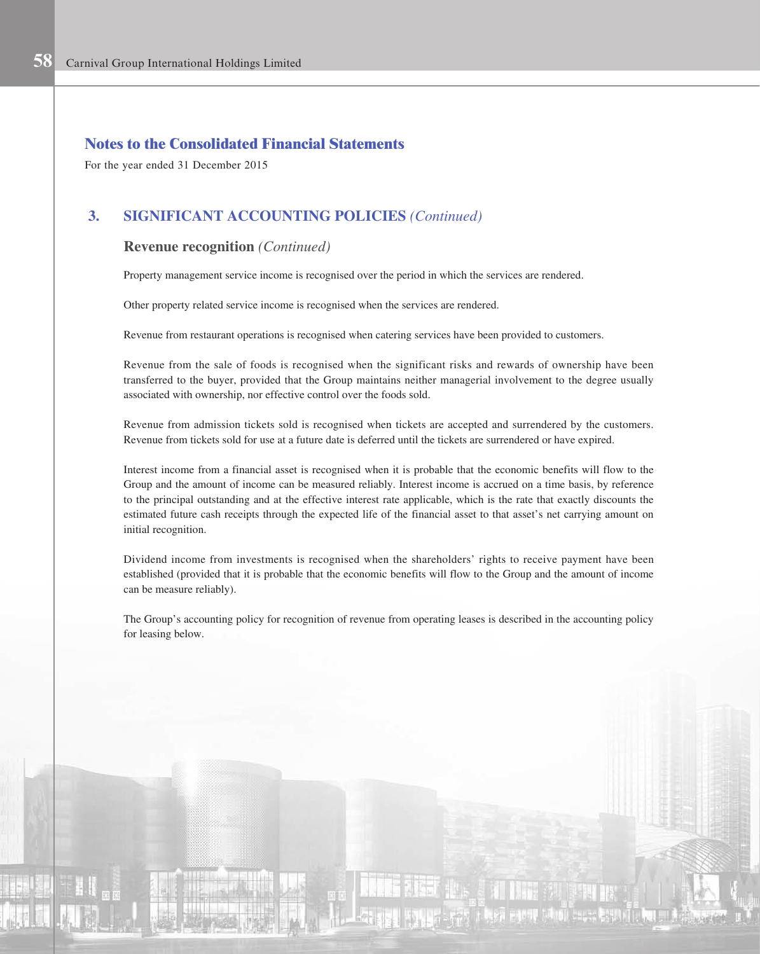For the year ended 31 December 2015

## **3. SIGNIFICANT ACCOUNTING POLICIES** *(Continued)*

#### **Revenue recognition** *(Continued)*

Property management service income is recognised over the period in which the services are rendered.

Other property related service income is recognised when the services are rendered.

Revenue from restaurant operations is recognised when catering services have been provided to customers.

Revenue from the sale of foods is recognised when the significant risks and rewards of ownership have been transferred to the buyer, provided that the Group maintains neither managerial involvement to the degree usually associated with ownership, nor effective control over the foods sold.

Revenue from admission tickets sold is recognised when tickets are accepted and surrendered by the customers. Revenue from tickets sold for use at a future date is deferred until the tickets are surrendered or have expired.

Interest income from a financial asset is recognised when it is probable that the economic benefits will flow to the Group and the amount of income can be measured reliably. Interest income is accrued on a time basis, by reference to the principal outstanding and at the effective interest rate applicable, which is the rate that exactly discounts the estimated future cash receipts through the expected life of the financial asset to that asset's net carrying amount on initial recognition.

Dividend income from investments is recognised when the shareholders' rights to receive payment have been established (provided that it is probable that the economic benefits will flow to the Group and the amount of income can be measure reliably).

The Group's accounting policy for recognition of revenue from operating leases is described in the accounting policy for leasing below.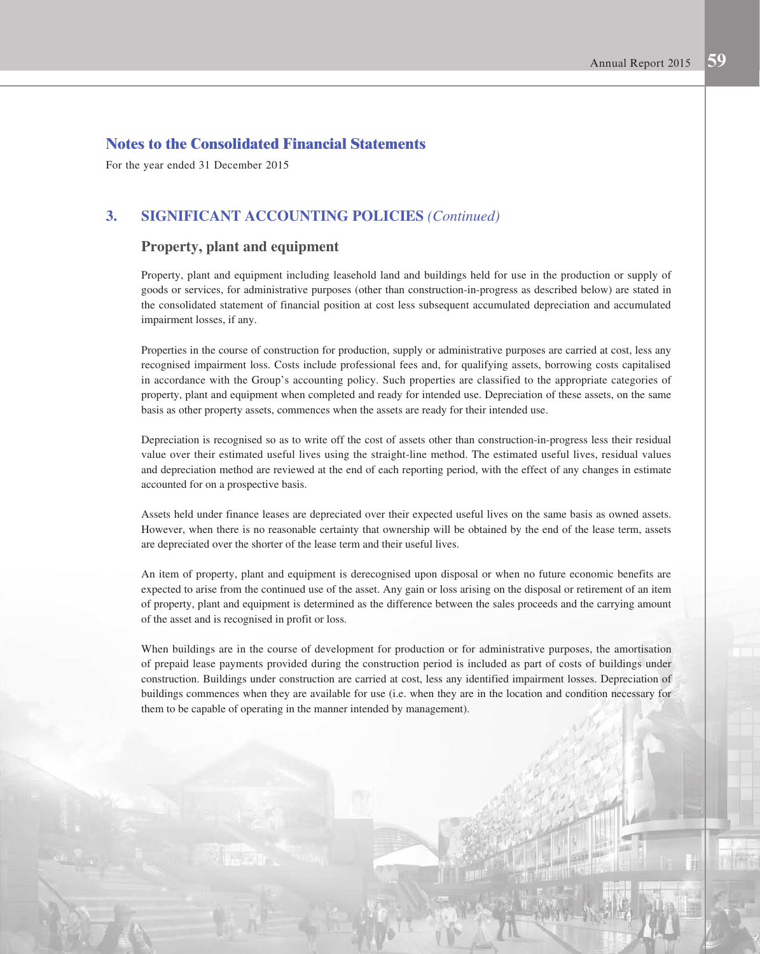For the year ended 31 December 2015

## **3. SIGNIFICANT ACCOUNTING POLICIES** *(Continued)*

#### **Property, plant and equipment**

Property, plant and equipment including leasehold land and buildings held for use in the production or supply of goods or services, for administrative purposes (other than construction-in-progress as described below) are stated in the consolidated statement of financial position at cost less subsequent accumulated depreciation and accumulated impairment losses, if any.

Properties in the course of construction for production, supply or administrative purposes are carried at cost, less any recognised impairment loss. Costs include professional fees and, for qualifying assets, borrowing costs capitalised in accordance with the Group's accounting policy. Such properties are classified to the appropriate categories of property, plant and equipment when completed and ready for intended use. Depreciation of these assets, on the same basis as other property assets, commences when the assets are ready for their intended use.

Depreciation is recognised so as to write off the cost of assets other than construction-in-progress less their residual value over their estimated useful lives using the straight-line method. The estimated useful lives, residual values and depreciation method are reviewed at the end of each reporting period, with the effect of any changes in estimate accounted for on a prospective basis.

Assets held under finance leases are depreciated over their expected useful lives on the same basis as owned assets. However, when there is no reasonable certainty that ownership will be obtained by the end of the lease term, assets are depreciated over the shorter of the lease term and their useful lives.

An item of property, plant and equipment is derecognised upon disposal or when no future economic benefits are expected to arise from the continued use of the asset. Any gain or loss arising on the disposal or retirement of an item of property, plant and equipment is determined as the difference between the sales proceeds and the carrying amount of the asset and is recognised in profit or loss.

When buildings are in the course of development for production or for administrative purposes, the amortisation of prepaid lease payments provided during the construction period is included as part of costs of buildings under construction. Buildings under construction are carried at cost, less any identified impairment losses. Depreciation of buildings commences when they are available for use (i.e. when they are in the location and condition necessary for them to be capable of operating in the manner intended by management).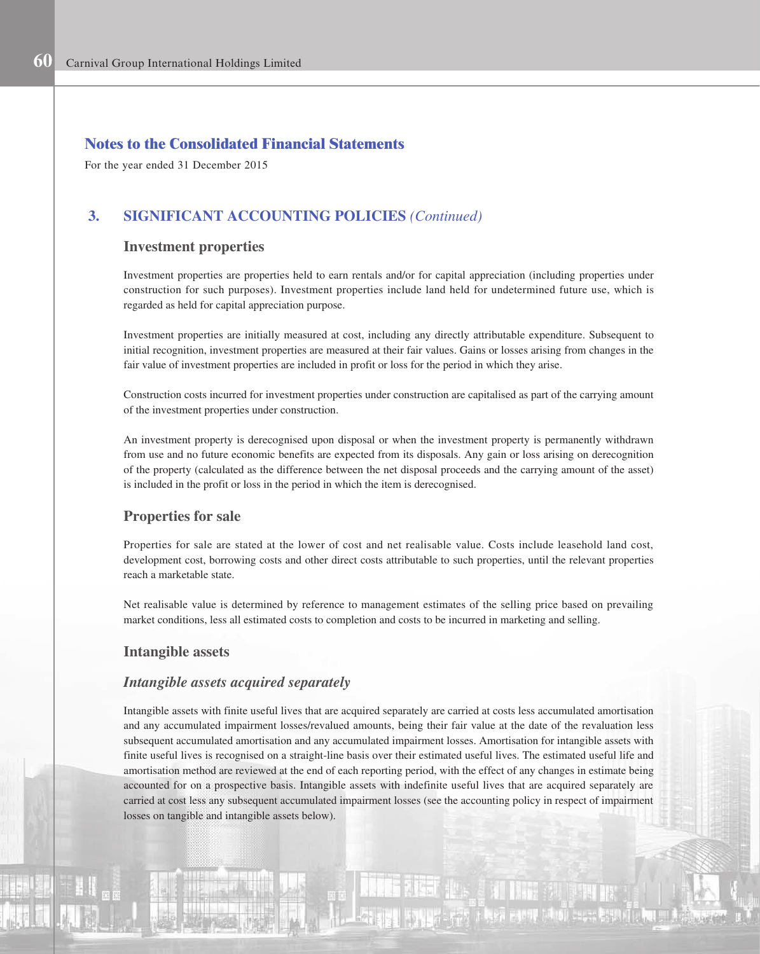For the year ended 31 December 2015

## **3. SIGNIFICANT ACCOUNTING POLICIES** *(Continued)*

#### **Investment properties**

Investment properties are properties held to earn rentals and/or for capital appreciation (including properties under construction for such purposes). Investment properties include land held for undetermined future use, which is regarded as held for capital appreciation purpose.

Investment properties are initially measured at cost, including any directly attributable expenditure. Subsequent to initial recognition, investment properties are measured at their fair values. Gains or losses arising from changes in the fair value of investment properties are included in profit or loss for the period in which they arise.

Construction costs incurred for investment properties under construction are capitalised as part of the carrying amount of the investment properties under construction.

An investment property is derecognised upon disposal or when the investment property is permanently withdrawn from use and no future economic benefits are expected from its disposals. Any gain or loss arising on derecognition of the property (calculated as the difference between the net disposal proceeds and the carrying amount of the asset) is included in the profit or loss in the period in which the item is derecognised.

#### **Properties for sale**

Properties for sale are stated at the lower of cost and net realisable value. Costs include leasehold land cost, development cost, borrowing costs and other direct costs attributable to such properties, until the relevant properties reach a marketable state.

Net realisable value is determined by reference to management estimates of the selling price based on prevailing market conditions, less all estimated costs to completion and costs to be incurred in marketing and selling.

#### **Intangible assets**

#### *Intangible assets acquired separately*

Intangible assets with finite useful lives that are acquired separately are carried at costs less accumulated amortisation and any accumulated impairment losses/revalued amounts, being their fair value at the date of the revaluation less subsequent accumulated amortisation and any accumulated impairment losses. Amortisation for intangible assets with finite useful lives is recognised on a straight-line basis over their estimated useful lives. The estimated useful life and amortisation method are reviewed at the end of each reporting period, with the effect of any changes in estimate being accounted for on a prospective basis. Intangible assets with indefinite useful lives that are acquired separately are carried at cost less any subsequent accumulated impairment losses (see the accounting policy in respect of impairment losses on tangible and intangible assets below).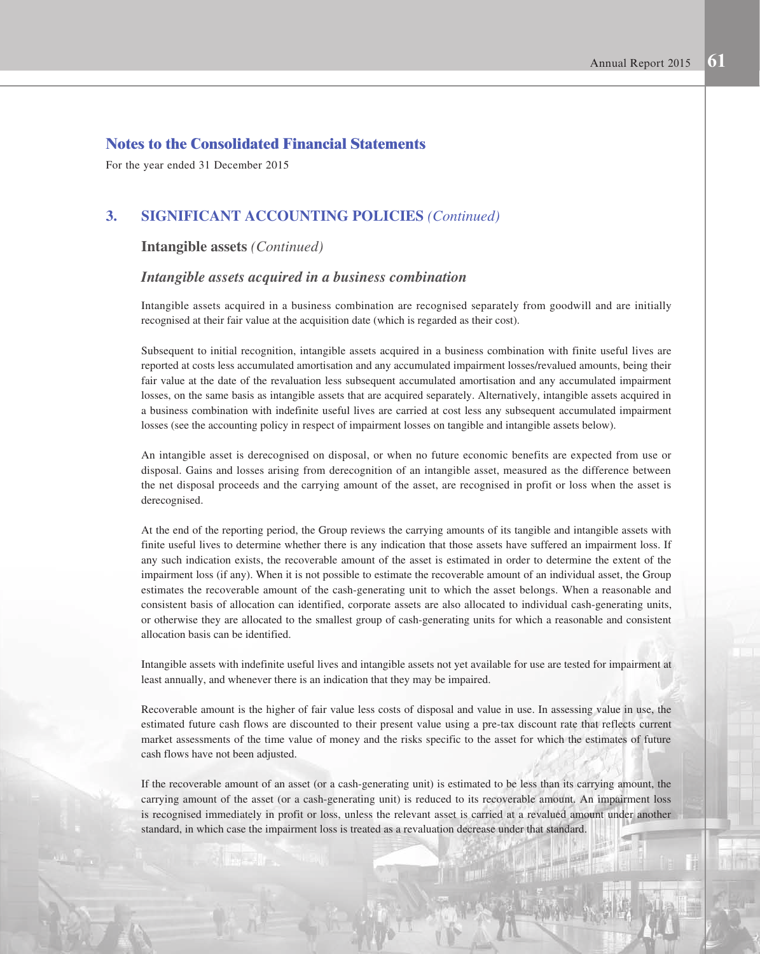For the year ended 31 December 2015

## **3. SIGNIFICANT ACCOUNTING POLICIES** *(Continued)*

#### **Intangible assets** *(Continued)*

#### *Intangible assets acquired in a business combination*

Intangible assets acquired in a business combination are recognised separately from goodwill and are initially recognised at their fair value at the acquisition date (which is regarded as their cost).

Subsequent to initial recognition, intangible assets acquired in a business combination with finite useful lives are reported at costs less accumulated amortisation and any accumulated impairment losses/revalued amounts, being their fair value at the date of the revaluation less subsequent accumulated amortisation and any accumulated impairment losses, on the same basis as intangible assets that are acquired separately. Alternatively, intangible assets acquired in a business combination with indefinite useful lives are carried at cost less any subsequent accumulated impairment losses (see the accounting policy in respect of impairment losses on tangible and intangible assets below).

An intangible asset is derecognised on disposal, or when no future economic benefits are expected from use or disposal. Gains and losses arising from derecognition of an intangible asset, measured as the difference between the net disposal proceeds and the carrying amount of the asset, are recognised in profit or loss when the asset is derecognised.

At the end of the reporting period, the Group reviews the carrying amounts of its tangible and intangible assets with finite useful lives to determine whether there is any indication that those assets have suffered an impairment loss. If any such indication exists, the recoverable amount of the asset is estimated in order to determine the extent of the impairment loss (if any). When it is not possible to estimate the recoverable amount of an individual asset, the Group estimates the recoverable amount of the cash-generating unit to which the asset belongs. When a reasonable and consistent basis of allocation can identified, corporate assets are also allocated to individual cash-generating units, or otherwise they are allocated to the smallest group of cash-generating units for which a reasonable and consistent allocation basis can be identified.

Intangible assets with indefinite useful lives and intangible assets not yet available for use are tested for impairment at least annually, and whenever there is an indication that they may be impaired.

Recoverable amount is the higher of fair value less costs of disposal and value in use. In assessing value in use, the estimated future cash flows are discounted to their present value using a pre-tax discount rate that reflects current market assessments of the time value of money and the risks specific to the asset for which the estimates of future cash flows have not been adjusted.

If the recoverable amount of an asset (or a cash-generating unit) is estimated to be less than its carrying amount, the carrying amount of the asset (or a cash-generating unit) is reduced to its recoverable amount. An impairment loss is recognised immediately in profit or loss, unless the relevant asset is carried at a revalued amount under another standard, in which case the impairment loss is treated as a revaluation decrease under that standard.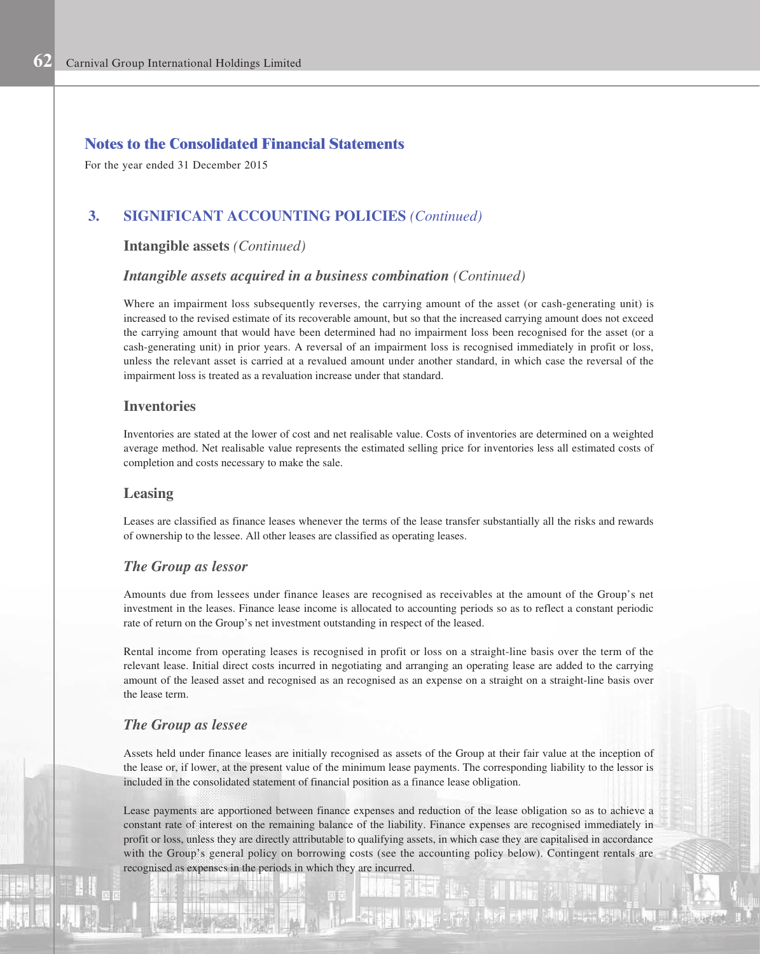For the year ended 31 December 2015

## **3. SIGNIFICANT ACCOUNTING POLICIES** *(Continued)*

**Intangible assets** *(Continued)*

*Intangible assets acquired in a business combination (Continued)*

Where an impairment loss subsequently reverses, the carrying amount of the asset (or cash-generating unit) is increased to the revised estimate of its recoverable amount, but so that the increased carrying amount does not exceed the carrying amount that would have been determined had no impairment loss been recognised for the asset (or a cash-generating unit) in prior years. A reversal of an impairment loss is recognised immediately in profit or loss, unless the relevant asset is carried at a revalued amount under another standard, in which case the reversal of the impairment loss is treated as a revaluation increase under that standard.

#### **Inventories**

Inventories are stated at the lower of cost and net realisable value. Costs of inventories are determined on a weighted average method. Net realisable value represents the estimated selling price for inventories less all estimated costs of completion and costs necessary to make the sale.

#### **Leasing**

Leases are classified as finance leases whenever the terms of the lease transfer substantially all the risks and rewards of ownership to the lessee. All other leases are classified as operating leases.

#### *The Group as lessor*

Amounts due from lessees under finance leases are recognised as receivables at the amount of the Group's net investment in the leases. Finance lease income is allocated to accounting periods so as to reflect a constant periodic rate of return on the Group's net investment outstanding in respect of the leased.

Rental income from operating leases is recognised in profit or loss on a straight-line basis over the term of the relevant lease. Initial direct costs incurred in negotiating and arranging an operating lease are added to the carrying amount of the leased asset and recognised as an recognised as an expense on a straight on a straight-line basis over the lease term.

#### *The Group as lessee*

Assets held under finance leases are initially recognised as assets of the Group at their fair value at the inception of the lease or, if lower, at the present value of the minimum lease payments. The corresponding liability to the lessor is included in the consolidated statement of financial position as a finance lease obligation.

Lease payments are apportioned between finance expenses and reduction of the lease obligation so as to achieve a constant rate of interest on the remaining balance of the liability. Finance expenses are recognised immediately in profit or loss, unless they are directly attributable to qualifying assets, in which case they are capitalised in accordance with the Group's general policy on borrowing costs (see the accounting policy below). Contingent rentals are recognised as expenses in the periods in which they are incurred.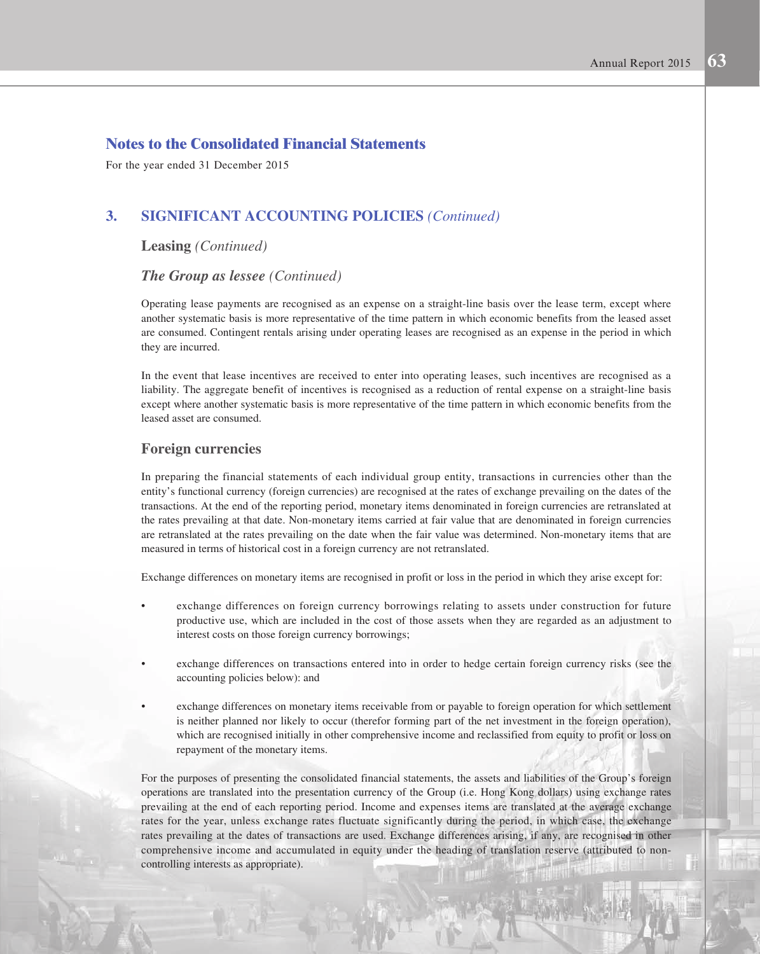For the year ended 31 December 2015

## **3. SIGNIFICANT ACCOUNTING POLICIES** *(Continued)*

**Leasing** *(Continued)*

#### *The Group as lessee (Continued)*

Operating lease payments are recognised as an expense on a straight-line basis over the lease term, except where another systematic basis is more representative of the time pattern in which economic benefits from the leased asset are consumed. Contingent rentals arising under operating leases are recognised as an expense in the period in which they are incurred.

In the event that lease incentives are received to enter into operating leases, such incentives are recognised as a liability. The aggregate benefit of incentives is recognised as a reduction of rental expense on a straight-line basis except where another systematic basis is more representative of the time pattern in which economic benefits from the leased asset are consumed.

### **Foreign currencies**

In preparing the financial statements of each individual group entity, transactions in currencies other than the entity's functional currency (foreign currencies) are recognised at the rates of exchange prevailing on the dates of the transactions. At the end of the reporting period, monetary items denominated in foreign currencies are retranslated at the rates prevailing at that date. Non-monetary items carried at fair value that are denominated in foreign currencies are retranslated at the rates prevailing on the date when the fair value was determined. Non-monetary items that are measured in terms of historical cost in a foreign currency are not retranslated.

Exchange differences on monetary items are recognised in profit or loss in the period in which they arise except for:

- exchange differences on foreign currency borrowings relating to assets under construction for future productive use, which are included in the cost of those assets when they are regarded as an adjustment to interest costs on those foreign currency borrowings;
- exchange differences on transactions entered into in order to hedge certain foreign currency risks (see the accounting policies below): and
- exchange differences on monetary items receivable from or payable to foreign operation for which settlement is neither planned nor likely to occur (therefor forming part of the net investment in the foreign operation), which are recognised initially in other comprehensive income and reclassified from equity to profit or loss on repayment of the monetary items.

For the purposes of presenting the consolidated financial statements, the assets and liabilities of the Group's foreign operations are translated into the presentation currency of the Group (i.e. Hong Kong dollars) using exchange rates prevailing at the end of each reporting period. Income and expenses items are translated at the average exchange rates for the year, unless exchange rates fluctuate significantly during the period, in which case, the exchange rates prevailing at the dates of transactions are used. Exchange differences arising, if any, are recognised in other comprehensive income and accumulated in equity under the heading of translation reserve (attributed to noncontrolling interests as appropriate).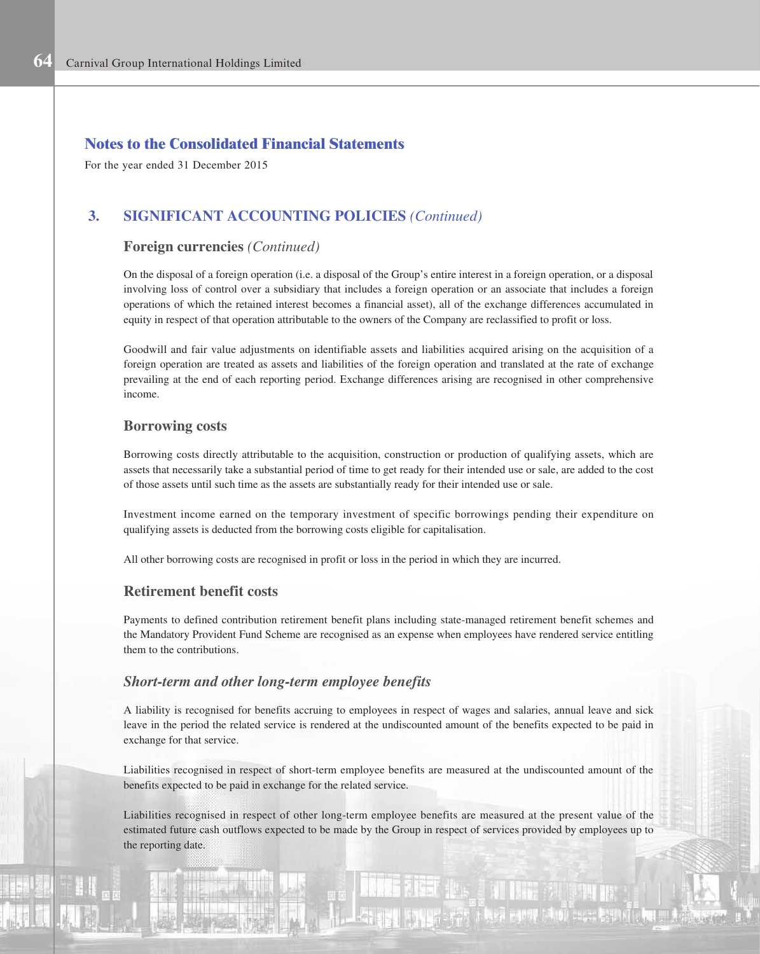For the year ended 31 December 2015

## **3. SIGNIFICANT ACCOUNTING POLICIES** *(Continued)*

#### **Foreign currencies** *(Continued)*

On the disposal of a foreign operation (i.e. a disposal of the Group's entire interest in a foreign operation, or a disposal involving loss of control over a subsidiary that includes a foreign operation or an associate that includes a foreign operations of which the retained interest becomes a financial asset), all of the exchange differences accumulated in equity in respect of that operation attributable to the owners of the Company are reclassified to profit or loss.

Goodwill and fair value adjustments on identifiable assets and liabilities acquired arising on the acquisition of a foreign operation are treated as assets and liabilities of the foreign operation and translated at the rate of exchange prevailing at the end of each reporting period. Exchange differences arising are recognised in other comprehensive income.

#### **Borrowing costs**

Borrowing costs directly attributable to the acquisition, construction or production of qualifying assets, which are assets that necessarily take a substantial period of time to get ready for their intended use or sale, are added to the cost of those assets until such time as the assets are substantially ready for their intended use or sale.

Investment income earned on the temporary investment of specific borrowings pending their expenditure on qualifying assets is deducted from the borrowing costs eligible for capitalisation.

All other borrowing costs are recognised in profit or loss in the period in which they are incurred.

#### **Retirement benefit costs**

Payments to defined contribution retirement benefit plans including state-managed retirement benefit schemes and the Mandatory Provident Fund Scheme are recognised as an expense when employees have rendered service entitling them to the contributions.

#### *Short-term and other long-term employee benefits*

A liability is recognised for benefits accruing to employees in respect of wages and salaries, annual leave and sick leave in the period the related service is rendered at the undiscounted amount of the benefits expected to be paid in exchange for that service.

Liabilities recognised in respect of short-term employee benefits are measured at the undiscounted amount of the benefits expected to be paid in exchange for the related service.

Liabilities recognised in respect of other long-term employee benefits are measured at the present value of the estimated future cash outflows expected to be made by the Group in respect of services provided by employees up to the reporting date.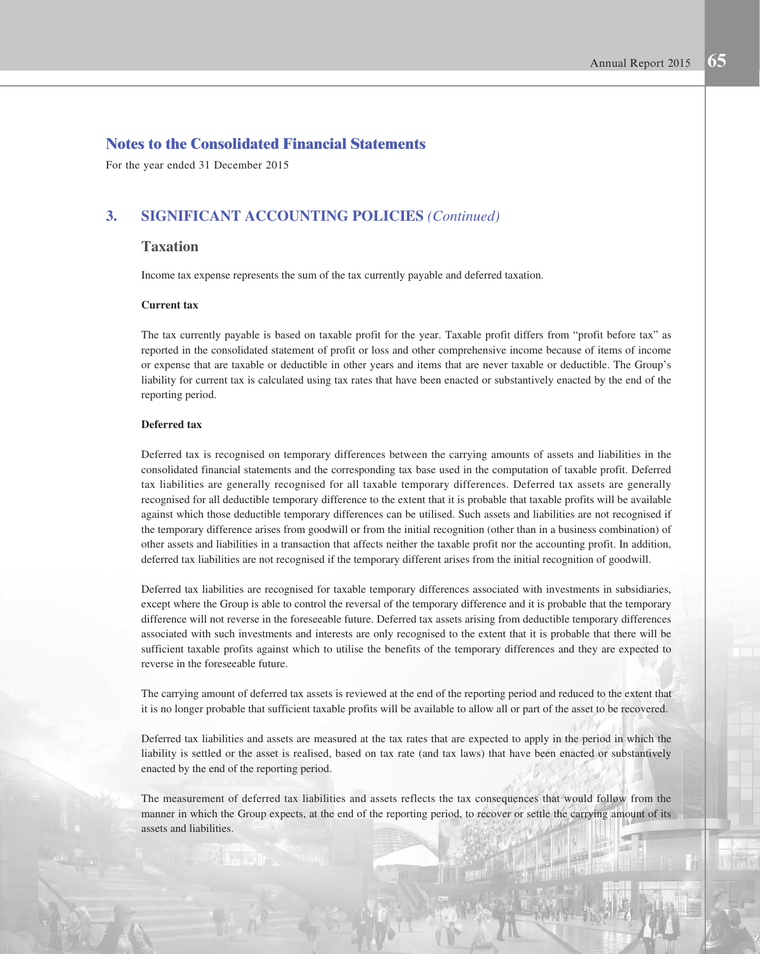For the year ended 31 December 2015

## **3. SIGNIFICANT ACCOUNTING POLICIES** *(Continued)*

#### **Taxation**

Income tax expense represents the sum of the tax currently payable and deferred taxation.

#### **Current tax**

The tax currently payable is based on taxable profit for the year. Taxable profit differs from "profit before tax" as reported in the consolidated statement of profit or loss and other comprehensive income because of items of income or expense that are taxable or deductible in other years and items that are never taxable or deductible. The Group's liability for current tax is calculated using tax rates that have been enacted or substantively enacted by the end of the reporting period.

#### **Deferred tax**

Deferred tax is recognised on temporary differences between the carrying amounts of assets and liabilities in the consolidated financial statements and the corresponding tax base used in the computation of taxable profit. Deferred tax liabilities are generally recognised for all taxable temporary differences. Deferred tax assets are generally recognised for all deductible temporary difference to the extent that it is probable that taxable profits will be available against which those deductible temporary differences can be utilised. Such assets and liabilities are not recognised if the temporary difference arises from goodwill or from the initial recognition (other than in a business combination) of other assets and liabilities in a transaction that affects neither the taxable profit nor the accounting profit. In addition, deferred tax liabilities are not recognised if the temporary different arises from the initial recognition of goodwill.

Deferred tax liabilities are recognised for taxable temporary differences associated with investments in subsidiaries, except where the Group is able to control the reversal of the temporary difference and it is probable that the temporary difference will not reverse in the foreseeable future. Deferred tax assets arising from deductible temporary differences associated with such investments and interests are only recognised to the extent that it is probable that there will be sufficient taxable profits against which to utilise the benefits of the temporary differences and they are expected to reverse in the foreseeable future.

The carrying amount of deferred tax assets is reviewed at the end of the reporting period and reduced to the extent that it is no longer probable that sufficient taxable profits will be available to allow all or part of the asset to be recovered.

Deferred tax liabilities and assets are measured at the tax rates that are expected to apply in the period in which the liability is settled or the asset is realised, based on tax rate (and tax laws) that have been enacted or substantively enacted by the end of the reporting period.

The measurement of deferred tax liabilities and assets reflects the tax consequences that would follow from the manner in which the Group expects, at the end of the reporting period, to recover or settle the carrying amount of its assets and liabilities.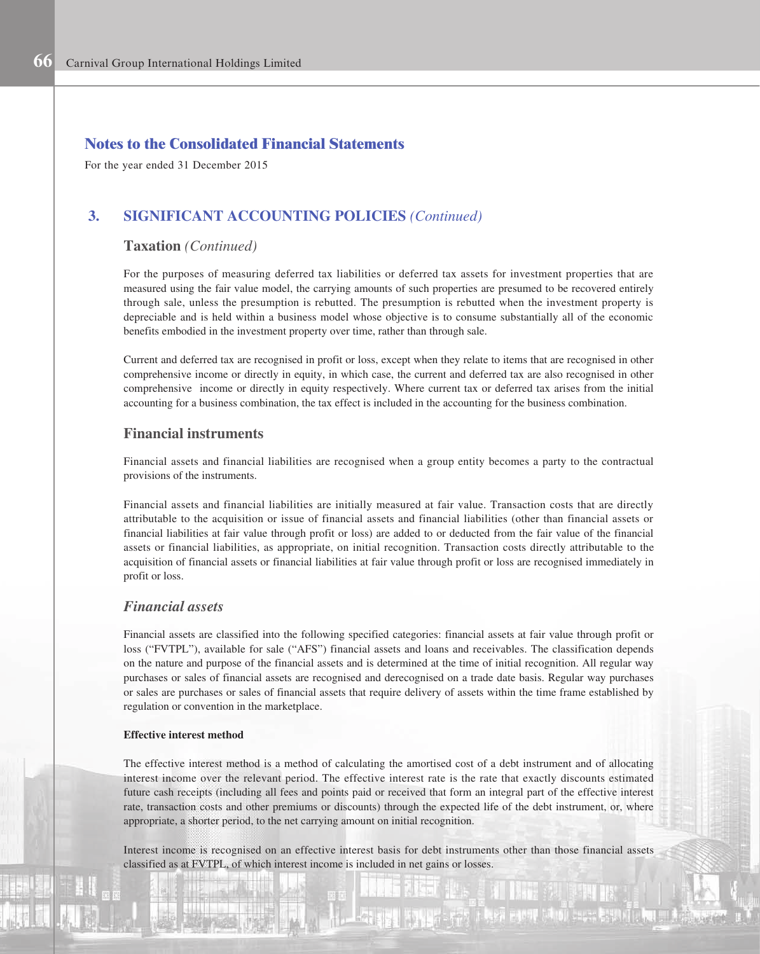For the year ended 31 December 2015

## **3. SIGNIFICANT ACCOUNTING POLICIES** *(Continued)*

#### **Taxation** *(Continued)*

For the purposes of measuring deferred tax liabilities or deferred tax assets for investment properties that are measured using the fair value model, the carrying amounts of such properties are presumed to be recovered entirely through sale, unless the presumption is rebutted. The presumption is rebutted when the investment property is depreciable and is held within a business model whose objective is to consume substantially all of the economic benefits embodied in the investment property over time, rather than through sale.

Current and deferred tax are recognised in profit or loss, except when they relate to items that are recognised in other comprehensive income or directly in equity, in which case, the current and deferred tax are also recognised in other comprehensive income or directly in equity respectively. Where current tax or deferred tax arises from the initial accounting for a business combination, the tax effect is included in the accounting for the business combination.

#### **Financial instruments**

Financial assets and financial liabilities are recognised when a group entity becomes a party to the contractual provisions of the instruments.

Financial assets and financial liabilities are initially measured at fair value. Transaction costs that are directly attributable to the acquisition or issue of financial assets and financial liabilities (other than financial assets or financial liabilities at fair value through profit or loss) are added to or deducted from the fair value of the financial assets or financial liabilities, as appropriate, on initial recognition. Transaction costs directly attributable to the acquisition of financial assets or financial liabilities at fair value through profit or loss are recognised immediately in profit or loss.

#### *Financial assets*

Financial assets are classified into the following specified categories: financial assets at fair value through profit or loss ("FVTPL"), available for sale ("AFS") financial assets and loans and receivables. The classification depends on the nature and purpose of the financial assets and is determined at the time of initial recognition. All regular way purchases or sales of financial assets are recognised and derecognised on a trade date basis. Regular way purchases or sales are purchases or sales of financial assets that require delivery of assets within the time frame established by regulation or convention in the marketplace.

#### **Effective interest method**

The effective interest method is a method of calculating the amortised cost of a debt instrument and of allocating interest income over the relevant period. The effective interest rate is the rate that exactly discounts estimated future cash receipts (including all fees and points paid or received that form an integral part of the effective interest rate, transaction costs and other premiums or discounts) through the expected life of the debt instrument, or, where appropriate, a shorter period, to the net carrying amount on initial recognition.

Interest income is recognised on an effective interest basis for debt instruments other than those financial assets classified as at FVTPL, of which interest income is included in net gains or losses.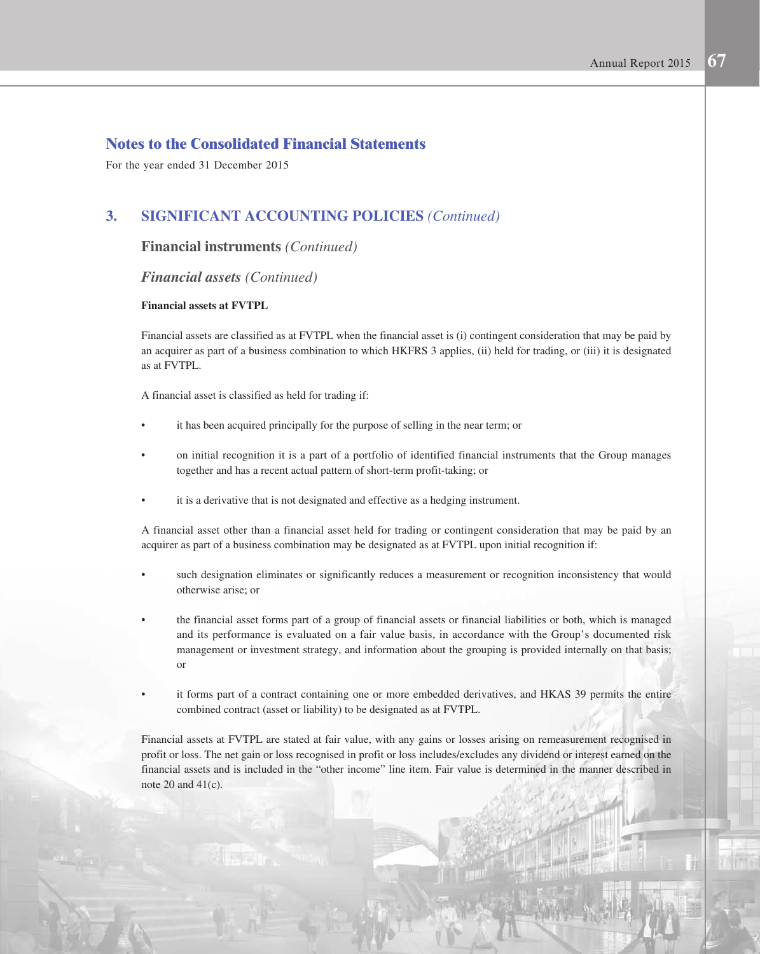For the year ended 31 December 2015

## **3. SIGNIFICANT ACCOUNTING POLICIES** *(Continued)*

#### **Financial instruments** *(Continued)*

*Financial assets (Continued)*

#### **Financial assets at FVTPL**

Financial assets are classified as at FVTPL when the financial asset is (i) contingent consideration that may be paid by an acquirer as part of a business combination to which HKFRS 3 applies, (ii) held for trading, or (iii) it is designated as at FVTPL.

A financial asset is classified as held for trading if:

- it has been acquired principally for the purpose of selling in the near term; or
- on initial recognition it is a part of a portfolio of identified financial instruments that the Group manages together and has a recent actual pattern of short-term profit-taking; or
- it is a derivative that is not designated and effective as a hedging instrument.

A financial asset other than a financial asset held for trading or contingent consideration that may be paid by an acquirer as part of a business combination may be designated as at FVTPL upon initial recognition if:

- such designation eliminates or significantly reduces a measurement or recognition inconsistency that would otherwise arise; or
- the financial asset forms part of a group of financial assets or financial liabilities or both, which is managed and its performance is evaluated on a fair value basis, in accordance with the Group's documented risk management or investment strategy, and information about the grouping is provided internally on that basis; or
- it forms part of a contract containing one or more embedded derivatives, and HKAS 39 permits the entire combined contract (asset or liability) to be designated as at FVTPL.

Financial assets at FVTPL are stated at fair value, with any gains or losses arising on remeasurement recognised in profit or loss. The net gain or loss recognised in profit or loss includes/excludes any dividend or interest earned on the financial assets and is included in the "other income" line item. Fair value is determined in the manner described in note 20 and  $41(c)$ .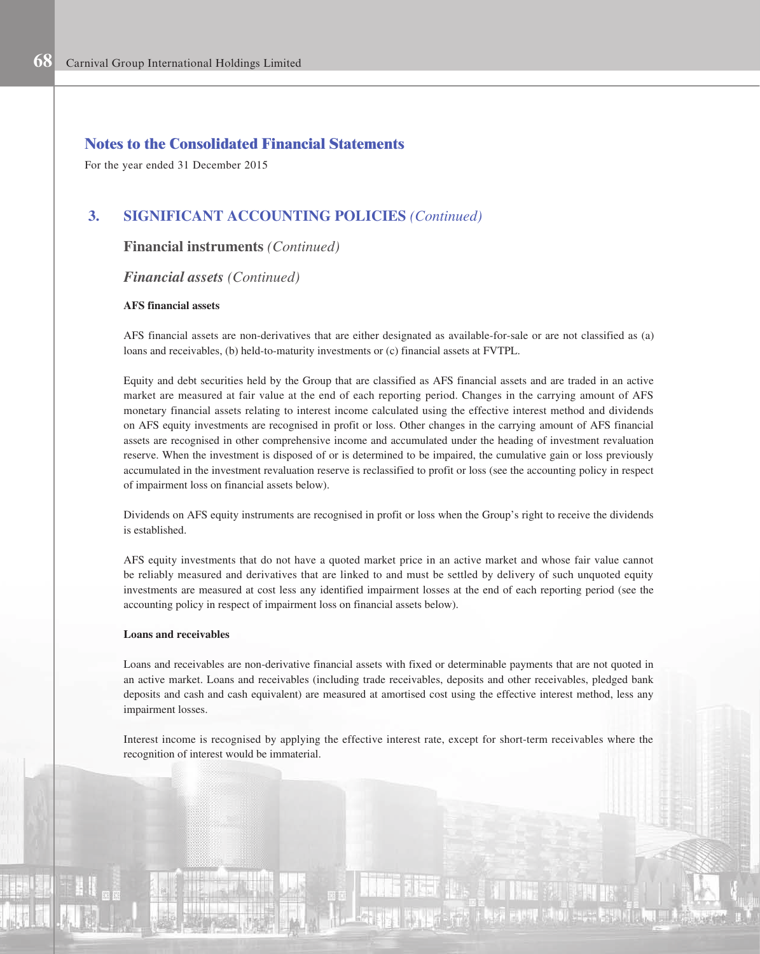For the year ended 31 December 2015

## **3. SIGNIFICANT ACCOUNTING POLICIES** *(Continued)*

#### **Financial instruments** *(Continued)*

*Financial assets (Continued)*

#### **AFS financial assets**

AFS financial assets are non-derivatives that are either designated as available-for-sale or are not classified as (a) loans and receivables, (b) held-to-maturity investments or (c) financial assets at FVTPL.

Equity and debt securities held by the Group that are classified as AFS financial assets and are traded in an active market are measured at fair value at the end of each reporting period. Changes in the carrying amount of AFS monetary financial assets relating to interest income calculated using the effective interest method and dividends on AFS equity investments are recognised in profit or loss. Other changes in the carrying amount of AFS financial assets are recognised in other comprehensive income and accumulated under the heading of investment revaluation reserve. When the investment is disposed of or is determined to be impaired, the cumulative gain or loss previously accumulated in the investment revaluation reserve is reclassified to profit or loss (see the accounting policy in respect of impairment loss on financial assets below).

Dividends on AFS equity instruments are recognised in profit or loss when the Group's right to receive the dividends is established.

AFS equity investments that do not have a quoted market price in an active market and whose fair value cannot be reliably measured and derivatives that are linked to and must be settled by delivery of such unquoted equity investments are measured at cost less any identified impairment losses at the end of each reporting period (see the accounting policy in respect of impairment loss on financial assets below).

#### **Loans and receivables**

Loans and receivables are non-derivative financial assets with fixed or determinable payments that are not quoted in an active market. Loans and receivables (including trade receivables, deposits and other receivables, pledged bank deposits and cash and cash equivalent) are measured at amortised cost using the effective interest method, less any impairment losses.

Interest income is recognised by applying the effective interest rate, except for short-term receivables where the recognition of interest would be immaterial.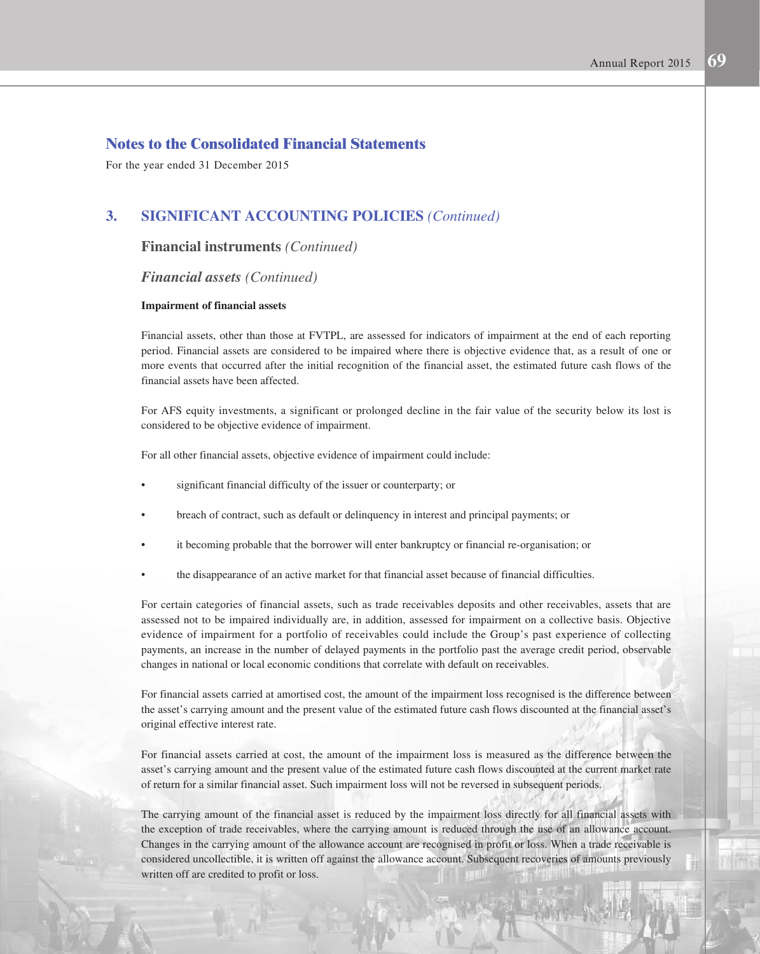For the year ended 31 December 2015

## **3. SIGNIFICANT ACCOUNTING POLICIES** *(Continued)*

#### **Financial instruments** *(Continued)*

*Financial assets (Continued)*

#### **Impairment of financial assets**

Financial assets, other than those at FVTPL, are assessed for indicators of impairment at the end of each reporting period. Financial assets are considered to be impaired where there is objective evidence that, as a result of one or more events that occurred after the initial recognition of the financial asset, the estimated future cash flows of the financial assets have been affected.

For AFS equity investments, a significant or prolonged decline in the fair value of the security below its lost is considered to be objective evidence of impairment.

For all other financial assets, objective evidence of impairment could include:

- significant financial difficulty of the issuer or counterparty; or
- breach of contract, such as default or delinquency in interest and principal payments; or
- it becoming probable that the borrower will enter bankruptcy or financial re-organisation; or
- the disappearance of an active market for that financial asset because of financial difficulties.

For certain categories of financial assets, such as trade receivables deposits and other receivables, assets that are assessed not to be impaired individually are, in addition, assessed for impairment on a collective basis. Objective evidence of impairment for a portfolio of receivables could include the Group's past experience of collecting payments, an increase in the number of delayed payments in the portfolio past the average credit period, observable changes in national or local economic conditions that correlate with default on receivables.

For financial assets carried at amortised cost, the amount of the impairment loss recognised is the difference between the asset's carrying amount and the present value of the estimated future cash flows discounted at the financial asset's original effective interest rate.

For financial assets carried at cost, the amount of the impairment loss is measured as the difference between the asset's carrying amount and the present value of the estimated future cash flows discounted at the current market rate of return for a similar financial asset. Such impairment loss will not be reversed in subsequent periods.

The carrying amount of the financial asset is reduced by the impairment loss directly for all financial assets with the exception of trade receivables, where the carrying amount is reduced through the use of an allowance account. Changes in the carrying amount of the allowance account are recognised in profit or loss. When a trade receivable is considered uncollectible, it is written off against the allowance account. Subsequent recoveries of amounts previously written off are credited to profit or loss.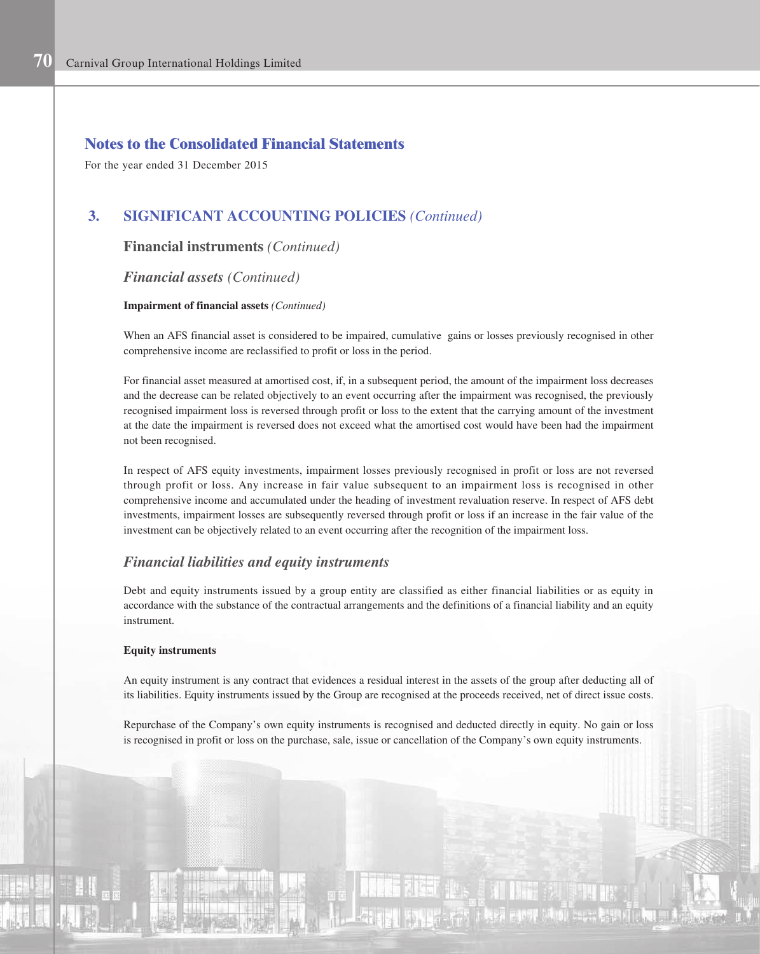For the year ended 31 December 2015

## **3. SIGNIFICANT ACCOUNTING POLICIES** *(Continued)*

**Financial instruments** *(Continued)*

*Financial assets (Continued)*

**Impairment of financial assets** *(Continued)*

When an AFS financial asset is considered to be impaired, cumulative gains or losses previously recognised in other comprehensive income are reclassified to profit or loss in the period.

For financial asset measured at amortised cost, if, in a subsequent period, the amount of the impairment loss decreases and the decrease can be related objectively to an event occurring after the impairment was recognised, the previously recognised impairment loss is reversed through profit or loss to the extent that the carrying amount of the investment at the date the impairment is reversed does not exceed what the amortised cost would have been had the impairment not been recognised.

In respect of AFS equity investments, impairment losses previously recognised in profit or loss are not reversed through profit or loss. Any increase in fair value subsequent to an impairment loss is recognised in other comprehensive income and accumulated under the heading of investment revaluation reserve. In respect of AFS debt investments, impairment losses are subsequently reversed through profit or loss if an increase in the fair value of the investment can be objectively related to an event occurring after the recognition of the impairment loss.

#### *Financial liabilities and equity instruments*

Debt and equity instruments issued by a group entity are classified as either financial liabilities or as equity in accordance with the substance of the contractual arrangements and the definitions of a financial liability and an equity instrument.

#### **Equity instruments**

An equity instrument is any contract that evidences a residual interest in the assets of the group after deducting all of its liabilities. Equity instruments issued by the Group are recognised at the proceeds received, net of direct issue costs.

Repurchase of the Company's own equity instruments is recognised and deducted directly in equity. No gain or loss is recognised in profit or loss on the purchase, sale, issue or cancellation of the Company's own equity instruments.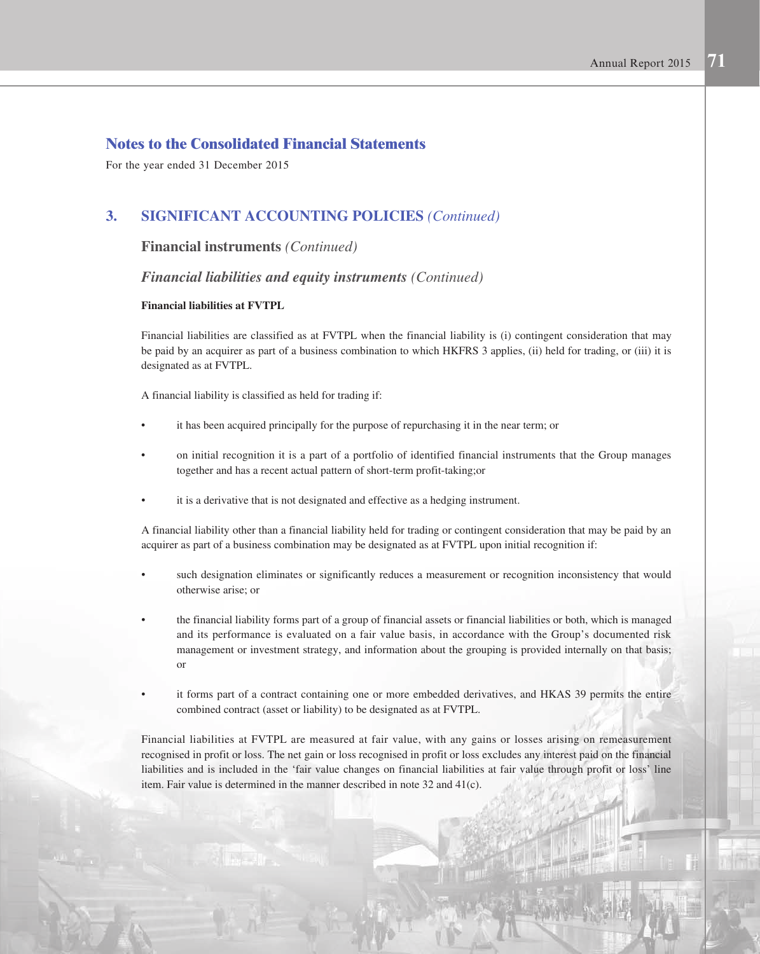For the year ended 31 December 2015

## **3. SIGNIFICANT ACCOUNTING POLICIES** *(Continued)*

#### **Financial instruments** *(Continued)*

*Financial liabilities and equity instruments (Continued)*

#### **Financial liabilities at FVTPL**

Financial liabilities are classified as at FVTPL when the financial liability is (i) contingent consideration that may be paid by an acquirer as part of a business combination to which HKFRS 3 applies, (ii) held for trading, or (iii) it is designated as at FVTPL.

A financial liability is classified as held for trading if:

- it has been acquired principally for the purpose of repurchasing it in the near term; or
- on initial recognition it is a part of a portfolio of identified financial instruments that the Group manages together and has a recent actual pattern of short-term profit-taking;or
- it is a derivative that is not designated and effective as a hedging instrument.

A financial liability other than a financial liability held for trading or contingent consideration that may be paid by an acquirer as part of a business combination may be designated as at FVTPL upon initial recognition if:

- such designation eliminates or significantly reduces a measurement or recognition inconsistency that would otherwise arise; or
- the financial liability forms part of a group of financial assets or financial liabilities or both, which is managed and its performance is evaluated on a fair value basis, in accordance with the Group's documented risk management or investment strategy, and information about the grouping is provided internally on that basis; or
- it forms part of a contract containing one or more embedded derivatives, and HKAS 39 permits the entire combined contract (asset or liability) to be designated as at FVTPL.

Financial liabilities at FVTPL are measured at fair value, with any gains or losses arising on remeasurement recognised in profit or loss. The net gain or loss recognised in profit or loss excludes any interest paid on the financial liabilities and is included in the 'fair value changes on financial liabilities at fair value through profit or loss' line item. Fair value is determined in the manner described in note 32 and 41(c).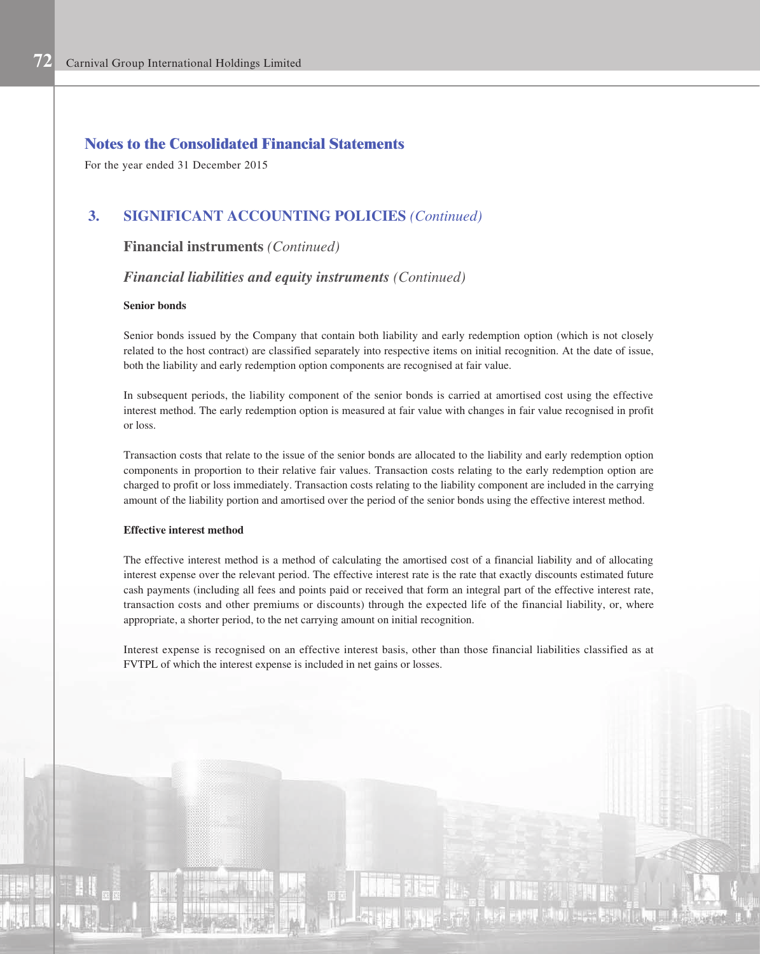For the year ended 31 December 2015

# **3. SIGNIFICANT ACCOUNTING POLICIES** *(Continued)*

### **Financial instruments** *(Continued)*

#### *Financial liabilities and equity instruments (Continued)*

#### **Senior bonds**

Senior bonds issued by the Company that contain both liability and early redemption option (which is not closely related to the host contract) are classified separately into respective items on initial recognition. At the date of issue, both the liability and early redemption option components are recognised at fair value.

In subsequent periods, the liability component of the senior bonds is carried at amortised cost using the effective interest method. The early redemption option is measured at fair value with changes in fair value recognised in profit or loss.

Transaction costs that relate to the issue of the senior bonds are allocated to the liability and early redemption option components in proportion to their relative fair values. Transaction costs relating to the early redemption option are charged to profit or loss immediately. Transaction costs relating to the liability component are included in the carrying amount of the liability portion and amortised over the period of the senior bonds using the effective interest method.

#### **Effective interest method**

The effective interest method is a method of calculating the amortised cost of a financial liability and of allocating interest expense over the relevant period. The effective interest rate is the rate that exactly discounts estimated future cash payments (including all fees and points paid or received that form an integral part of the effective interest rate, transaction costs and other premiums or discounts) through the expected life of the financial liability, or, where appropriate, a shorter period, to the net carrying amount on initial recognition.

Interest expense is recognised on an effective interest basis, other than those financial liabilities classified as at FVTPL of which the interest expense is included in net gains or losses.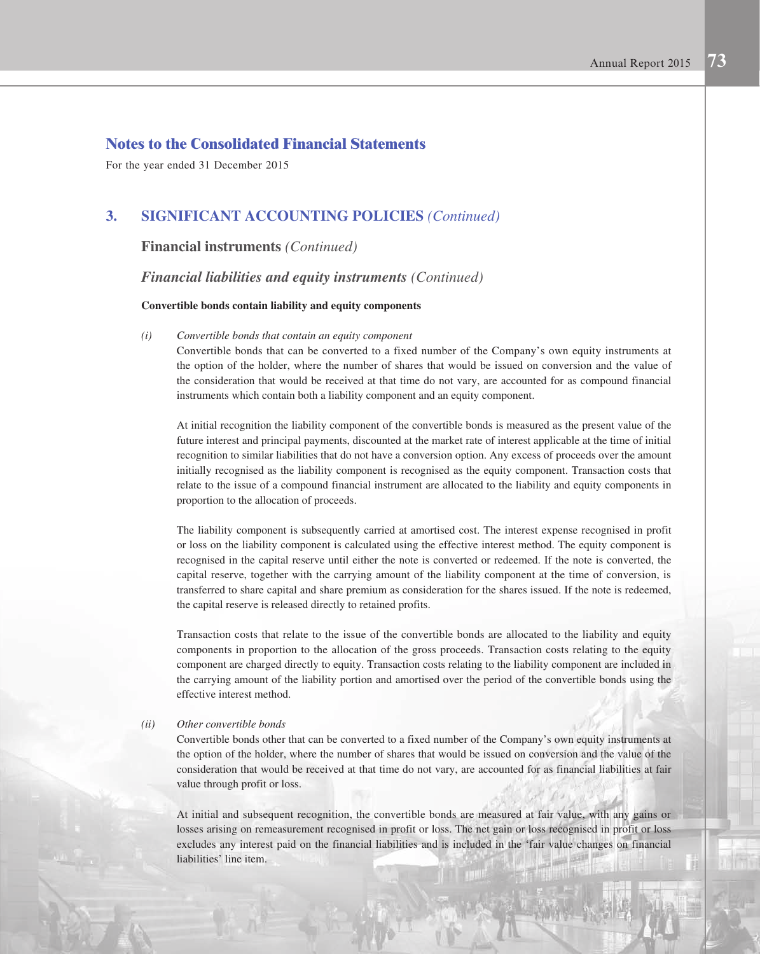For the year ended 31 December 2015

## **3. SIGNIFICANT ACCOUNTING POLICIES** *(Continued)*

#### **Financial instruments** *(Continued)*

*Financial liabilities and equity instruments (Continued)*

#### **Convertible bonds contain liability and equity components**

#### *(i) Convertible bonds that contain an equity component*

Convertible bonds that can be converted to a fixed number of the Company's own equity instruments at the option of the holder, where the number of shares that would be issued on conversion and the value of the consideration that would be received at that time do not vary, are accounted for as compound financial instruments which contain both a liability component and an equity component.

At initial recognition the liability component of the convertible bonds is measured as the present value of the future interest and principal payments, discounted at the market rate of interest applicable at the time of initial recognition to similar liabilities that do not have a conversion option. Any excess of proceeds over the amount initially recognised as the liability component is recognised as the equity component. Transaction costs that relate to the issue of a compound financial instrument are allocated to the liability and equity components in proportion to the allocation of proceeds.

The liability component is subsequently carried at amortised cost. The interest expense recognised in profit or loss on the liability component is calculated using the effective interest method. The equity component is recognised in the capital reserve until either the note is converted or redeemed. If the note is converted, the capital reserve, together with the carrying amount of the liability component at the time of conversion, is transferred to share capital and share premium as consideration for the shares issued. If the note is redeemed, the capital reserve is released directly to retained profits.

Transaction costs that relate to the issue of the convertible bonds are allocated to the liability and equity components in proportion to the allocation of the gross proceeds. Transaction costs relating to the equity component are charged directly to equity. Transaction costs relating to the liability component are included in the carrying amount of the liability portion and amortised over the period of the convertible bonds using the effective interest method.

#### *(ii) Other convertible bonds*

Convertible bonds other that can be converted to a fixed number of the Company's own equity instruments at the option of the holder, where the number of shares that would be issued on conversion and the value of the consideration that would be received at that time do not vary, are accounted for as financial liabilities at fair value through profit or loss.

At initial and subsequent recognition, the convertible bonds are measured at fair value, with any gains or losses arising on remeasurement recognised in profit or loss. The net gain or loss recognised in profit or loss excludes any interest paid on the financial liabilities and is included in the 'fair value changes on financial liabilities' line item.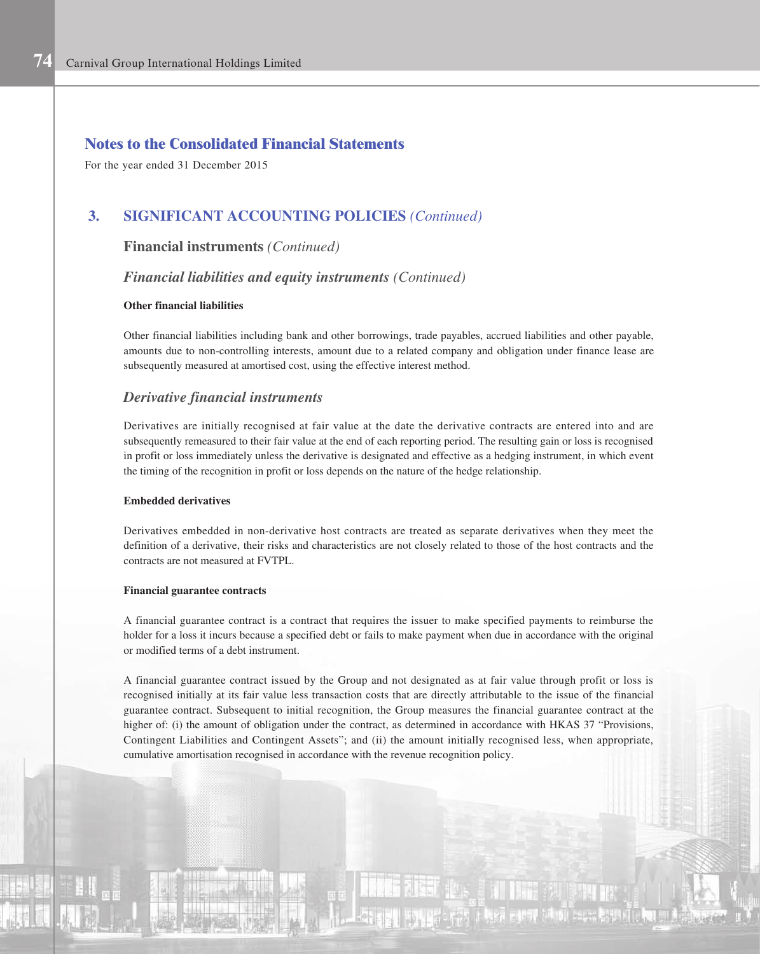For the year ended 31 December 2015

# **3. SIGNIFICANT ACCOUNTING POLICIES** *(Continued)*

### **Financial instruments** *(Continued)*

#### *Financial liabilities and equity instruments (Continued)*

#### **Other financial liabilities**

Other financial liabilities including bank and other borrowings, trade payables, accrued liabilities and other payable, amounts due to non-controlling interests, amount due to a related company and obligation under finance lease are subsequently measured at amortised cost, using the effective interest method.

#### *Derivative financial instruments*

Derivatives are initially recognised at fair value at the date the derivative contracts are entered into and are subsequently remeasured to their fair value at the end of each reporting period. The resulting gain or loss is recognised in profit or loss immediately unless the derivative is designated and effective as a hedging instrument, in which event the timing of the recognition in profit or loss depends on the nature of the hedge relationship.

#### **Embedded derivatives**

Derivatives embedded in non-derivative host contracts are treated as separate derivatives when they meet the definition of a derivative, their risks and characteristics are not closely related to those of the host contracts and the contracts are not measured at FVTPL.

#### **Financial guarantee contracts**

A financial guarantee contract is a contract that requires the issuer to make specified payments to reimburse the holder for a loss it incurs because a specified debt or fails to make payment when due in accordance with the original or modified terms of a debt instrument.

A financial guarantee contract issued by the Group and not designated as at fair value through profit or loss is recognised initially at its fair value less transaction costs that are directly attributable to the issue of the financial guarantee contract. Subsequent to initial recognition, the Group measures the financial guarantee contract at the higher of: (i) the amount of obligation under the contract, as determined in accordance with HKAS 37 "Provisions, Contingent Liabilities and Contingent Assets"; and (ii) the amount initially recognised less, when appropriate, cumulative amortisation recognised in accordance with the revenue recognition policy.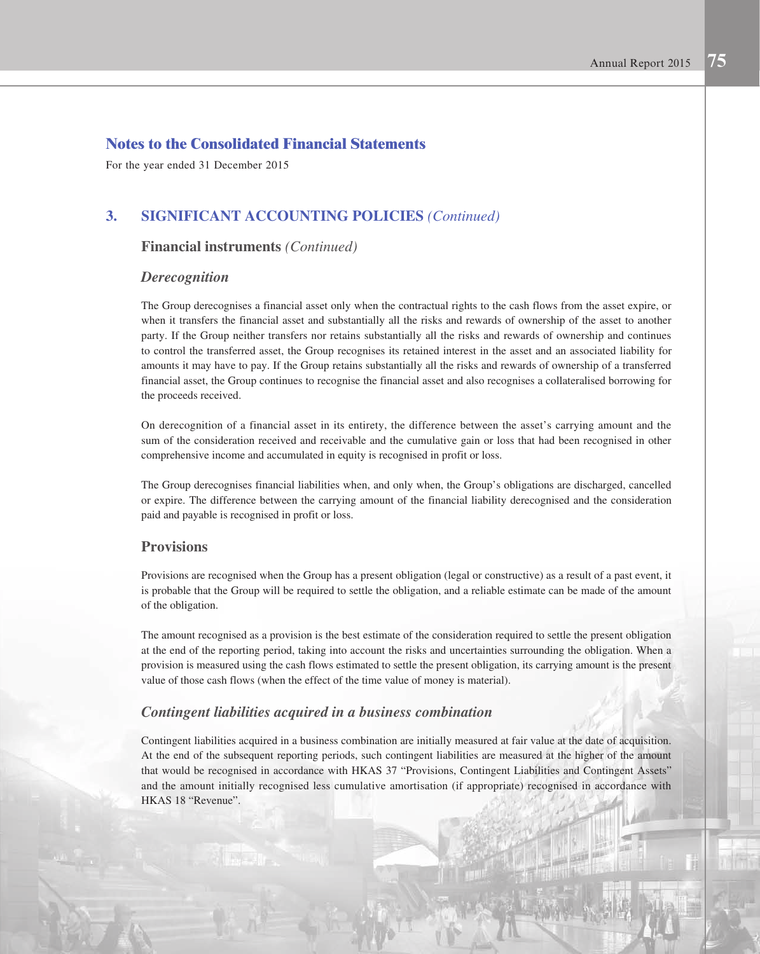For the year ended 31 December 2015

# **3. SIGNIFICANT ACCOUNTING POLICIES** *(Continued)*

#### **Financial instruments** *(Continued)*

#### *Derecognition*

The Group derecognises a financial asset only when the contractual rights to the cash flows from the asset expire, or when it transfers the financial asset and substantially all the risks and rewards of ownership of the asset to another party. If the Group neither transfers nor retains substantially all the risks and rewards of ownership and continues to control the transferred asset, the Group recognises its retained interest in the asset and an associated liability for amounts it may have to pay. If the Group retains substantially all the risks and rewards of ownership of a transferred financial asset, the Group continues to recognise the financial asset and also recognises a collateralised borrowing for the proceeds received.

On derecognition of a financial asset in its entirety, the difference between the asset's carrying amount and the sum of the consideration received and receivable and the cumulative gain or loss that had been recognised in other comprehensive income and accumulated in equity is recognised in profit or loss.

The Group derecognises financial liabilities when, and only when, the Group's obligations are discharged, cancelled or expire. The difference between the carrying amount of the financial liability derecognised and the consideration paid and payable is recognised in profit or loss.

#### **Provisions**

Provisions are recognised when the Group has a present obligation (legal or constructive) as a result of a past event, it is probable that the Group will be required to settle the obligation, and a reliable estimate can be made of the amount of the obligation.

The amount recognised as a provision is the best estimate of the consideration required to settle the present obligation at the end of the reporting period, taking into account the risks and uncertainties surrounding the obligation. When a provision is measured using the cash flows estimated to settle the present obligation, its carrying amount is the present value of those cash flows (when the effect of the time value of money is material).

## *Contingent liabilities acquired in a business combination*

Contingent liabilities acquired in a business combination are initially measured at fair value at the date of acquisition. At the end of the subsequent reporting periods, such contingent liabilities are measured at the higher of the amount that would be recognised in accordance with HKAS 37 "Provisions, Contingent Liabilities and Contingent Assets" and the amount initially recognised less cumulative amortisation (if appropriate) recognised in accordance with HKAS 18 "Revenue".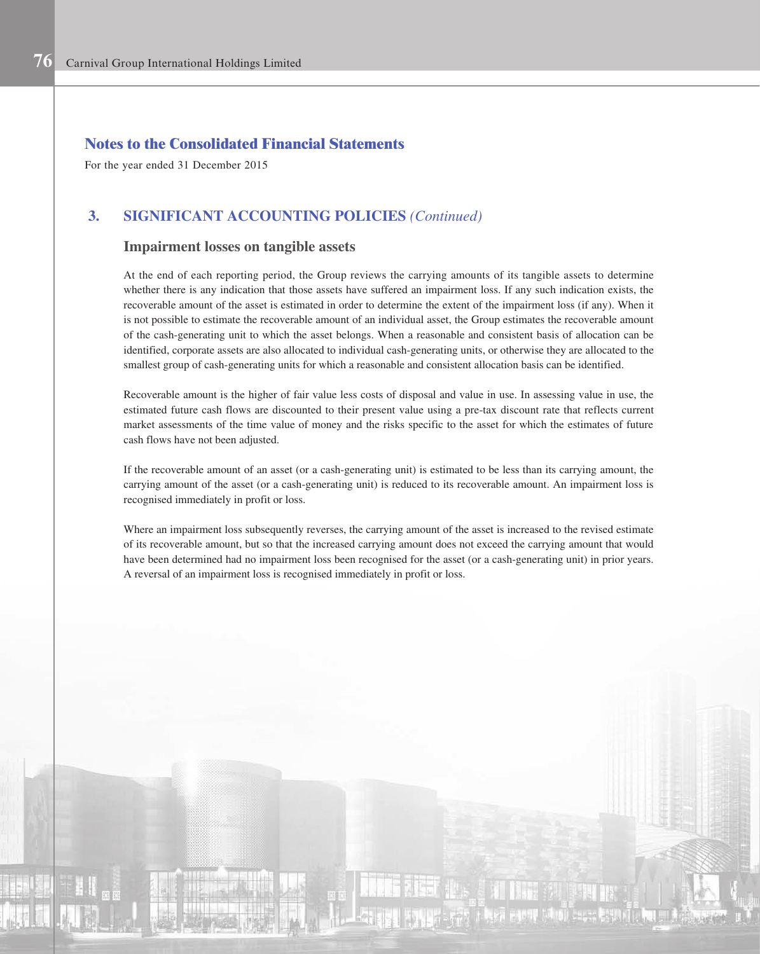For the year ended 31 December 2015

# **3. SIGNIFICANT ACCOUNTING POLICIES** *(Continued)*

#### **Impairment losses on tangible assets**

At the end of each reporting period, the Group reviews the carrying amounts of its tangible assets to determine whether there is any indication that those assets have suffered an impairment loss. If any such indication exists, the recoverable amount of the asset is estimated in order to determine the extent of the impairment loss (if any). When it is not possible to estimate the recoverable amount of an individual asset, the Group estimates the recoverable amount of the cash-generating unit to which the asset belongs. When a reasonable and consistent basis of allocation can be identified, corporate assets are also allocated to individual cash-generating units, or otherwise they are allocated to the smallest group of cash-generating units for which a reasonable and consistent allocation basis can be identified.

Recoverable amount is the higher of fair value less costs of disposal and value in use. In assessing value in use, the estimated future cash flows are discounted to their present value using a pre-tax discount rate that reflects current market assessments of the time value of money and the risks specific to the asset for which the estimates of future cash flows have not been adjusted.

If the recoverable amount of an asset (or a cash-generating unit) is estimated to be less than its carrying amount, the carrying amount of the asset (or a cash-generating unit) is reduced to its recoverable amount. An impairment loss is recognised immediately in profit or loss.

Where an impairment loss subsequently reverses, the carrying amount of the asset is increased to the revised estimate of its recoverable amount, but so that the increased carrying amount does not exceed the carrying amount that would have been determined had no impairment loss been recognised for the asset (or a cash-generating unit) in prior years. A reversal of an impairment loss is recognised immediately in profit or loss.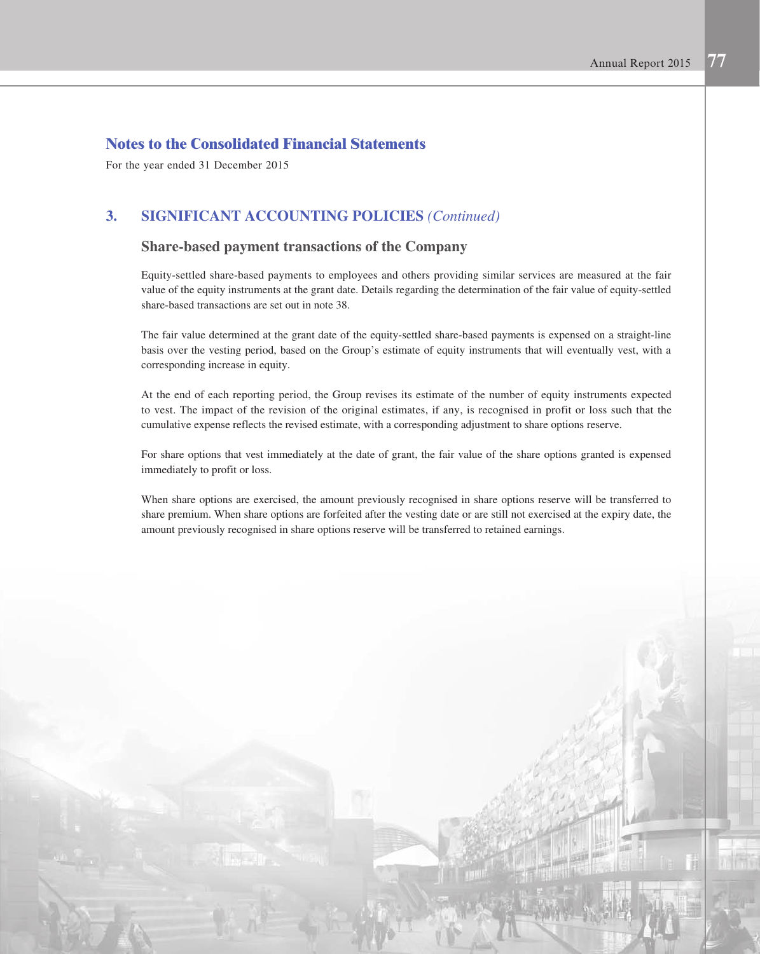For the year ended 31 December 2015

# **3. SIGNIFICANT ACCOUNTING POLICIES** *(Continued)*

### **Share-based payment transactions of the Company**

Equity-settled share-based payments to employees and others providing similar services are measured at the fair value of the equity instruments at the grant date. Details regarding the determination of the fair value of equity-settled share-based transactions are set out in note 38.

The fair value determined at the grant date of the equity-settled share-based payments is expensed on a straight-line basis over the vesting period, based on the Group's estimate of equity instruments that will eventually vest, with a corresponding increase in equity.

At the end of each reporting period, the Group revises its estimate of the number of equity instruments expected to vest. The impact of the revision of the original estimates, if any, is recognised in profit or loss such that the cumulative expense reflects the revised estimate, with a corresponding adjustment to share options reserve.

For share options that vest immediately at the date of grant, the fair value of the share options granted is expensed immediately to profit or loss.

When share options are exercised, the amount previously recognised in share options reserve will be transferred to share premium. When share options are forfeited after the vesting date or are still not exercised at the expiry date, the amount previously recognised in share options reserve will be transferred to retained earnings.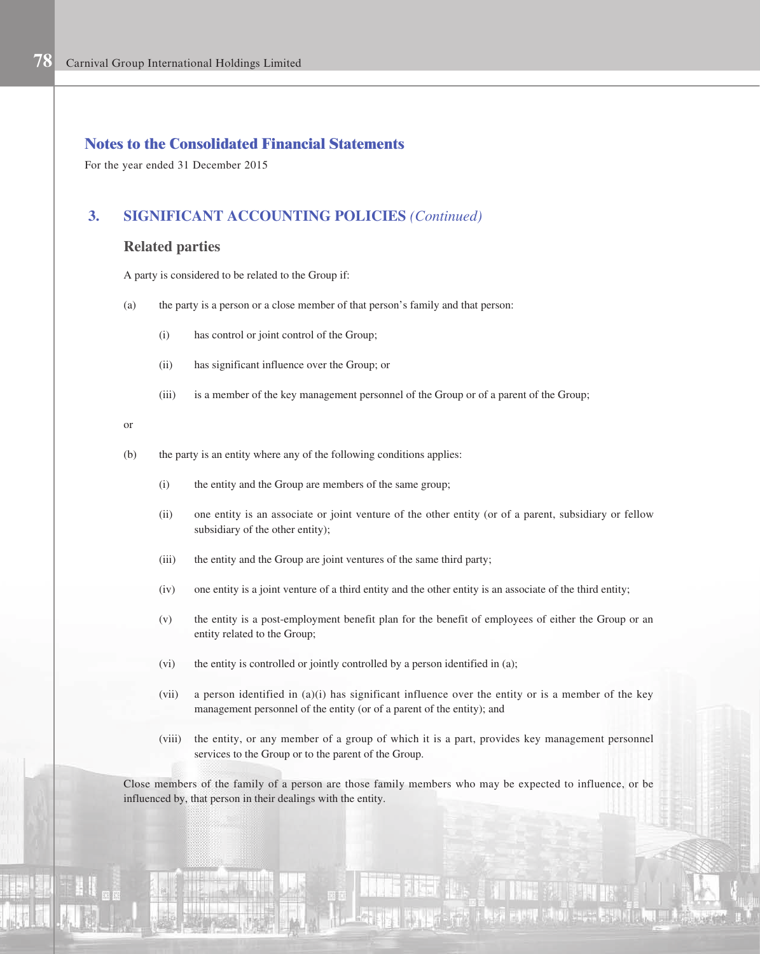For the year ended 31 December 2015

# **3. SIGNIFICANT ACCOUNTING POLICIES** *(Continued)*

#### **Related parties**

A party is considered to be related to the Group if:

- (a) the party is a person or a close member of that person's family and that person:
	- (i) has control or joint control of the Group;
	- (ii) has significant influence over the Group; or
	- (iii) is a member of the key management personnel of the Group or of a parent of the Group;

#### or

- (b) the party is an entity where any of the following conditions applies:
	- (i) the entity and the Group are members of the same group;
	- (ii) one entity is an associate or joint venture of the other entity (or of a parent, subsidiary or fellow subsidiary of the other entity);
	- (iii) the entity and the Group are joint ventures of the same third party;
	- (iv) one entity is a joint venture of a third entity and the other entity is an associate of the third entity;
	- (v) the entity is a post-employment benefit plan for the benefit of employees of either the Group or an entity related to the Group;
	- (vi) the entity is controlled or jointly controlled by a person identified in (a);
	- (vii) a person identified in (a)(i) has significant influence over the entity or is a member of the key management personnel of the entity (or of a parent of the entity); and
	- (viii) the entity, or any member of a group of which it is a part, provides key management personnel services to the Group or to the parent of the Group.

Close members of the family of a person are those family members who may be expected to influence, or be influenced by, that person in their dealings with the entity.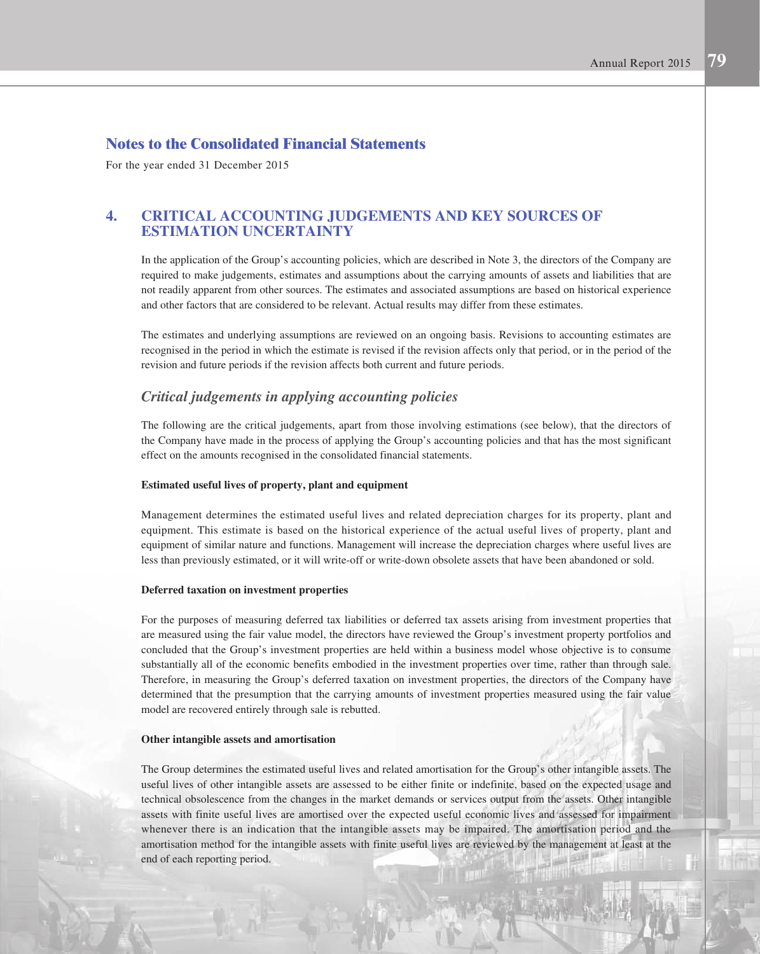For the year ended 31 December 2015

## **4. CRITICAL ACCOUNTING JUDGEMENTS AND KEY SOURCES OF ESTIMATION UNCERTAINTY**

In the application of the Group's accounting policies, which are described in Note 3, the directors of the Company are required to make judgements, estimates and assumptions about the carrying amounts of assets and liabilities that are not readily apparent from other sources. The estimates and associated assumptions are based on historical experience and other factors that are considered to be relevant. Actual results may differ from these estimates.

The estimates and underlying assumptions are reviewed on an ongoing basis. Revisions to accounting estimates are recognised in the period in which the estimate is revised if the revision affects only that period, or in the period of the revision and future periods if the revision affects both current and future periods.

## *Critical judgements in applying accounting policies*

The following are the critical judgements, apart from those involving estimations (see below), that the directors of the Company have made in the process of applying the Group's accounting policies and that has the most significant effect on the amounts recognised in the consolidated financial statements.

#### **Estimated useful lives of property, plant and equipment**

Management determines the estimated useful lives and related depreciation charges for its property, plant and equipment. This estimate is based on the historical experience of the actual useful lives of property, plant and equipment of similar nature and functions. Management will increase the depreciation charges where useful lives are less than previously estimated, or it will write-off or write-down obsolete assets that have been abandoned or sold.

#### **Deferred taxation on investment properties**

For the purposes of measuring deferred tax liabilities or deferred tax assets arising from investment properties that are measured using the fair value model, the directors have reviewed the Group's investment property portfolios and concluded that the Group's investment properties are held within a business model whose objective is to consume substantially all of the economic benefits embodied in the investment properties over time, rather than through sale. Therefore, in measuring the Group's deferred taxation on investment properties, the directors of the Company have determined that the presumption that the carrying amounts of investment properties measured using the fair value model are recovered entirely through sale is rebutted.

#### **Other intangible assets and amortisation**

The Group determines the estimated useful lives and related amortisation for the Group's other intangible assets. The useful lives of other intangible assets are assessed to be either finite or indefinite, based on the expected usage and technical obsolescence from the changes in the market demands or services output from the assets. Other intangible assets with finite useful lives are amortised over the expected useful economic lives and assessed for impairment whenever there is an indication that the intangible assets may be impaired. The amortisation period and the amortisation method for the intangible assets with finite useful lives are reviewed by the management at least at the end of each reporting period.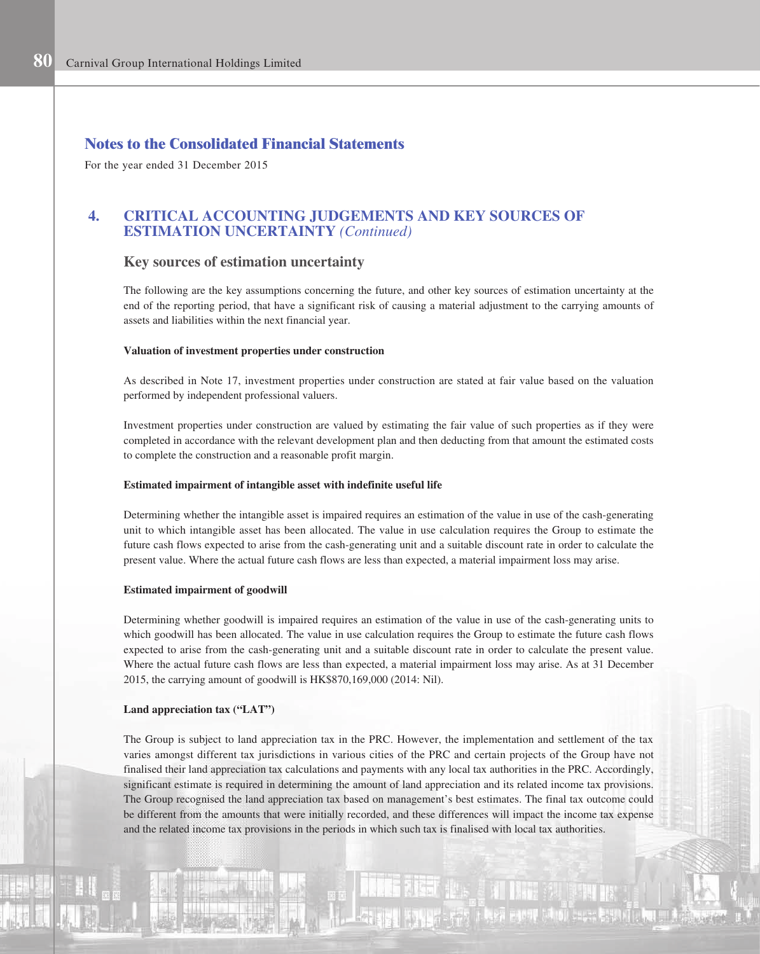For the year ended 31 December 2015

## **4. CRITICAL ACCOUNTING JUDGEMENTS AND KEY SOURCES OF ESTIMATION UNCERTAINTY** *(Continued)*

### **Key sources of estimation uncertainty**

The following are the key assumptions concerning the future, and other key sources of estimation uncertainty at the end of the reporting period, that have a significant risk of causing a material adjustment to the carrying amounts of assets and liabilities within the next financial year.

#### **Valuation of investment properties under construction**

As described in Note 17, investment properties under construction are stated at fair value based on the valuation performed by independent professional valuers.

Investment properties under construction are valued by estimating the fair value of such properties as if they were completed in accordance with the relevant development plan and then deducting from that amount the estimated costs to complete the construction and a reasonable profit margin.

#### **Estimated impairment of intangible asset with indefinite useful life**

Determining whether the intangible asset is impaired requires an estimation of the value in use of the cash-generating unit to which intangible asset has been allocated. The value in use calculation requires the Group to estimate the future cash flows expected to arise from the cash-generating unit and a suitable discount rate in order to calculate the present value. Where the actual future cash flows are less than expected, a material impairment loss may arise.

#### **Estimated impairment of goodwill**

Determining whether goodwill is impaired requires an estimation of the value in use of the cash-generating units to which goodwill has been allocated. The value in use calculation requires the Group to estimate the future cash flows expected to arise from the cash-generating unit and a suitable discount rate in order to calculate the present value. Where the actual future cash flows are less than expected, a material impairment loss may arise. As at 31 December 2015, the carrying amount of goodwill is HK\$870,169,000 (2014: Nil).

#### **Land appreciation tax ("LAT")**

The Group is subject to land appreciation tax in the PRC. However, the implementation and settlement of the tax varies amongst different tax jurisdictions in various cities of the PRC and certain projects of the Group have not finalised their land appreciation tax calculations and payments with any local tax authorities in the PRC. Accordingly, significant estimate is required in determining the amount of land appreciation and its related income tax provisions. The Group recognised the land appreciation tax based on management's best estimates. The final tax outcome could be different from the amounts that were initially recorded, and these differences will impact the income tax expense and the related income tax provisions in the periods in which such tax is finalised with local tax authorities.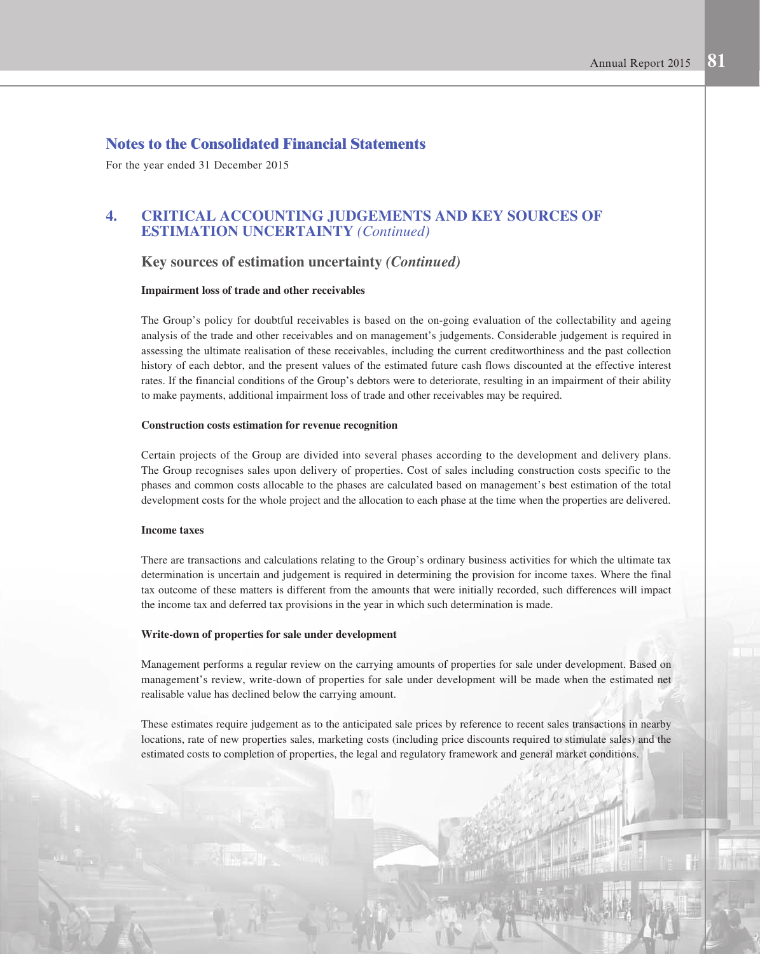For the year ended 31 December 2015

## **4. CRITICAL ACCOUNTING JUDGEMENTS AND KEY SOURCES OF ESTIMATION UNCERTAINTY** *(Continued)*

#### **Key sources of estimation uncertainty** *(Continued)*

#### **Impairment loss of trade and other receivables**

The Group's policy for doubtful receivables is based on the on-going evaluation of the collectability and ageing analysis of the trade and other receivables and on management's judgements. Considerable judgement is required in assessing the ultimate realisation of these receivables, including the current creditworthiness and the past collection history of each debtor, and the present values of the estimated future cash flows discounted at the effective interest rates. If the financial conditions of the Group's debtors were to deteriorate, resulting in an impairment of their ability to make payments, additional impairment loss of trade and other receivables may be required.

#### **Construction costs estimation for revenue recognition**

Certain projects of the Group are divided into several phases according to the development and delivery plans. The Group recognises sales upon delivery of properties. Cost of sales including construction costs specific to the phases and common costs allocable to the phases are calculated based on management's best estimation of the total development costs for the whole project and the allocation to each phase at the time when the properties are delivered.

#### **Income taxes**

There are transactions and calculations relating to the Group's ordinary business activities for which the ultimate tax determination is uncertain and judgement is required in determining the provision for income taxes. Where the final tax outcome of these matters is different from the amounts that were initially recorded, such differences will impact the income tax and deferred tax provisions in the year in which such determination is made.

#### **Write-down of properties for sale under development**

Management performs a regular review on the carrying amounts of properties for sale under development. Based on management's review, write-down of properties for sale under development will be made when the estimated net realisable value has declined below the carrying amount.

These estimates require judgement as to the anticipated sale prices by reference to recent sales transactions in nearby locations, rate of new properties sales, marketing costs (including price discounts required to stimulate sales) and the estimated costs to completion of properties, the legal and regulatory framework and general market conditions.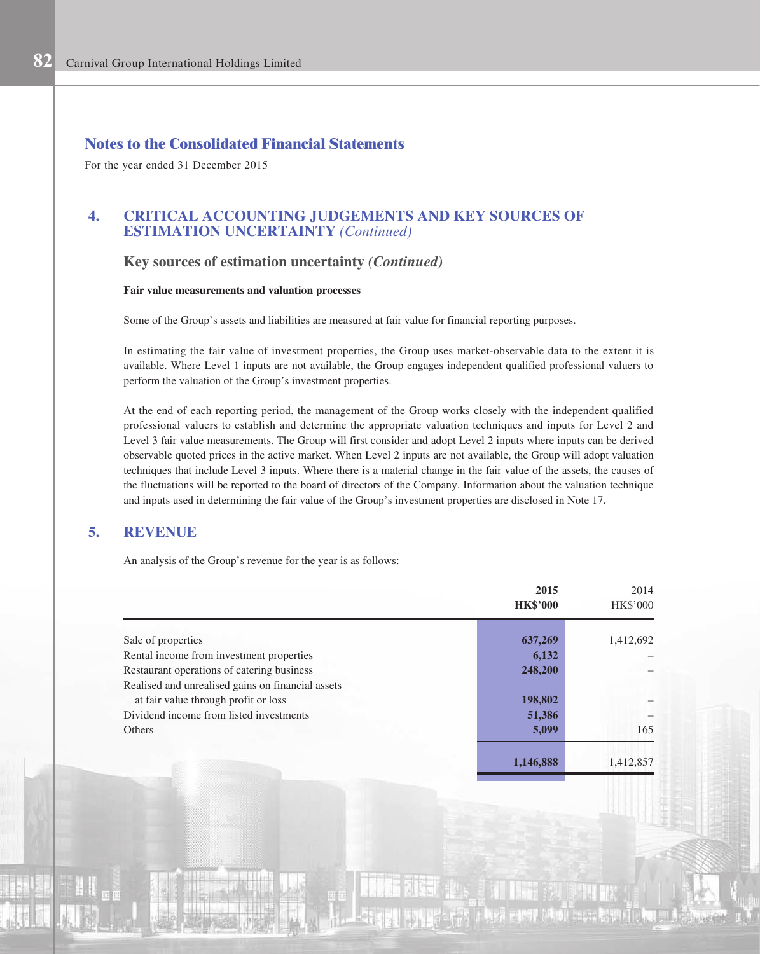For the year ended 31 December 2015

# **4. CRITICAL ACCOUNTING JUDGEMENTS AND KEY SOURCES OF ESTIMATION UNCERTAINTY** *(Continued)*

#### **Key sources of estimation uncertainty** *(Continued)*

#### **Fair value measurements and valuation processes**

Some of the Group's assets and liabilities are measured at fair value for financial reporting purposes.

In estimating the fair value of investment properties, the Group uses market-observable data to the extent it is available. Where Level 1 inputs are not available, the Group engages independent qualified professional valuers to perform the valuation of the Group's investment properties.

At the end of each reporting period, the management of the Group works closely with the independent qualified professional valuers to establish and determine the appropriate valuation techniques and inputs for Level 2 and Level 3 fair value measurements. The Group will first consider and adopt Level 2 inputs where inputs can be derived observable quoted prices in the active market. When Level 2 inputs are not available, the Group will adopt valuation techniques that include Level 3 inputs. Where there is a material change in the fair value of the assets, the causes of the fluctuations will be reported to the board of directors of the Company. Information about the valuation technique and inputs used in determining the fair value of the Group's investment properties are disclosed in Note 17.

## **5. REVENUE**

An analysis of the Group's revenue for the year is as follows:

|                                                   | 2015<br><b>HK\$'000</b> | 2014<br><b>HK\$'000</b> |
|---------------------------------------------------|-------------------------|-------------------------|
|                                                   |                         |                         |
| Sale of properties                                | 637,269                 | 1,412,692               |
| Rental income from investment properties          | 6,132                   |                         |
| Restaurant operations of catering business        | 248,200                 |                         |
| Realised and unrealised gains on financial assets |                         |                         |
| at fair value through profit or loss              | 198,802                 |                         |
| Dividend income from listed investments           | 51,386                  |                         |
| <b>Others</b>                                     | 5,099                   | 165                     |
|                                                   | 1,146,888               | 1,412,857               |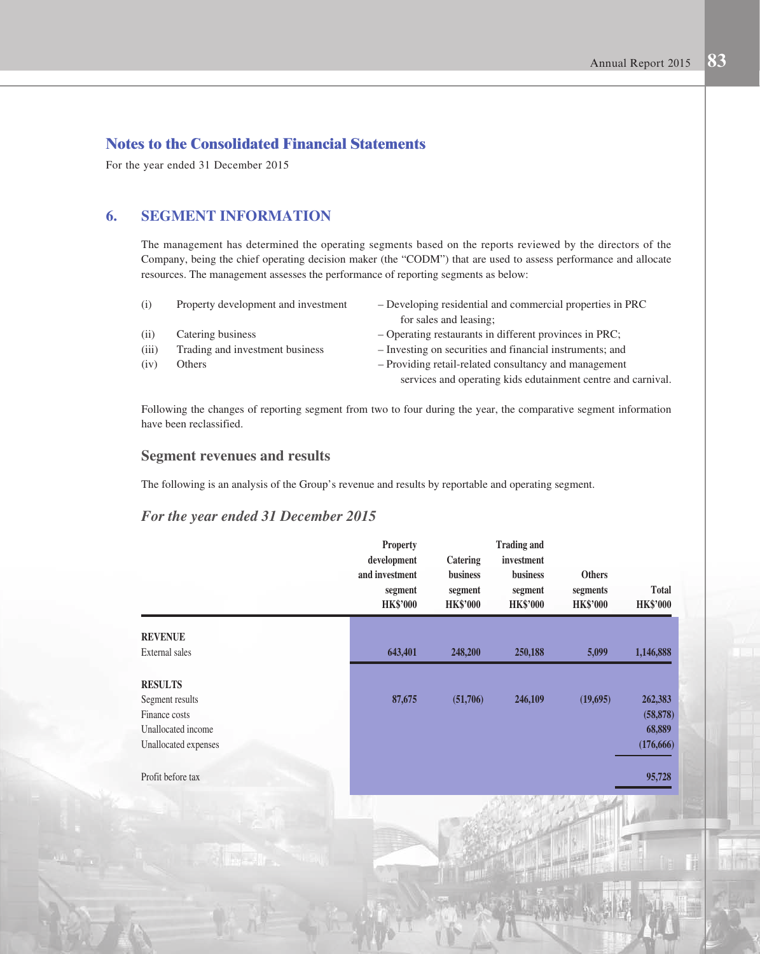For the year ended 31 December 2015

# **6. SEGMENT INFORMATION**

The management has determined the operating segments based on the reports reviewed by the directors of the Company, being the chief operating decision maker (the "CODM") that are used to assess performance and allocate resources. The management assesses the performance of reporting segments as below:

| (i)   | Property development and investment | - Developing residential and commercial properties in PRC    |
|-------|-------------------------------------|--------------------------------------------------------------|
|       |                                     | for sales and leasing:                                       |
| (ii)  | Catering business                   | – Operating restaurants in different provinces in PRC;       |
| (iii) | Trading and investment business     | - Investing on securities and financial instruments; and     |
| (iv)  | Others                              | - Providing retail-related consultancy and management        |
|       |                                     | services and operating kids edutainment centre and carnival. |

Following the changes of reporting segment from two to four during the year, the comparative segment information have been reclassified.

### **Segment revenues and results**

The following is an analysis of the Group's revenue and results by reportable and operating segment.

### *For the year ended 31 December 2015*

|                      | <b>Property</b><br>development<br>and investment<br>segment<br><b>HK\$'000</b> | Catering<br>business<br>segment<br><b>HK\$'000</b> | <b>Trading and</b><br>investment<br>business<br>segment<br><b>HK\$'000</b> | <b>Others</b><br>segments<br><b>HK\$'000</b> | Total<br><b>HK\$'000</b> |
|----------------------|--------------------------------------------------------------------------------|----------------------------------------------------|----------------------------------------------------------------------------|----------------------------------------------|--------------------------|
| <b>REVENUE</b>       |                                                                                |                                                    |                                                                            |                                              |                          |
| External sales       | 643,401                                                                        | 248,200                                            | 250,188                                                                    | 5,099                                        | 1,146,888                |
| <b>RESULTS</b>       |                                                                                |                                                    |                                                                            |                                              |                          |
| Segment results      | 87,675                                                                         | (51,706)                                           | 246,109                                                                    | (19,695)                                     | 262,383                  |
| Finance costs        |                                                                                |                                                    |                                                                            |                                              | (58, 878)                |
| Unallocated income   |                                                                                |                                                    |                                                                            |                                              | 68,889                   |
| Unallocated expenses |                                                                                |                                                    |                                                                            |                                              | (176, 666)               |
| Profit before tax    |                                                                                |                                                    |                                                                            |                                              | 95,728                   |
|                      |                                                                                |                                                    |                                                                            |                                              |                          |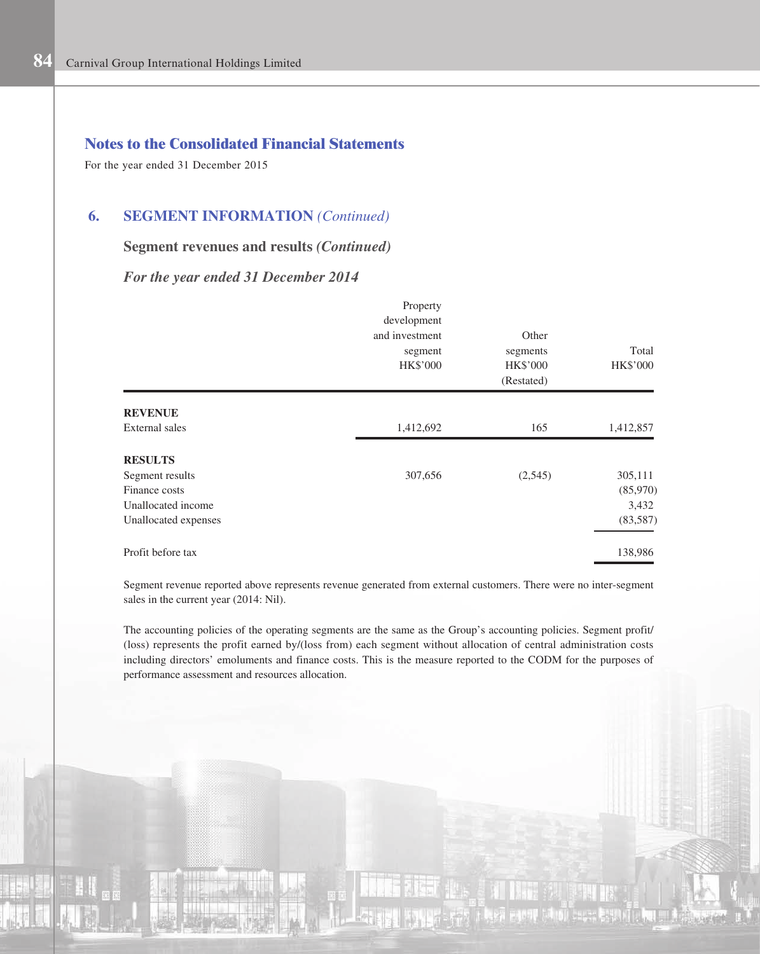For the year ended 31 December 2015

# **6. SEGMENT INFORMATION** *(Continued)*

## **Segment revenues and results** *(Continued)*

*For the year ended 31 December 2014*

| Property        |                 |                 |
|-----------------|-----------------|-----------------|
| development     |                 |                 |
| and investment  | Other           |                 |
| segment         | segments        | Total           |
| <b>HK\$'000</b> | <b>HK\$'000</b> | <b>HK\$'000</b> |
|                 | (Restated)      |                 |
|                 |                 |                 |
| 1,412,692       | 165             | 1,412,857       |
|                 |                 |                 |
| 307,656         | (2,545)         | 305,111         |
|                 |                 | (85,970)        |
|                 |                 | 3,432           |
|                 |                 | (83, 587)       |
|                 |                 | 138,986         |
|                 |                 |                 |

Segment revenue reported above represents revenue generated from external customers. There were no inter-segment sales in the current year (2014: Nil).

The accounting policies of the operating segments are the same as the Group's accounting policies. Segment profit/ (loss) represents the profit earned by/(loss from) each segment without allocation of central administration costs including directors' emoluments and finance costs. This is the measure reported to the CODM for the purposes of performance assessment and resources allocation.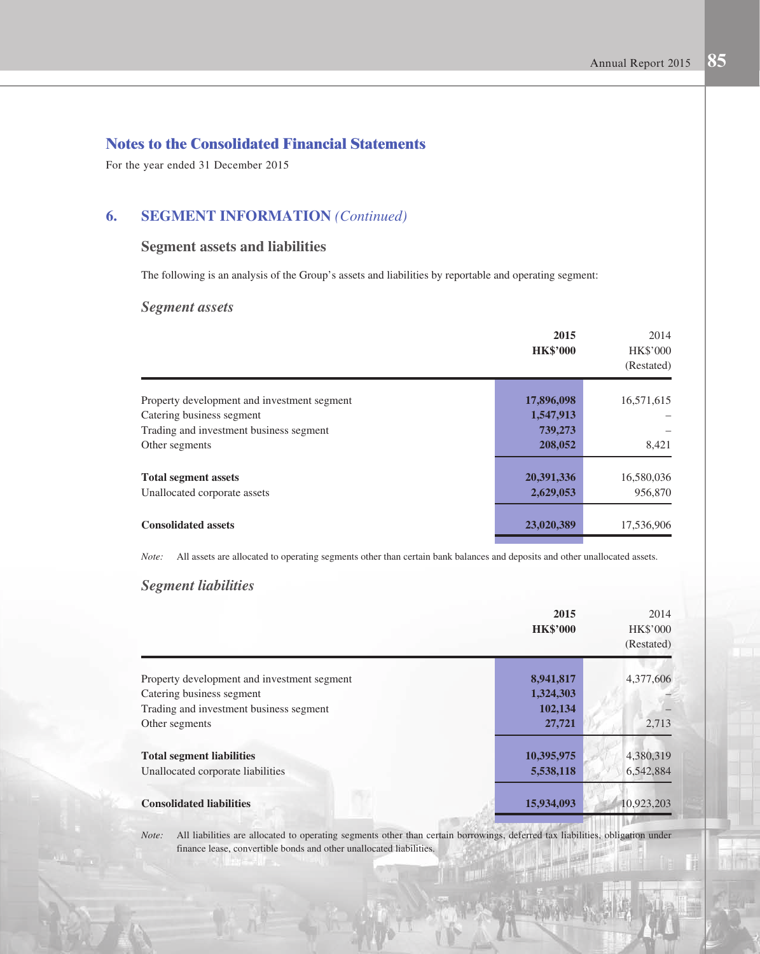For the year ended 31 December 2015

# **6. SEGMENT INFORMATION** *(Continued)*

## **Segment assets and liabilities**

The following is an analysis of the Group's assets and liabilities by reportable and operating segment:

#### *Segment assets*

|                                                                                                                                       | 2015<br><b>HK\$'000</b>                       | 2014<br>HK\$'000<br>(Restated) |
|---------------------------------------------------------------------------------------------------------------------------------------|-----------------------------------------------|--------------------------------|
| Property development and investment segment<br>Catering business segment<br>Trading and investment business segment<br>Other segments | 17,896,098<br>1,547,913<br>739,273<br>208,052 | 16,571,615<br>8,421            |
| <b>Total segment assets</b><br>Unallocated corporate assets                                                                           | 20,391,336<br>2,629,053                       | 16,580,036<br>956,870          |
| <b>Consolidated assets</b>                                                                                                            | 23,020,389                                    | 17,536,906                     |

*Note:* All assets are allocated to operating segments other than certain bank balances and deposits and other unallocated assets.

### *Segment liabilities*

|                                             | 2015<br><b>HK\$'000</b> | 2014<br><b>HK\$'000</b><br>(Restated) |
|---------------------------------------------|-------------------------|---------------------------------------|
| Property development and investment segment | 8,941,817               | 4,377,606                             |
| Catering business segment                   | 1,324,303               |                                       |
| Trading and investment business segment     | 102,134                 |                                       |
| Other segments                              | 27,721                  | 2,713                                 |
| <b>Total segment liabilities</b>            | 10,395,975              | 4,380,319                             |
| Unallocated corporate liabilities           | 5,538,118               | 6,542,884                             |
| <b>Consolidated liabilities</b>             | 15,934,093              | 10,923,203                            |
|                                             |                         |                                       |

*Note:* All liabilities are allocated to operating segments other than certain borrowings, deferred tax liabilities, obligation under finance lease, convertible bonds and other unallocated liabilities.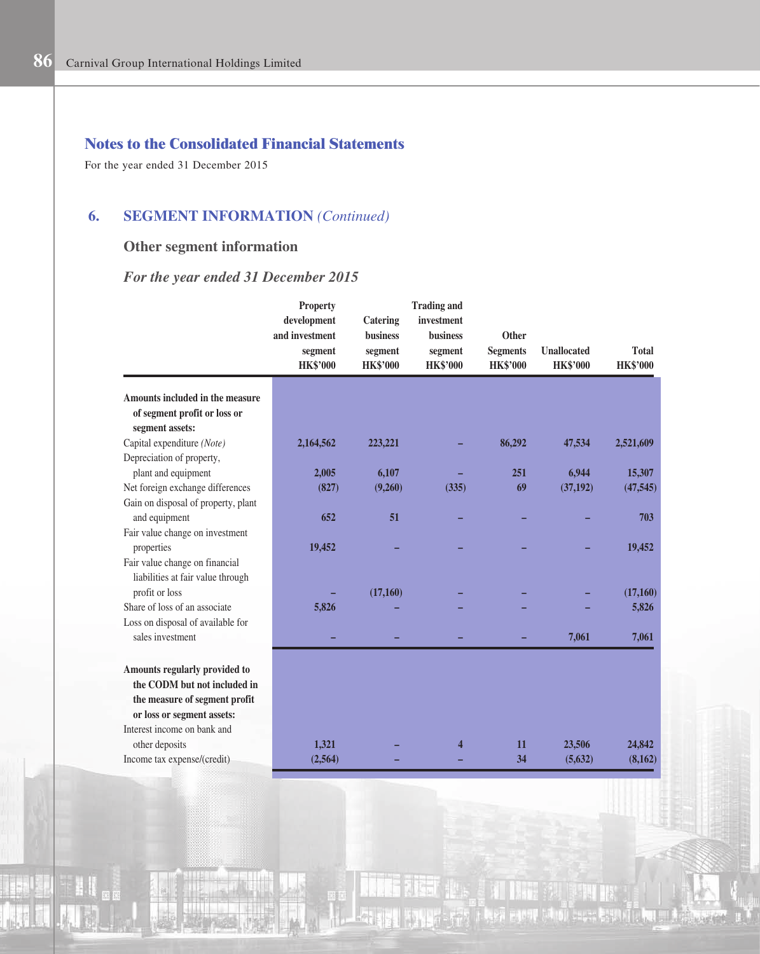For the year ended 31 December 2015

# **6. SEGMENT INFORMATION** *(Continued)*

# **Other segment information**

*For the year ended 31 December 2015*

|                                                                                                                              | <b>Property</b><br>development<br>and investment<br>segment<br><b>HK\$'000</b> | Catering<br><b>business</b><br>segment<br><b>HK\$'000</b> | <b>Trading and</b><br>investment<br><b>business</b><br>segment<br><b>HK\$'000</b> | <b>Other</b><br><b>Segments</b><br><b>HK\$'000</b> | <b>Unallocated</b><br><b>HK\$'000</b> | <b>Total</b><br><b>HK\$'000</b> |
|------------------------------------------------------------------------------------------------------------------------------|--------------------------------------------------------------------------------|-----------------------------------------------------------|-----------------------------------------------------------------------------------|----------------------------------------------------|---------------------------------------|---------------------------------|
| Amounts included in the measure                                                                                              |                                                                                |                                                           |                                                                                   |                                                    |                                       |                                 |
| of segment profit or loss or                                                                                                 |                                                                                |                                                           |                                                                                   |                                                    |                                       |                                 |
| segment assets:                                                                                                              |                                                                                |                                                           |                                                                                   |                                                    |                                       |                                 |
| Capital expenditure (Note)                                                                                                   | 2,164,562                                                                      | 223,221                                                   |                                                                                   | 86,292                                             | 47,534                                | 2,521,609                       |
| Depreciation of property,                                                                                                    |                                                                                |                                                           |                                                                                   |                                                    |                                       |                                 |
| plant and equipment                                                                                                          | 2,005                                                                          | 6,107                                                     |                                                                                   | 251                                                | 6,944                                 | 15,307                          |
| Net foreign exchange differences                                                                                             | (827)                                                                          | (9,260)                                                   | (335)                                                                             | 69                                                 | (37, 192)                             | (47, 545)                       |
| Gain on disposal of property, plant                                                                                          |                                                                                |                                                           |                                                                                   |                                                    |                                       |                                 |
| and equipment                                                                                                                | 652                                                                            | 51                                                        |                                                                                   |                                                    |                                       | 703                             |
| Fair value change on investment                                                                                              |                                                                                |                                                           |                                                                                   |                                                    |                                       |                                 |
| properties                                                                                                                   | 19,452                                                                         |                                                           |                                                                                   |                                                    |                                       | 19,452                          |
| Fair value change on financial                                                                                               |                                                                                |                                                           |                                                                                   |                                                    |                                       |                                 |
| liabilities at fair value through                                                                                            |                                                                                |                                                           |                                                                                   |                                                    |                                       |                                 |
| profit or loss                                                                                                               |                                                                                | (17,160)                                                  |                                                                                   |                                                    |                                       | (17,160)                        |
| Share of loss of an associate                                                                                                | 5,826                                                                          |                                                           |                                                                                   |                                                    |                                       | 5,826                           |
| Loss on disposal of available for                                                                                            |                                                                                |                                                           |                                                                                   |                                                    |                                       |                                 |
| sales investment                                                                                                             |                                                                                |                                                           |                                                                                   |                                                    | 7,061                                 | 7,061                           |
| Amounts regularly provided to<br>the CODM but not included in<br>the measure of segment profit<br>or loss or segment assets: |                                                                                |                                                           |                                                                                   |                                                    |                                       |                                 |
| Interest income on bank and                                                                                                  |                                                                                |                                                           |                                                                                   |                                                    |                                       |                                 |
| other deposits                                                                                                               | 1,321                                                                          |                                                           | 4                                                                                 | 11                                                 | 23,506                                | 24,842                          |
| Income tax expense/(credit)                                                                                                  | (2,564)                                                                        |                                                           |                                                                                   | 34                                                 | (5, 632)                              | (8,162)                         |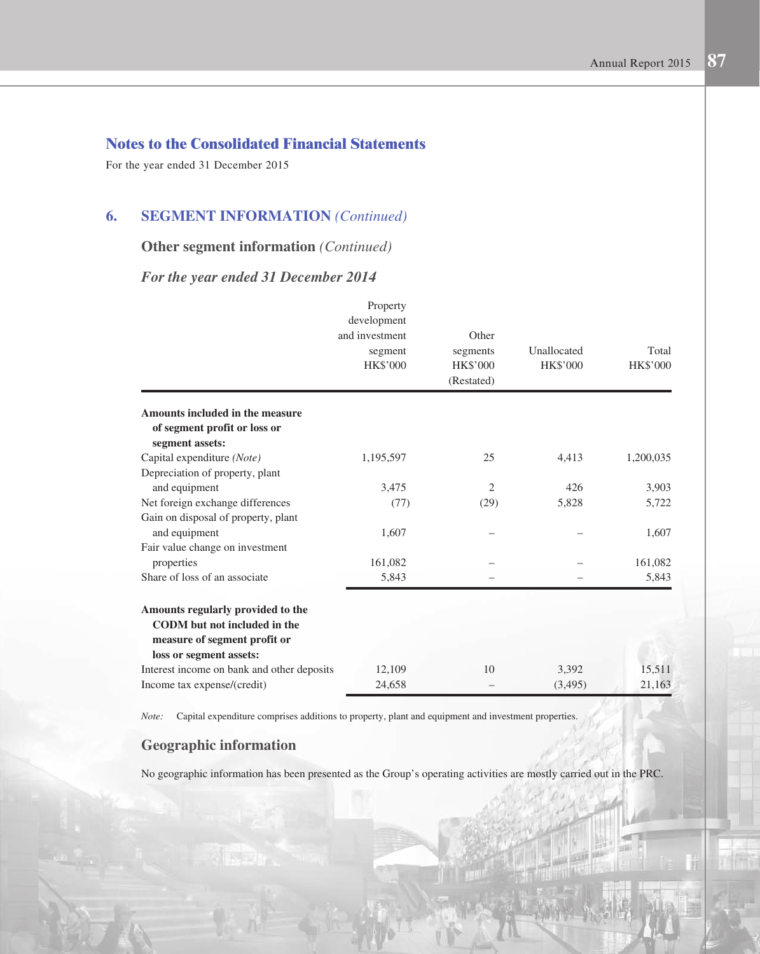For the year ended 31 December 2015

# **6. SEGMENT INFORMATION** *(Continued)*

**Other segment information** *(Continued)*

*For the year ended 31 December 2014*

|                                                              | Property                      |                               |                 |                 |
|--------------------------------------------------------------|-------------------------------|-------------------------------|-----------------|-----------------|
|                                                              | development<br>and investment |                               |                 |                 |
|                                                              |                               | Other                         | Unallocated     | Total           |
|                                                              | segment                       | segments                      | <b>HK\$'000</b> | <b>HK\$'000</b> |
|                                                              | <b>HK\$'000</b>               | <b>HK\$'000</b><br>(Restated) |                 |                 |
| Amounts included in the measure                              |                               |                               |                 |                 |
| of segment profit or loss or<br>segment assets:              |                               |                               |                 |                 |
| Capital expenditure (Note)                                   | 1,195,597                     | 25                            | 4,413           | 1,200,035       |
| Depreciation of property, plant                              |                               |                               |                 |                 |
| and equipment                                                | 3,475                         | 2                             | 426             | 3,903           |
| Net foreign exchange differences                             | (77)                          | (29)                          | 5,828           | 5,722           |
| Gain on disposal of property, plant                          |                               |                               |                 |                 |
| and equipment                                                | 1,607                         |                               |                 | 1,607           |
| Fair value change on investment                              |                               |                               |                 |                 |
| properties                                                   | 161,082                       |                               |                 | 161,082         |
| Share of loss of an associate                                | 5,843                         |                               |                 | 5,843           |
| Amounts regularly provided to the                            |                               |                               |                 |                 |
| CODM but not included in the<br>measure of segment profit or |                               |                               |                 |                 |
| loss or segment assets:                                      |                               |                               |                 |                 |
| Interest income on bank and other deposits                   | 12,109                        | 10                            | 3,392           | 15,511          |
| Income tax expense/(credit)                                  | 24,658                        |                               | (3,495)         | 21,163          |

*Note:* Capital expenditure comprises additions to property, plant and equipment and investment properties.

### **Geographic information**

No geographic information has been presented as the Group's operating activities are mostly carried out in the PRC.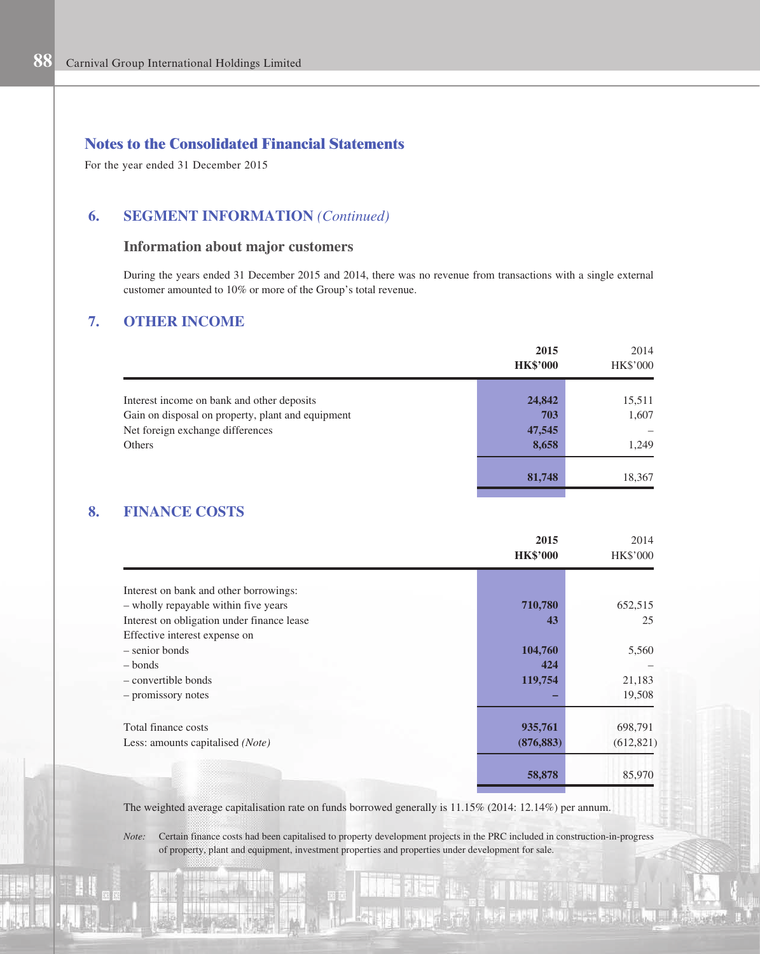For the year ended 31 December 2015

# **6. SEGMENT INFORMATION** *(Continued)*

### **Information about major customers**

During the years ended 31 December 2015 and 2014, there was no revenue from transactions with a single external customer amounted to 10% or more of the Group's total revenue.

# **7. OTHER INCOME**

|                                                   | 2015<br><b>HK\$'000</b> | 2014<br><b>HK\$'000</b> |
|---------------------------------------------------|-------------------------|-------------------------|
| Interest income on bank and other deposits        | 24,842                  | 15,511                  |
| Gain on disposal on property, plant and equipment | 703                     | 1,607                   |
| Net foreign exchange differences                  | 47,545                  |                         |
| Others                                            | 8,658                   | 1,249                   |
|                                                   | 81,748                  | 18,367                  |
|                                                   |                         |                         |

# **8. FINANCE COSTS**

|                                            | 2015<br><b>HK\$'000</b> | 2014<br><b>HK\$'000</b> |
|--------------------------------------------|-------------------------|-------------------------|
| Interest on bank and other borrowings:     |                         |                         |
| - wholly repayable within five years       | 710,780                 | 652,515                 |
| Interest on obligation under finance lease | 43                      | 25                      |
| Effective interest expense on              |                         |                         |
| - senior bonds                             | 104,760                 | 5,560                   |
| $-$ bonds                                  | 424                     |                         |
| - convertible bonds                        | 119,754                 | 21,183                  |
| - promissory notes                         |                         | 19,508                  |
| Total finance costs                        | 935,761                 | 698,791                 |
| Less: amounts capitalised (Note)           | (876, 883)              | (612, 821)              |
|                                            | 58,878                  | 85,970                  |
|                                            |                         |                         |

The weighted average capitalisation rate on funds borrowed generally is 11.15% (2014: 12.14%) per annum.

*Note:* Certain finance costs had been capitalised to property development projects in the PRC included in construction-in-progress of property, plant and equipment, investment properties and properties under development for sale.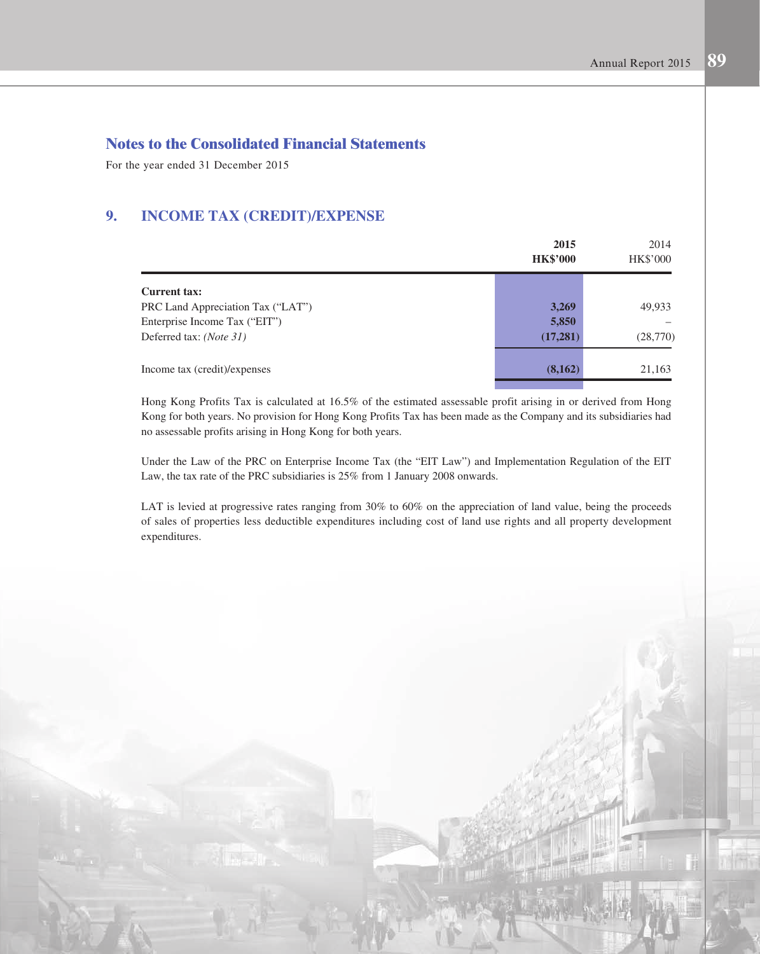For the year ended 31 December 2015

# **9. INCOME TAX (CREDIT)/EXPENSE**

|                                   | 2015<br><b>HK\$'000</b> | 2014<br><b>HK\$'000</b> |
|-----------------------------------|-------------------------|-------------------------|
| Current tax:                      |                         |                         |
| PRC Land Appreciation Tax ("LAT") | 3,269                   | 49.933                  |
| Enterprise Income Tax ("EIT")     | 5,850                   |                         |
| Deferred tax: (Note 31)           | (17,281)                | (28,770)                |
| Income tax (credit)/expenses      | (8,162)                 | 21,163                  |

Hong Kong Profits Tax is calculated at 16.5% of the estimated assessable profit arising in or derived from Hong Kong for both years. No provision for Hong Kong Profits Tax has been made as the Company and its subsidiaries had no assessable profits arising in Hong Kong for both years.

Under the Law of the PRC on Enterprise Income Tax (the "EIT Law") and Implementation Regulation of the EIT Law, the tax rate of the PRC subsidiaries is 25% from 1 January 2008 onwards.

LAT is levied at progressive rates ranging from 30% to 60% on the appreciation of land value, being the proceeds of sales of properties less deductible expenditures including cost of land use rights and all property development expenditures.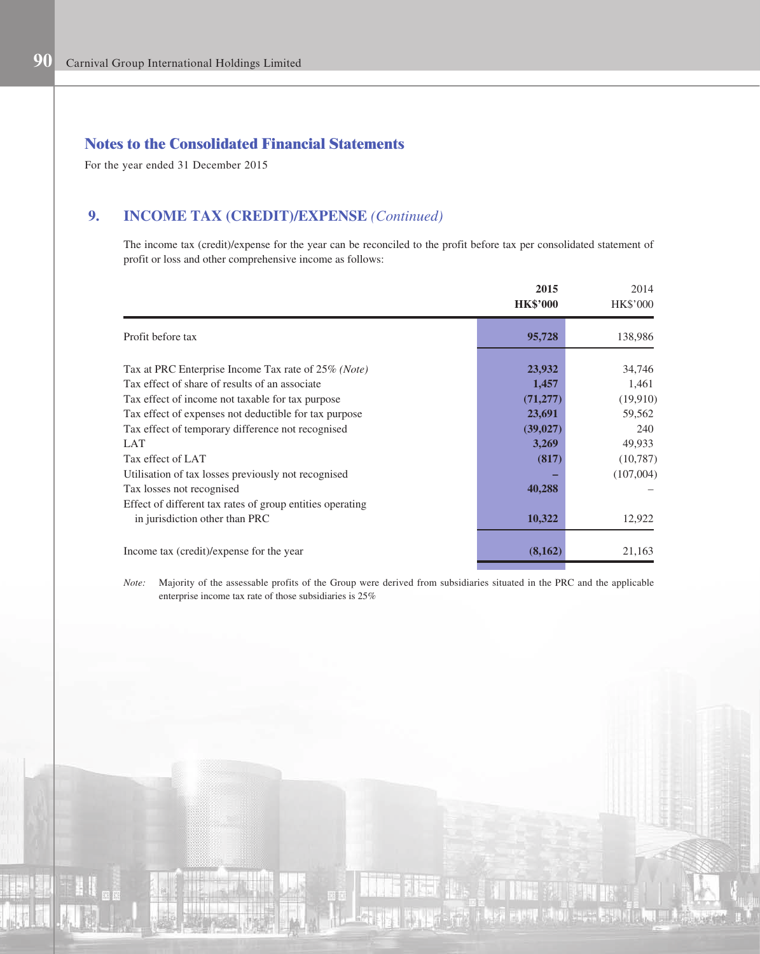For the year ended 31 December 2015

# **9. INCOME TAX (CREDIT)/EXPENSE** *(Continued)*

The income tax (credit)/expense for the year can be reconciled to the profit before tax per consolidated statement of profit or loss and other comprehensive income as follows:

|                                                                                                           | 2015<br><b>HK\$'000</b> | 2014<br><b>HK\$'000</b> |
|-----------------------------------------------------------------------------------------------------------|-------------------------|-------------------------|
| Profit before tax                                                                                         | 95,728                  | 138,986                 |
| Tax at PRC Enterprise Income Tax rate of 25% (Note)                                                       | 23,932                  | 34,746                  |
| Tax effect of share of results of an associate                                                            | 1,457<br>(71, 277)      | 1,461<br>(19,910)       |
| Tax effect of income not taxable for tax purpose<br>Tax effect of expenses not deductible for tax purpose | 23,691                  | 59,562                  |
| Tax effect of temporary difference not recognised                                                         | (39, 027)               | 240                     |
| <b>LAT</b>                                                                                                | 3,269                   | 49,933                  |
| Tax effect of LAT                                                                                         | (817)                   | (10, 787)               |
| Utilisation of tax losses previously not recognised                                                       |                         | (107,004)               |
| Tax losses not recognised                                                                                 | 40,288                  |                         |
| Effect of different tax rates of group entities operating                                                 |                         |                         |
| in jurisdiction other than PRC                                                                            | 10,322                  | 12,922                  |
| Income tax (credit)/expense for the year                                                                  | (8,162)                 | 21,163                  |

*Note:* Majority of the assessable profits of the Group were derived from subsidiaries situated in the PRC and the applicable enterprise income tax rate of those subsidiaries is 25%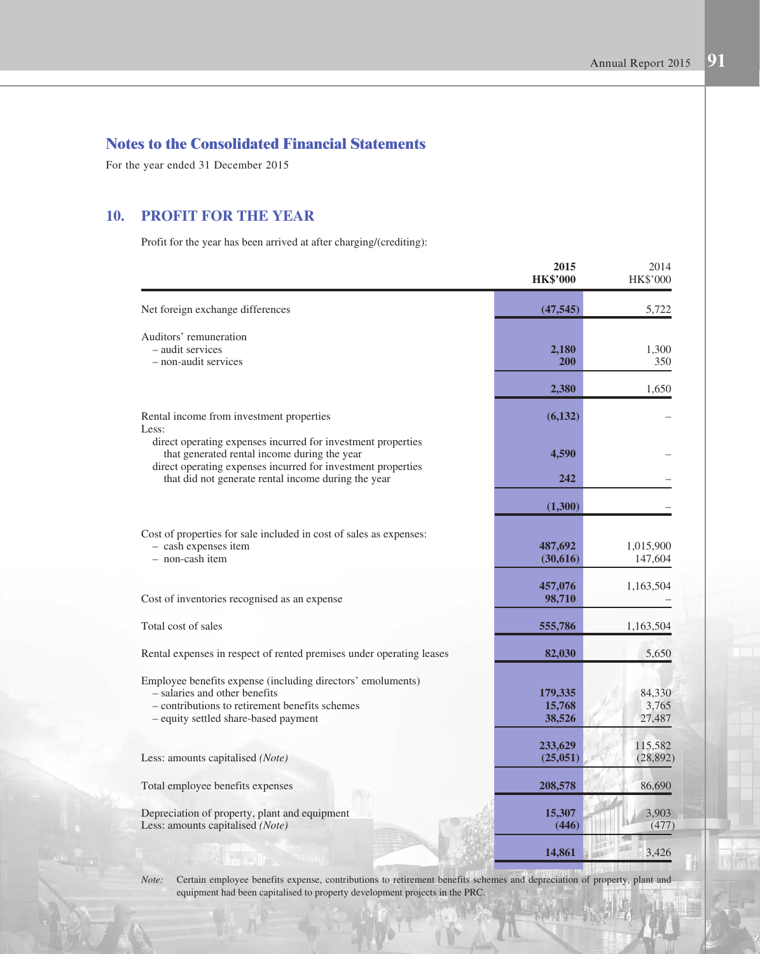For the year ended 31 December 2015

# **10. PROFIT FOR THE YEAR**

Profit for the year has been arrived at after charging/(crediting):

|                                                                                                                                                                              | 2015<br><b>HK\$'000</b>                | 2014<br><b>HK\$'000</b>              |
|------------------------------------------------------------------------------------------------------------------------------------------------------------------------------|----------------------------------------|--------------------------------------|
| Net foreign exchange differences                                                                                                                                             | (47, 545)                              | 5,722                                |
| Auditors' remuneration<br>- audit services<br>- non-audit services                                                                                                           | 2,180<br>200                           | 1,300<br>350                         |
|                                                                                                                                                                              | 2,380                                  | 1,650                                |
| Rental income from investment properties<br>Less:                                                                                                                            | (6, 132)                               |                                      |
| direct operating expenses incurred for investment properties<br>that generated rental income during the year<br>direct operating expenses incurred for investment properties | 4,590                                  |                                      |
| that did not generate rental income during the year<br>- non-cash item<br>- salaries and other benefits                                                                      | 242                                    |                                      |
|                                                                                                                                                                              | (1,300)                                |                                      |
| Cost of properties for sale included in cost of sales as expenses:<br>- cash expenses item                                                                                   | 487,692<br>(30,616)                    | 1,015,900<br>147,604                 |
| Cost of inventories recognised as an expense                                                                                                                                 | 457,076<br>98,710                      | 1,163,504                            |
| Total cost of sales                                                                                                                                                          | 555,786                                | 1,163,504                            |
| Rental expenses in respect of rented premises under operating leases                                                                                                         | 82,030                                 | 5,650                                |
| Employee benefits expense (including directors' emoluments)<br>- contributions to retirement benefits schemes<br>- equity settled share-based payment                        | 179,335<br>15,768<br>38,526<br>233,629 | 84,330<br>3,765<br>27,487<br>115,582 |
| Less: amounts capitalised (Note)                                                                                                                                             | (25,051)                               | (28, 892)                            |
| Total employee benefits expenses                                                                                                                                             | 208,578                                | 86,690                               |
| Depreciation of property, plant and equipment<br>Less: amounts capitalised (Note)                                                                                            | 15,307<br>(446)                        | 3,903<br>(477)                       |
|                                                                                                                                                                              | 14,861                                 | 3,426                                |

*Note:* Certain employee benefits expense, contributions to retirement benefits schemes and depreciation of property, plant and equipment had been capitalised to property development projects in the PRC.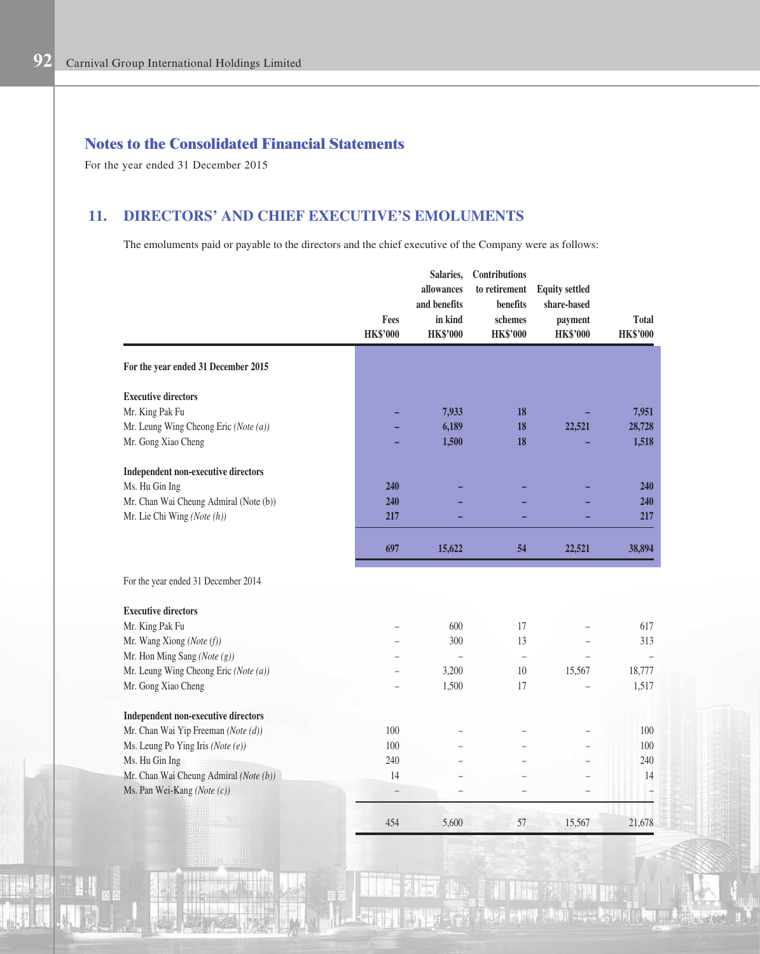For the year ended 31 December 2015

# **11. DIRECTORS' AND CHIEF EXECUTIVE'S EMOLUMENTS**

The emoluments paid or payable to the directors and the chief executive of the Company were as follows:

|                                        | Fees<br><b>HK\$'000</b> | Salaries,<br>allowances<br>and benefits<br>in kind<br><b>HK\$'000</b> | Contributions<br>to retirement<br>benefits<br>schemes<br><b>HK\$'000</b> | <b>Equity settled</b><br>share-based<br>payment<br><b>HK\$'000</b> | <b>Total</b><br><b>HK\$'000</b> |
|----------------------------------------|-------------------------|-----------------------------------------------------------------------|--------------------------------------------------------------------------|--------------------------------------------------------------------|---------------------------------|
| For the year ended 31 December 2015    |                         |                                                                       |                                                                          |                                                                    |                                 |
| <b>Executive directors</b>             |                         |                                                                       |                                                                          |                                                                    |                                 |
| Mr. King Pak Fu                        |                         | 7,933                                                                 | 18                                                                       |                                                                    | 7,951                           |
| Mr. Leung Wing Cheong Eric (Note (a))  |                         | 6,189                                                                 | 18                                                                       | 22,521                                                             | 28,728                          |
| Mr. Gong Xiao Cheng                    |                         | 1,500                                                                 | 18                                                                       |                                                                    | 1,518                           |
| Independent non-executive directors    |                         |                                                                       |                                                                          |                                                                    |                                 |
| Ms. Hu Gin Ing                         | 240                     |                                                                       |                                                                          |                                                                    | 240                             |
| Mr. Chan Wai Cheung Admiral (Note (b)) | 240                     |                                                                       |                                                                          |                                                                    | 240                             |
| Mr. Lie Chi Wing (Note (h))            | 217                     |                                                                       |                                                                          |                                                                    | 217                             |
|                                        | 697                     | 15,622                                                                | 54                                                                       | 22,521                                                             | 38,894                          |
| For the year ended 31 December 2014    |                         |                                                                       |                                                                          |                                                                    |                                 |
| <b>Executive directors</b>             |                         |                                                                       |                                                                          |                                                                    |                                 |
| Mr. King Pak Fu                        |                         | 600                                                                   | 17                                                                       |                                                                    | 617                             |
| Mr. Wang Xiong (Note (f))              |                         | 300                                                                   | 13                                                                       |                                                                    | 313                             |
| Mr. Hon Ming Sang (Note $(g)$ )        |                         | $\equiv$                                                              |                                                                          |                                                                    |                                 |
| Mr. Leung Wing Cheong Eric (Note (a))  |                         | 3,200                                                                 | 10                                                                       | 15,567                                                             | 18,777                          |
| Mr. Gong Xiao Cheng                    |                         | 1,500                                                                 | 17                                                                       |                                                                    | 1,517                           |
| Independent non-executive directors    |                         |                                                                       |                                                                          |                                                                    |                                 |
| Mr. Chan Wai Yip Freeman (Note (d))    | 100                     |                                                                       |                                                                          |                                                                    | 100                             |
| Ms. Leung Po Ying Iris (Note (e))      | 100                     |                                                                       |                                                                          |                                                                    | 100                             |
| Ms. Hu Gin Ing                         | 240                     |                                                                       |                                                                          |                                                                    | 240                             |
| Mr. Chan Wai Cheung Admiral (Note (b)) | 14                      |                                                                       |                                                                          |                                                                    | 14                              |
| Ms. Pan Wei-Kang (Note (c))            | $\qquad \qquad -$       |                                                                       |                                                                          | L.                                                                 | $\overline{\phantom{0}}$        |
|                                        | 454                     | 5,600                                                                 | 57                                                                       | 15,567                                                             | 21,678                          |

28. T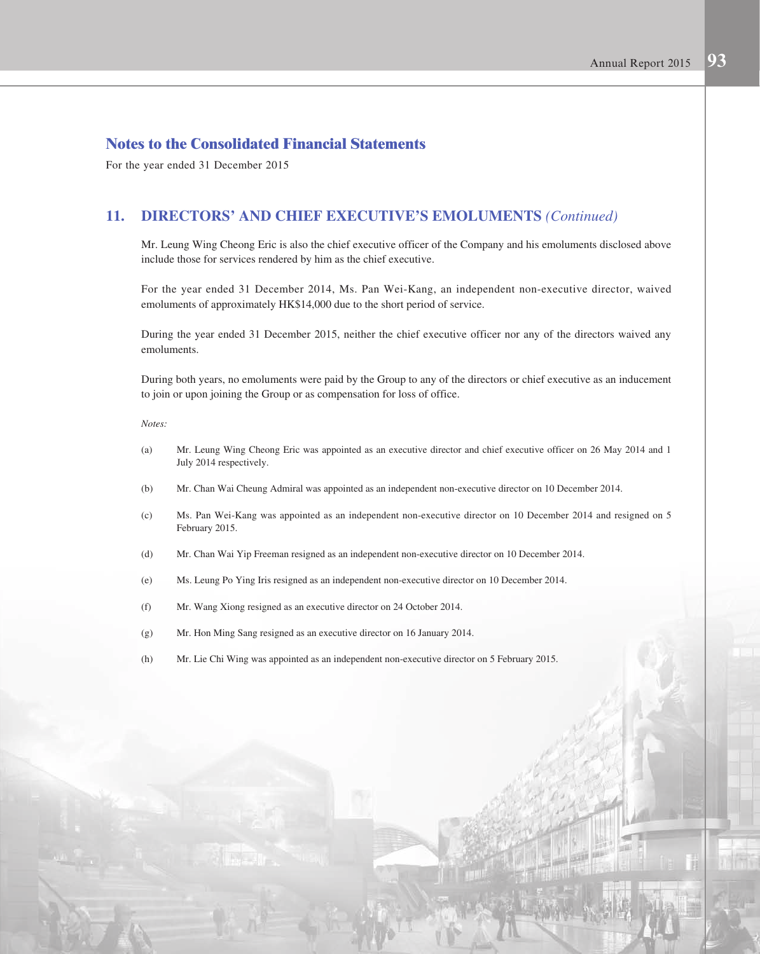For the year ended 31 December 2015

# **11. DIRECTORS' AND CHIEF EXECUTIVE'S EMOLUMENTS** *(Continued)*

Mr. Leung Wing Cheong Eric is also the chief executive officer of the Company and his emoluments disclosed above include those for services rendered by him as the chief executive.

For the year ended 31 December 2014, Ms. Pan Wei-Kang, an independent non-executive director, waived emoluments of approximately HK\$14,000 due to the short period of service.

During the year ended 31 December 2015, neither the chief executive officer nor any of the directors waived any emoluments.

During both years, no emoluments were paid by the Group to any of the directors or chief executive as an inducement to join or upon joining the Group or as compensation for loss of office.

#### *Notes:*

- (a) Mr. Leung Wing Cheong Eric was appointed as an executive director and chief executive officer on 26 May 2014 and 1 July 2014 respectively.
- (b) Mr. Chan Wai Cheung Admiral was appointed as an independent non-executive director on 10 December 2014.
- (c) Ms. Pan Wei-Kang was appointed as an independent non-executive director on 10 December 2014 and resigned on 5 February 2015.
- (d) Mr. Chan Wai Yip Freeman resigned as an independent non-executive director on 10 December 2014.
- (e) Ms. Leung Po Ying Iris resigned as an independent non-executive director on 10 December 2014.
- (f) Mr. Wang Xiong resigned as an executive director on 24 October 2014.
- (g) Mr. Hon Ming Sang resigned as an executive director on 16 January 2014.
- (h) Mr. Lie Chi Wing was appointed as an independent non-executive director on 5 February 2015.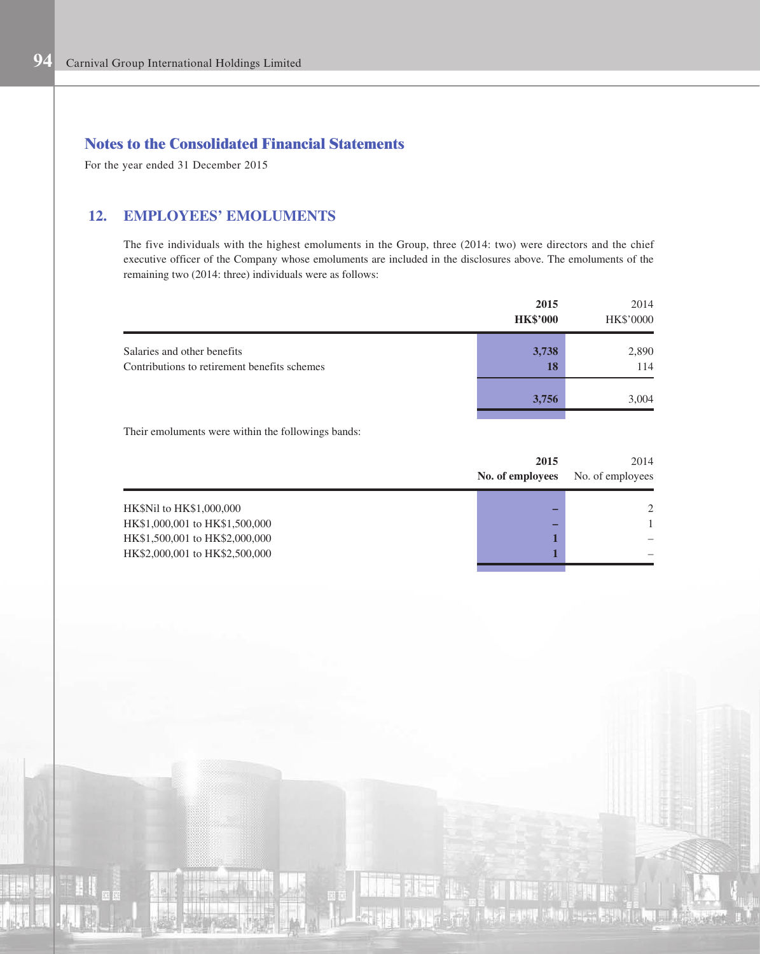For the year ended 31 December 2015

# **12. EMPLOYEES' EMOLUMENTS**

The five individuals with the highest emoluments in the Group, three (2014: two) were directors and the chief executive officer of the Company whose emoluments are included in the disclosures above. The emoluments of the remaining two (2014: three) individuals were as follows:

|                                                                             | 2015<br><b>HK\$'000</b> | 2014<br><b>HK\$'0000</b> |
|-----------------------------------------------------------------------------|-------------------------|--------------------------|
| Salaries and other benefits<br>Contributions to retirement benefits schemes | 3,738<br>18             | 2,890<br>114             |
|                                                                             | 3,756                   | 3,004                    |

Their emoluments were within the followings bands:

|                                | 2015<br>No. of employees | 2014<br>No. of employees    |
|--------------------------------|--------------------------|-----------------------------|
| HK\$Nil to HK\$1,000,000       |                          | $\mathcal{D}_{\mathcal{L}}$ |
| HK\$1,000,001 to HK\$1,500,000 |                          |                             |
| HK\$1,500,001 to HK\$2,000,000 |                          |                             |
| HK\$2,000,001 to HK\$2,500,000 |                          |                             |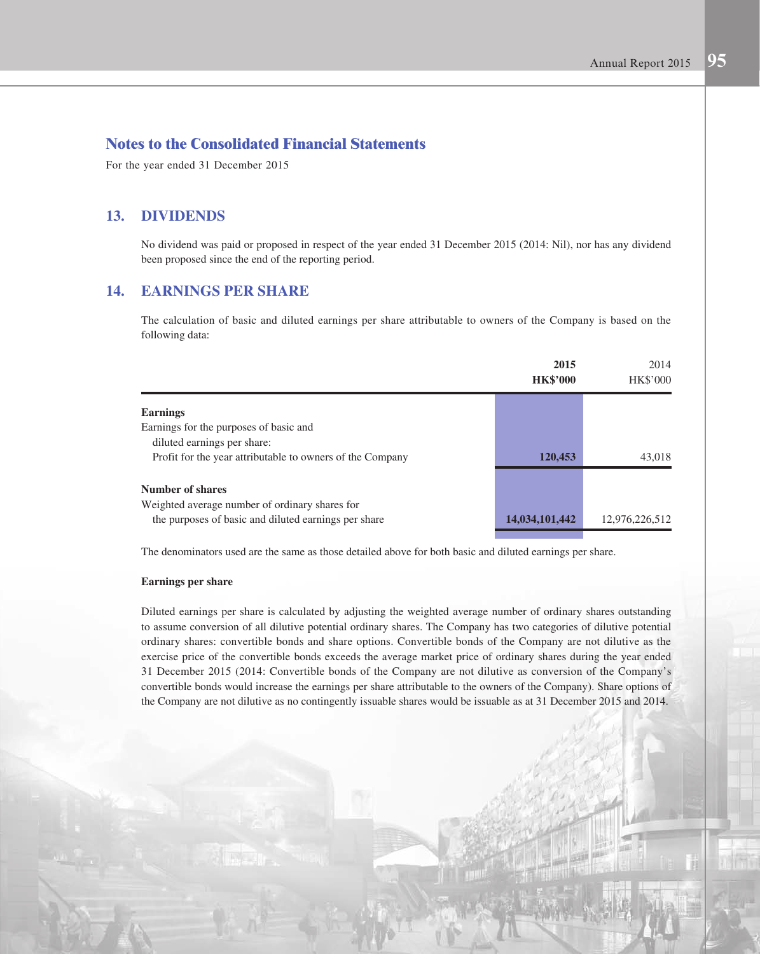For the year ended 31 December 2015

## **13. DIVIDENDS**

No dividend was paid or proposed in respect of the year ended 31 December 2015 (2014: Nil), nor has any dividend been proposed since the end of the reporting period.

## **14. EARNINGS PER SHARE**

The calculation of basic and diluted earnings per share attributable to owners of the Company is based on the following data:

|                                                           | 2015<br><b>HK\$'000</b> | 2014<br><b>HK\$'000</b> |
|-----------------------------------------------------------|-------------------------|-------------------------|
| <b>Earnings</b>                                           |                         |                         |
| Earnings for the purposes of basic and                    |                         |                         |
| diluted earnings per share:                               |                         |                         |
| Profit for the year attributable to owners of the Company | 120,453                 | 43,018                  |
| Number of shares                                          |                         |                         |
| Weighted average number of ordinary shares for            |                         |                         |
| the purposes of basic and diluted earnings per share      | 14,034,101,442          | 12,976,226,512          |

The denominators used are the same as those detailed above for both basic and diluted earnings per share.

#### **Earnings per share**

Diluted earnings per share is calculated by adjusting the weighted average number of ordinary shares outstanding to assume conversion of all dilutive potential ordinary shares. The Company has two categories of dilutive potential ordinary shares: convertible bonds and share options. Convertible bonds of the Company are not dilutive as the exercise price of the convertible bonds exceeds the average market price of ordinary shares during the year ended 31 December 2015 (2014: Convertible bonds of the Company are not dilutive as conversion of the Company's convertible bonds would increase the earnings per share attributable to the owners of the Company). Share options of the Company are not dilutive as no contingently issuable shares would be issuable as at 31 December 2015 and 2014.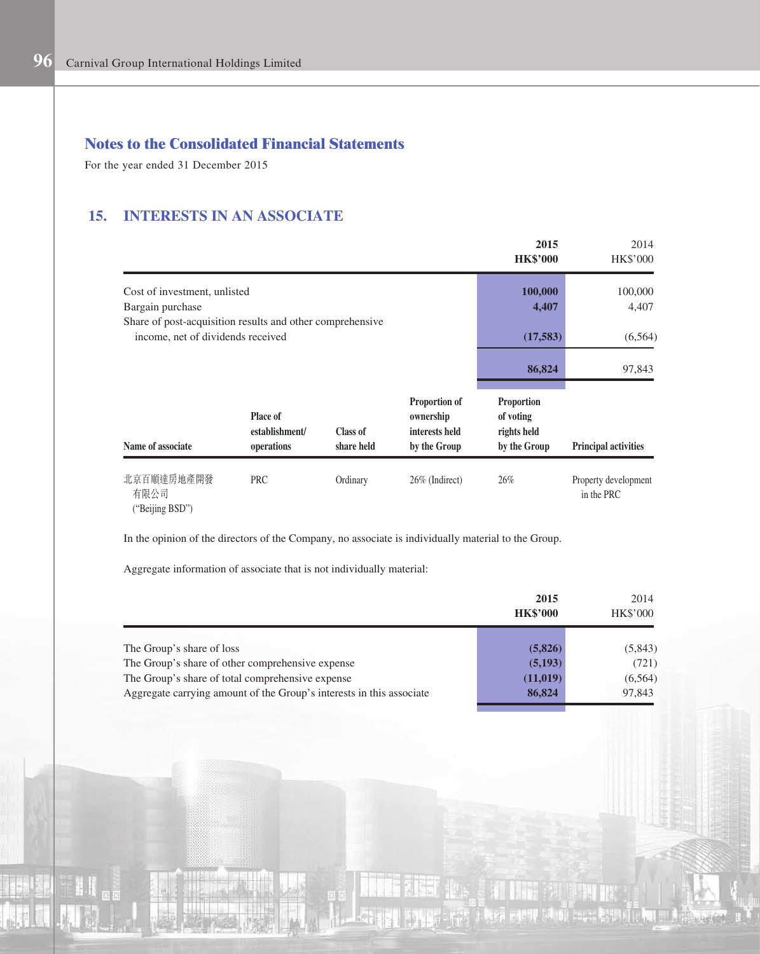For the year ended 31 December 2015

# **15. INTERESTS IN AN ASSOCIATE**

|                                                                                                |                                          |                               |                                                                     | 2015<br><b>HK\$'000</b>                                       | 2014<br>HK\$'000                   |
|------------------------------------------------------------------------------------------------|------------------------------------------|-------------------------------|---------------------------------------------------------------------|---------------------------------------------------------------|------------------------------------|
| Cost of investment, unlisted<br>Bargain purchase                                               |                                          |                               |                                                                     | 100,000<br>4,407                                              | 100,000<br>4,407                   |
| Share of post-acquisition results and other comprehensive<br>income, net of dividends received |                                          |                               |                                                                     | (17,583)                                                      | (6, 564)                           |
|                                                                                                |                                          |                               |                                                                     | 86,824                                                        | 97,843                             |
| Name of associate                                                                              | Place of<br>establishment/<br>operations | <b>Class of</b><br>share held | <b>Proportion of</b><br>ownership<br>interests held<br>by the Group | <b>Proportion</b><br>of voting<br>rights held<br>by the Group | <b>Principal activities</b>        |
| 北京百順達房地產開發<br>有限公司<br>("Beijing BSD")                                                          | <b>PRC</b>                               | Ordinary                      | 26\% (Indirect)                                                     | 26%                                                           | Property development<br>in the PRC |

In the opinion of the directors of the Company, no associate is individually material to the Group.

Aggregate information of associate that is not individually material:

| 2015<br><b>HK\$'000</b> | 2014<br><b>HK\$'000</b> |
|-------------------------|-------------------------|
|                         |                         |
| (5,826)                 | (5,843)                 |
| (5,193)                 | (721)                   |
| (11,019)                | (6, 564)                |
| 86,824                  | 97,843                  |
|                         |                         |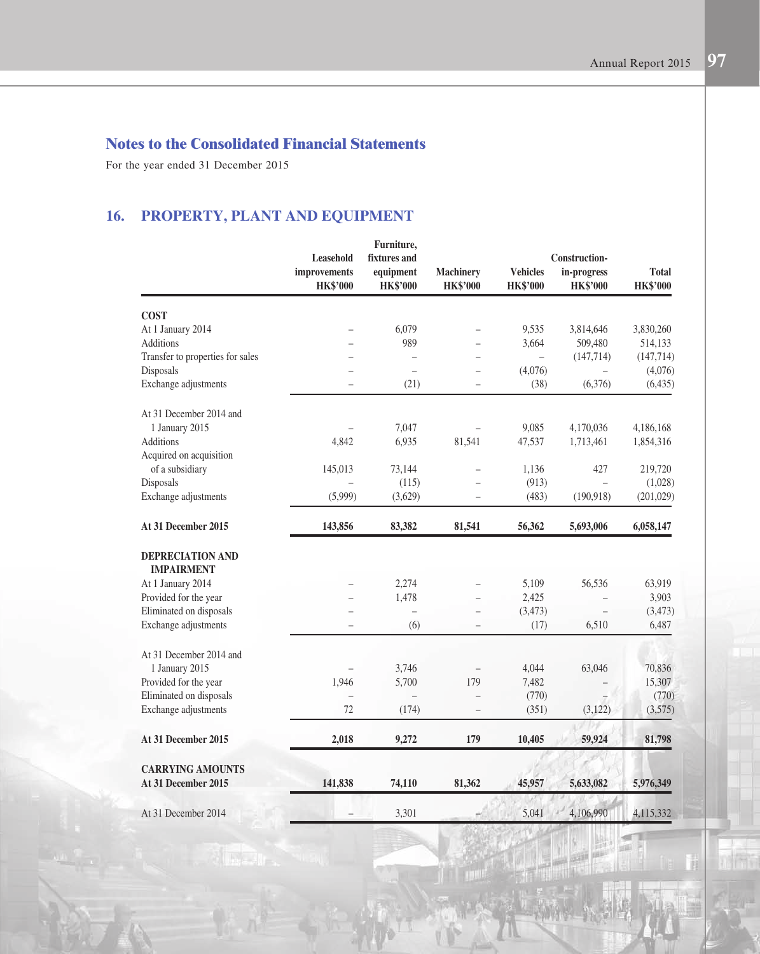For the year ended 31 December 2015

# **16. PROPERTY, PLANT AND EQUIPMENT**

|                                  |                                 | Furniture,                   |                                     |                                    |                                |                                 |  |
|----------------------------------|---------------------------------|------------------------------|-------------------------------------|------------------------------------|--------------------------------|---------------------------------|--|
|                                  |                                 | Leasehold<br>fixtures and    |                                     |                                    | Construction-                  |                                 |  |
|                                  | improvements<br><b>HK\$'000</b> | equipment<br><b>HK\$'000</b> | <b>Machinery</b><br><b>HK\$'000</b> | <b>Vehicles</b><br><b>HK\$'000</b> | in-progress<br><b>HK\$'000</b> | <b>Total</b><br><b>HK\$'000</b> |  |
|                                  |                                 |                              |                                     |                                    |                                |                                 |  |
| <b>COST</b>                      |                                 |                              |                                     |                                    |                                |                                 |  |
| At 1 January 2014                |                                 | 6,079                        |                                     | 9,535                              | 3,814,646                      | 3,830,260                       |  |
| Additions                        |                                 | 989                          |                                     | 3,664                              | 509,480                        | 514,133                         |  |
| Transfer to properties for sales |                                 |                              |                                     |                                    | (147, 714)                     | (147, 714)                      |  |
| Disposals                        |                                 |                              |                                     | (4,076)                            |                                | (4,076)                         |  |
| Exchange adjustments             |                                 | (21)                         | $\equiv$                            | (38)                               | (6,376)                        | (6, 435)                        |  |
| At 31 December 2014 and          |                                 |                              |                                     |                                    |                                |                                 |  |
| 1 January 2015                   |                                 | 7,047                        |                                     | 9,085                              | 4,170,036                      | 4,186,168                       |  |
| <b>Additions</b>                 | 4,842                           | 6,935                        | 81,541                              | 47,537                             | 1,713,461                      | 1,854,316                       |  |
| Acquired on acquisition          |                                 |                              |                                     |                                    |                                |                                 |  |
| of a subsidiary                  | 145,013                         | 73,144                       |                                     | 1,136                              | 427                            | 219,720                         |  |
| Disposals                        |                                 | (115)                        |                                     | (913)                              |                                | (1,028)                         |  |
| Exchange adjustments             | (5,999)                         | (3,629)                      |                                     | (483)                              | (190, 918)                     | (201, 029)                      |  |
| At 31 December 2015              | 143,856                         | 83,382                       | 81,541                              | 56,362                             | 5,693,006                      | 6,058,147                       |  |
| <b>DEPRECIATION AND</b>          |                                 |                              |                                     |                                    |                                |                                 |  |
| <b>IMPAIRMENT</b>                |                                 |                              |                                     |                                    |                                |                                 |  |
| At 1 January 2014                |                                 | 2,274                        |                                     | 5,109                              | 56,536                         | 63,919                          |  |
| Provided for the year            |                                 | 1,478                        |                                     | 2,425                              |                                | 3,903                           |  |
| Eliminated on disposals          |                                 |                              |                                     | (3, 473)                           |                                | (3, 473)                        |  |
| Exchange adjustments             |                                 | (6)                          | $\overline{\phantom{0}}$            | (17)                               | 6,510                          | 6,487                           |  |
| At 31 December 2014 and          |                                 |                              |                                     |                                    |                                |                                 |  |
| 1 January 2015                   |                                 | 3,746                        |                                     | 4,044                              | 63,046                         | 70,836                          |  |
| Provided for the year            | 1,946                           | 5,700                        | 179                                 | 7,482                              |                                | 15,307                          |  |
| Eliminated on disposals          |                                 |                              | $\overline{\phantom{0}}$            | (770)                              |                                | (770)                           |  |
| Exchange adjustments             | 72                              | (174)                        | $\equiv$                            | (351)                              | (3, 122)                       | (3,575)                         |  |
| At 31 December 2015              | 2,018                           | 9,272                        | 179                                 | 10,405                             | 59,924                         | 81,798                          |  |
| <b>CARRYING AMOUNTS</b>          |                                 |                              |                                     |                                    |                                |                                 |  |
| At 31 December 2015              | 141,838                         | 74,110                       | 81,362                              | 45,957                             | 5,633,082                      | 5,976,349                       |  |
| At 31 December 2014              |                                 | 3,301                        |                                     | 5,041                              | 4,106,990                      | 4,115,332                       |  |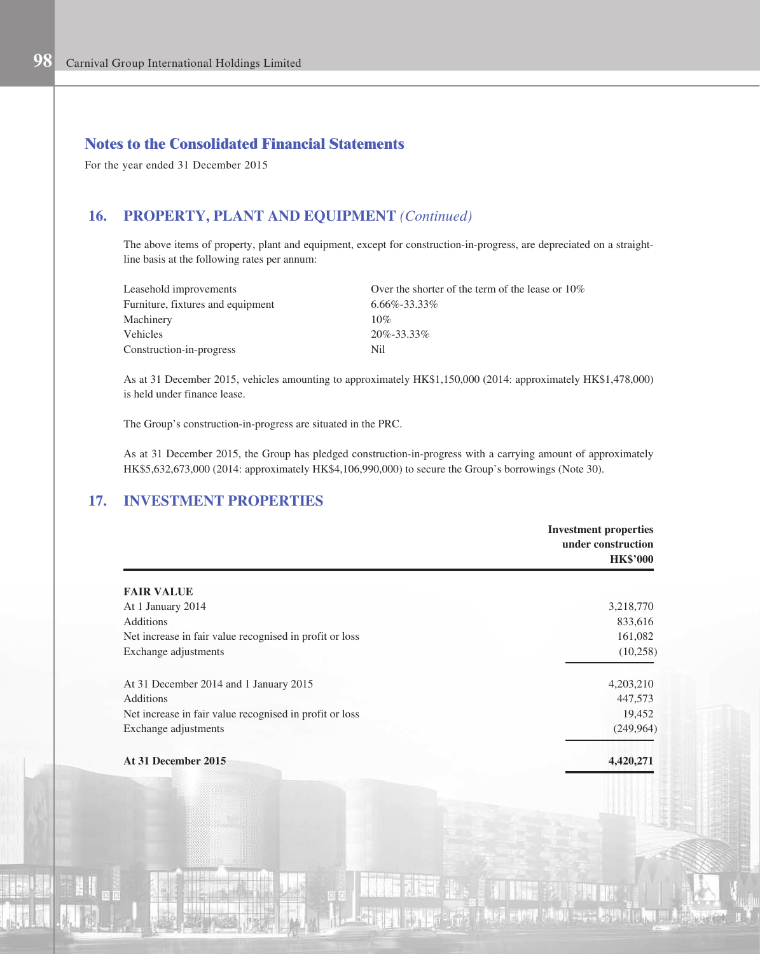For the year ended 31 December 2015

# **16. PROPERTY, PLANT AND EQUIPMENT** *(Continued)*

The above items of property, plant and equipment, except for construction-in-progress, are depreciated on a straightline basis at the following rates per annum:

| Leasehold improvements            | Over the shorter of the term of the lease or $10\%$ |
|-----------------------------------|-----------------------------------------------------|
| Furniture, fixtures and equipment | $6.66\% - 33.33\%$                                  |
| Machinery                         | 10%                                                 |
| <b>Vehicles</b>                   | 20\%-33.33\%                                        |
| Construction-in-progress          | Nil                                                 |
|                                   |                                                     |

As at 31 December 2015, vehicles amounting to approximately HK\$1,150,000 (2014: approximately HK\$1,478,000) is held under finance lease.

The Group's construction-in-progress are situated in the PRC.

As at 31 December 2015, the Group has pledged construction-in-progress with a carrying amount of approximately HK\$5,632,673,000 (2014: approximately HK\$4,106,990,000) to secure the Group's borrowings (Note 30).

## **17. INVESTMENT PROPERTIES**

|                                                         | <b>Investment properties</b><br>under construction<br><b>HK\$'000</b> |
|---------------------------------------------------------|-----------------------------------------------------------------------|
|                                                         |                                                                       |
| <b>FAIR VALUE</b>                                       |                                                                       |
| At 1 January 2014                                       | 3,218,770                                                             |
| <b>Additions</b>                                        | 833,616                                                               |
| Net increase in fair value recognised in profit or loss | 161,082                                                               |
| Exchange adjustments                                    | (10,258)                                                              |
| At 31 December 2014 and 1 January 2015                  | 4,203,210                                                             |
| <b>Additions</b>                                        | 447,573                                                               |
| Net increase in fair value recognised in profit or loss | 19,452                                                                |
| Exchange adjustments                                    | (249, 964)                                                            |
| At 31 December 2015                                     | 4,420,271                                                             |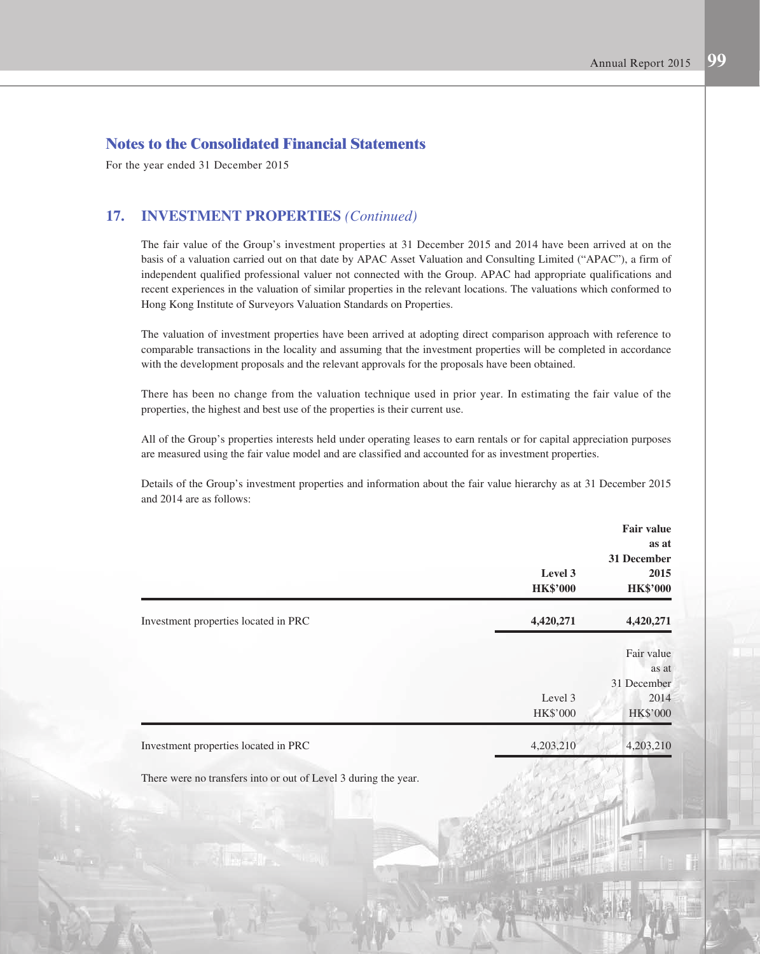For the year ended 31 December 2015

## **17. INVESTMENT PROPERTIES** *(Continued)*

The fair value of the Group's investment properties at 31 December 2015 and 2014 have been arrived at on the basis of a valuation carried out on that date by APAC Asset Valuation and Consulting Limited ("APAC"), a firm of independent qualified professional valuer not connected with the Group. APAC had appropriate qualifications and recent experiences in the valuation of similar properties in the relevant locations. The valuations which conformed to Hong Kong Institute of Surveyors Valuation Standards on Properties.

The valuation of investment properties have been arrived at adopting direct comparison approach with reference to comparable transactions in the locality and assuming that the investment properties will be completed in accordance with the development proposals and the relevant approvals for the proposals have been obtained.

There has been no change from the valuation technique used in prior year. In estimating the fair value of the properties, the highest and best use of the properties is their current use.

All of the Group's properties interests held under operating leases to earn rentals or for capital appreciation purposes are measured using the fair value model and are classified and accounted for as investment properties.

Details of the Group's investment properties and information about the fair value hierarchy as at 31 December 2015 and 2014 are as follows:

|                                      | Level 3<br><b>HK\$'000</b> | <b>Fair value</b><br>as at<br>31 December<br>2015<br><b>HK\$'000</b> |
|--------------------------------------|----------------------------|----------------------------------------------------------------------|
| Investment properties located in PRC | 4,420,271                  | 4,420,271                                                            |
|                                      |                            | Fair value<br>as at                                                  |
|                                      | Level 3<br>HK\$'000        | 31 December<br>2014<br><b>HK\$'000</b>                               |
| Investment properties located in PRC | 4,203,210                  | 4,203,210                                                            |

There were no transfers into or out of Level 3 during the year.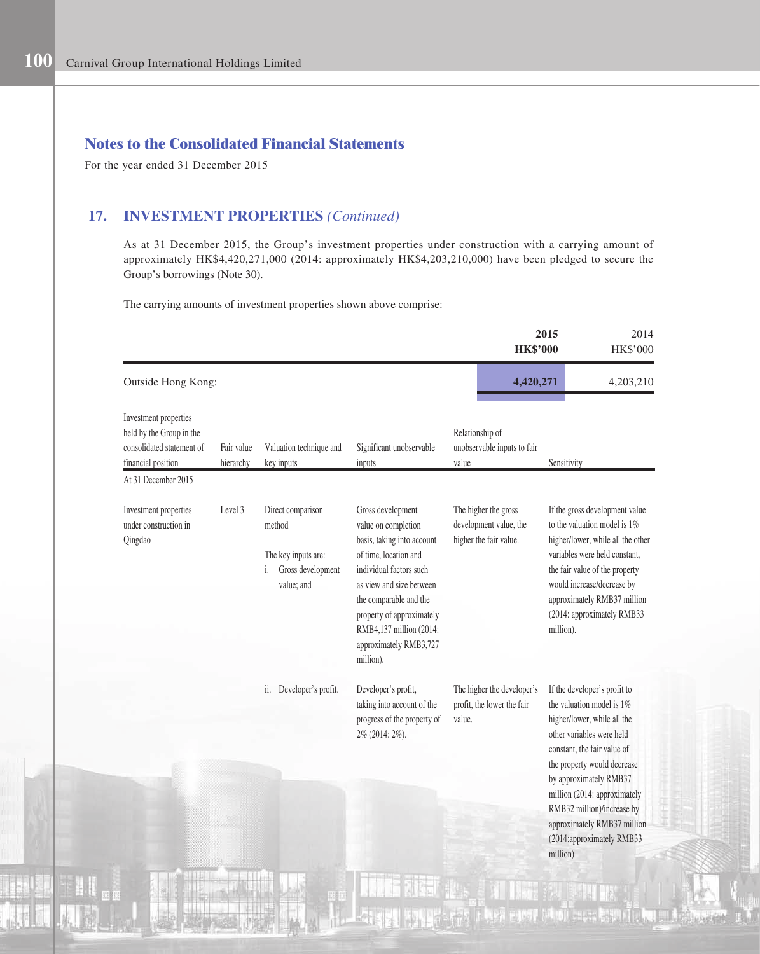For the year ended 31 December 2015

# **17. INVESTMENT PROPERTIES** *(Continued)*

As at 31 December 2015, the Group's investment properties under construction with a carrying amount of approximately HK\$4,420,271,000 (2014: approximately HK\$4,203,210,000) have been pledged to secure the Group's borrowings (Note 30).

The carrying amounts of investment properties shown above comprise:

|                                                                                                                             |                         |                                                                                             |                                                                                                                                                                                                                                                                                 |        | <b>HK\$'000</b>                                                          | 2015<br>HK\$'000                                                                                                                                                                                                                                                                                                                                    | 2014 |
|-----------------------------------------------------------------------------------------------------------------------------|-------------------------|---------------------------------------------------------------------------------------------|---------------------------------------------------------------------------------------------------------------------------------------------------------------------------------------------------------------------------------------------------------------------------------|--------|--------------------------------------------------------------------------|-----------------------------------------------------------------------------------------------------------------------------------------------------------------------------------------------------------------------------------------------------------------------------------------------------------------------------------------------------|------|
| Outside Hong Kong:                                                                                                          |                         |                                                                                             |                                                                                                                                                                                                                                                                                 |        | 4,420,271                                                                | 4,203,210                                                                                                                                                                                                                                                                                                                                           |      |
| Investment properties<br>held by the Group in the<br>consolidated statement of<br>financial position<br>At 31 December 2015 | Fair value<br>hierarchy | Valuation technique and<br>key inputs                                                       | Significant unobservable<br>inputs                                                                                                                                                                                                                                              | value  | Relationship of<br>unobservable inputs to fair                           | Sensitivity                                                                                                                                                                                                                                                                                                                                         |      |
| Investment properties<br>under construction in<br>Qingdao                                                                   | Level 3                 | Direct comparison<br>method<br>The key inputs are:<br>Gross development<br>i.<br>value; and | Gross development<br>value on completion<br>basis, taking into account<br>of time, location and<br>individual factors such<br>as view and size between<br>the comparable and the<br>property of approximately<br>RMB4,137 million (2014:<br>approximately RMB3,727<br>million). |        | The higher the gross<br>development value, the<br>higher the fair value. | If the gross development value<br>to the valuation model is $1\%$<br>higher/lower, while all the other<br>variables were held constant,<br>the fair value of the property<br>would increase/decrease by<br>approximately RMB37 million<br>(2014: approximately RMB33<br>million).                                                                   |      |
|                                                                                                                             |                         | Developer's profit.<br>ii.                                                                  | Developer's profit,<br>taking into account of the<br>progress of the property of<br>2% (2014: 2%).                                                                                                                                                                              | value. | The higher the developer's<br>profit, the lower the fair                 | If the developer's profit to<br>the valuation model is 1%<br>higher/lower, while all the<br>other variables were held<br>constant, the fair value of<br>the property would decrease<br>by approximately RMB37<br>million (2014: approximately<br>RMB32 million)/increase by<br>approximately RMB37 million<br>(2014:approximately RMB33<br>million) |      |
|                                                                                                                             |                         |                                                                                             |                                                                                                                                                                                                                                                                                 |        |                                                                          | <u>ien enoud yn dit ynstrastin it </u>                                                                                                                                                                                                                                                                                                              |      |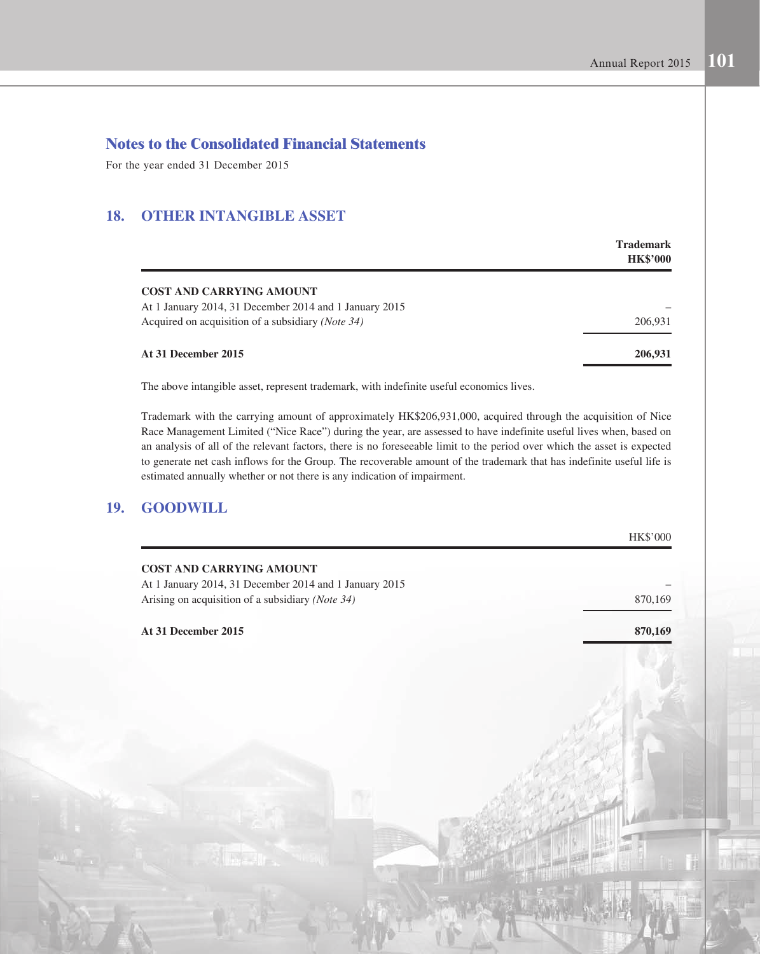For the year ended 31 December 2015

# **18. OTHER INTANGIBLE ASSET**

|                                                                                           | <b>Trademark</b><br><b>HK\$'000</b> |
|-------------------------------------------------------------------------------------------|-------------------------------------|
| <b>COST AND CARRYING AMOUNT</b><br>At 1 January 2014, 31 December 2014 and 1 January 2015 |                                     |
| Acquired on acquisition of a subsidiary (Note 34)                                         | 206,931                             |
| At 31 December 2015                                                                       | 206,931                             |

The above intangible asset, represent trademark, with indefinite useful economics lives.

Trademark with the carrying amount of approximately HK\$206,931,000, acquired through the acquisition of Nice Race Management Limited ("Nice Race") during the year, are assessed to have indefinite useful lives when, based on an analysis of all of the relevant factors, there is no foreseeable limit to the period over which the asset is expected to generate net cash inflows for the Group. The recoverable amount of the trademark that has indefinite useful life is estimated annually whether or not there is any indication of impairment.

# **19. GOODWILL**

| <b>COST AND CARRYING AMOUNT</b><br>At 1 January 2014, 31 December 2014 and 1 January 2015 |         |
|-------------------------------------------------------------------------------------------|---------|
| Arising on acquisition of a subsidiary (Note 34)                                          | 870,169 |
| At 31 December 2015                                                                       | 870,169 |
|                                                                                           |         |
|                                                                                           |         |
|                                                                                           |         |
|                                                                                           |         |
|                                                                                           |         |
|                                                                                           |         |
|                                                                                           |         |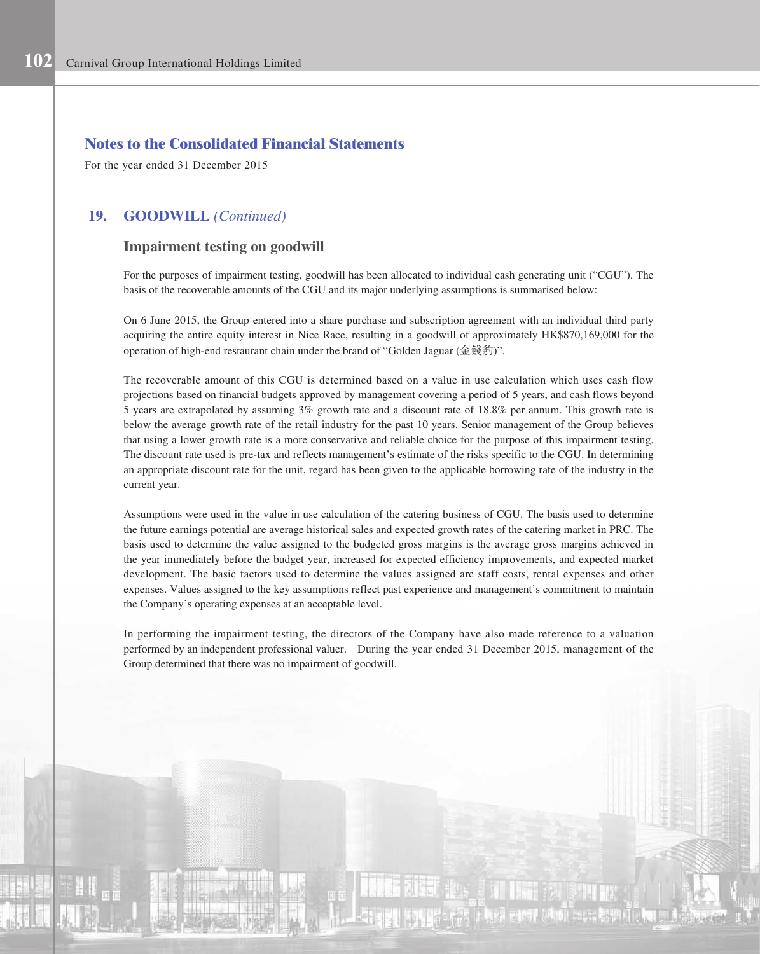For the year ended 31 December 2015

## **19. GOODWILL** *(Continued)*

#### **Impairment testing on goodwill**

For the purposes of impairment testing, goodwill has been allocated to individual cash generating unit ("CGU"). The basis of the recoverable amounts of the CGU and its major underlying assumptions is summarised below:

On 6 June 2015, the Group entered into a share purchase and subscription agreement with an individual third party acquiring the entire equity interest in Nice Race, resulting in a goodwill of approximately HK\$870,169,000 for the operation of high-end restaurant chain under the brand of "Golden Jaguar (金錢豹)".

The recoverable amount of this CGU is determined based on a value in use calculation which uses cash flow projections based on financial budgets approved by management covering a period of 5 years, and cash flows beyond 5 years are extrapolated by assuming 3% growth rate and a discount rate of 18.8% per annum. This growth rate is below the average growth rate of the retail industry for the past 10 years. Senior management of the Group believes that using a lower growth rate is a more conservative and reliable choice for the purpose of this impairment testing. The discount rate used is pre-tax and reflects management's estimate of the risks specific to the CGU. In determining an appropriate discount rate for the unit, regard has been given to the applicable borrowing rate of the industry in the current year.

Assumptions were used in the value in use calculation of the catering business of CGU. The basis used to determine the future earnings potential are average historical sales and expected growth rates of the catering market in PRC. The basis used to determine the value assigned to the budgeted gross margins is the average gross margins achieved in the year immediately before the budget year, increased for expected efficiency improvements, and expected market development. The basic factors used to determine the values assigned are staff costs, rental expenses and other expenses. Values assigned to the key assumptions reflect past experience and management's commitment to maintain the Company's operating expenses at an acceptable level.

In performing the impairment testing, the directors of the Company have also made reference to a valuation performed by an independent professional valuer. During the year ended 31 December 2015, management of the Group determined that there was no impairment of goodwill.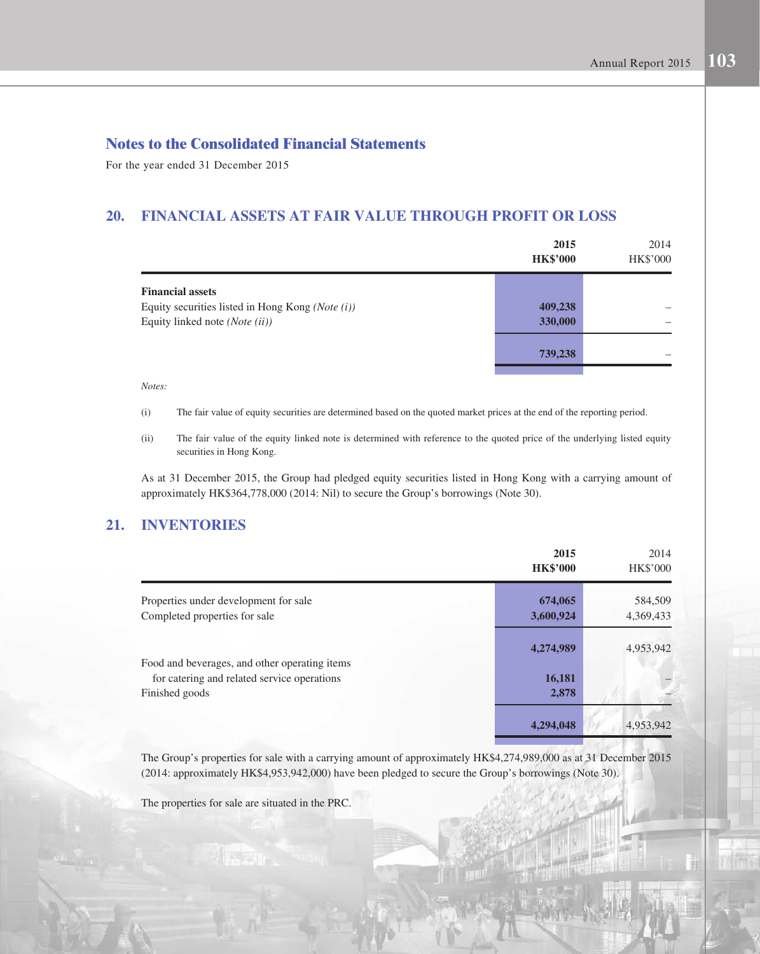For the year ended 31 December 2015

# **20. FINANCIAL ASSETS AT FAIR VALUE THROUGH PROFIT OR LOSS**

|                                                                                                                  | 2015<br><b>HK\$'000</b> | 2014<br><b>HK\$'000</b> |
|------------------------------------------------------------------------------------------------------------------|-------------------------|-------------------------|
| <b>Financial assets</b><br>Equity securities listed in Hong Kong (Note $(i)$ )<br>Equity linked note (Note (ii)) | 409,238<br>330,000      |                         |
|                                                                                                                  | 739,238                 |                         |

*Notes:*

(i) The fair value of equity securities are determined based on the quoted market prices at the end of the reporting period.

(ii) The fair value of the equity linked note is determined with reference to the quoted price of the underlying listed equity securities in Hong Kong.

As at 31 December 2015, the Group had pledged equity securities listed in Hong Kong with a carrying amount of approximately HK\$364,778,000 (2014: Nil) to secure the Group's borrowings (Note 30).

# **21. INVENTORIES**

|                                                                                              | 2015<br><b>HK\$'000</b> | 2014<br><b>HK\$'000</b> |
|----------------------------------------------------------------------------------------------|-------------------------|-------------------------|
| Properties under development for sale                                                        | 674,065                 | 584,509                 |
| Completed properties for sale                                                                | 3,600,924               | 4,369,433               |
|                                                                                              | 4,274,989               | 4,953,942               |
| Food and beverages, and other operating items<br>for catering and related service operations | 16,181                  |                         |
| Finished goods                                                                               | 2,878                   |                         |
|                                                                                              | 4,294,048               | 4,953,942               |

The Group's properties for sale with a carrying amount of approximately HK\$4,274,989,000 as at 31 December 2015 (2014: approximately HK\$4,953,942,000) have been pledged to secure the Group's borrowings (Note 30).

The properties for sale are situated in the PRC.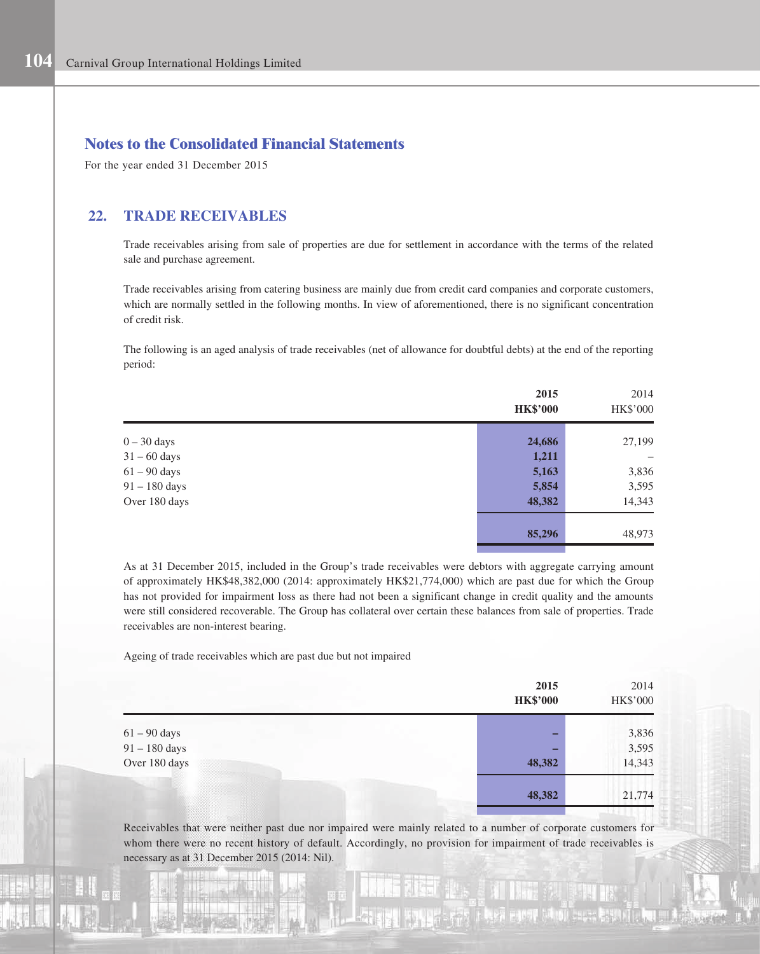For the year ended 31 December 2015

# **22. TRADE RECEIVABLES**

Trade receivables arising from sale of properties are due for settlement in accordance with the terms of the related sale and purchase agreement.

Trade receivables arising from catering business are mainly due from credit card companies and corporate customers, which are normally settled in the following months. In view of aforementioned, there is no significant concentration of credit risk.

The following is an aged analysis of trade receivables (net of allowance for doubtful debts) at the end of the reporting period:

|                 | 2015<br><b>HK\$'000</b> | 2014<br>HK\$'000 |
|-----------------|-------------------------|------------------|
| $0-30$ days     | 24,686                  | 27,199           |
| $31 - 60$ days  | 1,211                   |                  |
| $61 - 90$ days  | 5,163                   | 3,836            |
| $91 - 180$ days | 5,854                   | 3,595            |
| Over 180 days   | 48,382                  | 14,343           |
|                 | 85,296                  | 48,973           |

As at 31 December 2015, included in the Group's trade receivables were debtors with aggregate carrying amount of approximately HK\$48,382,000 (2014: approximately HK\$21,774,000) which are past due for which the Group has not provided for impairment loss as there had not been a significant change in credit quality and the amounts were still considered recoverable. The Group has collateral over certain these balances from sale of properties. Trade receivables are non-interest bearing.

Ageing of trade receivables which are past due but not impaired

|                 | 2015<br><b>HK\$'000</b> | 2014<br><b>HK\$'000</b> |
|-----------------|-------------------------|-------------------------|
| $61 - 90$ days  | _                       | 3,836                   |
| $91 - 180$ days | _                       | 3,595                   |
| Over 180 days   | 48,382                  | 14,343                  |
|                 | 48,382                  | 21,774                  |

Receivables that were neither past due nor impaired were mainly related to a number of corporate customers for whom there were no recent history of default. Accordingly, no provision for impairment of trade receivables is necessary as at 31 December 2015 (2014: Nil).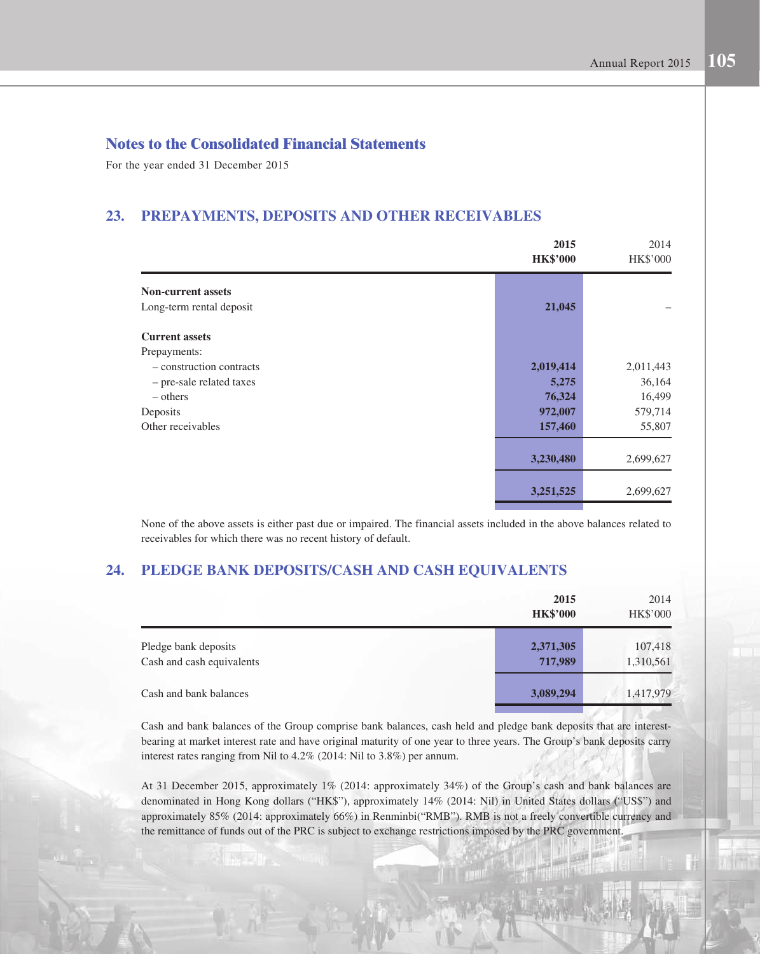For the year ended 31 December 2015

# **23. PREPAYMENTS, DEPOSITS AND OTHER RECEIVABLES**

|                           | 2015<br><b>HK\$'000</b> | 2014<br><b>HK\$'000</b> |
|---------------------------|-------------------------|-------------------------|
| <b>Non-current assets</b> |                         |                         |
| Long-term rental deposit  | 21,045                  |                         |
| <b>Current assets</b>     |                         |                         |
| Prepayments:              |                         |                         |
| - construction contracts  | 2,019,414               | 2,011,443               |
| - pre-sale related taxes  | 5,275                   | 36,164                  |
| $-$ others                | 76,324                  | 16,499                  |
| Deposits                  | 972,007                 | 579,714                 |
| Other receivables         | 157,460                 | 55,807                  |
|                           |                         |                         |
|                           | 3,230,480               | 2,699,627               |
|                           | 3,251,525               | 2,699,627               |

None of the above assets is either past due or impaired. The financial assets included in the above balances related to receivables for which there was no recent history of default.

### **24. PLEDGE BANK DEPOSITS/CASH AND CASH EQUIVALENTS**

|                                                   | 2015<br><b>HK\$'000</b> | 2014<br><b>HK\$'000</b> |
|---------------------------------------------------|-------------------------|-------------------------|
| Pledge bank deposits<br>Cash and cash equivalents | 2,371,305<br>717,989    | 107,418<br>1,310,561    |
| Cash and bank balances                            | 3,089,294               | 1,417,979               |

Cash and bank balances of the Group comprise bank balances, cash held and pledge bank deposits that are interestbearing at market interest rate and have original maturity of one year to three years. The Group's bank deposits carry interest rates ranging from Nil to 4.2% (2014: Nil to 3.8%) per annum.

At 31 December 2015, approximately 1% (2014: approximately 34%) of the Group's cash and bank balances are denominated in Hong Kong dollars ("HK\$"), approximately 14% (2014: Nil) in United States dollars ("US\$") and approximately 85% (2014: approximately 66%) in Renminbi("RMB"). RMB is not a freely convertible currency and the remittance of funds out of the PRC is subject to exchange restrictions imposed by the PRC government.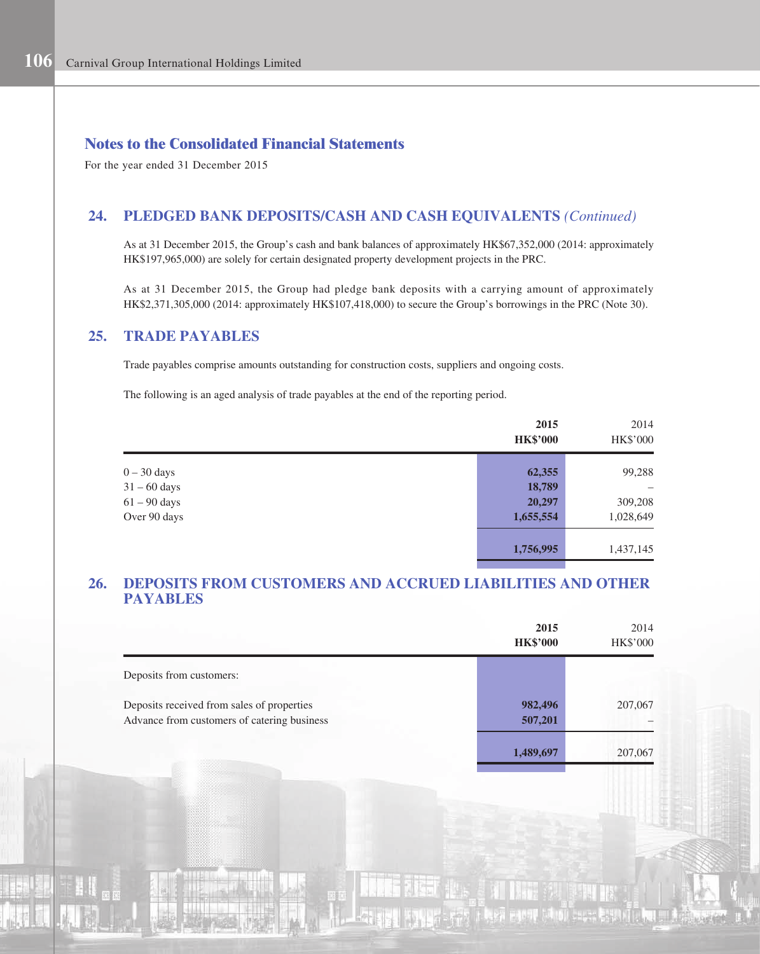For the year ended 31 December 2015

# **24. PLEDGED BANK DEPOSITS/CASH AND CASH EQUIVALENTS** *(Continued)*

As at 31 December 2015, the Group's cash and bank balances of approximately HK\$67,352,000 (2014: approximately HK\$197,965,000) are solely for certain designated property development projects in the PRC.

As at 31 December 2015, the Group had pledge bank deposits with a carrying amount of approximately HK\$2,371,305,000 (2014: approximately HK\$107,418,000) to secure the Group's borrowings in the PRC (Note 30).

# **25. TRADE PAYABLES**

Trade payables comprise amounts outstanding for construction costs, suppliers and ongoing costs.

The following is an aged analysis of trade payables at the end of the reporting period.

|                        | 2015<br><b>HK\$'000</b> | 2014<br><b>HK\$'000</b> |
|------------------------|-------------------------|-------------------------|
| $0 - 30$ days          | 62,355                  | 99,288                  |
| $31 - 60 \text{ days}$ | 18,789                  |                         |
| $61 - 90$ days         | 20,297                  | 309,208                 |
| Over 90 days           | 1,655,554               | 1,028,649               |
|                        | 1,756,995               | 1,437,145               |

## **26. DEPOSITS FROM CUSTOMERS AND ACCRUED LIABILITIES AND OTHER PAYABLES**

|                                                                                           | 2015<br><b>HK\$'000</b> | 2014<br><b>HK\$'000</b> |
|-------------------------------------------------------------------------------------------|-------------------------|-------------------------|
| Deposits from customers:                                                                  |                         |                         |
| Deposits received from sales of properties<br>Advance from customers of catering business | 982,496<br>507,201      | 207,067                 |
|                                                                                           | 1,489,697               | 207,067                 |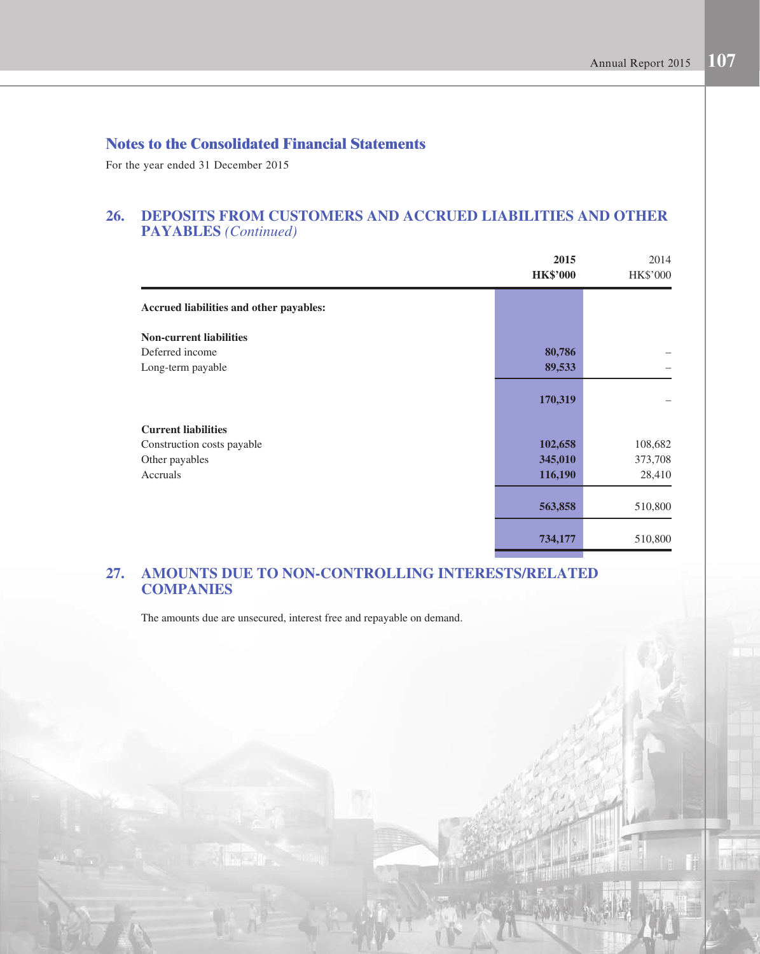For the year ended 31 December 2015

# **26. DEPOSITS FROM CUSTOMERS AND ACCRUED LIABILITIES AND OTHER PAYABLES** *(Continued)*

|                                         | 2015<br><b>HK\$'000</b> | 2014<br>HK\$'000 |
|-----------------------------------------|-------------------------|------------------|
| Accrued liabilities and other payables: |                         |                  |
| <b>Non-current liabilities</b>          |                         |                  |
| Deferred income                         | 80,786                  |                  |
| Long-term payable                       | 89,533                  |                  |
|                                         | 170,319                 |                  |
| <b>Current liabilities</b>              |                         |                  |
| Construction costs payable              | 102,658                 | 108,682          |
| Other payables                          | 345,010                 | 373,708          |
| Accruals                                | 116,190                 | 28,410           |
|                                         | 563,858                 | 510,800          |
|                                         | 734,177                 | 510,800          |

# **27. AMOUNTS DUE TO NON-CONTROLLING INTERESTS/RELATED COMPANIES**

The amounts due are unsecured, interest free and repayable on demand.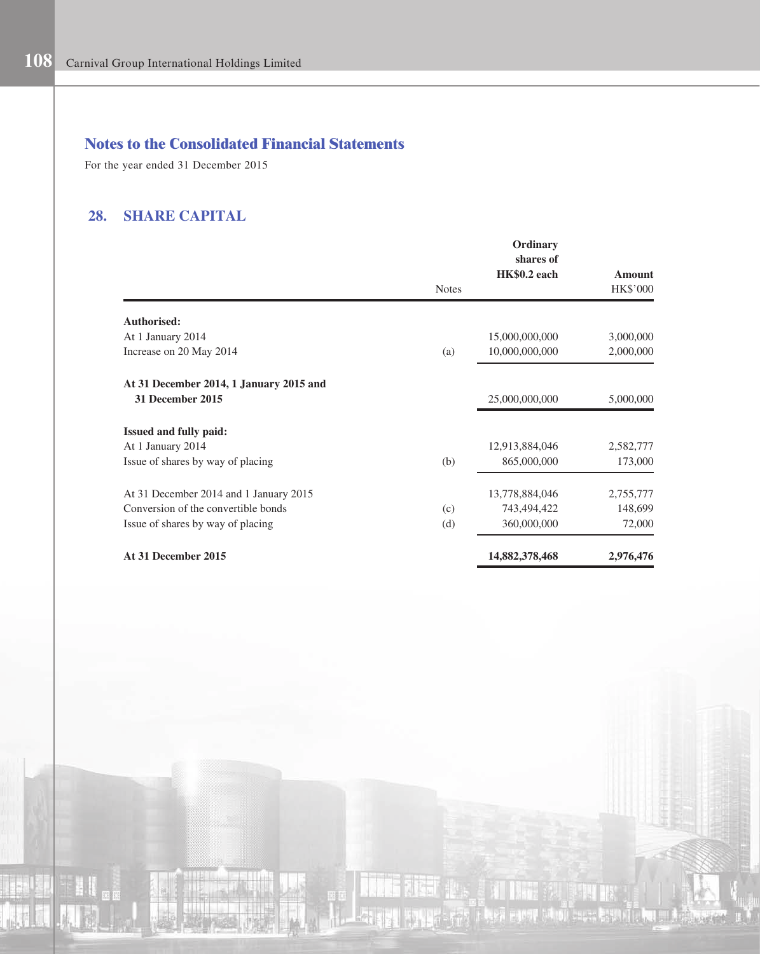For the year ended 31 December 2015

# **28. SHARE CAPITAL**

|                                         | <b>Notes</b> | Ordinary<br>shares of<br>HK\$0.2 each | Amount<br><b>HK\$'000</b> |
|-----------------------------------------|--------------|---------------------------------------|---------------------------|
| <b>Authorised:</b>                      |              |                                       |                           |
| At 1 January 2014                       |              | 15,000,000,000                        | 3,000,000                 |
| Increase on 20 May 2014                 | (a)          | 10,000,000,000                        | 2,000,000                 |
| At 31 December 2014, 1 January 2015 and |              |                                       |                           |
| <b>31 December 2015</b>                 |              | 25,000,000,000                        | 5,000,000                 |
| <b>Issued and fully paid:</b>           |              |                                       |                           |
| At 1 January 2014                       |              | 12,913,884,046                        | 2,582,777                 |
| Issue of shares by way of placing       | (b)          | 865,000,000                           | 173,000                   |
| At 31 December 2014 and 1 January 2015  |              | 13,778,884,046                        | 2,755,777                 |
| Conversion of the convertible bonds     | (c)          | 743,494,422                           | 148,699                   |
| Issue of shares by way of placing       | (d)          | 360,000,000                           | 72,000                    |
| At 31 December 2015                     |              | 14,882,378,468                        | 2,976,476                 |

**ANDERS** 要提升精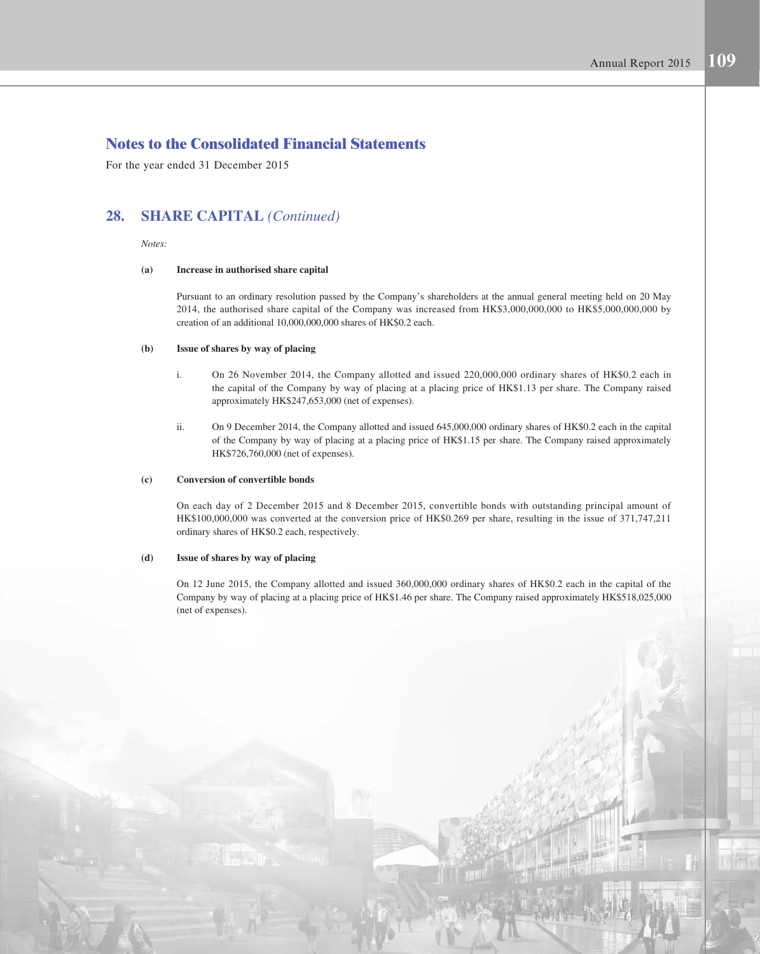For the year ended 31 December 2015

## **28. SHARE CAPITAL** *(Continued)*

#### *Notes:*

#### **(a) Increase in authorised share capital**

Pursuant to an ordinary resolution passed by the Company's shareholders at the annual general meeting held on 20 May 2014, the authorised share capital of the Company was increased from HK\$3,000,000,000 to HK\$5,000,000,000 by creation of an additional 10,000,000,000 shares of HK\$0.2 each.

#### **(b) Issue of shares by way of placing**

- i. On 26 November 2014, the Company allotted and issued 220,000,000 ordinary shares of HK\$0.2 each in the capital of the Company by way of placing at a placing price of HK\$1.13 per share. The Company raised approximately HK\$247,653,000 (net of expenses).
- ii. On 9 December 2014, the Company allotted and issued 645,000,000 ordinary shares of HK\$0.2 each in the capital of the Company by way of placing at a placing price of HK\$1.15 per share. The Company raised approximately HK\$726,760,000 (net of expenses).

#### **(c) Conversion of convertible bonds**

On each day of 2 December 2015 and 8 December 2015, convertible bonds with outstanding principal amount of HK\$100,000,000 was converted at the conversion price of HK\$0.269 per share, resulting in the issue of 371,747,211 ordinary shares of HK\$0.2 each, respectively.

#### **(d) Issue of shares by way of placing**

On 12 June 2015, the Company allotted and issued 360,000,000 ordinary shares of HK\$0.2 each in the capital of the Company by way of placing at a placing price of HK\$1.46 per share. The Company raised approximately HK\$518,025,000 (net of expenses).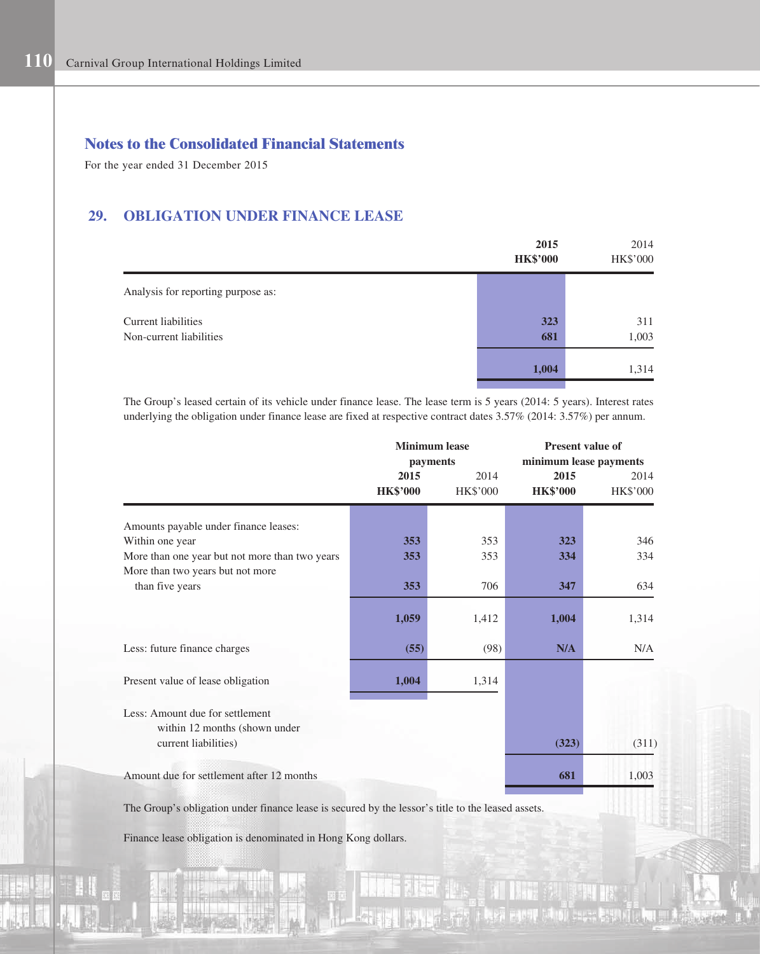For the year ended 31 December 2015

# **29. OBLIGATION UNDER FINANCE LEASE**

|                                                       | 2015<br><b>HK\$'000</b> | 2014<br><b>HK\$'000</b> |
|-------------------------------------------------------|-------------------------|-------------------------|
| Analysis for reporting purpose as:                    |                         |                         |
| <b>Current liabilities</b><br>Non-current liabilities | 323<br>681              | 311<br>1,003            |
|                                                       | 1,004                   | 1,314                   |

The Group's leased certain of its vehicle under finance lease. The lease term is 5 years (2014: 5 years). Interest rates underlying the obligation under finance lease are fixed at respective contract dates 3.57% (2014: 3.57%) per annum.

|                                                                                          | <b>Minimum lease</b> |                 | <b>Present value of</b> |                        |
|------------------------------------------------------------------------------------------|----------------------|-----------------|-------------------------|------------------------|
|                                                                                          | payments             |                 |                         | minimum lease payments |
|                                                                                          | 2015                 | 2014            | 2015                    | 2014                   |
|                                                                                          | <b>HK\$'000</b>      | <b>HK\$'000</b> | <b>HK\$'000</b>         | HK\$'000               |
| Amounts payable under finance leases:                                                    |                      |                 |                         |                        |
| Within one year                                                                          | 353                  | 353             | 323                     | 346                    |
| More than one year but not more than two years                                           | 353                  | 353             | 334                     | 334                    |
| More than two years but not more                                                         |                      |                 |                         |                        |
| than five years                                                                          | 353                  | 706             | 347                     | 634                    |
|                                                                                          | 1,059                | 1,412           | 1,004                   | 1,314                  |
| Less: future finance charges                                                             | (55)                 | (98)            | N/A                     | N/A                    |
| Present value of lease obligation                                                        | 1,004                | 1,314           |                         |                        |
| Less: Amount due for settlement<br>within 12 months (shown under<br>current liabilities) |                      |                 | (323)                   | (311)                  |
| Amount due for settlement after 12 months                                                |                      |                 | 681                     | 1,003                  |

The Group's obligation under finance lease is secured by the lessor's title to the leased assets.

Finance lease obligation is denominated in Hong Kong dollars.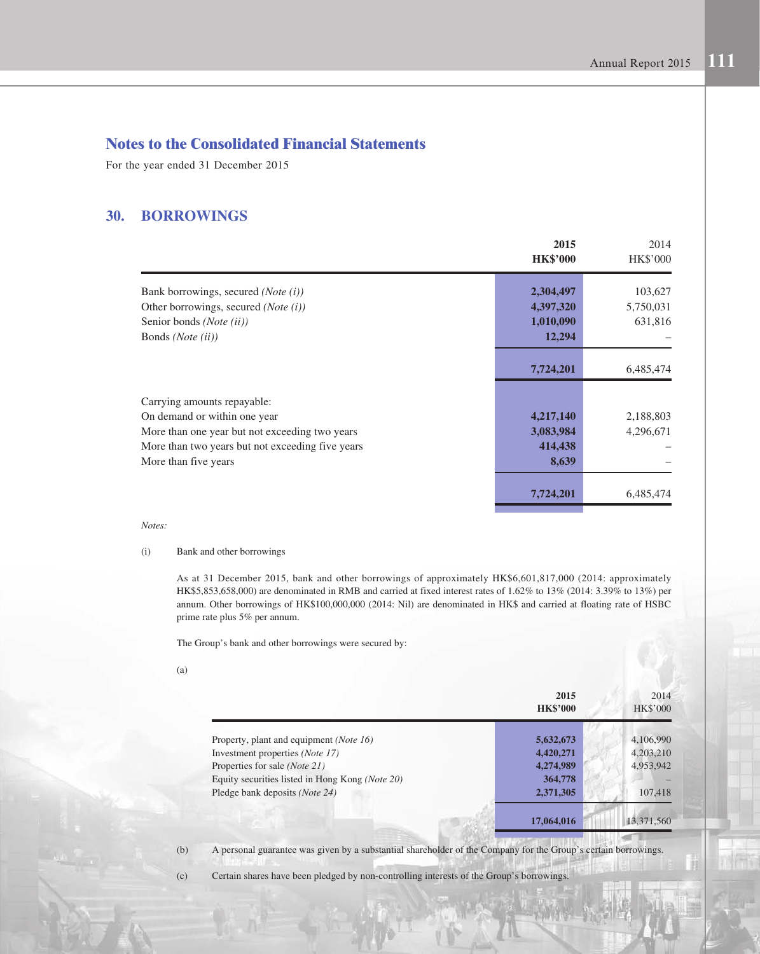For the year ended 31 December 2015

# **30. BORROWINGS**

|                                                       | 2015<br><b>HK\$'000</b> | 2014<br><b>HK\$'000</b> |
|-------------------------------------------------------|-------------------------|-------------------------|
| Bank borrowings, secured ( <i>Note</i> ( <i>i</i> ))  | 2,304,497               | 103,627                 |
| Other borrowings, secured ( <i>Note</i> ( <i>i</i> )) | 4,397,320               | 5,750,031               |
| Senior bonds ( <i>Note</i> ( <i>ii</i> ))             | 1,010,090               | 631,816                 |
| Bonds (Note (ii))                                     | 12,294                  |                         |
|                                                       |                         |                         |
|                                                       | 7,724,201               | 6,485,474               |
| Carrying amounts repayable:                           |                         |                         |
| On demand or within one year                          | 4,217,140               | 2,188,803               |
| More than one year but not exceeding two years        | 3,083,984               | 4,296,671               |
| More than two years but not exceeding five years      | 414,438                 |                         |
| More than five years                                  | 8,639                   |                         |
|                                                       | 7,724,201               | 6,485,474               |
|                                                       |                         |                         |

#### *Notes:*

#### (i) Bank and other borrowings

As at 31 December 2015, bank and other borrowings of approximately HK\$6,601,817,000 (2014: approximately HK\$5,853,658,000) are denominated in RMB and carried at fixed interest rates of 1.62% to 13% (2014: 3.39% to 13%) per annum. Other borrowings of HK\$100,000,000 (2014: Nil) are denominated in HK\$ and carried at floating rate of HSBC prime rate plus 5% per annum.

The Group's bank and other borrowings were secured by:

(a)

|                                                  | 2015<br><b>HK\$'000</b> | 2014<br><b>HK\$'000</b> |
|--------------------------------------------------|-------------------------|-------------------------|
|                                                  |                         |                         |
| Property, plant and equipment ( <i>Note 16</i> ) | 5,632,673               | 4,106,990               |
| Investment properties (Note 17)                  | 4,420,271               | 4,203,210               |
| Properties for sale ( <i>Note 21</i> )           | 4,274,989               | 4,953,942               |
| Equity securities listed in Hong Kong (Note 20)  | 364,778                 |                         |
| Pledge bank deposits (Note 24)                   | 2,371,305               | 107,418                 |
|                                                  | 17,064,016              | 13,371,560              |

(b) A personal guarantee was given by a substantial shareholder of the Company for the Group's certain borrowings.

(c) Certain shares have been pledged by non-controlling interests of the Group's borrowings.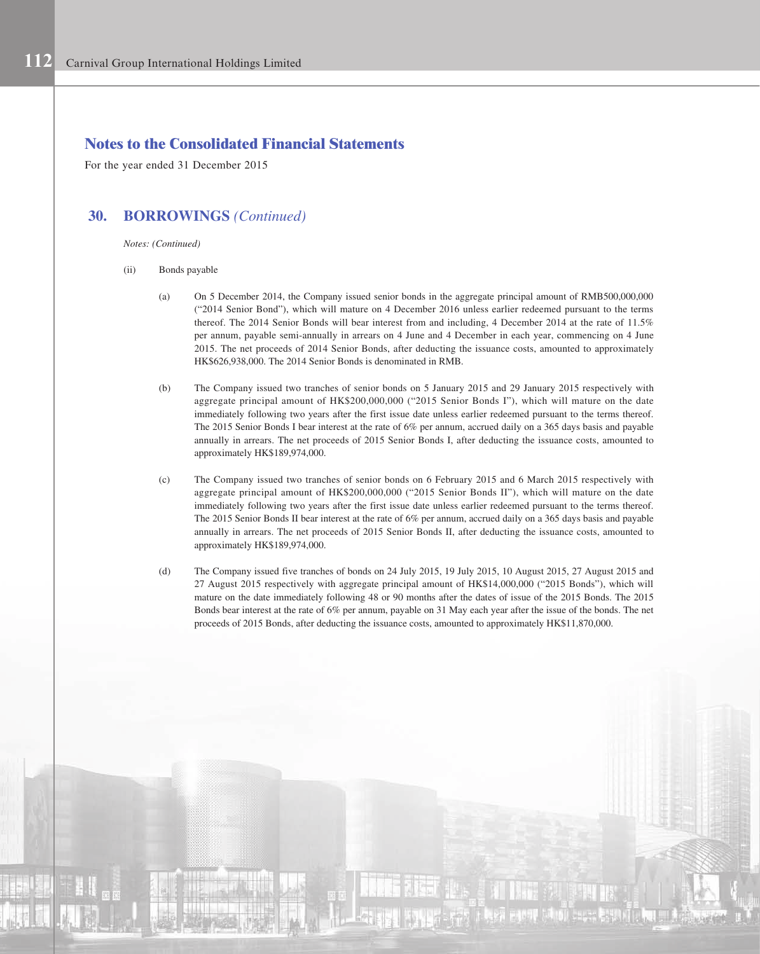For the year ended 31 December 2015

### **30. BORROWINGS** *(Continued)*

*Notes: (Continued)*

- (ii) Bonds payable
	- (a) On 5 December 2014, the Company issued senior bonds in the aggregate principal amount of RMB500,000,000 ("2014 Senior Bond"), which will mature on 4 December 2016 unless earlier redeemed pursuant to the terms thereof. The 2014 Senior Bonds will bear interest from and including, 4 December 2014 at the rate of 11.5% per annum, payable semi-annually in arrears on 4 June and 4 December in each year, commencing on 4 June 2015. The net proceeds of 2014 Senior Bonds, after deducting the issuance costs, amounted to approximately HK\$626,938,000. The 2014 Senior Bonds is denominated in RMB.
	- (b) The Company issued two tranches of senior bonds on 5 January 2015 and 29 January 2015 respectively with aggregate principal amount of HK\$200,000,000 ("2015 Senior Bonds I"), which will mature on the date immediately following two years after the first issue date unless earlier redeemed pursuant to the terms thereof. The 2015 Senior Bonds I bear interest at the rate of 6% per annum, accrued daily on a 365 days basis and payable annually in arrears. The net proceeds of 2015 Senior Bonds I, after deducting the issuance costs, amounted to approximately HK\$189,974,000.
	- (c) The Company issued two tranches of senior bonds on 6 February 2015 and 6 March 2015 respectively with aggregate principal amount of HK\$200,000,000 ("2015 Senior Bonds II"), which will mature on the date immediately following two years after the first issue date unless earlier redeemed pursuant to the terms thereof. The 2015 Senior Bonds II bear interest at the rate of 6% per annum, accrued daily on a 365 days basis and payable annually in arrears. The net proceeds of 2015 Senior Bonds II, after deducting the issuance costs, amounted to approximately HK\$189,974,000.
	- (d) The Company issued five tranches of bonds on 24 July 2015, 19 July 2015, 10 August 2015, 27 August 2015 and 27 August 2015 respectively with aggregate principal amount of HK\$14,000,000 ("2015 Bonds"), which will mature on the date immediately following 48 or 90 months after the dates of issue of the 2015 Bonds. The 2015 Bonds bear interest at the rate of 6% per annum, payable on 31 May each year after the issue of the bonds. The net proceeds of 2015 Bonds, after deducting the issuance costs, amounted to approximately HK\$11,870,000.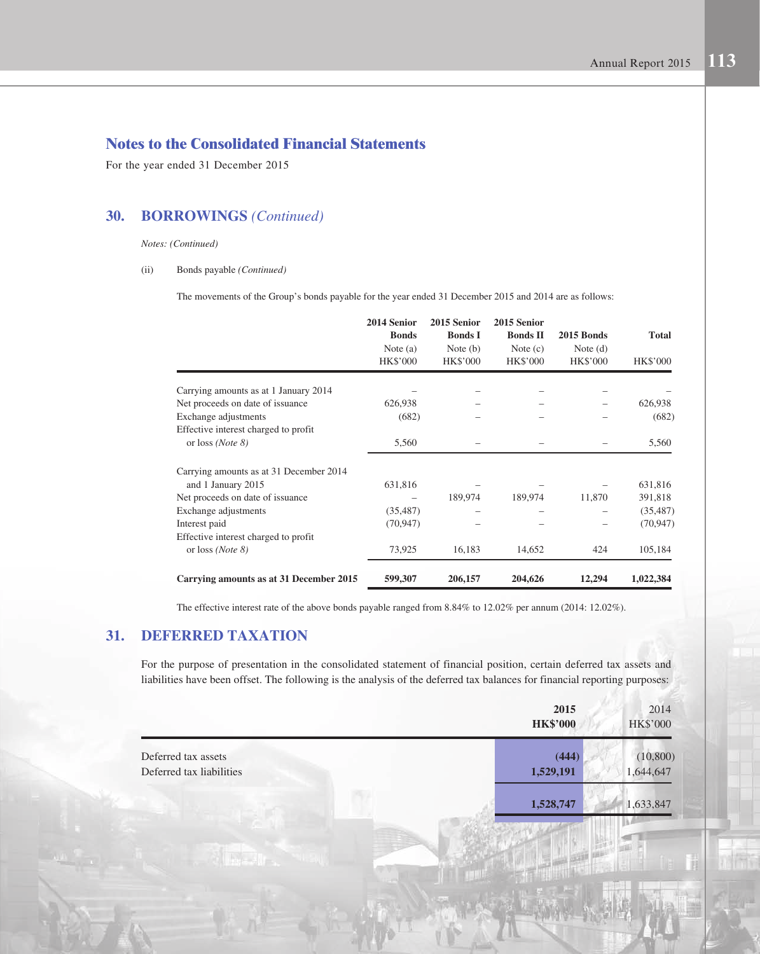For the year ended 31 December 2015

# **30. BORROWINGS** *(Continued)*

*Notes: (Continued)*

(ii) Bonds payable *(Continued)*

The movements of the Group's bonds payable for the year ended 31 December 2015 and 2014 are as follows:

|                                         | 2014 Senior<br><b>Bonds</b><br>Note $(a)$<br><b>HK\$'000</b> | 2015 Senior<br><b>Bonds I</b><br>Note $(b)$<br>HK\$'000 | 2015 Senior<br><b>Bonds II</b><br>Note $(c)$<br><b>HK\$'000</b> | 2015 Bonds<br>Note $(d)$<br><b>HK\$'000</b> | Total<br><b>HK\$'000</b> |
|-----------------------------------------|--------------------------------------------------------------|---------------------------------------------------------|-----------------------------------------------------------------|---------------------------------------------|--------------------------|
| Carrying amounts as at 1 January 2014   |                                                              |                                                         |                                                                 |                                             |                          |
| Net proceeds on date of issuance        | 626,938                                                      |                                                         |                                                                 |                                             | 626,938                  |
| Exchange adjustments                    | (682)                                                        |                                                         |                                                                 |                                             | (682)                    |
| Effective interest charged to profit    |                                                              |                                                         |                                                                 |                                             |                          |
| or loss ( <i>Note 8</i> )               | 5,560                                                        |                                                         |                                                                 |                                             | 5,560                    |
| Carrying amounts as at 31 December 2014 |                                                              |                                                         |                                                                 |                                             |                          |
| and 1 January 2015                      | 631,816                                                      |                                                         |                                                                 |                                             | 631,816                  |
| Net proceeds on date of issuance        |                                                              | 189,974                                                 | 189,974                                                         | 11,870                                      | 391,818                  |
| Exchange adjustments                    | (35, 487)                                                    |                                                         |                                                                 |                                             | (35, 487)                |
| Interest paid                           | (70, 947)                                                    |                                                         |                                                                 |                                             | (70, 947)                |
| Effective interest charged to profit    |                                                              |                                                         |                                                                 |                                             |                          |
| or loss ( <i>Note 8</i> )               | 73,925                                                       | 16,183                                                  | 14,652                                                          | 424                                         | 105,184                  |
| Carrying amounts as at 31 December 2015 | 599,307                                                      | 206,157                                                 | 204,626                                                         | 12,294                                      | 1,022,384                |

The effective interest rate of the above bonds payable ranged from 8.84% to 12.02% per annum (2014: 12.02%).

# **31. DEFERRED TAXATION**

For the purpose of presentation in the consolidated statement of financial position, certain deferred tax assets and liabilities have been offset. The following is the analysis of the deferred tax balances for financial reporting purposes:

|                          | 2015<br><b>HK\$'000</b> | 2014<br><b>HK\$'000</b> |
|--------------------------|-------------------------|-------------------------|
| Deferred tax assets      | (444)                   | (10, 800)               |
| Deferred tax liabilities | 1,529,191               | 1,644,647               |
|                          | 1,528,747               | 1,633,847               |
|                          |                         |                         |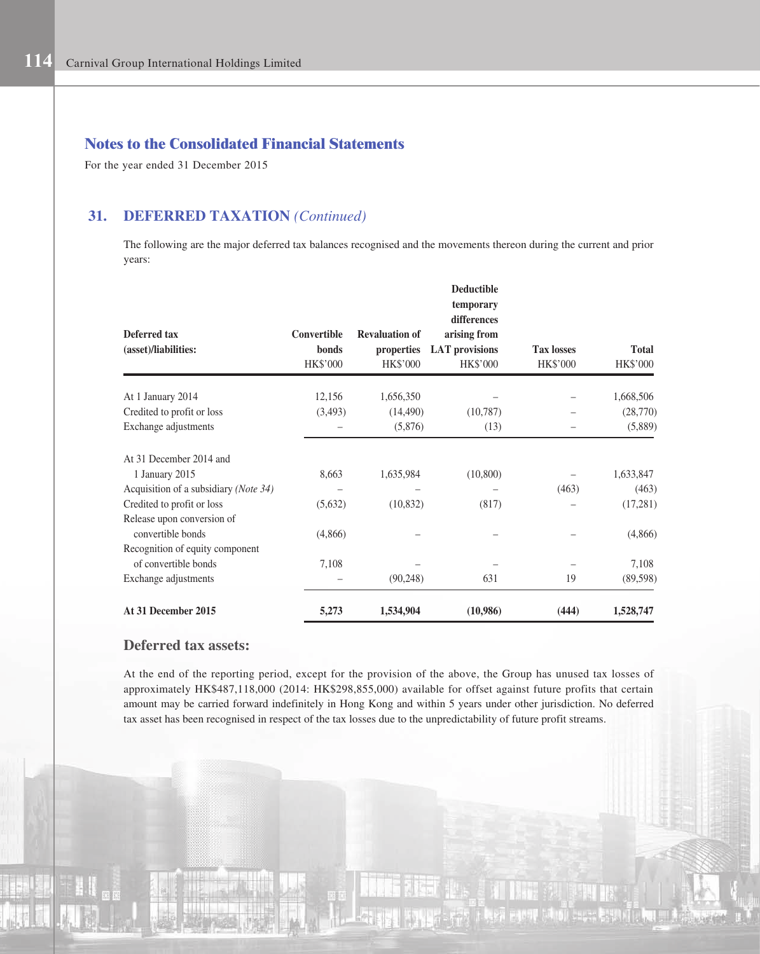For the year ended 31 December 2015

# **31. DEFERRED TAXATION** *(Continued)*

The following are the major deferred tax balances recognised and the movements thereon during the current and prior years:

| Deferred tax<br>(asset)/liabilities:  | Convertible<br><b>bonds</b><br><b>HK\$'000</b> | <b>Revaluation of</b><br>properties<br><b>HK\$'000</b> | <b>Deductible</b><br>temporary<br>differences<br>arising from<br><b>LAT</b> provisions<br><b>HK\$'000</b> | <b>Tax losses</b><br><b>HK\$'000</b> | <b>Total</b><br><b>HK\$'000</b> |
|---------------------------------------|------------------------------------------------|--------------------------------------------------------|-----------------------------------------------------------------------------------------------------------|--------------------------------------|---------------------------------|
| At 1 January 2014                     | 12,156                                         | 1,656,350                                              |                                                                                                           |                                      | 1,668,506                       |
| Credited to profit or loss            | (3,493)                                        | (14, 490)                                              | (10,787)                                                                                                  |                                      | (28,770)                        |
| Exchange adjustments                  |                                                | (5,876)                                                | (13)                                                                                                      |                                      | (5,889)                         |
| At 31 December 2014 and               |                                                |                                                        |                                                                                                           |                                      |                                 |
| 1 January 2015                        | 8,663                                          | 1,635,984                                              | (10, 800)                                                                                                 |                                      | 1,633,847                       |
| Acquisition of a subsidiary (Note 34) |                                                |                                                        |                                                                                                           | (463)                                | (463)                           |
| Credited to profit or loss            | (5,632)                                        | (10, 832)                                              | (817)                                                                                                     |                                      | (17,281)                        |
| Release upon conversion of            |                                                |                                                        |                                                                                                           |                                      |                                 |
| convertible bonds                     | (4,866)                                        |                                                        |                                                                                                           |                                      | (4,866)                         |
| Recognition of equity component       |                                                |                                                        |                                                                                                           |                                      |                                 |
| of convertible bonds                  | 7,108                                          |                                                        |                                                                                                           |                                      | 7,108                           |
| Exchange adjustments                  |                                                | (90, 248)                                              | 631                                                                                                       | 19                                   | (89, 598)                       |
| At 31 December 2015                   | 5,273                                          | 1,534,904                                              | (10,986)                                                                                                  | (444)                                | 1,528,747                       |

# **Deferred tax assets:**

At the end of the reporting period, except for the provision of the above, the Group has unused tax losses of approximately HK\$487,118,000 (2014: HK\$298,855,000) available for offset against future profits that certain amount may be carried forward indefinitely in Hong Kong and within 5 years under other jurisdiction. No deferred tax asset has been recognised in respect of the tax losses due to the unpredictability of future profit streams.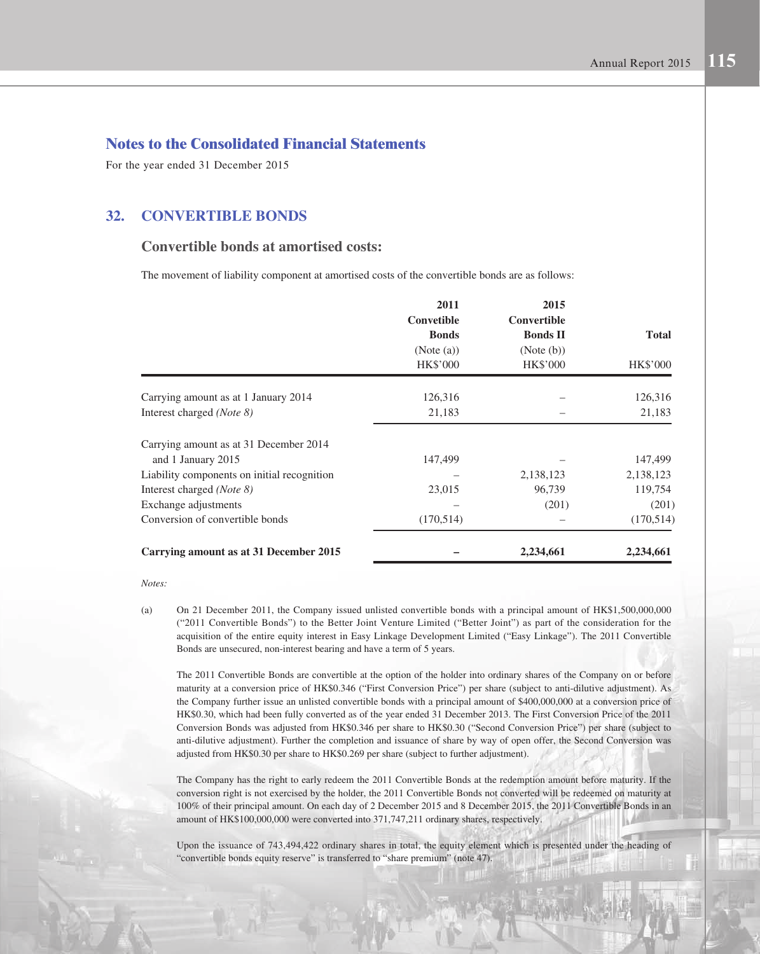For the year ended 31 December 2015

## **32. CONVERTIBLE BONDS**

#### **Convertible bonds at amortised costs:**

The movement of liability component at amortised costs of the convertible bonds are as follows:

|                                             | 2011            | 2015            |                 |  |
|---------------------------------------------|-----------------|-----------------|-----------------|--|
|                                             | Convetible      | Convertible     |                 |  |
|                                             | <b>Bonds</b>    | <b>Bonds II</b> | <b>Total</b>    |  |
|                                             | (Note (a))      | (Note (b))      |                 |  |
|                                             | <b>HK\$'000</b> | <b>HK\$'000</b> | <b>HK\$'000</b> |  |
| Carrying amount as at 1 January 2014        | 126,316         |                 | 126,316         |  |
| Interest charged ( <i>Note 8</i> )          | 21,183          |                 | 21,183          |  |
| Carrying amount as at 31 December 2014      |                 |                 |                 |  |
| and 1 January 2015                          | 147,499         |                 | 147,499         |  |
| Liability components on initial recognition |                 | 2,138,123       | 2,138,123       |  |
| Interest charged ( <i>Note 8</i> )          | 23,015          | 96,739          | 119,754         |  |
| Exchange adjustments                        |                 | (201)           | (201)           |  |
| Conversion of convertible bonds             | (170, 514)      |                 | (170, 514)      |  |
| Carrying amount as at 31 December 2015      |                 | 2,234,661       | 2,234,661       |  |

*Notes:*

(a) On 21 December 2011, the Company issued unlisted convertible bonds with a principal amount of HK\$1,500,000,000 ("2011 Convertible Bonds") to the Better Joint Venture Limited ("Better Joint") as part of the consideration for the acquisition of the entire equity interest in Easy Linkage Development Limited ("Easy Linkage"). The 2011 Convertible Bonds are unsecured, non-interest bearing and have a term of 5 years.

The 2011 Convertible Bonds are convertible at the option of the holder into ordinary shares of the Company on or before maturity at a conversion price of HK\$0.346 ("First Conversion Price") per share (subject to anti-dilutive adjustment). As the Company further issue an unlisted convertible bonds with a principal amount of \$400,000,000 at a conversion price of HK\$0.30, which had been fully converted as of the year ended 31 December 2013. The First Conversion Price of the 2011 Conversion Bonds was adjusted from HK\$0.346 per share to HK\$0.30 ("Second Conversion Price") per share (subject to anti-dilutive adjustment). Further the completion and issuance of share by way of open offer, the Second Conversion was adjusted from HK\$0.30 per share to HK\$0.269 per share (subject to further adjustment).

The Company has the right to early redeem the 2011 Convertible Bonds at the redemption amount before maturity. If the conversion right is not exercised by the holder, the 2011 Convertible Bonds not converted will be redeemed on maturity at 100% of their principal amount. On each day of 2 December 2015 and 8 December 2015, the 2011 Convertible Bonds in an amount of HK\$100,000,000 were converted into 371,747,211 ordinary shares, respectively.

Upon the issuance of 743,494,422 ordinary shares in total, the equity element which is presented under the heading of "convertible bonds equity reserve" is transferred to "share premium" (note 47).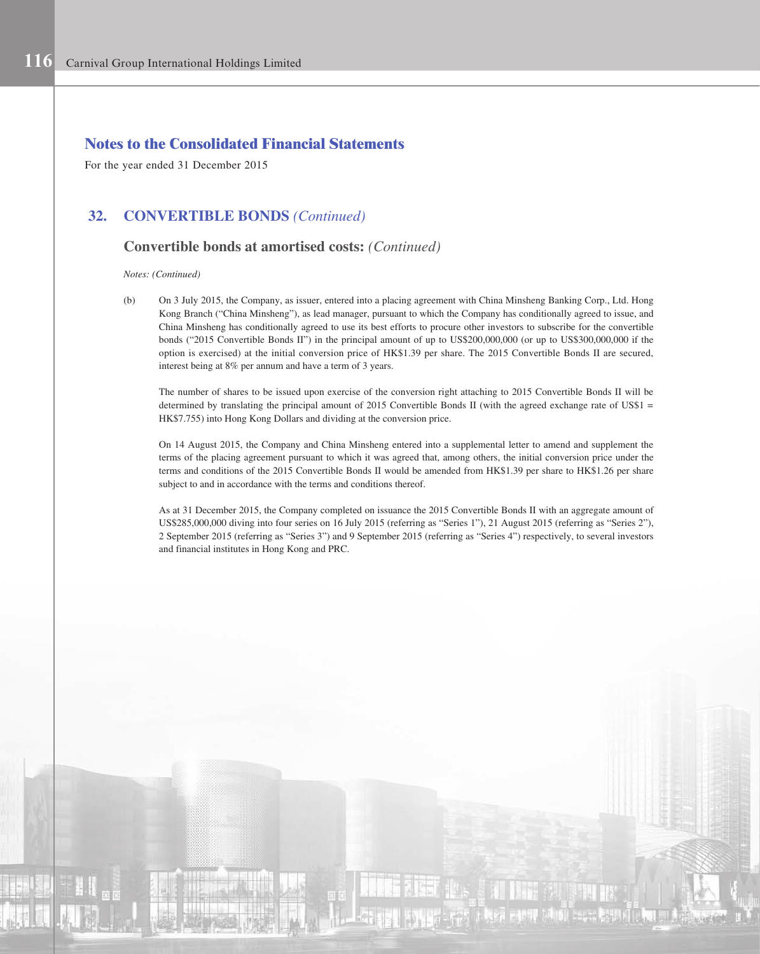For the year ended 31 December 2015

## **32. CONVERTIBLE BONDS** *(Continued)*

#### **Convertible bonds at amortised costs:** *(Continued)*

*Notes: (Continued)*

(b) On 3 July 2015, the Company, as issuer, entered into a placing agreement with China Minsheng Banking Corp., Ltd. Hong Kong Branch ("China Minsheng"), as lead manager, pursuant to which the Company has conditionally agreed to issue, and China Minsheng has conditionally agreed to use its best efforts to procure other investors to subscribe for the convertible bonds ("2015 Convertible Bonds II") in the principal amount of up to US\$200,000,000 (or up to US\$300,000,000 if the option is exercised) at the initial conversion price of HK\$1.39 per share. The 2015 Convertible Bonds II are secured, interest being at 8% per annum and have a term of 3 years.

The number of shares to be issued upon exercise of the conversion right attaching to 2015 Convertible Bonds II will be determined by translating the principal amount of 2015 Convertible Bonds II (with the agreed exchange rate of US\$1 = HK\$7.755) into Hong Kong Dollars and dividing at the conversion price.

On 14 August 2015, the Company and China Minsheng entered into a supplemental letter to amend and supplement the terms of the placing agreement pursuant to which it was agreed that, among others, the initial conversion price under the terms and conditions of the 2015 Convertible Bonds II would be amended from HK\$1.39 per share to HK\$1.26 per share subject to and in accordance with the terms and conditions thereof.

As at 31 December 2015, the Company completed on issuance the 2015 Convertible Bonds II with an aggregate amount of US\$285,000,000 diving into four series on 16 July 2015 (referring as "Series 1"), 21 August 2015 (referring as "Series 2"), 2 September 2015 (referring as "Series 3") and 9 September 2015 (referring as "Series 4") respectively, to several investors and financial institutes in Hong Kong and PRC.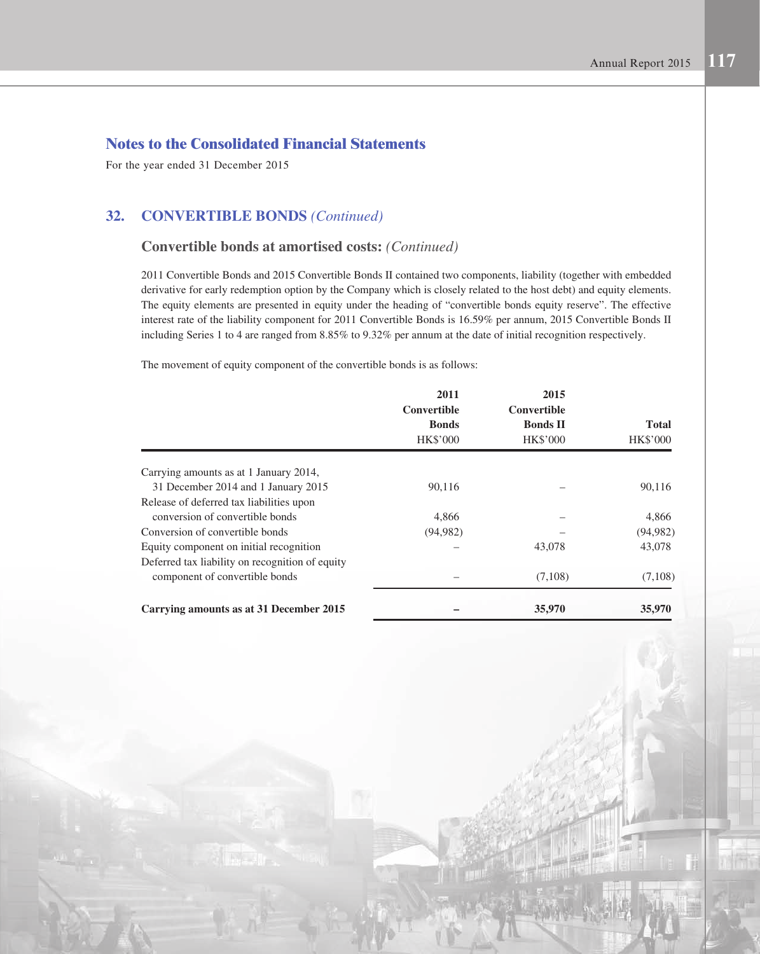For the year ended 31 December 2015

# **32. CONVERTIBLE BONDS** *(Continued)*

### **Convertible bonds at amortised costs:** *(Continued)*

2011 Convertible Bonds and 2015 Convertible Bonds II contained two components, liability (together with embedded derivative for early redemption option by the Company which is closely related to the host debt) and equity elements. The equity elements are presented in equity under the heading of "convertible bonds equity reserve". The effective interest rate of the liability component for 2011 Convertible Bonds is 16.59% per annum, 2015 Convertible Bonds II including Series 1 to 4 are ranged from 8.85% to 9.32% per annum at the date of initial recognition respectively.

The movement of equity component of the convertible bonds is as follows:

|                                                 | 2011<br>Convertible<br><b>Bonds</b><br><b>HK\$'000</b> | 2015<br>Convertible<br><b>Bonds II</b><br><b>HK\$'000</b> | <b>Total</b><br><b>HK\$'000</b> |
|-------------------------------------------------|--------------------------------------------------------|-----------------------------------------------------------|---------------------------------|
| Carrying amounts as at 1 January 2014,          |                                                        |                                                           |                                 |
| 31 December 2014 and 1 January 2015             | 90.116                                                 |                                                           | 90,116                          |
| Release of deferred tax liabilities upon        |                                                        |                                                           |                                 |
| conversion of convertible bonds                 | 4,866                                                  |                                                           | 4,866                           |
| Conversion of convertible bonds                 | (94, 982)                                              |                                                           | (94, 982)                       |
| Equity component on initial recognition         |                                                        | 43,078                                                    | 43,078                          |
| Deferred tax liability on recognition of equity |                                                        |                                                           |                                 |
| component of convertible bonds                  |                                                        | (7,108)                                                   | (7,108)                         |
| Carrying amounts as at 31 December 2015         |                                                        | 35,970                                                    | 35,970                          |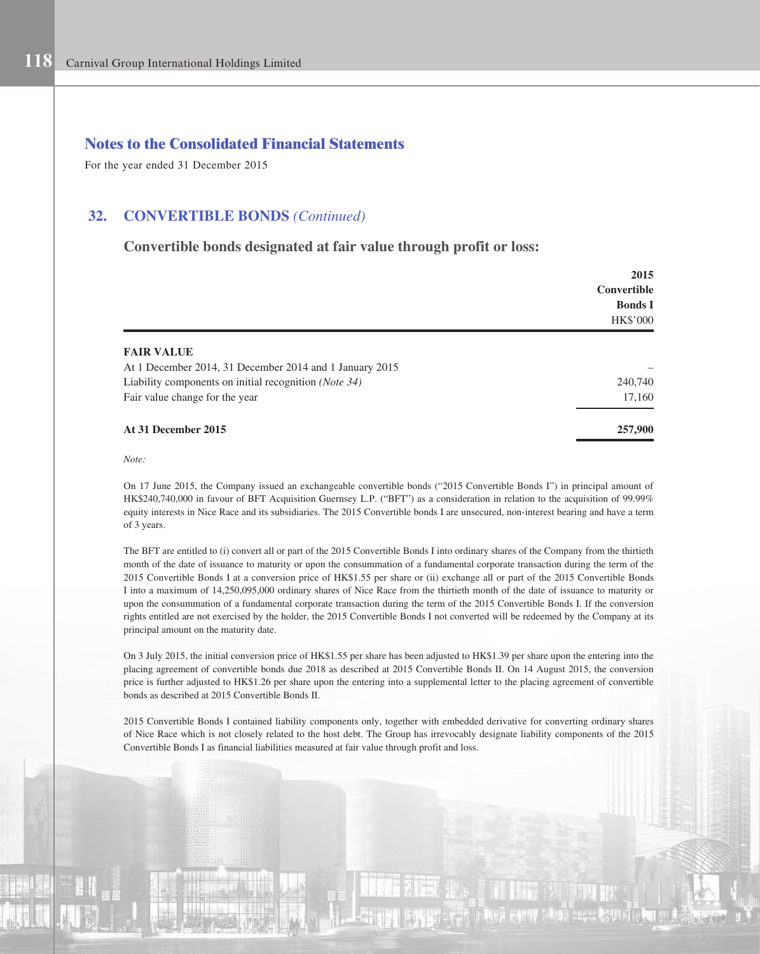For the year ended 31 December 2015

#### **32. CONVERTIBLE BONDS** *(Continued)*

**Convertible bonds designated at fair value through profit or loss:**

|                                                                | 2015            |
|----------------------------------------------------------------|-----------------|
|                                                                | Convertible     |
|                                                                | <b>Bonds I</b>  |
|                                                                | <b>HK\$'000</b> |
|                                                                |                 |
| <b>FAIR VALUE</b>                                              |                 |
| At 1 December 2014, 31 December 2014 and 1 January 2015        |                 |
| Liability components on initial recognition ( <i>Note 34</i> ) | 240,740         |
| Fair value change for the year                                 | 17,160          |
| At 31 December 2015                                            | 257,900         |

*Note:*

On 17 June 2015, the Company issued an exchangeable convertible bonds ("2015 Convertible Bonds I") in principal amount of HK\$240,740,000 in favour of BFT Acquisition Guernsey L.P. ("BFT") as a consideration in relation to the acquisition of 99.99% equity interests in Nice Race and its subsidiaries. The 2015 Convertible bonds I are unsecured, non-interest bearing and have a term of 3 years.

The BFT are entitled to (i) convert all or part of the 2015 Convertible Bonds I into ordinary shares of the Company from the thirtieth month of the date of issuance to maturity or upon the consummation of a fundamental corporate transaction during the term of the 2015 Convertible Bonds I at a conversion price of HK\$1.55 per share or (ii) exchange all or part of the 2015 Convertible Bonds I into a maximum of 14,250,095,000 ordinary shares of Nice Race from the thirtieth month of the date of issuance to maturity or upon the consummation of a fundamental corporate transaction during the term of the 2015 Convertible Bonds I. If the conversion rights entitled are not exercised by the holder, the 2015 Convertible Bonds I not converted will be redeemed by the Company at its principal amount on the maturity date.

On 3 July 2015, the initial conversion price of HK\$1.55 per share has been adjusted to HK\$1.39 per share upon the entering into the placing agreement of convertible bonds due 2018 as described at 2015 Convertible Bonds II. On 14 August 2015, the conversion price is further adjusted to HK\$1.26 per share upon the entering into a supplemental letter to the placing agreement of convertible bonds as described at 2015 Convertible Bonds II.

2015 Convertible Bonds I contained liability components only, together with embedded derivative for converting ordinary shares of Nice Race which is not closely related to the host debt. The Group has irrevocably designate liability components of the 2015 Convertible Bonds I as financial liabilities measured at fair value through profit and loss.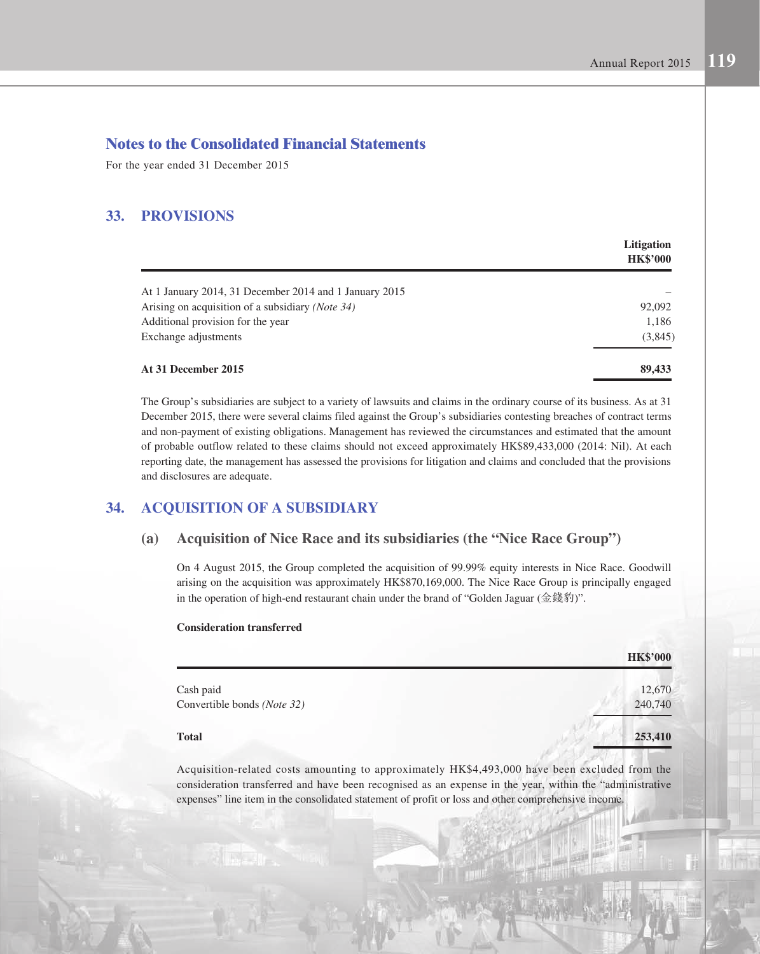For the year ended 31 December 2015

# **33. PROVISIONS**

|                                                           | Litigation<br><b>HK\$'000</b> |
|-----------------------------------------------------------|-------------------------------|
| At 1 January 2014, 31 December 2014 and 1 January 2015    |                               |
| Arising on acquisition of a subsidiary ( <i>Note 34</i> ) | 92,092                        |
| Additional provision for the year                         | 1,186                         |
| Exchange adjustments                                      | (3,845)                       |
| At 31 December 2015                                       | 89,433                        |

The Group's subsidiaries are subject to a variety of lawsuits and claims in the ordinary course of its business. As at 31 December 2015, there were several claims filed against the Group's subsidiaries contesting breaches of contract terms and non-payment of existing obligations. Management has reviewed the circumstances and estimated that the amount of probable outflow related to these claims should not exceed approximately HK\$89,433,000 (2014: Nil). At each reporting date, the management has assessed the provisions for litigation and claims and concluded that the provisions and disclosures are adequate.

# **34. ACQUISITION OF A SUBSIDIARY**

## **(a) Acquisition of Nice Race and its subsidiaries (the "Nice Race Group")**

On 4 August 2015, the Group completed the acquisition of 99.99% equity interests in Nice Race. Goodwill arising on the acquisition was approximately HK\$870,169,000. The Nice Race Group is principally engaged in the operation of high-end restaurant chain under the brand of "Golden Jaguar (金錢豹)".

# **Consideration transferred**

| <b>HK\$'000</b>   |
|-------------------|
| 12,670<br>240,740 |
| 253,410           |
|                   |

Acquisition-related costs amounting to approximately HK\$4,493,000 have been excluded from the consideration transferred and have been recognised as an expense in the year, within the "administrative expenses" line item in the consolidated statement of profit or loss and other comprehensive income.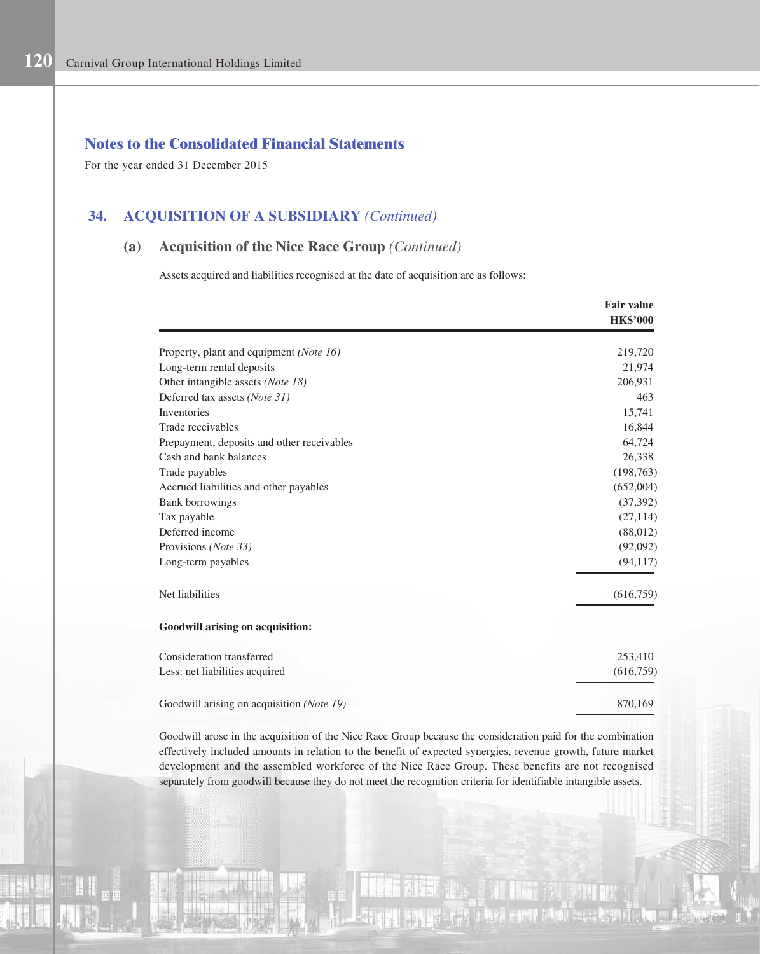For the year ended 31 December 2015

# **34. ACQUISITION OF A SUBSIDIARY** *(Continued)*

## **(a) Acquisition of the Nice Race Group** *(Continued)*

Assets acquired and liabilities recognised at the date of acquisition are as follows:

|                                            | <b>Fair value</b><br><b>HK\$'000</b> |
|--------------------------------------------|--------------------------------------|
| Property, plant and equipment (Note 16)    | 219,720                              |
| Long-term rental deposits                  | 21,974                               |
| Other intangible assets (Note 18)          | 206,931                              |
| Deferred tax assets (Note 31)              | 463                                  |
| Inventories                                | 15,741                               |
| Trade receivables                          | 16,844                               |
| Prepayment, deposits and other receivables | 64,724                               |
| Cash and bank balances                     | 26,338                               |
| Trade payables                             | (198, 763)                           |
| Accrued liabilities and other payables     | (652,004)                            |
| <b>Bank</b> borrowings                     | (37, 392)                            |
| Tax payable                                | (27, 114)                            |
| Deferred income                            | (88,012)                             |
| Provisions (Note 33)                       | (92,092)                             |
| Long-term payables                         | (94, 117)                            |
| Net liabilities                            | (616,759)                            |
| Goodwill arising on acquisition:           |                                      |
| Consideration transferred                  | 253,410                              |
| Less: net liabilities acquired             | (616,759)                            |
| Goodwill arising on acquisition (Note 19)  | 870,169                              |

Goodwill arose in the acquisition of the Nice Race Group because the consideration paid for the combination effectively included amounts in relation to the benefit of expected synergies, revenue growth, future market development and the assembled workforce of the Nice Race Group. These benefits are not recognised separately from goodwill because they do not meet the recognition criteria for identifiable intangible assets.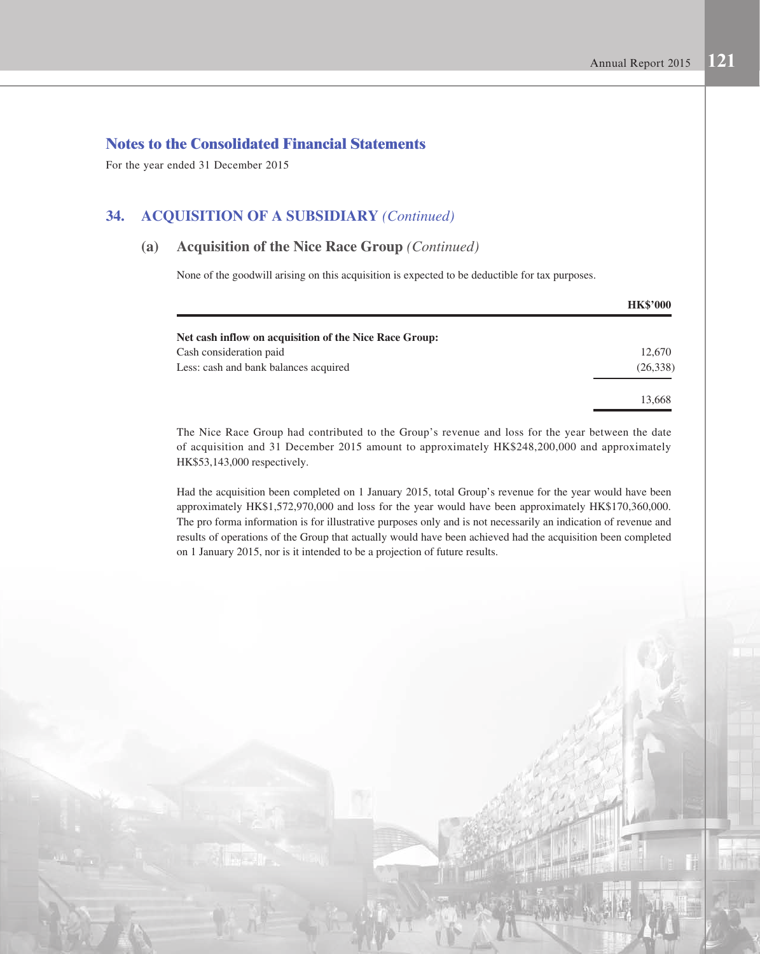For the year ended 31 December 2015

# **34. ACQUISITION OF A SUBSIDIARY** *(Continued)*

#### **(a) Acquisition of the Nice Race Group** *(Continued)*

None of the goodwill arising on this acquisition is expected to be deductible for tax purposes.

|                                                        | <b>HK\$'000</b> |
|--------------------------------------------------------|-----------------|
| Net cash inflow on acquisition of the Nice Race Group: |                 |
| Cash consideration paid                                | 12,670          |
| Less: cash and bank balances acquired                  | (26, 338)       |
|                                                        | 13.668          |

The Nice Race Group had contributed to the Group's revenue and loss for the year between the date of acquisition and 31 December 2015 amount to approximately HK\$248,200,000 and approximately HK\$53,143,000 respectively.

Had the acquisition been completed on 1 January 2015, total Group's revenue for the year would have been approximately HK\$1,572,970,000 and loss for the year would have been approximately HK\$170,360,000. The pro forma information is for illustrative purposes only and is not necessarily an indication of revenue and results of operations of the Group that actually would have been achieved had the acquisition been completed on 1 January 2015, nor is it intended to be a projection of future results.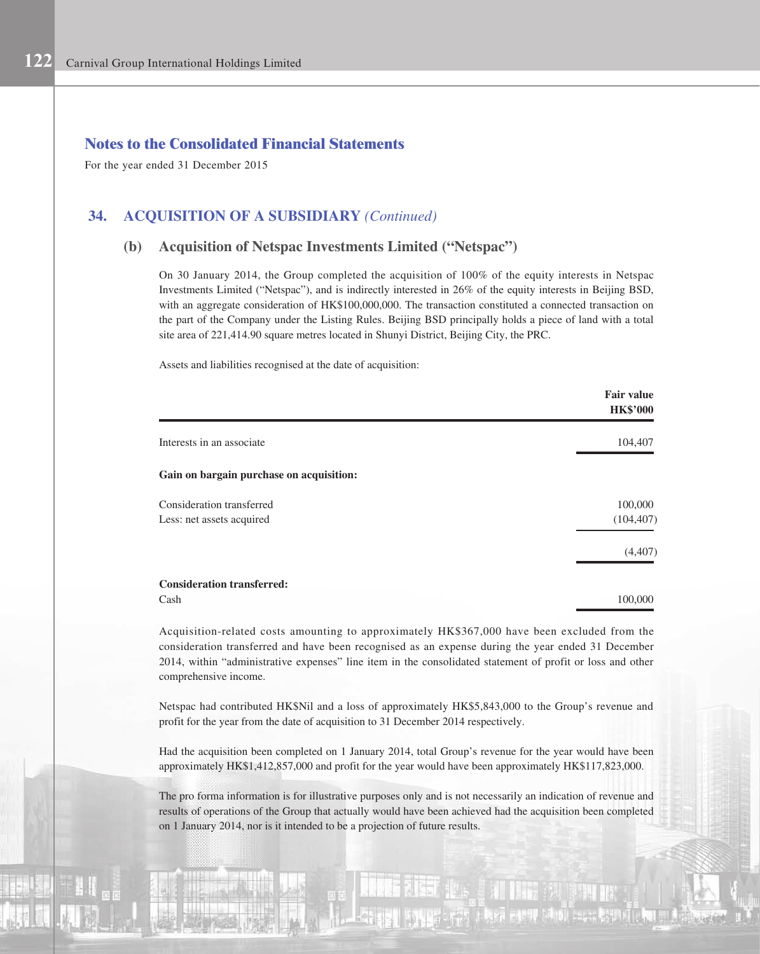For the year ended 31 December 2015

## **34. ACQUISITION OF A SUBSIDIARY** *(Continued)*

#### **(b) Acquisition of Netspac Investments Limited ("Netspac")**

On 30 January 2014, the Group completed the acquisition of 100% of the equity interests in Netspac Investments Limited ("Netspac"), and is indirectly interested in 26% of the equity interests in Beijing BSD, with an aggregate consideration of HK\$100,000,000. The transaction constituted a connected transaction on the part of the Company under the Listing Rules. Beijing BSD principally holds a piece of land with a total site area of 221,414.90 square metres located in Shunyi District, Beijing City, the PRC.

Assets and liabilities recognised at the date of acquisition:

|                                                        | <b>Fair value</b><br><b>HK\$'000</b> |
|--------------------------------------------------------|--------------------------------------|
| Interests in an associate                              | 104,407                              |
| Gain on bargain purchase on acquisition:               |                                      |
| Consideration transferred<br>Less: net assets acquired | 100,000<br>(104, 407)                |
|                                                        | (4,407)                              |
| <b>Consideration transferred:</b><br>Cash              | 100,000                              |

Acquisition-related costs amounting to approximately HK\$367,000 have been excluded from the consideration transferred and have been recognised as an expense during the year ended 31 December 2014, within "administrative expenses" line item in the consolidated statement of profit or loss and other comprehensive income.

Netspac had contributed HK\$Nil and a loss of approximately HK\$5,843,000 to the Group's revenue and profit for the year from the date of acquisition to 31 December 2014 respectively.

Had the acquisition been completed on 1 January 2014, total Group's revenue for the year would have been approximately HK\$1,412,857,000 and profit for the year would have been approximately HK\$117,823,000.

The pro forma information is for illustrative purposes only and is not necessarily an indication of revenue and results of operations of the Group that actually would have been achieved had the acquisition been completed on 1 January 2014, nor is it intended to be a projection of future results.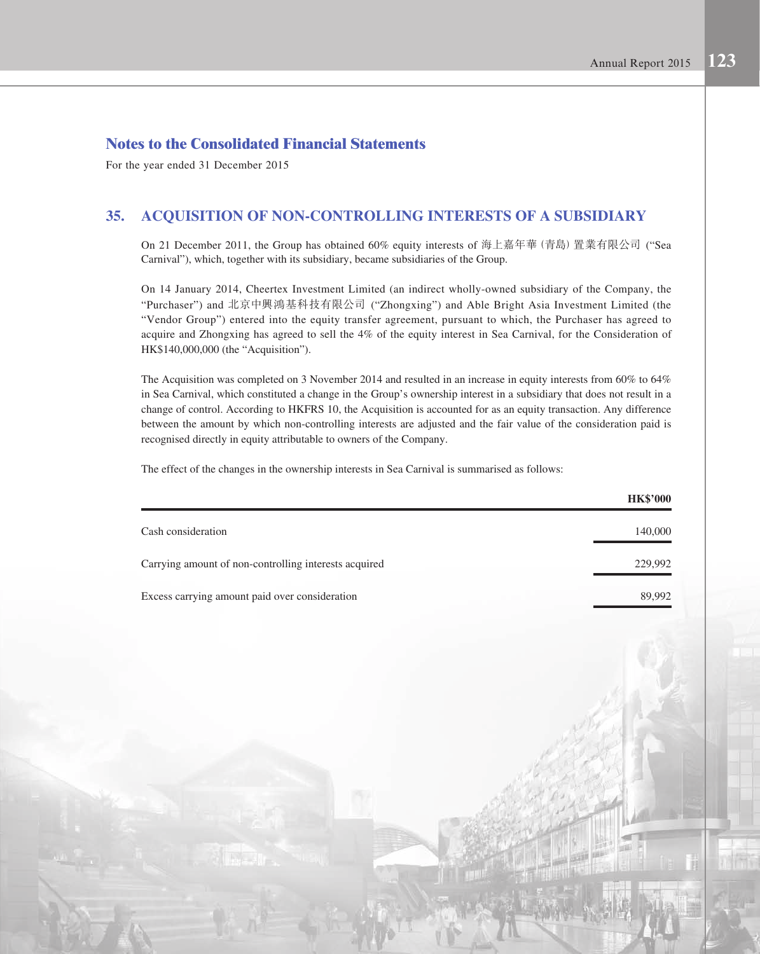For the year ended 31 December 2015

# **35. ACQUISITION OF NON-CONTROLLING INTERESTS OF A SUBSIDIARY**

On 21 December 2011, the Group has obtained 60% equity interests of 海上嘉年華(青島)置業有限公司 ("Sea Carnival"), which, together with its subsidiary, became subsidiaries of the Group.

On 14 January 2014, Cheertex Investment Limited (an indirect wholly-owned subsidiary of the Company, the "Purchaser") and 北京中興鴻基科技有限公司 ("Zhongxing") and Able Bright Asia Investment Limited (the "Vendor Group") entered into the equity transfer agreement, pursuant to which, the Purchaser has agreed to acquire and Zhongxing has agreed to sell the 4% of the equity interest in Sea Carnival, for the Consideration of HK\$140,000,000 (the "Acquisition").

The Acquisition was completed on 3 November 2014 and resulted in an increase in equity interests from 60% to 64% in Sea Carnival, which constituted a change in the Group's ownership interest in a subsidiary that does not result in a change of control. According to HKFRS 10, the Acquisition is accounted for as an equity transaction. Any difference between the amount by which non-controlling interests are adjusted and the fair value of the consideration paid is recognised directly in equity attributable to owners of the Company.

The effect of the changes in the ownership interests in Sea Carnival is summarised as follows:

|                                                       | <b>HK\$'000</b> |
|-------------------------------------------------------|-----------------|
| Cash consideration                                    | 140,000         |
| Carrying amount of non-controlling interests acquired | 229,992         |
| Excess carrying amount paid over consideration        | 89,992          |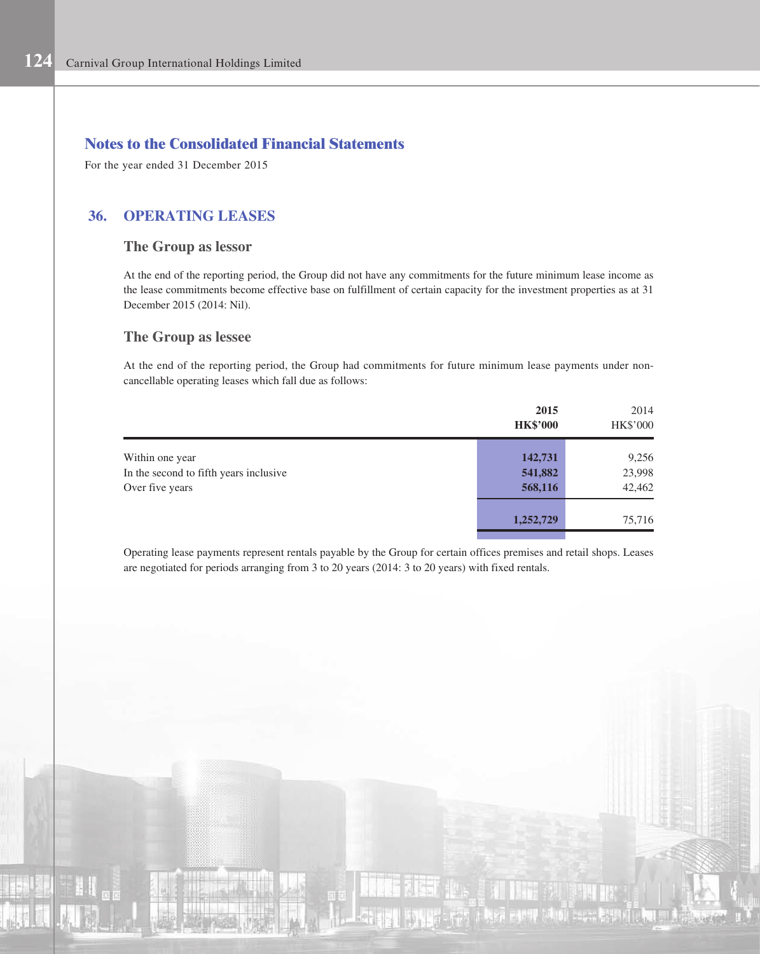For the year ended 31 December 2015

# **36. OPERATING LEASES**

#### **The Group as lessor**

At the end of the reporting period, the Group did not have any commitments for the future minimum lease income as the lease commitments become effective base on fulfillment of certain capacity for the investment properties as at 31 December 2015 (2014: Nil).

#### **The Group as lessee**

At the end of the reporting period, the Group had commitments for future minimum lease payments under noncancellable operating leases which fall due as follows:

|                                        | 2015<br><b>HK\$'000</b> | 2014<br>HK\$'000 |
|----------------------------------------|-------------------------|------------------|
| Within one year                        | 142,731                 | 9,256            |
| In the second to fifth years inclusive | 541,882                 | 23,998           |
| Over five years                        | 568,116                 | 42,462           |
|                                        | 1,252,729               | 75,716           |

Operating lease payments represent rentals payable by the Group for certain offices premises and retail shops. Leases are negotiated for periods arranging from 3 to 20 years (2014: 3 to 20 years) with fixed rentals.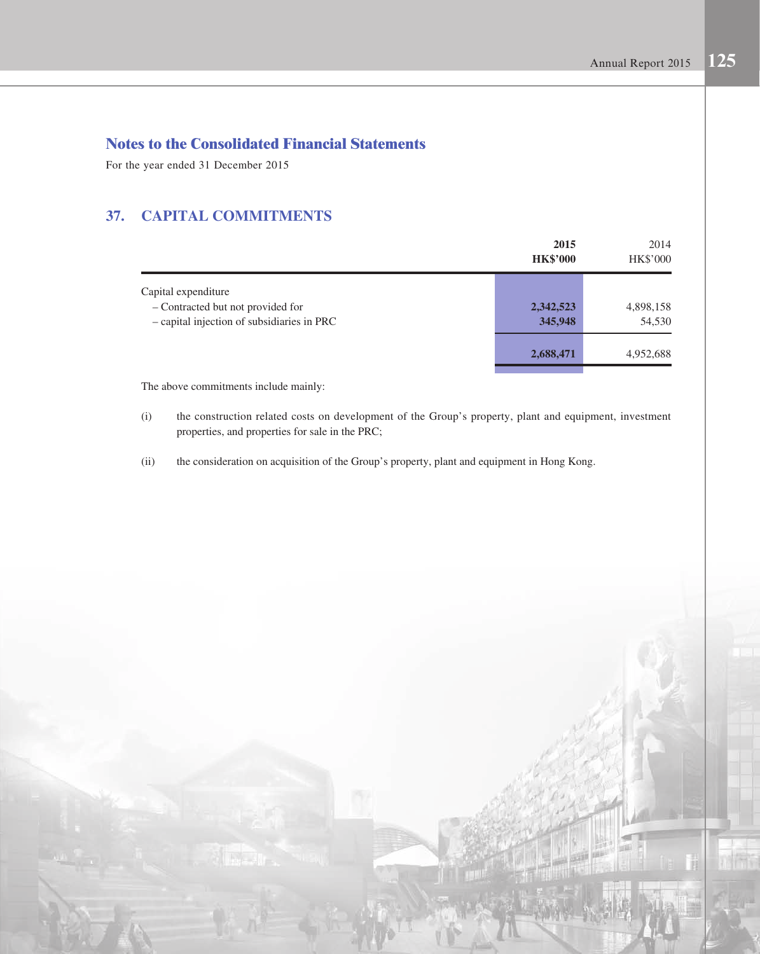For the year ended 31 December 2015

# **37. CAPITAL COMMITMENTS**

|                                                                                                        | 2015<br><b>HK\$'000</b> | 2014<br><b>HK\$'000</b> |
|--------------------------------------------------------------------------------------------------------|-------------------------|-------------------------|
| Capital expenditure<br>- Contracted but not provided for<br>- capital injection of subsidiaries in PRC | 2,342,523<br>345,948    | 4,898,158<br>54,530     |
|                                                                                                        | 2,688,471               | 4,952,688               |

The above commitments include mainly:

- (i) the construction related costs on development of the Group's property, plant and equipment, investment properties, and properties for sale in the PRC;
- (ii) the consideration on acquisition of the Group's property, plant and equipment in Hong Kong.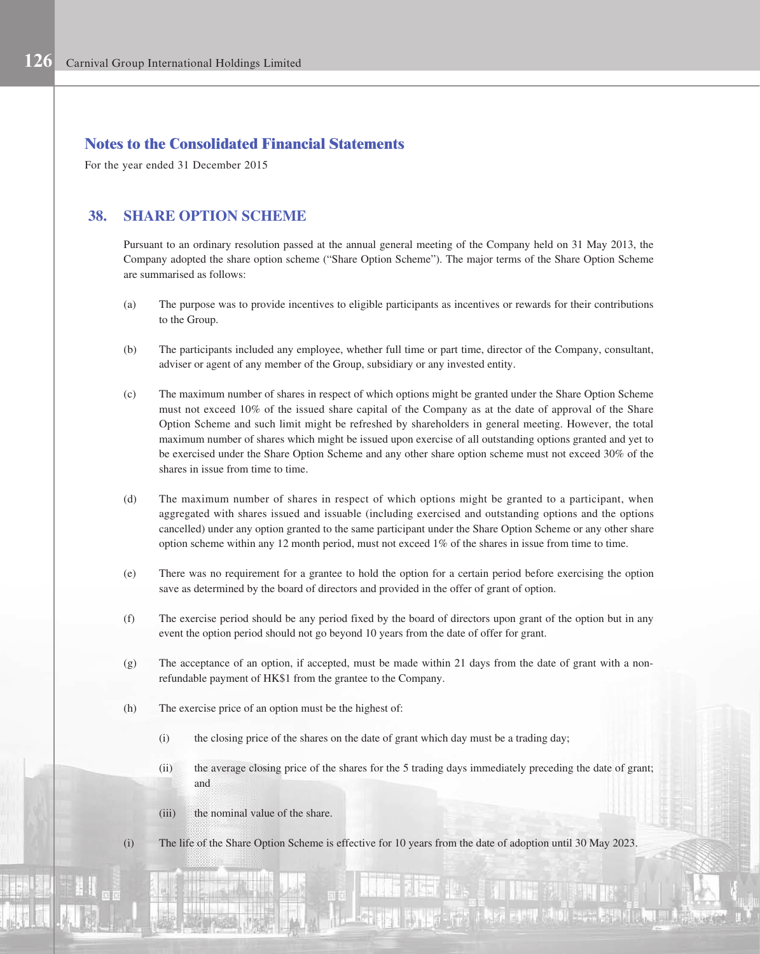For the year ended 31 December 2015

## **38. SHARE OPTION SCHEME**

Pursuant to an ordinary resolution passed at the annual general meeting of the Company held on 31 May 2013, the Company adopted the share option scheme ("Share Option Scheme"). The major terms of the Share Option Scheme are summarised as follows:

- (a) The purpose was to provide incentives to eligible participants as incentives or rewards for their contributions to the Group.
- (b) The participants included any employee, whether full time or part time, director of the Company, consultant, adviser or agent of any member of the Group, subsidiary or any invested entity.
- (c) The maximum number of shares in respect of which options might be granted under the Share Option Scheme must not exceed 10% of the issued share capital of the Company as at the date of approval of the Share Option Scheme and such limit might be refreshed by shareholders in general meeting. However, the total maximum number of shares which might be issued upon exercise of all outstanding options granted and yet to be exercised under the Share Option Scheme and any other share option scheme must not exceed 30% of the shares in issue from time to time.
- (d) The maximum number of shares in respect of which options might be granted to a participant, when aggregated with shares issued and issuable (including exercised and outstanding options and the options cancelled) under any option granted to the same participant under the Share Option Scheme or any other share option scheme within any 12 month period, must not exceed 1% of the shares in issue from time to time.
- (e) There was no requirement for a grantee to hold the option for a certain period before exercising the option save as determined by the board of directors and provided in the offer of grant of option.
- (f) The exercise period should be any period fixed by the board of directors upon grant of the option but in any event the option period should not go beyond 10 years from the date of offer for grant.
- (g) The acceptance of an option, if accepted, must be made within 21 days from the date of grant with a nonrefundable payment of HK\$1 from the grantee to the Company.
- (h) The exercise price of an option must be the highest of:
	- (i) the closing price of the shares on the date of grant which day must be a trading day;
	- (ii) the average closing price of the shares for the 5 trading days immediately preceding the date of grant; and
	- (iii) the nominal value of the share.
- (i) The life of the Share Option Scheme is effective for 10 years from the date of adoption until 30 May 2023.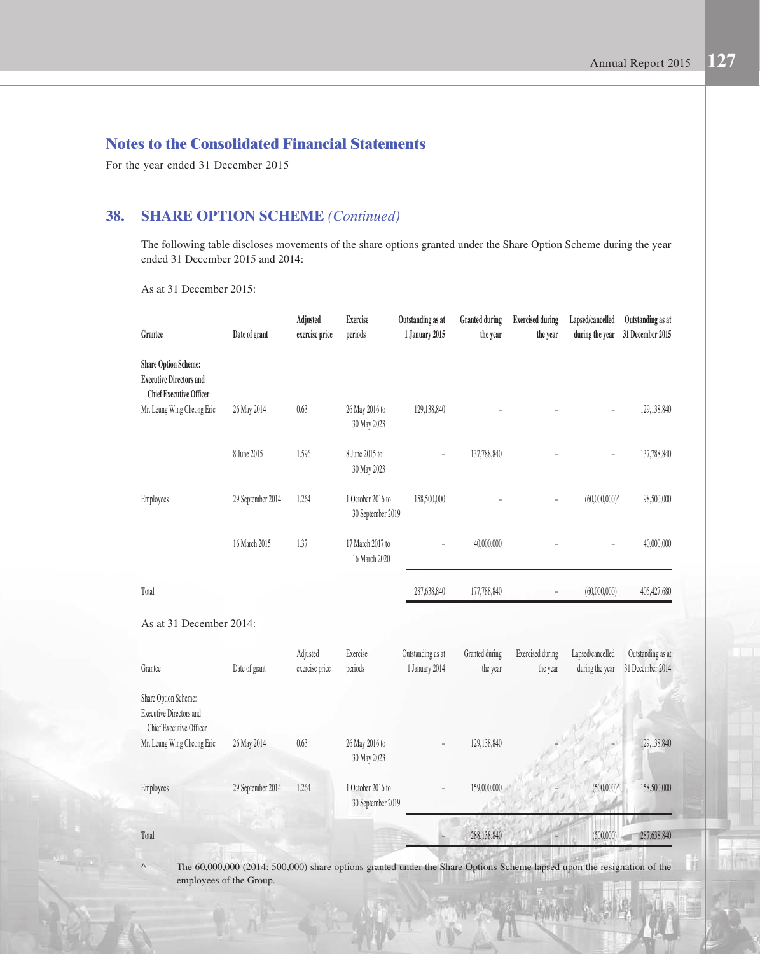For the year ended 31 December 2015

# **38. SHARE OPTION SCHEME** *(Continued)*

The following table discloses movements of the share options granted under the Share Option Scheme during the year ended 31 December 2015 and 2014:

As at 31 December 2015:

| Grantee                                                                                         | Date of grant     | Adjusted<br>exercise price | <b>Exercise</b><br>periods             | Outstanding as at<br>1 January 2015 | <b>Granted during</b><br>the year | <b>Exercised during</b><br>the year | Lapsed/cancelled<br>during the year | Outstanding as at<br>31 December 2015 |
|-------------------------------------------------------------------------------------------------|-------------------|----------------------------|----------------------------------------|-------------------------------------|-----------------------------------|-------------------------------------|-------------------------------------|---------------------------------------|
| <b>Share Option Scheme:</b><br><b>Executive Directors and</b><br><b>Chief Executive Officer</b> |                   |                            |                                        |                                     |                                   |                                     |                                     |                                       |
| Mr. Leung Wing Cheong Eric                                                                      | 26 May 2014       | 0.63                       | 26 May 2016 to<br>30 May 2023          | 129,138,840                         |                                   |                                     |                                     | 129,138,840                           |
|                                                                                                 | 8 June 2015       | 1.596                      | 8 June 2015 to<br>30 May 2023          |                                     | 137,788,840                       |                                     |                                     | 137,788,840                           |
| Employees                                                                                       | 29 September 2014 | 1.264                      | 1 October 2016 to<br>30 September 2019 | 158,500,000                         |                                   |                                     | $(60,000,000)^{\wedge}$             | 98,500,000                            |
|                                                                                                 | 16 March 2015     | 1.37                       | 17 March 2017 to<br>16 March 2020      |                                     | 40,000,000                        |                                     |                                     | 40,000,000                            |
| Total                                                                                           |                   |                            |                                        | 287,638,840                         | 177,788,840                       | $\overline{a}$                      | (60,000,000)                        | 405,427,680                           |
| As at 31 December 2014:                                                                         |                   |                            |                                        |                                     |                                   |                                     |                                     |                                       |
| Grantee                                                                                         | Date of grant     | Adjusted<br>exercise price | Exercise<br>periods                    | Outstanding as at<br>1 January 2014 | Granted during<br>the year        | Exercised during<br>the year        | Lapsed/cancelled<br>during the year | Outstanding as at<br>31 December 2014 |
| Share Option Scheme:<br><b>Executive Directors and</b><br>Chief Executive Officer               |                   |                            |                                        |                                     |                                   |                                     |                                     |                                       |
| Mr. Leung Wing Cheong Eric                                                                      | 26 May 2014       | 0.63                       | 26 May 2016 to<br>30 May 2023          |                                     | 129,138,840                       |                                     |                                     | 129,138,840                           |
| Employees                                                                                       | 29 September 2014 | 1.264                      | 1 October 2016 to<br>30 September 2019 |                                     | 159,000,000                       |                                     | $(500,000)^{A}$                     | 158,500,000                           |
| Total                                                                                           |                   |                            |                                        |                                     | 288,138,840                       |                                     | (500,000)                           | 287,638,840                           |

^ The 60,000,000 (2014: 500,000) share options granted under the Share Options Scheme lapsed upon the resignation of the employees of the Group.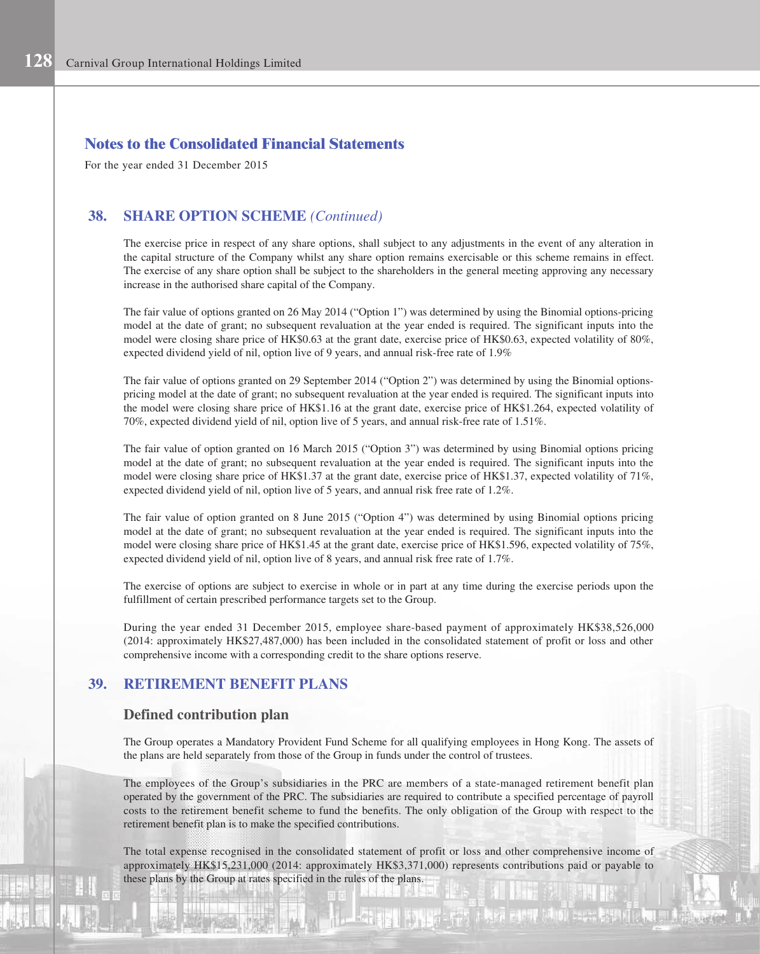For the year ended 31 December 2015

## **38. SHARE OPTION SCHEME** *(Continued)*

The exercise price in respect of any share options, shall subject to any adjustments in the event of any alteration in the capital structure of the Company whilst any share option remains exercisable or this scheme remains in effect. The exercise of any share option shall be subject to the shareholders in the general meeting approving any necessary increase in the authorised share capital of the Company.

The fair value of options granted on 26 May 2014 ("Option 1") was determined by using the Binomial options-pricing model at the date of grant; no subsequent revaluation at the year ended is required. The significant inputs into the model were closing share price of HK\$0.63 at the grant date, exercise price of HK\$0.63, expected volatility of 80%, expected dividend yield of nil, option live of 9 years, and annual risk-free rate of 1.9%

The fair value of options granted on 29 September 2014 ("Option 2") was determined by using the Binomial optionspricing model at the date of grant; no subsequent revaluation at the year ended is required. The significant inputs into the model were closing share price of HK\$1.16 at the grant date, exercise price of HK\$1.264, expected volatility of 70%, expected dividend yield of nil, option live of 5 years, and annual risk-free rate of 1.51%.

The fair value of option granted on 16 March 2015 ("Option 3") was determined by using Binomial options pricing model at the date of grant; no subsequent revaluation at the year ended is required. The significant inputs into the model were closing share price of HK\$1.37 at the grant date, exercise price of HK\$1.37, expected volatility of 71%, expected dividend yield of nil, option live of 5 years, and annual risk free rate of 1.2%.

The fair value of option granted on 8 June 2015 ("Option 4") was determined by using Binomial options pricing model at the date of grant; no subsequent revaluation at the year ended is required. The significant inputs into the model were closing share price of HK\$1.45 at the grant date, exercise price of HK\$1.596, expected volatility of 75%, expected dividend yield of nil, option live of 8 years, and annual risk free rate of 1.7%.

The exercise of options are subject to exercise in whole or in part at any time during the exercise periods upon the fulfillment of certain prescribed performance targets set to the Group.

During the year ended 31 December 2015, employee share-based payment of approximately HK\$38,526,000 (2014: approximately HK\$27,487,000) has been included in the consolidated statement of profit or loss and other comprehensive income with a corresponding credit to the share options reserve.

#### **39. RETIREMENT BENEFIT PLANS**

#### **Defined contribution plan**

The Group operates a Mandatory Provident Fund Scheme for all qualifying employees in Hong Kong. The assets of the plans are held separately from those of the Group in funds under the control of trustees.

The employees of the Group's subsidiaries in the PRC are members of a state-managed retirement benefit plan operated by the government of the PRC. The subsidiaries are required to contribute a specified percentage of payroll costs to the retirement benefit scheme to fund the benefits. The only obligation of the Group with respect to the retirement benefit plan is to make the specified contributions.

The total expense recognised in the consolidated statement of profit or loss and other comprehensive income of approximately HK\$15,231,000 (2014: approximately HK\$3,371,000) represents contributions paid or payable to these plans by the Group at rates specified in the rules of the plans.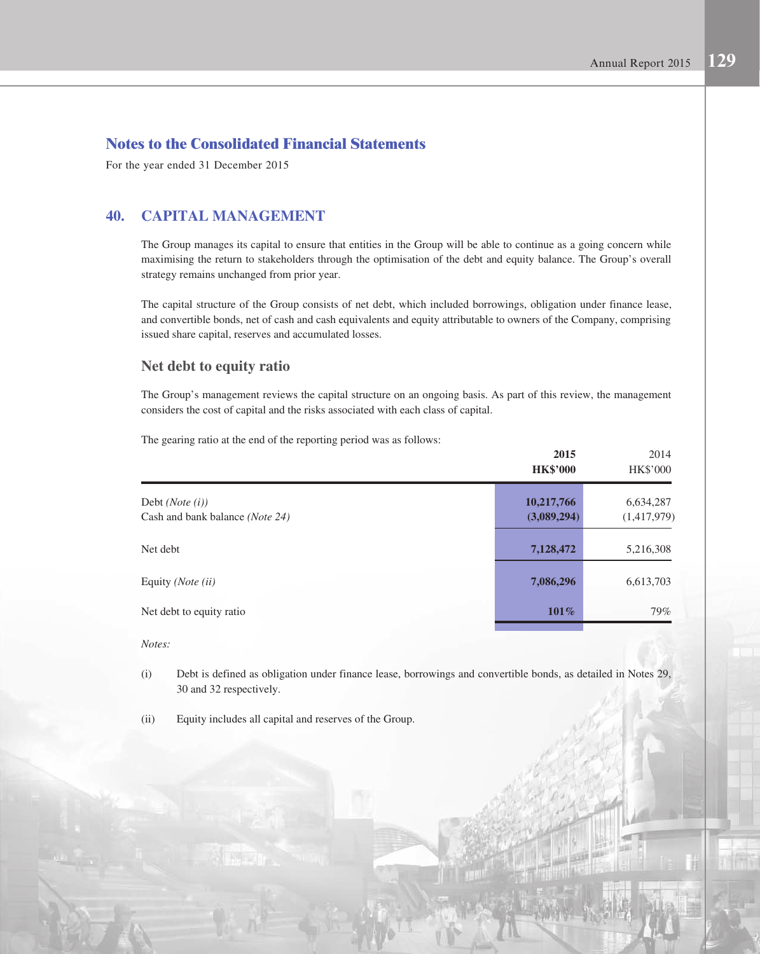For the year ended 31 December 2015

# **40. CAPITAL MANAGEMENT**

The Group manages its capital to ensure that entities in the Group will be able to continue as a going concern while maximising the return to stakeholders through the optimisation of the debt and equity balance. The Group's overall strategy remains unchanged from prior year.

The capital structure of the Group consists of net debt, which included borrowings, obligation under finance lease, and convertible bonds, net of cash and cash equivalents and equity attributable to owners of the Company, comprising issued share capital, reserves and accumulated losses.

#### **Net debt to equity ratio**

The Group's management reviews the capital structure on an ongoing basis. As part of this review, the management considers the cost of capital and the risks associated with each class of capital.

The gearing ratio at the end of the reporting period was as follows:

|                                                                        | 2015<br><b>HK\$'000</b>   | 2014<br><b>HK\$'000</b>  |
|------------------------------------------------------------------------|---------------------------|--------------------------|
| Debt ( <i>Note</i> $(i)$ )<br>Cash and bank balance ( <i>Note 24</i> ) | 10,217,766<br>(3,089,294) | 6,634,287<br>(1,417,979) |
| Net debt                                                               | 7,128,472                 | 5,216,308                |
| Equity (Note (ii)                                                      | 7,086,296                 | 6,613,703                |
| Net debt to equity ratio                                               | 101%                      | 79%                      |

*Notes:*

- (i) Debt is defined as obligation under finance lease, borrowings and convertible bonds, as detailed in Notes 29, 30 and 32 respectively.
- (ii) Equity includes all capital and reserves of the Group.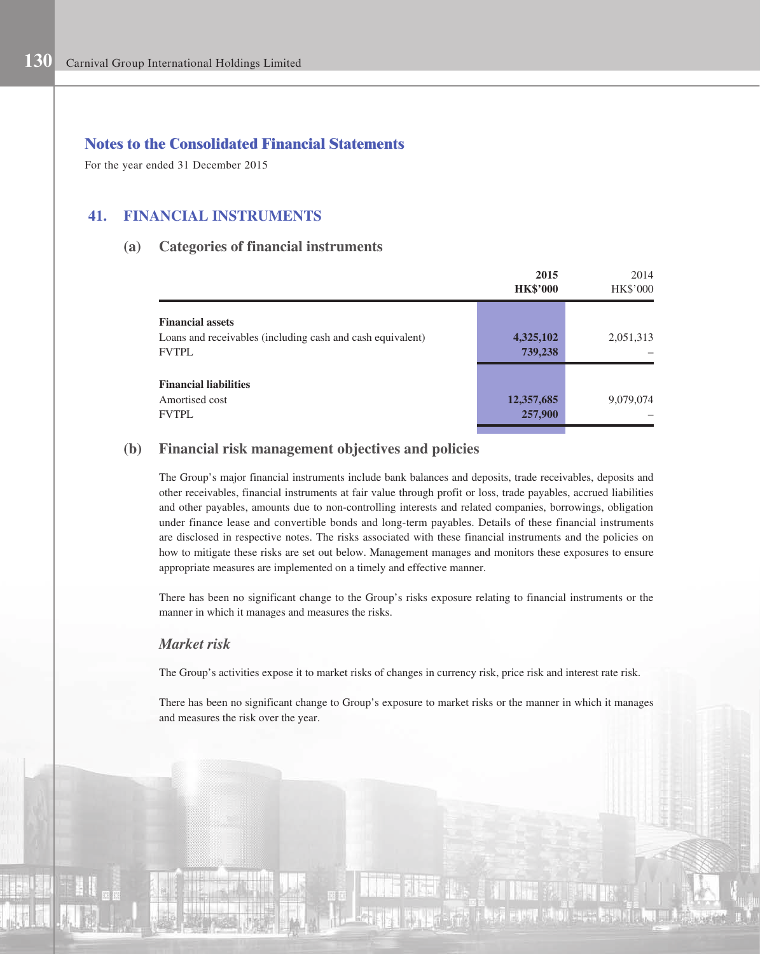For the year ended 31 December 2015

#### **41. FINANCIAL INSTRUMENTS**

#### **(a) Categories of financial instruments**

|                                                                                                       | 2015<br><b>HK\$'000</b> | 2014<br><b>HK\$'000</b> |
|-------------------------------------------------------------------------------------------------------|-------------------------|-------------------------|
| <b>Financial assets</b><br>Loans and receivables (including cash and cash equivalent)<br><b>FVTPL</b> | 4,325,102<br>739,238    | 2,051,313               |
| <b>Financial liabilities</b><br>Amortised cost<br><b>FVTPL</b>                                        | 12,357,685<br>257,900   | 9,079,074               |

#### **(b) Financial risk management objectives and policies**

The Group's major financial instruments include bank balances and deposits, trade receivables, deposits and other receivables, financial instruments at fair value through profit or loss, trade payables, accrued liabilities and other payables, amounts due to non-controlling interests and related companies, borrowings, obligation under finance lease and convertible bonds and long-term payables. Details of these financial instruments are disclosed in respective notes. The risks associated with these financial instruments and the policies on how to mitigate these risks are set out below. Management manages and monitors these exposures to ensure appropriate measures are implemented on a timely and effective manner.

There has been no significant change to the Group's risks exposure relating to financial instruments or the manner in which it manages and measures the risks.

#### *Market risk*

The Group's activities expose it to market risks of changes in currency risk, price risk and interest rate risk.

There has been no significant change to Group's exposure to market risks or the manner in which it manages and measures the risk over the year.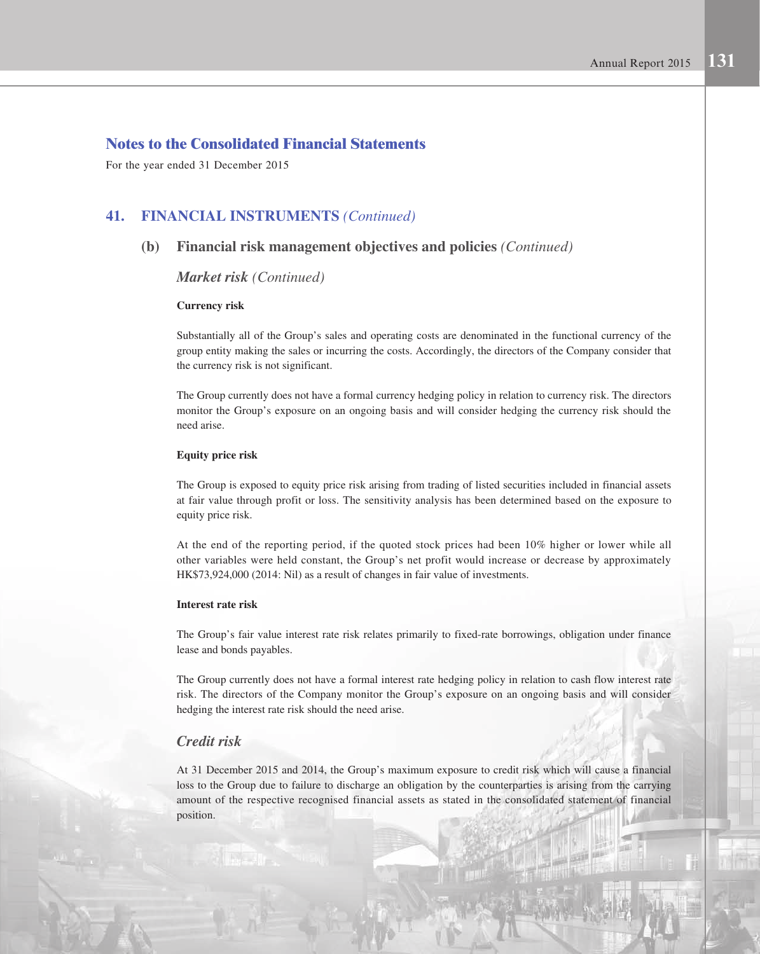For the year ended 31 December 2015

## **41. FINANCIAL INSTRUMENTS** *(Continued)*

#### **(b) Financial risk management objectives and policies** *(Continued)*

#### *Market risk (Continued)*

#### **Currency risk**

Substantially all of the Group's sales and operating costs are denominated in the functional currency of the group entity making the sales or incurring the costs. Accordingly, the directors of the Company consider that the currency risk is not significant.

The Group currently does not have a formal currency hedging policy in relation to currency risk. The directors monitor the Group's exposure on an ongoing basis and will consider hedging the currency risk should the need arise.

#### **Equity price risk**

The Group is exposed to equity price risk arising from trading of listed securities included in financial assets at fair value through profit or loss. The sensitivity analysis has been determined based on the exposure to equity price risk.

At the end of the reporting period, if the quoted stock prices had been 10% higher or lower while all other variables were held constant, the Group's net profit would increase or decrease by approximately HK\$73,924,000 (2014: Nil) as a result of changes in fair value of investments.

#### **Interest rate risk**

The Group's fair value interest rate risk relates primarily to fixed-rate borrowings, obligation under finance lease and bonds payables.

The Group currently does not have a formal interest rate hedging policy in relation to cash flow interest rate risk. The directors of the Company monitor the Group's exposure on an ongoing basis and will consider hedging the interest rate risk should the need arise.

#### *Credit risk*

At 31 December 2015 and 2014, the Group's maximum exposure to credit risk which will cause a financial loss to the Group due to failure to discharge an obligation by the counterparties is arising from the carrying amount of the respective recognised financial assets as stated in the consolidated statement of financial position.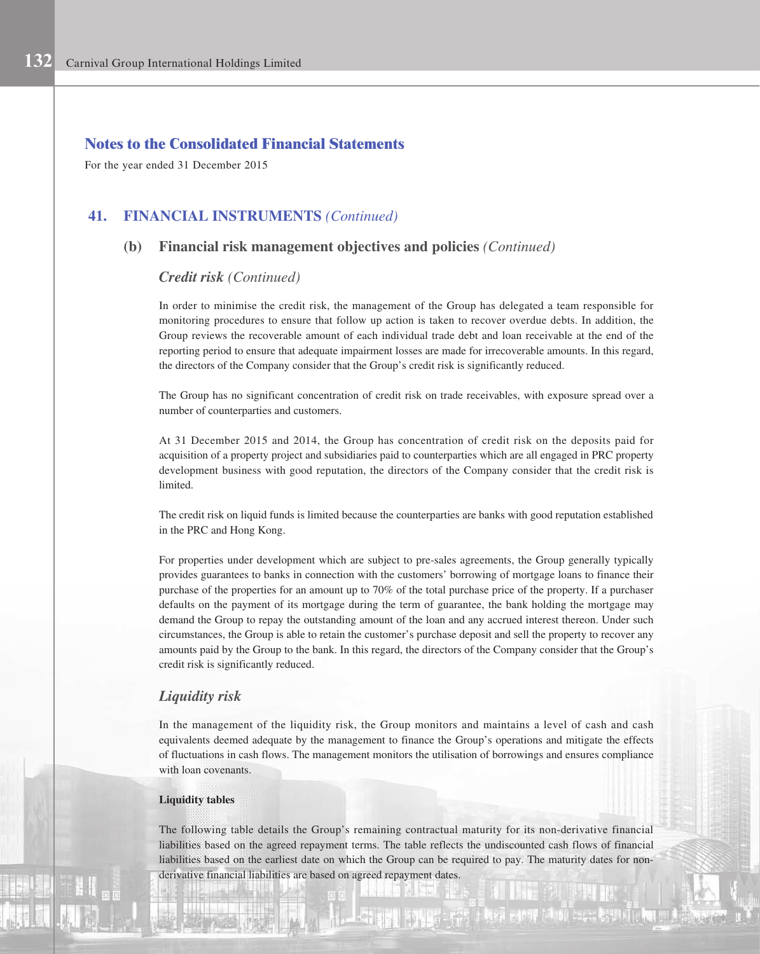For the year ended 31 December 2015

#### **41. FINANCIAL INSTRUMENTS** *(Continued)*

#### **(b) Financial risk management objectives and policies** *(Continued)*

#### *Credit risk (Continued)*

In order to minimise the credit risk, the management of the Group has delegated a team responsible for monitoring procedures to ensure that follow up action is taken to recover overdue debts. In addition, the Group reviews the recoverable amount of each individual trade debt and loan receivable at the end of the reporting period to ensure that adequate impairment losses are made for irrecoverable amounts. In this regard, the directors of the Company consider that the Group's credit risk is significantly reduced.

The Group has no significant concentration of credit risk on trade receivables, with exposure spread over a number of counterparties and customers.

At 31 December 2015 and 2014, the Group has concentration of credit risk on the deposits paid for acquisition of a property project and subsidiaries paid to counterparties which are all engaged in PRC property development business with good reputation, the directors of the Company consider that the credit risk is limited.

The credit risk on liquid funds is limited because the counterparties are banks with good reputation established in the PRC and Hong Kong.

For properties under development which are subject to pre-sales agreements, the Group generally typically provides guarantees to banks in connection with the customers' borrowing of mortgage loans to finance their purchase of the properties for an amount up to 70% of the total purchase price of the property. If a purchaser defaults on the payment of its mortgage during the term of guarantee, the bank holding the mortgage may demand the Group to repay the outstanding amount of the loan and any accrued interest thereon. Under such circumstances, the Group is able to retain the customer's purchase deposit and sell the property to recover any amounts paid by the Group to the bank. In this regard, the directors of the Company consider that the Group's credit risk is significantly reduced.

#### *Liquidity risk*

In the management of the liquidity risk, the Group monitors and maintains a level of cash and cash equivalents deemed adequate by the management to finance the Group's operations and mitigate the effects of fluctuations in cash flows. The management monitors the utilisation of borrowings and ensures compliance with loan covenants.

#### **Liquidity tables**

The following table details the Group's remaining contractual maturity for its non-derivative financial liabilities based on the agreed repayment terms. The table reflects the undiscounted cash flows of financial liabilities based on the earliest date on which the Group can be required to pay. The maturity dates for nonderivative financial liabilities are based on agreed repayment dates.

**STATISTICS** LAR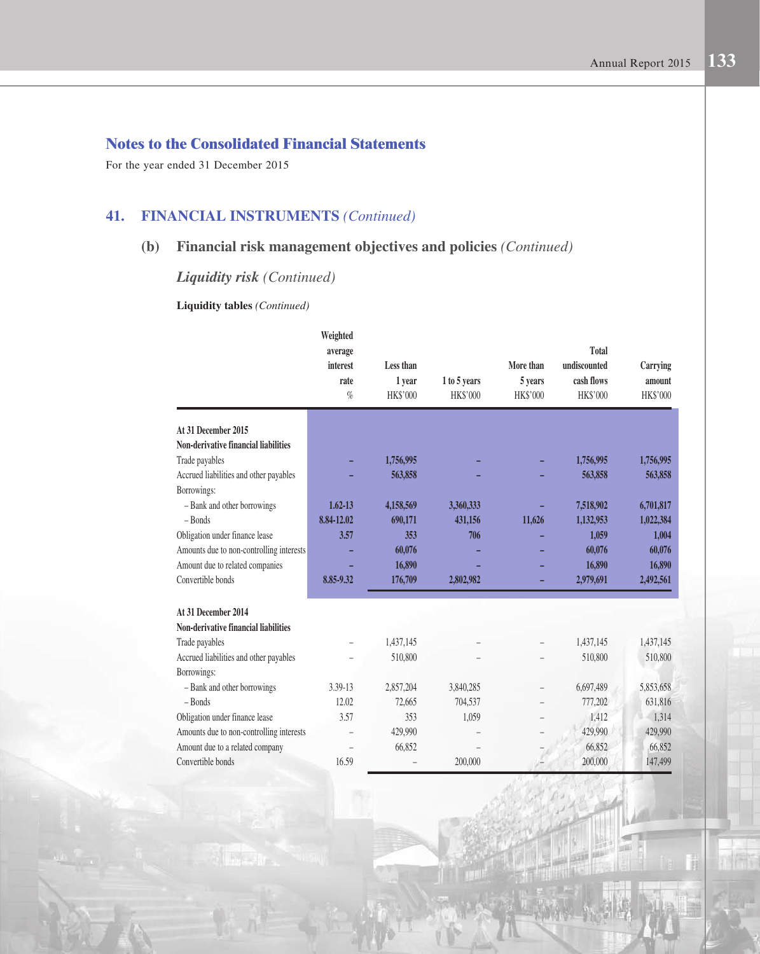For the year ended 31 December 2015

# **41. FINANCIAL INSTRUMENTS** *(Continued)*

# **(b) Financial risk management objectives and policies** *(Continued)*

*Liquidity risk (Continued)*

**Liquidity tables** *(Continued)*

|                                          | Weighted    |                 |                 |                 |              |                 |
|------------------------------------------|-------------|-----------------|-----------------|-----------------|--------------|-----------------|
|                                          | average     |                 |                 |                 | <b>Total</b> |                 |
|                                          | interest    | Less than       |                 | More than       | undiscounted | Carrying        |
|                                          | rate        | 1 year          | 1 to 5 years    | 5 years         | cash flows   | amount          |
|                                          | $\%$        | <b>HK\$'000</b> | <b>HK\$'000</b> | <b>HK\$'000</b> | HK\$'000     | <b>HK\$'000</b> |
| At 31 December 2015                      |             |                 |                 |                 |              |                 |
| Non-derivative financial liabilities     |             |                 |                 |                 |              |                 |
| Trade payables                           |             | 1,756,995       |                 |                 | 1,756,995    | 1,756,995       |
| Accrued liabilities and other payables   |             | 563,858         |                 |                 | 563,858      | 563,858         |
| Borrowings:                              |             |                 |                 |                 |              |                 |
| - Bank and other borrowings              | $1.62 - 13$ | 4,158,569       | 3,360,333       |                 | 7,518,902    | 6,701,817       |
| $-$ Bonds                                | 8.84-12.02  | 690,171         | 431,156         | 11,626          | 1,132,953    | 1,022,384       |
| Obligation under finance lease           | 3.57        | 353             | 706             |                 | 1,059        | 1,004           |
| Amounts due to non-controlling interests |             | 60,076          |                 |                 | 60,076       | 60,076          |
| Amount due to related companies          |             | 16,890          |                 |                 | 16,890       | 16,890          |
| Convertible bonds                        | 8.85-9.32   | 176,709         | 2,802,982       |                 | 2,979,691    | 2,492,561       |
| At 31 December 2014                      |             |                 |                 |                 |              |                 |
| Non-derivative financial liabilities     |             |                 |                 |                 |              |                 |
| Trade payables                           |             | 1,437,145       |                 |                 | 1,437,145    | 1,437,145       |
| Accrued liabilities and other payables   |             | 510,800         |                 |                 | 510,800      | 510,800         |
| Borrowings:                              |             |                 |                 |                 |              |                 |
| - Bank and other borrowings              | 3.39-13     | 2,857,204       | 3,840,285       |                 | 6,697,489    | 5,853,658       |
| $-$ Bonds                                | 12.02       | 72,665          | 704,537         |                 | 777.202      | 631,816         |
| Obligation under finance lease           | 3.57        | 353             | 1,059           |                 | 1.412        | 1,314           |
| Amounts due to non-controlling interests |             | 429,990         |                 |                 | 429,990      | 429,990         |
| Amount due to a related company          |             | 66,852          |                 |                 | 66,852       | 66,852          |
| Convertible bonds                        | 16.59       |                 | 200,000         |                 | 200,000      | 147,499         |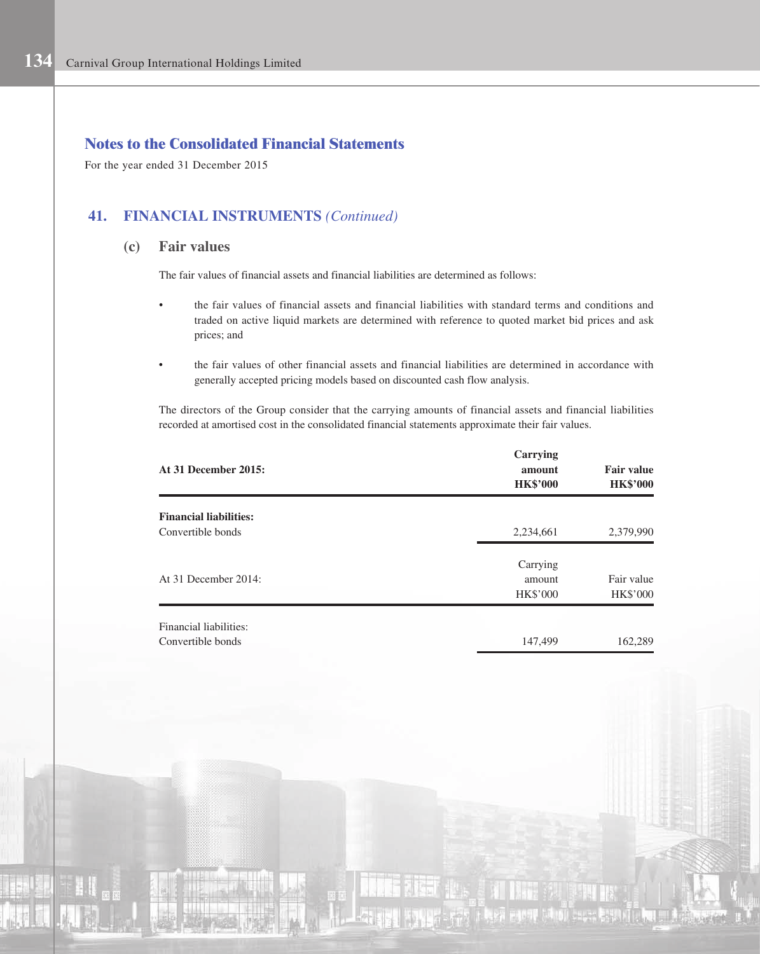For the year ended 31 December 2015

# **41. FINANCIAL INSTRUMENTS** *(Continued)*

#### **(c) Fair values**

The fair values of financial assets and financial liabilities are determined as follows:

- the fair values of financial assets and financial liabilities with standard terms and conditions and traded on active liquid markets are determined with reference to quoted market bid prices and ask prices; and
- the fair values of other financial assets and financial liabilities are determined in accordance with generally accepted pricing models based on discounted cash flow analysis.

The directors of the Group consider that the carrying amounts of financial assets and financial liabilities recorded at amortised cost in the consolidated financial statements approximate their fair values.

| At 31 December 2015:          | Carrying<br>amount<br><b>HK\$'000</b> | <b>Fair value</b><br><b>HK\$'000</b> |
|-------------------------------|---------------------------------------|--------------------------------------|
| <b>Financial liabilities:</b> |                                       |                                      |
| Convertible bonds             | 2,234,661                             | 2,379,990                            |
|                               | Carrying                              |                                      |
| At 31 December 2014:          | amount                                | Fair value                           |
|                               | <b>HK\$'000</b>                       | <b>HK\$'000</b>                      |
| Financial liabilities:        |                                       |                                      |
| Convertible bonds             | 147,499                               | 162,289                              |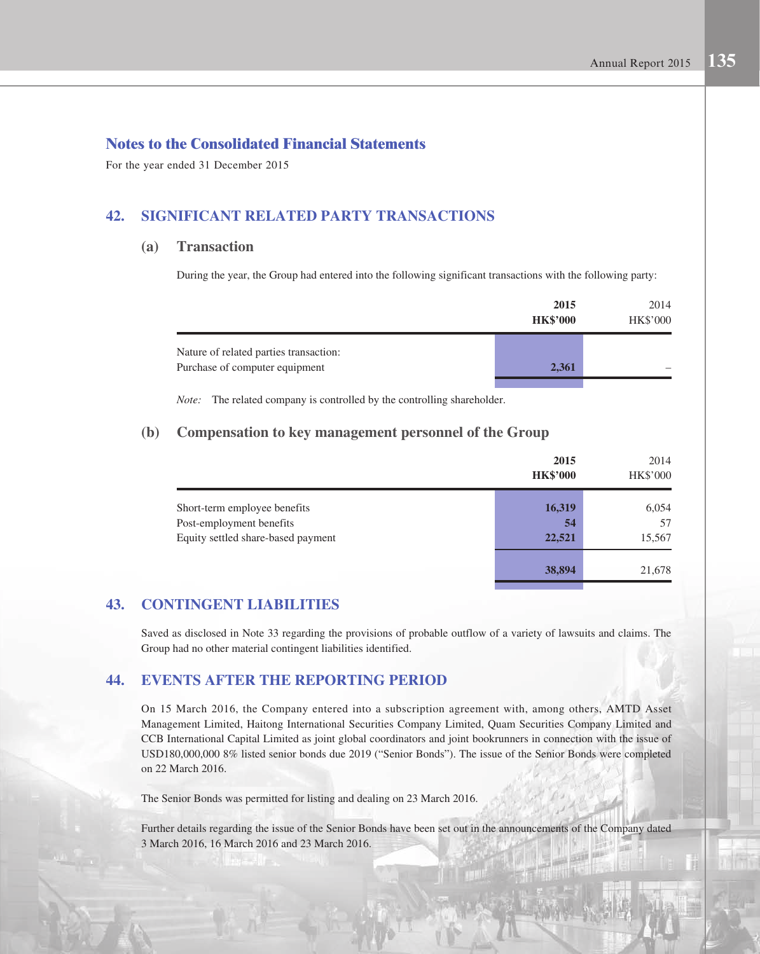For the year ended 31 December 2015

# **42. SIGNIFICANT RELATED PARTY TRANSACTIONS**

#### **(a) Transaction**

During the year, the Group had entered into the following significant transactions with the following party:

|                                                                          | 2015<br><b>HK\$'000</b> | 2014<br><b>HK\$'000</b> |
|--------------------------------------------------------------------------|-------------------------|-------------------------|
| Nature of related parties transaction:<br>Purchase of computer equipment | 2,361                   |                         |

*Note:* The related company is controlled by the controlling shareholder.

#### **(b) Compensation to key management personnel of the Group**

|                                                                                                | 2015<br><b>HK\$'000</b> | 2014<br><b>HK\$'000</b> |
|------------------------------------------------------------------------------------------------|-------------------------|-------------------------|
| Short-term employee benefits<br>Post-employment benefits<br>Equity settled share-based payment | 16,319<br>54<br>22,521  | 6,054<br>57<br>15,567   |
|                                                                                                | 38,894                  | 21,678                  |

## **43. CONTINGENT LIABILITIES**

Saved as disclosed in Note 33 regarding the provisions of probable outflow of a variety of lawsuits and claims. The Group had no other material contingent liabilities identified.

#### **44. EVENTS AFTER THE REPORTING PERIOD**

On 15 March 2016, the Company entered into a subscription agreement with, among others, AMTD Asset Management Limited, Haitong International Securities Company Limited, Quam Securities Company Limited and CCB International Capital Limited as joint global coordinators and joint bookrunners in connection with the issue of USD180,000,000 8% listed senior bonds due 2019 ("Senior Bonds"). The issue of the Senior Bonds were completed on 22 March 2016.

The Senior Bonds was permitted for listing and dealing on 23 March 2016.

Further details regarding the issue of the Senior Bonds have been set out in the announcements of the Company dated 3 March 2016, 16 March 2016 and 23 March 2016.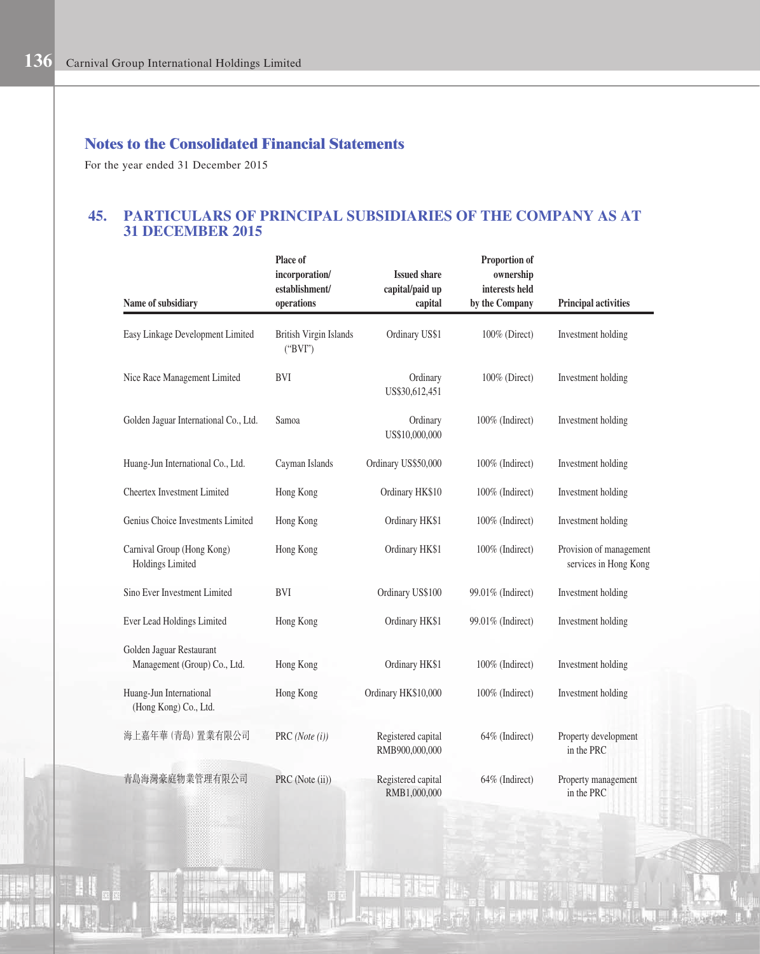For the year ended 31 December 2015

# **45. PARTICULARS OF PRINCIPAL SUBSIDIARIES OF THE COMPANY AS AT 31 DECEMBER 2015**

| Name of subsidiary                                       | Place of<br>incorporation/<br>establishment/<br>operations | <b>Issued share</b><br>capital/paid up<br>capital | Proportion of<br>ownership<br>interests held<br>by the Company | <b>Principal activities</b>                      |
|----------------------------------------------------------|------------------------------------------------------------|---------------------------------------------------|----------------------------------------------------------------|--------------------------------------------------|
| Easy Linkage Development Limited                         | British Virgin Islands<br>("BVI")                          | Ordinary US\$1                                    | 100% (Direct)                                                  | Investment holding                               |
| Nice Race Management Limited                             | BVI                                                        | Ordinary<br>US\$30,612,451                        | 100% (Direct)                                                  | Investment holding                               |
| Golden Jaguar International Co., Ltd.                    | Samoa                                                      | Ordinary<br>US\$10,000,000                        | 100% (Indirect)                                                | Investment holding                               |
| Huang-Jun International Co., Ltd.                        | Cayman Islands                                             | Ordinary US\$50,000                               | 100% (Indirect)                                                | Investment holding                               |
| Cheertex Investment Limited                              | Hong Kong                                                  | Ordinary HK\$10                                   | 100% (Indirect)                                                | Investment holding                               |
| Genius Choice Investments Limited                        | Hong Kong                                                  | Ordinary HK\$1                                    | 100% (Indirect)                                                | Investment holding                               |
| Carnival Group (Hong Kong)<br><b>Holdings Limited</b>    | Hong Kong                                                  | Ordinary HK\$1                                    | 100% (Indirect)                                                | Provision of management<br>services in Hong Kong |
| Sino Ever Investment Limited                             | <b>BVI</b>                                                 | Ordinary US\$100                                  | 99.01% (Indirect)                                              | Investment holding                               |
| Ever Lead Holdings Limited                               | Hong Kong                                                  | Ordinary HK\$1                                    | 99.01% (Indirect)                                              | Investment holding                               |
| Golden Jaguar Restaurant<br>Management (Group) Co., Ltd. | Hong Kong                                                  | Ordinary HK\$1                                    | 100% (Indirect)                                                | Investment holding                               |
| Huang-Jun International<br>(Hong Kong) Co., Ltd.         | Hong Kong                                                  | Ordinary HK\$10,000                               | 100% (Indirect)                                                | Investment holding                               |
| 海上嘉年華 (青島) 置業有限公司                                        | PRC (Note (i))                                             | Registered capital<br>RMB900,000,000              | 64% (Indirect)                                                 | Property development<br>in the PRC               |
| 青島海灣豪庭物業管理有限公司                                           | PRC (Note (ii))                                            | Registered capital<br>RMB1,000,000                | 64% (Indirect)                                                 | Property management<br>in the PRC                |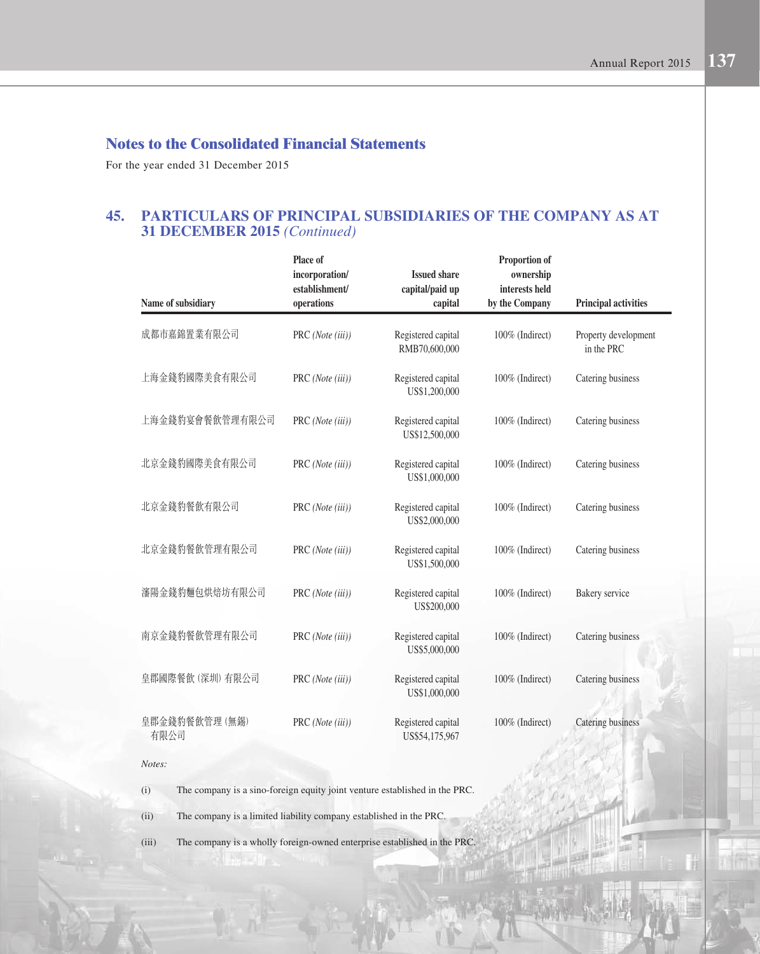For the year ended 31 December 2015

# **45. PARTICULARS OF PRINCIPAL SUBSIDIARIES OF THE COMPANY AS AT 31 DECEMBER 2015** *(Continued)*

|                        | Place of<br>incorporation/<br>establishment/ | <b>Issued share</b><br>capital/paid up | Proportion of<br>ownership<br>interests held |                                    |
|------------------------|----------------------------------------------|----------------------------------------|----------------------------------------------|------------------------------------|
| Name of subsidiary     | operations                                   | capital                                | by the Company                               | <b>Principal activities</b>        |
| 成都市嘉錦置業有限公司            | PRC (Note (iii))                             | Registered capital<br>RMB70,600,000    | 100% (Indirect)                              | Property development<br>in the PRC |
| 上海金錢豹國際美食有限公司          | PRC (Note (iii))                             | Registered capital<br>US\$1,200,000    | 100% (Indirect)                              | Catering business                  |
| 上海金錢豹宴會餐飲管理有限公司        | PRC (Note (iii))                             | Registered capital<br>US\$12,500,000   | 100% (Indirect)                              | Catering business                  |
| 北京金錢豹國際美食有限公司          | PRC (Note (iii))                             | Registered capital<br>US\$1,000,000    | 100% (Indirect)                              | Catering business                  |
| 北京金錢豹餐飲有限公司            | PRC (Note (iii))                             | Registered capital<br>US\$2,000,000    | 100% (Indirect)                              | Catering business                  |
| 北京金錢豹餐飲管理有限公司          | PRC (Note (iii))                             | Registered capital<br>US\$1,500,000    | 100% (Indirect)                              | Catering business                  |
| 瀋陽金錢豹麵包烘焙坊有限公司         | PRC (Note (iii))                             | Registered capital<br>US\$200,000      | 100% (Indirect)                              | Bakery service                     |
| 南京金錢豹餐飲管理有限公司          | PRC (Note (iii))                             | Registered capital<br>US\$5,000,000    | 100% (Indirect)                              | Catering business                  |
| 皇郡國際餐飲 (深圳) 有限公司       | PRC (Note (iii))                             | Registered capital<br>US\$1,000,000    | 100% (Indirect)                              | Catering business                  |
| 皇郡金錢豹餐飲管理 (無錫)<br>有限公司 | PRC (Note (iii))                             | Registered capital<br>US\$54,175,967   | 100% (Indirect)                              | Catering business                  |

#### *Notes:*

(i) The company is a sino-foreign equity joint venture established in the PRC.

(ii) The company is a limited liability company established in the PRC.

(iii) The company is a wholly foreign-owned enterprise established in the PRC.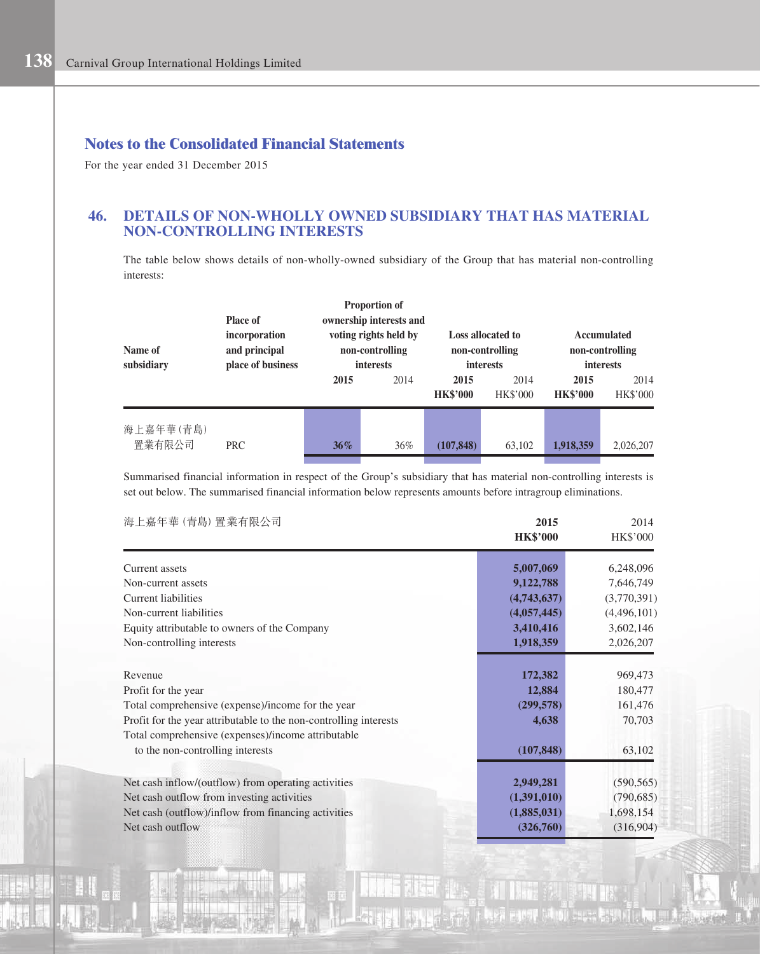For the year ended 31 December 2015

# **46. DETAILS OF NON-WHOLLY OWNED SUBSIDIARY THAT HAS MATERIAL NON-CONTROLLING INTERESTS**

The table below shows details of non-wholly-owned subsidiary of the Group that has material non-controlling interests:

| Name of<br>subsidiary | <b>Place of</b><br>incorporation<br>and principal<br>place of business |        | <b>Proportion of</b><br>ownership interests and<br>voting rights held by<br>non-controlling<br><i>interests</i> |                         | Accumulated<br>Loss allocated to<br>non-controlling<br>non-controlling<br><i>interests</i><br><i>interests</i> |                         |                         |  |  |  |
|-----------------------|------------------------------------------------------------------------|--------|-----------------------------------------------------------------------------------------------------------------|-------------------------|----------------------------------------------------------------------------------------------------------------|-------------------------|-------------------------|--|--|--|
|                       |                                                                        | 2015   | 2014                                                                                                            | 2015<br><b>HK\$'000</b> | 2014<br><b>HK\$'000</b>                                                                                        | 2015<br><b>HK\$'000</b> | 2014<br><b>HK\$'000</b> |  |  |  |
| 海上嘉年華(青島)<br>置業有限公司   | <b>PRC</b>                                                             | $36\%$ | 36%                                                                                                             | (107, 848)              | 63,102                                                                                                         | 1,918,359               | 2,026,207               |  |  |  |

Summarised financial information in respect of the Group's subsidiary that has material non-controlling interests is set out below. The summarised financial information below represents amounts before intragroup eliminations.

| 海上嘉年華 (青島) 置業有限公司                                                 | 2015<br><b>HK\$'000</b> | 2014<br>HK\$'000 |
|-------------------------------------------------------------------|-------------------------|------------------|
| Current assets                                                    | 5,007,069               | 6,248,096        |
| Non-current assets                                                | 9,122,788               | 7,646,749        |
| Current liabilities                                               | (4,743,637)             | (3,770,391)      |
| Non-current liabilities                                           | (4,057,445)             | (4,496,101)      |
| Equity attributable to owners of the Company                      | 3,410,416               | 3,602,146        |
| Non-controlling interests                                         | 1,918,359               | 2,026,207        |
| Revenue                                                           | 172,382                 | 969,473          |
| Profit for the year                                               | 12,884                  | 180,477          |
| Total comprehensive (expense)/income for the year                 | (299, 578)              | 161,476          |
| Profit for the year attributable to the non-controlling interests | 4,638                   | 70,703           |
| Total comprehensive (expenses)/income attributable                |                         |                  |
| to the non-controlling interests                                  | (107, 848)              | 63,102           |
| Net cash inflow/(outflow) from operating activities               | 2,949,281               | (590, 565)       |
| Net cash outflow from investing activities                        | (1,391,010)             | (790, 685)       |
| Net cash (outflow)/inflow from financing activities               | (1,885,031)             | 1,698,154        |
| Net cash outflow                                                  | (326,760)               | (316,904)        |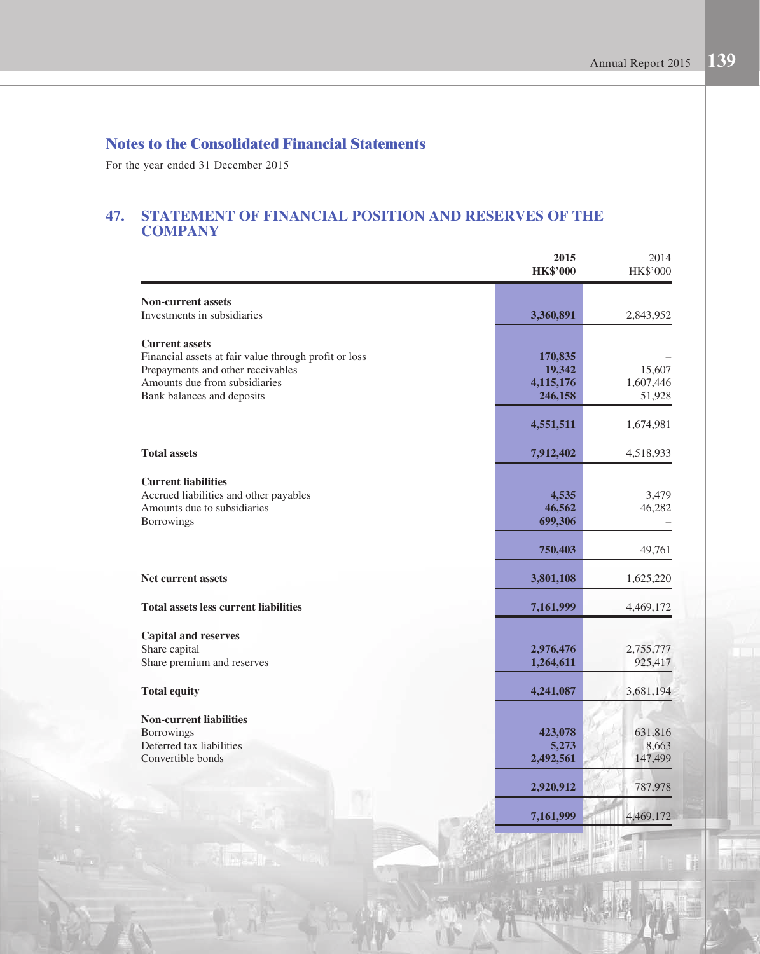For the year ended 31 December 2015

# **47. STATEMENT OF FINANCIAL POSITION AND RESERVES OF THE COMPANY**

|                                                                      | 2015<br><b>HK\$'000</b> | 2014<br>HK\$'000 |
|----------------------------------------------------------------------|-------------------------|------------------|
| <b>Non-current assets</b>                                            |                         |                  |
| Investments in subsidiaries                                          | 3,360,891               | 2,843,952        |
| <b>Current assets</b>                                                |                         |                  |
| Financial assets at fair value through profit or loss                | 170,835                 |                  |
| Prepayments and other receivables                                    | 19,342                  | 15,607           |
| Amounts due from subsidiaries                                        | 4,115,176               | 1,607,446        |
| Bank balances and deposits                                           | 246,158                 | 51,928           |
|                                                                      | 4,551,511               | 1,674,981        |
| <b>Total assets</b>                                                  | 7,912,402               | 4,518,933        |
|                                                                      |                         |                  |
| <b>Current liabilities</b><br>Accrued liabilities and other payables | 4,535                   | 3,479            |
| Amounts due to subsidiaries                                          | 46,562                  | 46,282           |
| Borrowings                                                           | 699,306                 |                  |
|                                                                      | 750,403                 | 49,761           |
| <b>Net current assets</b>                                            | 3,801,108               | 1,625,220        |
| <b>Total assets less current liabilities</b>                         | 7,161,999               | 4,469,172        |
|                                                                      |                         |                  |
| <b>Capital and reserves</b><br>Share capital                         | 2,976,476               | 2,755,777        |
| Share premium and reserves                                           | 1,264,611               | 925,417          |
| <b>Total equity</b>                                                  | 4,241,087               | 3,681,194        |
|                                                                      |                         |                  |
| <b>Non-current liabilities</b>                                       |                         |                  |
| Borrowings<br>Deferred tax liabilities                               | 423,078<br>5,273        | 631,816<br>8,663 |
| Convertible bonds                                                    | 2,492,561               | 147,499          |
|                                                                      |                         |                  |
|                                                                      | 2,920,912               | 787,978          |
|                                                                      | 7,161,999               | 4,469,172        |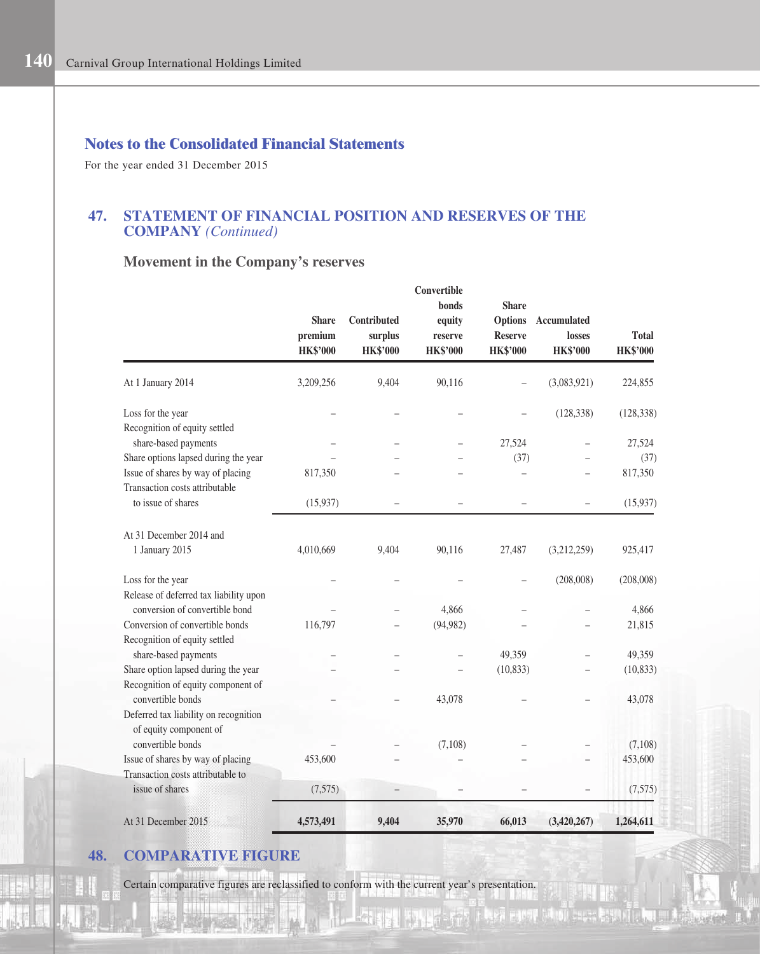For the year ended 31 December 2015

# **47. STATEMENT OF FINANCIAL POSITION AND RESERVES OF THE COMPANY** *(Continued)*

# **Movement in the Company's reserves**

|                                                                     | <b>Share</b><br>premium<br><b>HK\$'000</b> | Contributed<br>surplus<br><b>HK\$'000</b> | Convertible<br>bonds<br>equity<br>reserve<br><b>HK\$'000</b> | <b>Share</b><br><b>Options</b><br><b>Reserve</b><br><b>HK\$'000</b> | Accumulated<br>losses<br><b>HK\$'000</b> | <b>Total</b><br><b>HK\$'000</b> |
|---------------------------------------------------------------------|--------------------------------------------|-------------------------------------------|--------------------------------------------------------------|---------------------------------------------------------------------|------------------------------------------|---------------------------------|
| At 1 January 2014                                                   | 3,209,256                                  | 9,404                                     | 90,116                                                       |                                                                     | (3,083,921)                              | 224,855                         |
| Loss for the year<br>Recognition of equity settled                  |                                            |                                           |                                                              |                                                                     | (128, 338)                               | (128, 338)                      |
| share-based payments                                                |                                            |                                           |                                                              | 27,524                                                              |                                          | 27,524                          |
| Share options lapsed during the year                                |                                            |                                           |                                                              | (37)                                                                |                                          | (37)                            |
| Issue of shares by way of placing<br>Transaction costs attributable | 817,350                                    |                                           |                                                              |                                                                     | $\overline{\phantom{0}}$                 | 817,350                         |
| to issue of shares                                                  | (15, 937)                                  |                                           |                                                              |                                                                     |                                          | (15, 937)                       |
| At 31 December 2014 and                                             |                                            |                                           |                                                              |                                                                     |                                          |                                 |
| 1 January 2015                                                      | 4,010,669                                  | 9,404                                     | 90,116                                                       | 27,487                                                              | (3,212,259)                              | 925,417                         |
| Loss for the year                                                   |                                            |                                           |                                                              |                                                                     | (208,008)                                | (208,008)                       |
| Release of deferred tax liability upon                              |                                            |                                           |                                                              |                                                                     |                                          |                                 |
| conversion of convertible bond                                      |                                            |                                           | 4,866                                                        |                                                                     |                                          | 4,866                           |
| Conversion of convertible bonds<br>Recognition of equity settled    | 116,797                                    |                                           | (94, 982)                                                    |                                                                     |                                          | 21,815                          |
| share-based payments                                                |                                            |                                           |                                                              | 49,359                                                              |                                          | 49,359                          |
| Share option lapsed during the year                                 |                                            |                                           |                                                              | (10, 833)                                                           |                                          | (10, 833)                       |
| Recognition of equity component of                                  |                                            |                                           |                                                              |                                                                     |                                          |                                 |
| convertible bonds                                                   |                                            |                                           | 43,078                                                       |                                                                     |                                          | 43,078                          |
| Deferred tax liability on recognition<br>of equity component of     |                                            |                                           |                                                              |                                                                     |                                          |                                 |
| convertible bonds                                                   |                                            |                                           | (7,108)                                                      |                                                                     |                                          | (7,108)                         |
| Issue of shares by way of placing                                   | 453,600                                    |                                           |                                                              |                                                                     |                                          | 453,600                         |
| Transaction costs attributable to                                   |                                            |                                           |                                                              |                                                                     |                                          |                                 |
| issue of shares                                                     | (7,575)                                    |                                           |                                                              |                                                                     |                                          | (7,575)                         |
| At 31 December 2015                                                 | 4,573,491                                  | 9,404                                     | 35,970                                                       | 66,013                                                              | (3,420,267)                              | 1,264,611                       |

## **48. COMPARATIVE FIGURE**

Certain comparative figures are reclassified to conform with the current year's presentation.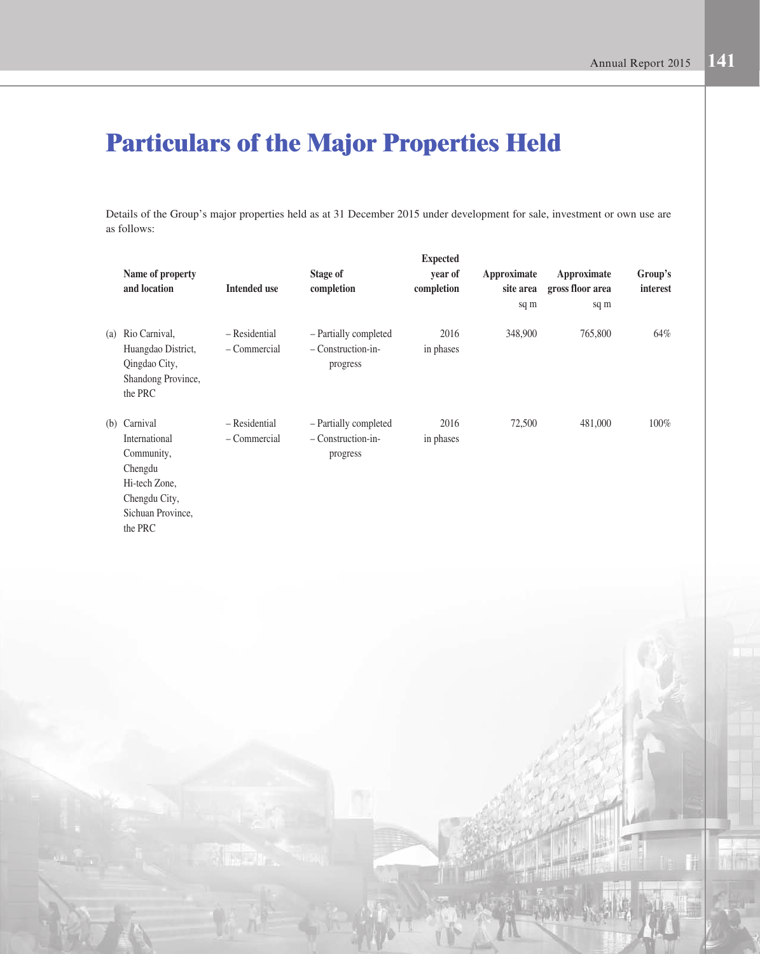# **Particulars of the Major Properties Held**

Details of the Group's major properties held as at 31 December 2015 under development for sale, investment or own use are as follows:

|     | Name of property<br>and location                                                                                     | <b>Intended use</b>           | Stage of<br>completion                                  | <b>Expected</b><br>year of<br>completion | Approximate<br>site area<br>sq m | Approximate<br>gross floor area<br>sq m | Group's<br>interest |
|-----|----------------------------------------------------------------------------------------------------------------------|-------------------------------|---------------------------------------------------------|------------------------------------------|----------------------------------|-----------------------------------------|---------------------|
| (a) | Rio Carnival,<br>Huangdao District,<br>Qingdao City,<br>Shandong Province,<br>the PRC                                | - Residential<br>- Commercial | - Partially completed<br>- Construction-in-<br>progress | 2016<br>in phases                        | 348,900                          | 765,800                                 | 64%                 |
| (b) | Carnival<br>International<br>Community,<br>Chengdu<br>Hi-tech Zone,<br>Chengdu City,<br>Sichuan Province,<br>the PRC | - Residential<br>- Commercial | - Partially completed<br>- Construction-in-<br>progress | 2016<br>in phases                        | 72,500                           | 481,000                                 | $100\%$             |